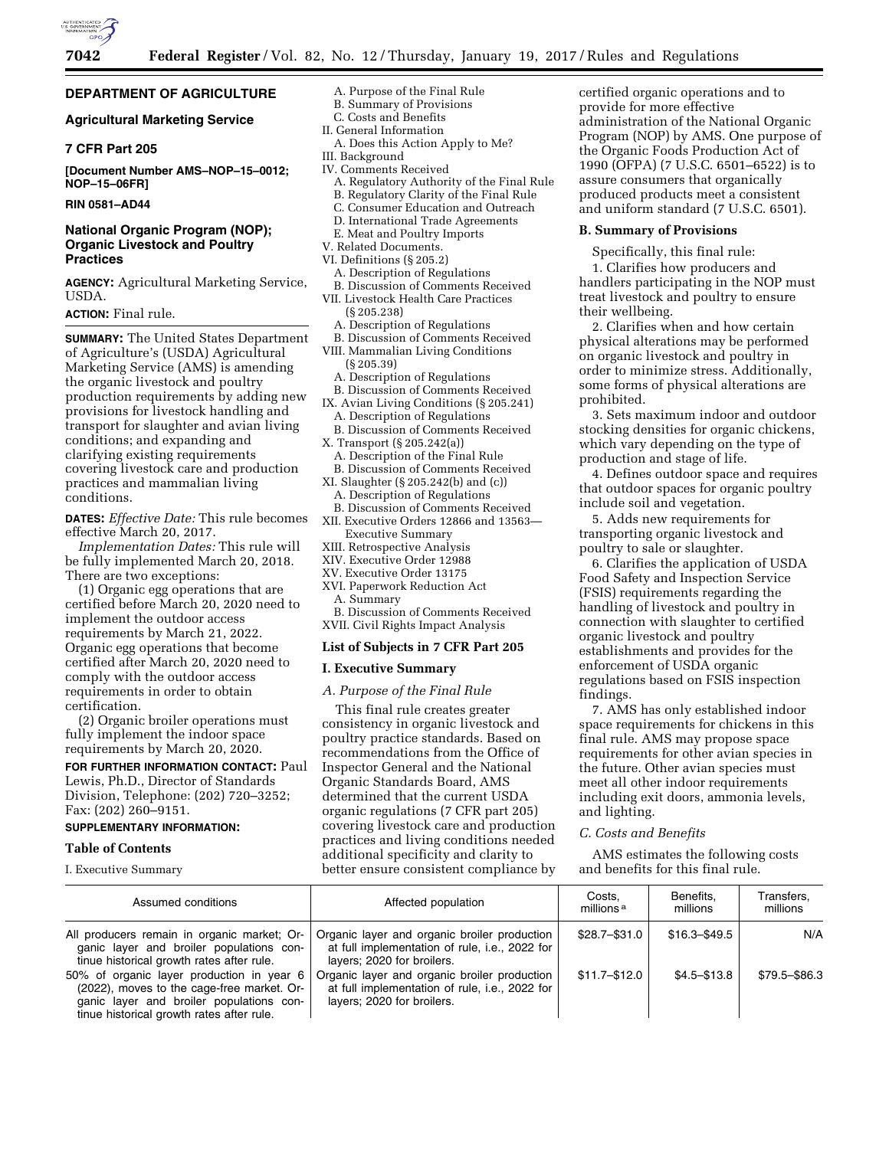

# **DEPARTMENT OF AGRICULTURE**

# **Agricultural Marketing Service**

# **7 CFR Part 205**

**[Document Number AMS–NOP–15–0012; NOP–15–06FR]** 

**RIN 0581–AD44** 

# **National Organic Program (NOP); Organic Livestock and Poultry Practices**

**AGENCY:** Agricultural Marketing Service, USDA.

#### **ACTION:** Final rule.

**SUMMARY:** The United States Department of Agriculture's (USDA) Agricultural Marketing Service (AMS) is amending the organic livestock and poultry production requirements by adding new provisions for livestock handling and transport for slaughter and avian living conditions; and expanding and clarifying existing requirements covering livestock care and production practices and mammalian living conditions.

**DATES:** *Effective Date:* This rule becomes effective March 20, 2017.

*Implementation Dates:* This rule will be fully implemented March 20, 2018. There are two exceptions:

(1) Organic egg operations that are certified before March 20, 2020 need to implement the outdoor access requirements by March 21, 2022. Organic egg operations that become certified after March 20, 2020 need to comply with the outdoor access requirements in order to obtain certification.

(2) Organic broiler operations must fully implement the indoor space requirements by March 20, 2020.

# **FOR FURTHER INFORMATION CONTACT:** Paul

Lewis, Ph.D., Director of Standards Division, Telephone: (202) 720–3252; Fax: (202) 260–9151.

### **SUPPLEMENTARY INFORMATION:**

#### **Table of Contents**

I. Executive Summary

- A. Purpose of the Final Rule
- B. Summary of Provisions C. Costs and Benefits
- II. General Information
- A. Does this Action Apply to Me? III. Background
- IV. Comments Received
- - A. Regulatory Authority of the Final Rule B. Regulatory Clarity of the Final Rule
	- C. Consumer Education and Outreach
	- D. International Trade Agreements
	- E. Meat and Poultry Imports
- V. Related Documents.
- VI. Definitions (§ 205.2)
	- A. Description of Regulations
- B. Discussion of Comments Received
- VII. Livestock Health Care Practices (§ 205.238)
	- A. Description of Regulations
- B. Discussion of Comments Received VIII. Mammalian Living Conditions (§ 205.39)
	- A. Description of Regulations
	- B. Discussion of Comments Received
- IX. Avian Living Conditions (§ 205.241) A. Description of Regulations
- B. Discussion of Comments Received X. Transport (§ 205.242(a))
- A. Description of the Final Rule
- B. Discussion of Comments Received XI. Slaughter (§ 205.242(b) and (c))
- A. Description of Regulations B. Discussion of Comments Received
- XII. Executive Orders 12866 and 13563— Executive Summary
- XIII. Retrospective Analysis
- XIV. Executive Order 12988
- XV. Executive Order 13175
- XVI. Paperwork Reduction Act A. Summary
- B. Discussion of Comments Received XVII. Civil Rights Impact Analysis

#### **List of Subjects in 7 CFR Part 205**

#### **I. Executive Summary**

#### *A. Purpose of the Final Rule*

This final rule creates greater consistency in organic livestock and poultry practice standards. Based on recommendations from the Office of Inspector General and the National Organic Standards Board, AMS determined that the current USDA organic regulations (7 CFR part 205) covering livestock care and production practices and living conditions needed additional specificity and clarity to better ensure consistent compliance by

certified organic operations and to provide for more effective administration of the National Organic Program (NOP) by AMS. One purpose of the Organic Foods Production Act of 1990 (OFPA) (7 U.S.C. 6501–6522) is to assure consumers that organically produced products meet a consistent and uniform standard (7 U.S.C. 6501).

#### **B. Summary of Provisions**

Specifically, this final rule: 1. Clarifies how producers and handlers participating in the NOP must treat livestock and poultry to ensure their wellbeing.

2. Clarifies when and how certain physical alterations may be performed on organic livestock and poultry in order to minimize stress. Additionally, some forms of physical alterations are prohibited.

3. Sets maximum indoor and outdoor stocking densities for organic chickens, which vary depending on the type of production and stage of life.

4. Defines outdoor space and requires that outdoor spaces for organic poultry include soil and vegetation.

5. Adds new requirements for transporting organic livestock and poultry to sale or slaughter.

6. Clarifies the application of USDA Food Safety and Inspection Service (FSIS) requirements regarding the handling of livestock and poultry in connection with slaughter to certified organic livestock and poultry establishments and provides for the enforcement of USDA organic regulations based on FSIS inspection findings.

7. AMS has only established indoor space requirements for chickens in this final rule. AMS may propose space requirements for other avian species in the future. Other avian species must meet all other indoor requirements including exit doors, ammonia levels, and lighting.

#### *C. Costs and Benefits*

AMS estimates the following costs and benefits for this final rule.

| Assumed conditions                                                                                                                                                               | Affected population                                                                                                          | Costs.<br>millions <sup>a</sup> | Benefits.<br>millions | Transfers.<br>millions |
|----------------------------------------------------------------------------------------------------------------------------------------------------------------------------------|------------------------------------------------------------------------------------------------------------------------------|---------------------------------|-----------------------|------------------------|
| All producers remain in organic market; Or-<br>ganic layer and broiler populations con-<br>tinue historical growth rates after rule.                                             | Organic layer and organic broiler production<br>at full implementation of rule, i.e., 2022 for<br>layers; 2020 for broilers. | \$28.7-\$31.0                   | $$16.3 - $49.5$       | N/A                    |
| 50% of organic layer production in year 6<br>(2022), moves to the cage-free market. Or-<br>ganic layer and broiler populations con-<br>tinue historical growth rates after rule. | Organic layer and organic broiler production<br>at full implementation of rule, i.e., 2022 for<br>layers; 2020 for broilers. | $$11.7 - $12.0$                 | $$4.5 - $13.8$        | \$79.5-\$86.3          |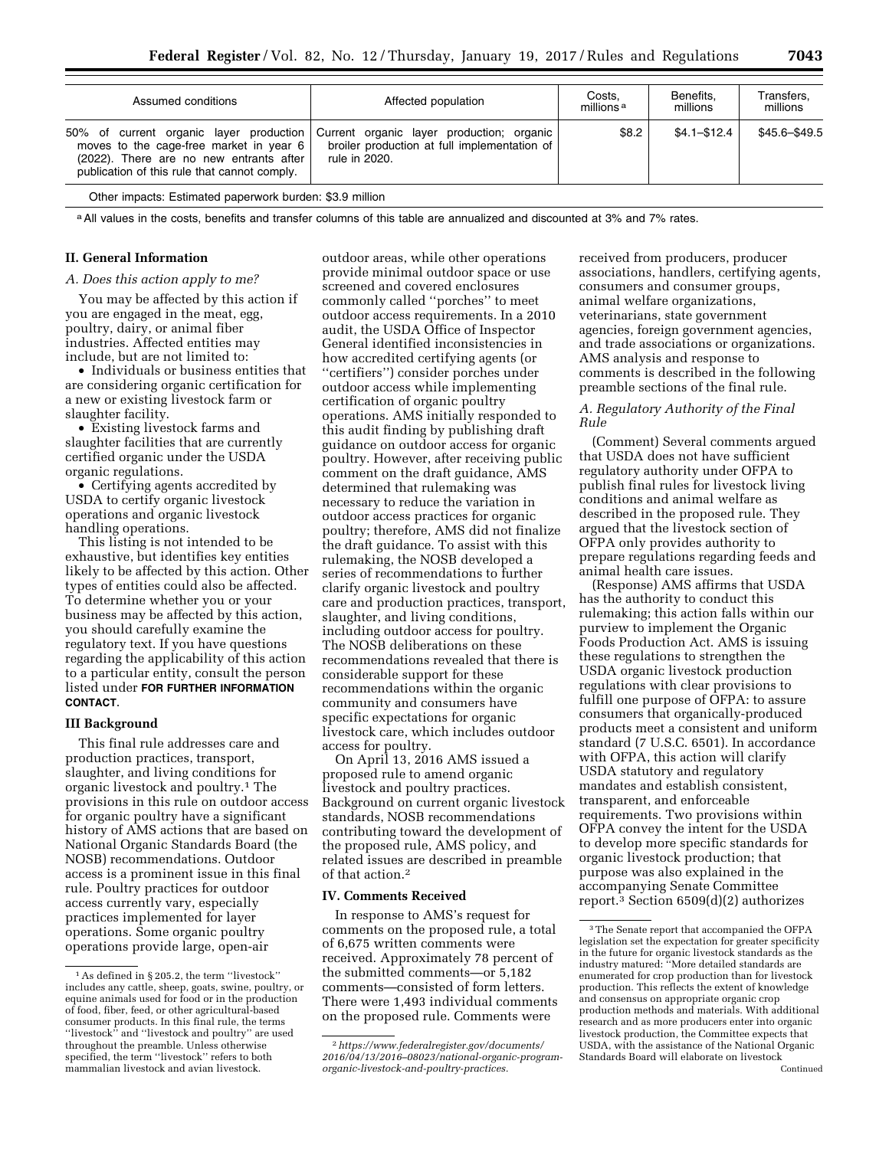| \$8.2<br>50% of current organic layer production<br>Current organic layer production; organic<br>broiler production at full implementation of<br>moves to the cage-free market in year 6<br>(2022). There are no new entrants after<br>rule in 2020.<br>publication of this rule that cannot comply. | $$4.1 - $12.4$ | \$45.6-\$49.5 |
|------------------------------------------------------------------------------------------------------------------------------------------------------------------------------------------------------------------------------------------------------------------------------------------------------|----------------|---------------|

a All values in the costs, benefits and transfer columns of this table are annualized and discounted at 3% and 7% rates.

### **II. General Information**

#### *A. Does this action apply to me?*

You may be affected by this action if you are engaged in the meat, egg, poultry, dairy, or animal fiber industries. Affected entities may include, but are not limited to:

• Individuals or business entities that are considering organic certification for a new or existing livestock farm or slaughter facility.

• Existing livestock farms and slaughter facilities that are currently certified organic under the USDA organic regulations.

• Certifying agents accredited by USDA to certify organic livestock operations and organic livestock handling operations.

This listing is not intended to be exhaustive, but identifies key entities likely to be affected by this action. Other types of entities could also be affected. To determine whether you or your business may be affected by this action, you should carefully examine the regulatory text. If you have questions regarding the applicability of this action to a particular entity, consult the person listed under **FOR FURTHER INFORMATION CONTACT**.

# **III Background**

This final rule addresses care and production practices, transport, slaughter, and living conditions for organic livestock and poultry.1 The provisions in this rule on outdoor access for organic poultry have a significant history of AMS actions that are based on National Organic Standards Board (the NOSB) recommendations. Outdoor access is a prominent issue in this final rule. Poultry practices for outdoor access currently vary, especially practices implemented for layer operations. Some organic poultry operations provide large, open-air

outdoor areas, while other operations provide minimal outdoor space or use screened and covered enclosures commonly called ''porches'' to meet outdoor access requirements. In a 2010 audit, the USDA Office of Inspector General identified inconsistencies in how accredited certifying agents (or ''certifiers'') consider porches under outdoor access while implementing certification of organic poultry operations. AMS initially responded to this audit finding by publishing draft guidance on outdoor access for organic poultry. However, after receiving public comment on the draft guidance, AMS determined that rulemaking was necessary to reduce the variation in outdoor access practices for organic poultry; therefore, AMS did not finalize the draft guidance. To assist with this rulemaking, the NOSB developed a series of recommendations to further clarify organic livestock and poultry care and production practices, transport, slaughter, and living conditions, including outdoor access for poultry. The NOSB deliberations on these recommendations revealed that there is considerable support for these recommendations within the organic community and consumers have specific expectations for organic livestock care, which includes outdoor access for poultry.

On April 13, 2016 AMS issued a proposed rule to amend organic livestock and poultry practices. Background on current organic livestock standards, NOSB recommendations contributing toward the development of the proposed rule, AMS policy, and related issues are described in preamble of that action.2

#### **IV. Comments Received**

In response to AMS's request for comments on the proposed rule, a total of 6,675 written comments were received. Approximately 78 percent of the submitted comments—or 5,182 comments—consisted of form letters. There were 1,493 individual comments on the proposed rule. Comments were

received from producers, producer associations, handlers, certifying agents, consumers and consumer groups, animal welfare organizations, veterinarians, state government agencies, foreign government agencies, and trade associations or organizations. AMS analysis and response to comments is described in the following preamble sections of the final rule.

### *A. Regulatory Authority of the Final Rule*

(Comment) Several comments argued that USDA does not have sufficient regulatory authority under OFPA to publish final rules for livestock living conditions and animal welfare as described in the proposed rule. They argued that the livestock section of OFPA only provides authority to prepare regulations regarding feeds and animal health care issues.

(Response) AMS affirms that USDA has the authority to conduct this rulemaking; this action falls within our purview to implement the Organic Foods Production Act. AMS is issuing these regulations to strengthen the USDA organic livestock production regulations with clear provisions to fulfill one purpose of OFPA: to assure consumers that organically-produced products meet a consistent and uniform standard (7 U.S.C. 6501). In accordance with OFPA, this action will clarify USDA statutory and regulatory mandates and establish consistent, transparent, and enforceable requirements. Two provisions within OFPA convey the intent for the USDA to develop more specific standards for organic livestock production; that purpose was also explained in the accompanying Senate Committee report.3 Section 6509(d)(2) authorizes

<sup>1</sup>As defined in § 205.2, the term ''livestock'' includes any cattle, sheep, goats, swine, poultry, or equine animals used for food or in the production of food, fiber, feed, or other agricultural-based consumer products. In this final rule, the terms "livestock" and "livestock and poultry" are used throughout the preamble. Unless otherwise specified, the term ''livestock'' refers to both mammalian livestock and avian livestock.

<sup>2</sup>*[https://www.federalregister.gov/documents/](https://www.federalregister.gov/documents/2016/04/13/2016-08023/national-organic-program-organic-livestock-and-poultry-practices)  [2016/04/13/2016–08023/national-organic-program](https://www.federalregister.gov/documents/2016/04/13/2016-08023/national-organic-program-organic-livestock-and-poultry-practices)[organic-livestock-and-poultry-practices.](https://www.federalregister.gov/documents/2016/04/13/2016-08023/national-organic-program-organic-livestock-and-poultry-practices)* 

<sup>3</sup>The Senate report that accompanied the OFPA legislation set the expectation for greater specificity in the future for organic livestock standards as the industry matured: ''More detailed standards are enumerated for crop production than for livestock production. This reflects the extent of knowledge and consensus on appropriate organic crop production methods and materials. With additional research and as more producers enter into organic livestock production, the Committee expects that USDA, with the assistance of the National Organic Standards Board will elaborate on livestock Continued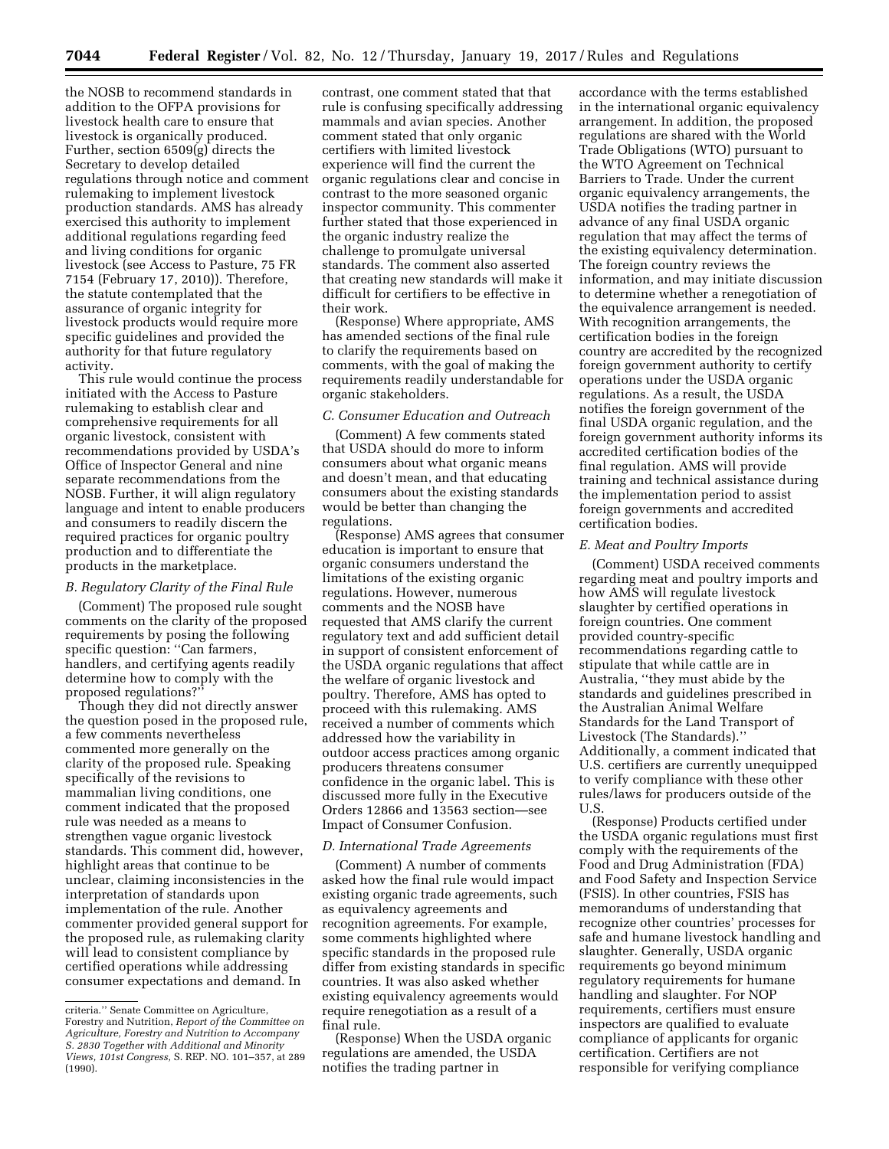the NOSB to recommend standards in addition to the OFPA provisions for livestock health care to ensure that livestock is organically produced. Further, section 6509(g) directs the Secretary to develop detailed regulations through notice and comment rulemaking to implement livestock production standards. AMS has already exercised this authority to implement additional regulations regarding feed and living conditions for organic livestock (see Access to Pasture, 75 FR 7154 (February 17, 2010)). Therefore, the statute contemplated that the assurance of organic integrity for livestock products would require more specific guidelines and provided the authority for that future regulatory activity.

This rule would continue the process initiated with the Access to Pasture rulemaking to establish clear and comprehensive requirements for all organic livestock, consistent with recommendations provided by USDA's Office of Inspector General and nine separate recommendations from the NOSB. Further, it will align regulatory language and intent to enable producers and consumers to readily discern the required practices for organic poultry production and to differentiate the products in the marketplace.

### *B. Regulatory Clarity of the Final Rule*

(Comment) The proposed rule sought comments on the clarity of the proposed requirements by posing the following specific question: ''Can farmers, handlers, and certifying agents readily determine how to comply with the proposed regulations?''

Though they did not directly answer the question posed in the proposed rule, a few comments nevertheless commented more generally on the clarity of the proposed rule. Speaking specifically of the revisions to mammalian living conditions, one comment indicated that the proposed rule was needed as a means to strengthen vague organic livestock standards. This comment did, however, highlight areas that continue to be unclear, claiming inconsistencies in the interpretation of standards upon implementation of the rule. Another commenter provided general support for the proposed rule, as rulemaking clarity will lead to consistent compliance by certified operations while addressing consumer expectations and demand. In

contrast, one comment stated that that rule is confusing specifically addressing mammals and avian species. Another comment stated that only organic certifiers with limited livestock experience will find the current the organic regulations clear and concise in contrast to the more seasoned organic inspector community. This commenter further stated that those experienced in the organic industry realize the challenge to promulgate universal standards. The comment also asserted that creating new standards will make it difficult for certifiers to be effective in their work.

(Response) Where appropriate, AMS has amended sections of the final rule to clarify the requirements based on comments, with the goal of making the requirements readily understandable for organic stakeholders.

#### *C. Consumer Education and Outreach*

(Comment) A few comments stated that USDA should do more to inform consumers about what organic means and doesn't mean, and that educating consumers about the existing standards would be better than changing the regulations.

(Response) AMS agrees that consumer education is important to ensure that organic consumers understand the limitations of the existing organic regulations. However, numerous comments and the NOSB have requested that AMS clarify the current regulatory text and add sufficient detail in support of consistent enforcement of the USDA organic regulations that affect the welfare of organic livestock and poultry. Therefore, AMS has opted to proceed with this rulemaking. AMS received a number of comments which addressed how the variability in outdoor access practices among organic producers threatens consumer confidence in the organic label. This is discussed more fully in the Executive Orders 12866 and 13563 section—see Impact of Consumer Confusion.

### *D. International Trade Agreements*

(Comment) A number of comments asked how the final rule would impact existing organic trade agreements, such as equivalency agreements and recognition agreements. For example, some comments highlighted where specific standards in the proposed rule differ from existing standards in specific countries. It was also asked whether existing equivalency agreements would require renegotiation as a result of a final rule.

(Response) When the USDA organic regulations are amended, the USDA notifies the trading partner in

accordance with the terms established in the international organic equivalency arrangement. In addition, the proposed regulations are shared with the World Trade Obligations (WTO) pursuant to the WTO Agreement on Technical Barriers to Trade. Under the current organic equivalency arrangements, the USDA notifies the trading partner in advance of any final USDA organic regulation that may affect the terms of the existing equivalency determination. The foreign country reviews the information, and may initiate discussion to determine whether a renegotiation of the equivalence arrangement is needed. With recognition arrangements, the certification bodies in the foreign country are accredited by the recognized foreign government authority to certify operations under the USDA organic regulations. As a result, the USDA notifies the foreign government of the final USDA organic regulation, and the foreign government authority informs its accredited certification bodies of the final regulation. AMS will provide training and technical assistance during the implementation period to assist foreign governments and accredited certification bodies.

#### *E. Meat and Poultry Imports*

(Comment) USDA received comments regarding meat and poultry imports and how AMS will regulate livestock slaughter by certified operations in foreign countries. One comment provided country-specific recommendations regarding cattle to stipulate that while cattle are in Australia, ''they must abide by the standards and guidelines prescribed in the Australian Animal Welfare Standards for the Land Transport of Livestock (The Standards).'' Additionally, a comment indicated that U.S. certifiers are currently unequipped to verify compliance with these other rules/laws for producers outside of the U.S.

(Response) Products certified under the USDA organic regulations must first comply with the requirements of the Food and Drug Administration (FDA) and Food Safety and Inspection Service (FSIS). In other countries, FSIS has memorandums of understanding that recognize other countries' processes for safe and humane livestock handling and slaughter. Generally, USDA organic requirements go beyond minimum regulatory requirements for humane handling and slaughter. For NOP requirements, certifiers must ensure inspectors are qualified to evaluate compliance of applicants for organic certification. Certifiers are not responsible for verifying compliance

criteria.'' Senate Committee on Agriculture, Forestry and Nutrition, *Report of the Committee on Agriculture, Forestry and Nutrition to Accompany S. 2830 Together with Additional and Minority Views, 101st Congress,* S. REP. NO. 101–357, at 289 (1990).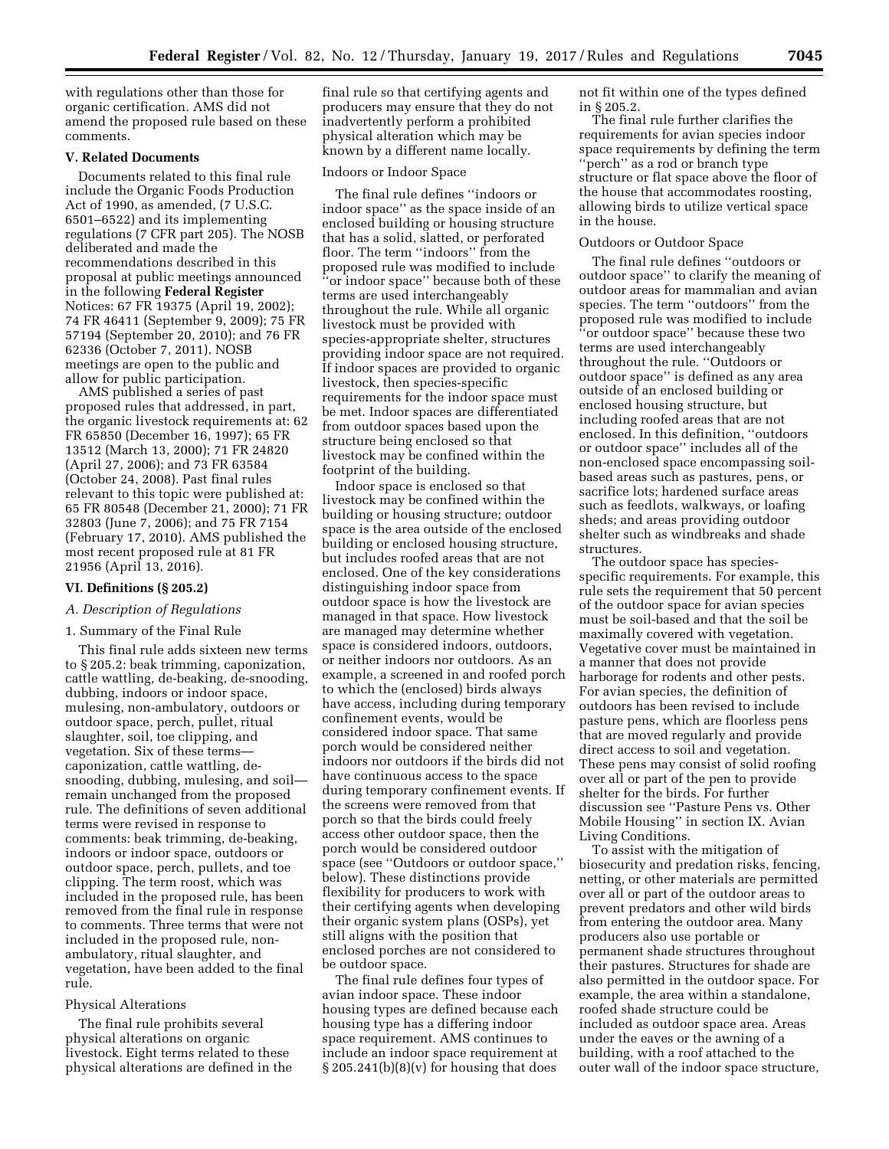with regulations other than those for organic certification. AMS did not amend the proposed rule based on these comments.

# **V. Related Documents**

Documents related to this final rule include the Organic Foods Production Act of 1990, as amended, (7 U.S.C. 6501–6522) and its implementing regulations (7 CFR part 205). The NOSB deliberated and made the recommendations described in this proposal at public meetings announced in the following **Federal Register**  Notices: 67 FR 19375 (April 19, 2002); 74 FR 46411 (September 9, 2009); 75 FR 57194 (September 20, 2010); and 76 FR 62336 (October 7, 2011). NOSB meetings are open to the public and allow for public participation.

AMS published a series of past proposed rules that addressed, in part, the organic livestock requirements at: 62 FR 65850 (December 16, 1997); 65 FR 13512 (March 13, 2000); 71 FR 24820 (April 27, 2006); and 73 FR 63584 (October 24, 2008). Past final rules relevant to this topic were published at: 65 FR 80548 (December 21, 2000); 71 FR 32803 (June 7, 2006); and 75 FR 7154 (February 17, 2010). AMS published the most recent proposed rule at 81 FR 21956 (April 13, 2016).

#### **VI. Definitions (§ 205.2)**

# *A. Description of Regulations*

### 1. Summary of the Final Rule

This final rule adds sixteen new terms to § 205.2: beak trimming, caponization, cattle wattling, de-beaking, de-snooding, dubbing, indoors or indoor space, mulesing, non-ambulatory, outdoors or outdoor space, perch, pullet, ritual slaughter, soil, toe clipping, and vegetation. Six of these terms caponization, cattle wattling, desnooding, dubbing, mulesing, and soil remain unchanged from the proposed rule. The definitions of seven additional terms were revised in response to comments: beak trimming, de-beaking, indoors or indoor space, outdoors or outdoor space, perch, pullets, and toe clipping. The term roost, which was included in the proposed rule, has been removed from the final rule in response to comments. Three terms that were not included in the proposed rule, nonambulatory, ritual slaughter, and vegetation, have been added to the final rule.

#### Physical Alterations

The final rule prohibits several physical alterations on organic livestock. Eight terms related to these physical alterations are defined in the final rule so that certifying agents and producers may ensure that they do not inadvertently perform a prohibited physical alteration which may be known by a different name locally.

# Indoors or Indoor Space

The final rule defines ''indoors or indoor space'' as the space inside of an enclosed building or housing structure that has a solid, slatted, or perforated floor. The term ''indoors'' from the proposed rule was modified to include ''or indoor space'' because both of these terms are used interchangeably throughout the rule. While all organic livestock must be provided with species-appropriate shelter, structures providing indoor space are not required. If indoor spaces are provided to organic livestock, then species-specific requirements for the indoor space must be met. Indoor spaces are differentiated from outdoor spaces based upon the structure being enclosed so that livestock may be confined within the footprint of the building.

Indoor space is enclosed so that livestock may be confined within the building or housing structure; outdoor space is the area outside of the enclosed building or enclosed housing structure, but includes roofed areas that are not enclosed. One of the key considerations distinguishing indoor space from outdoor space is how the livestock are managed in that space. How livestock are managed may determine whether space is considered indoors, outdoors, or neither indoors nor outdoors. As an example, a screened in and roofed porch to which the (enclosed) birds always have access, including during temporary confinement events, would be considered indoor space. That same porch would be considered neither indoors nor outdoors if the birds did not have continuous access to the space during temporary confinement events. If the screens were removed from that porch so that the birds could freely access other outdoor space, then the porch would be considered outdoor space (see ''Outdoors or outdoor space,'' below). These distinctions provide flexibility for producers to work with their certifying agents when developing their organic system plans (OSPs), yet still aligns with the position that enclosed porches are not considered to be outdoor space.

The final rule defines four types of avian indoor space. These indoor housing types are defined because each housing type has a differing indoor space requirement. AMS continues to include an indoor space requirement at  $§ 205.241(b)(8)(v)$  for housing that does

not fit within one of the types defined in § 205.2.

The final rule further clarifies the requirements for avian species indoor space requirements by defining the term ''perch'' as a rod or branch type structure or flat space above the floor of the house that accommodates roosting, allowing birds to utilize vertical space in the house.

#### Outdoors or Outdoor Space

The final rule defines ''outdoors or outdoor space'' to clarify the meaning of outdoor areas for mammalian and avian species. The term ''outdoors'' from the proposed rule was modified to include ''or outdoor space'' because these two terms are used interchangeably throughout the rule. ''Outdoors or outdoor space'' is defined as any area outside of an enclosed building or enclosed housing structure, but including roofed areas that are not enclosed. In this definition, ''outdoors or outdoor space'' includes all of the non-enclosed space encompassing soilbased areas such as pastures, pens, or sacrifice lots; hardened surface areas such as feedlots, walkways, or loafing sheds; and areas providing outdoor shelter such as windbreaks and shade structures.

The outdoor space has speciesspecific requirements. For example, this rule sets the requirement that 50 percent of the outdoor space for avian species must be soil-based and that the soil be maximally covered with vegetation. Vegetative cover must be maintained in a manner that does not provide harborage for rodents and other pests. For avian species, the definition of outdoors has been revised to include pasture pens, which are floorless pens that are moved regularly and provide direct access to soil and vegetation. These pens may consist of solid roofing over all or part of the pen to provide shelter for the birds. For further discussion see ''Pasture Pens vs. Other Mobile Housing'' in section IX. Avian Living Conditions.

To assist with the mitigation of biosecurity and predation risks, fencing, netting, or other materials are permitted over all or part of the outdoor areas to prevent predators and other wild birds from entering the outdoor area. Many producers also use portable or permanent shade structures throughout their pastures. Structures for shade are also permitted in the outdoor space. For example, the area within a standalone, roofed shade structure could be included as outdoor space area. Areas under the eaves or the awning of a building, with a roof attached to the outer wall of the indoor space structure,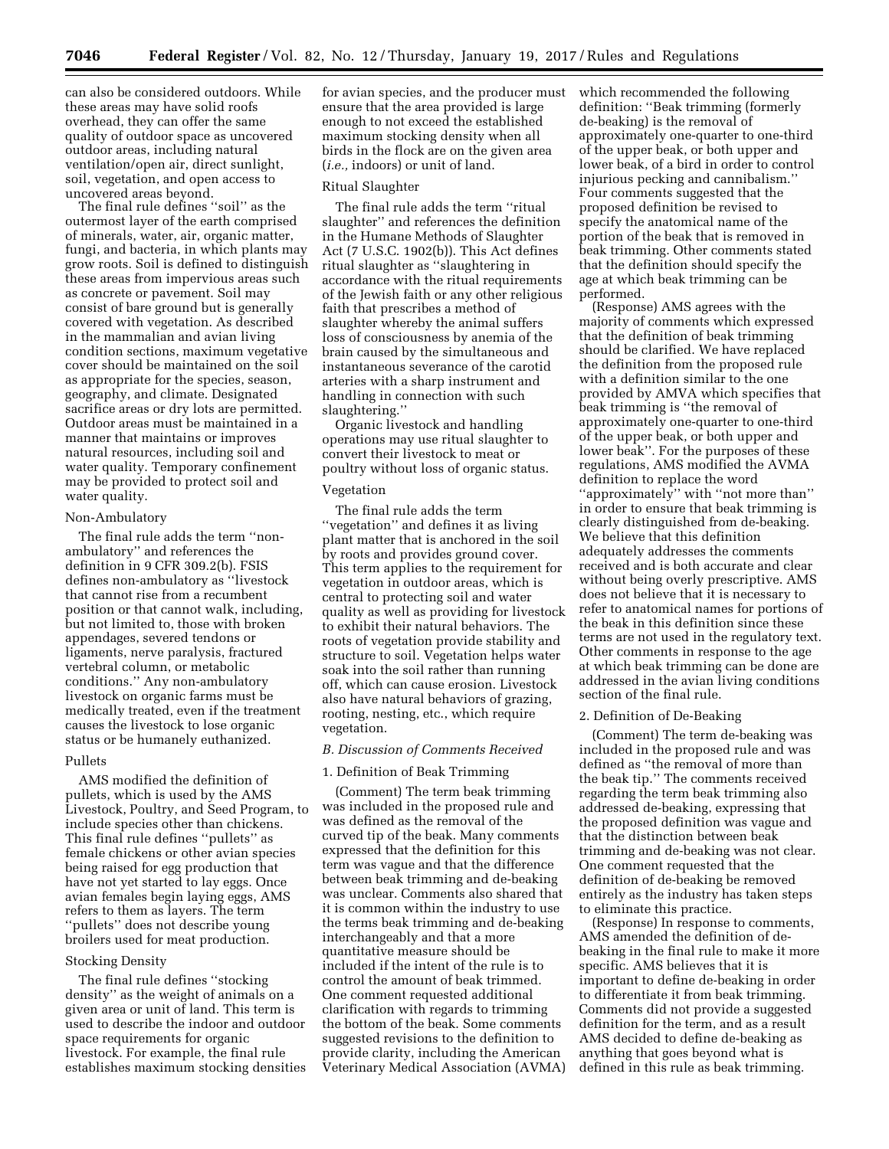can also be considered outdoors. While these areas may have solid roofs overhead, they can offer the same quality of outdoor space as uncovered outdoor areas, including natural ventilation/open air, direct sunlight, soil, vegetation, and open access to uncovered areas beyond.

The final rule defines ''soil'' as the outermost layer of the earth comprised of minerals, water, air, organic matter, fungi, and bacteria, in which plants may grow roots. Soil is defined to distinguish these areas from impervious areas such as concrete or pavement. Soil may consist of bare ground but is generally covered with vegetation. As described in the mammalian and avian living condition sections, maximum vegetative cover should be maintained on the soil as appropriate for the species, season, geography, and climate. Designated sacrifice areas or dry lots are permitted. Outdoor areas must be maintained in a manner that maintains or improves natural resources, including soil and water quality. Temporary confinement may be provided to protect soil and water quality.

#### Non-Ambulatory

The final rule adds the term ''nonambulatory'' and references the definition in 9 CFR 309.2(b). FSIS defines non-ambulatory as ''livestock that cannot rise from a recumbent position or that cannot walk, including, but not limited to, those with broken appendages, severed tendons or ligaments, nerve paralysis, fractured vertebral column, or metabolic conditions.'' Any non-ambulatory livestock on organic farms must be medically treated, even if the treatment causes the livestock to lose organic status or be humanely euthanized.

#### Pullets

AMS modified the definition of pullets, which is used by the AMS Livestock, Poultry, and Seed Program, to include species other than chickens. This final rule defines ''pullets'' as female chickens or other avian species being raised for egg production that have not yet started to lay eggs. Once avian females begin laying eggs, AMS refers to them as layers. The term ''pullets'' does not describe young broilers used for meat production.

### Stocking Density

The final rule defines ''stocking density'' as the weight of animals on a given area or unit of land. This term is used to describe the indoor and outdoor space requirements for organic livestock. For example, the final rule establishes maximum stocking densities for avian species, and the producer must ensure that the area provided is large enough to not exceed the established maximum stocking density when all birds in the flock are on the given area (*i.e.,* indoors) or unit of land.

#### Ritual Slaughter

The final rule adds the term ''ritual slaughter'' and references the definition in the Humane Methods of Slaughter Act (7 U.S.C. 1902(b)). This Act defines ritual slaughter as ''slaughtering in accordance with the ritual requirements of the Jewish faith or any other religious faith that prescribes a method of slaughter whereby the animal suffers loss of consciousness by anemia of the brain caused by the simultaneous and instantaneous severance of the carotid arteries with a sharp instrument and handling in connection with such slaughtering.''

Organic livestock and handling operations may use ritual slaughter to convert their livestock to meat or poultry without loss of organic status.

#### Vegetation

The final rule adds the term ''vegetation'' and defines it as living plant matter that is anchored in the soil by roots and provides ground cover. This term applies to the requirement for vegetation in outdoor areas, which is central to protecting soil and water quality as well as providing for livestock to exhibit their natural behaviors. The roots of vegetation provide stability and structure to soil. Vegetation helps water soak into the soil rather than running off, which can cause erosion. Livestock also have natural behaviors of grazing, rooting, nesting, etc., which require vegetation.

### *B. Discussion of Comments Received*

#### 1. Definition of Beak Trimming

(Comment) The term beak trimming was included in the proposed rule and was defined as the removal of the curved tip of the beak. Many comments expressed that the definition for this term was vague and that the difference between beak trimming and de-beaking was unclear. Comments also shared that it is common within the industry to use the terms beak trimming and de-beaking interchangeably and that a more quantitative measure should be included if the intent of the rule is to control the amount of beak trimmed. One comment requested additional clarification with regards to trimming the bottom of the beak. Some comments suggested revisions to the definition to provide clarity, including the American Veterinary Medical Association (AVMA) which recommended the following definition: ''Beak trimming (formerly de-beaking) is the removal of approximately one-quarter to one-third of the upper beak, or both upper and lower beak, of a bird in order to control injurious pecking and cannibalism.'' Four comments suggested that the proposed definition be revised to specify the anatomical name of the portion of the beak that is removed in beak trimming. Other comments stated that the definition should specify the age at which beak trimming can be performed.

(Response) AMS agrees with the majority of comments which expressed that the definition of beak trimming should be clarified. We have replaced the definition from the proposed rule with a definition similar to the one provided by AMVA which specifies that beak trimming is ''the removal of approximately one-quarter to one-third of the upper beak, or both upper and lower beak''. For the purposes of these regulations, AMS modified the AVMA definition to replace the word ''approximately'' with ''not more than'' in order to ensure that beak trimming is clearly distinguished from de-beaking. We believe that this definition adequately addresses the comments received and is both accurate and clear without being overly prescriptive. AMS does not believe that it is necessary to refer to anatomical names for portions of the beak in this definition since these terms are not used in the regulatory text. Other comments in response to the age at which beak trimming can be done are addressed in the avian living conditions section of the final rule.

### 2. Definition of De-Beaking

(Comment) The term de-beaking was included in the proposed rule and was defined as ''the removal of more than the beak tip.'' The comments received regarding the term beak trimming also addressed de-beaking, expressing that the proposed definition was vague and that the distinction between beak trimming and de-beaking was not clear. One comment requested that the definition of de-beaking be removed entirely as the industry has taken steps to eliminate this practice.

(Response) In response to comments, AMS amended the definition of debeaking in the final rule to make it more specific. AMS believes that it is important to define de-beaking in order to differentiate it from beak trimming. Comments did not provide a suggested definition for the term, and as a result AMS decided to define de-beaking as anything that goes beyond what is defined in this rule as beak trimming.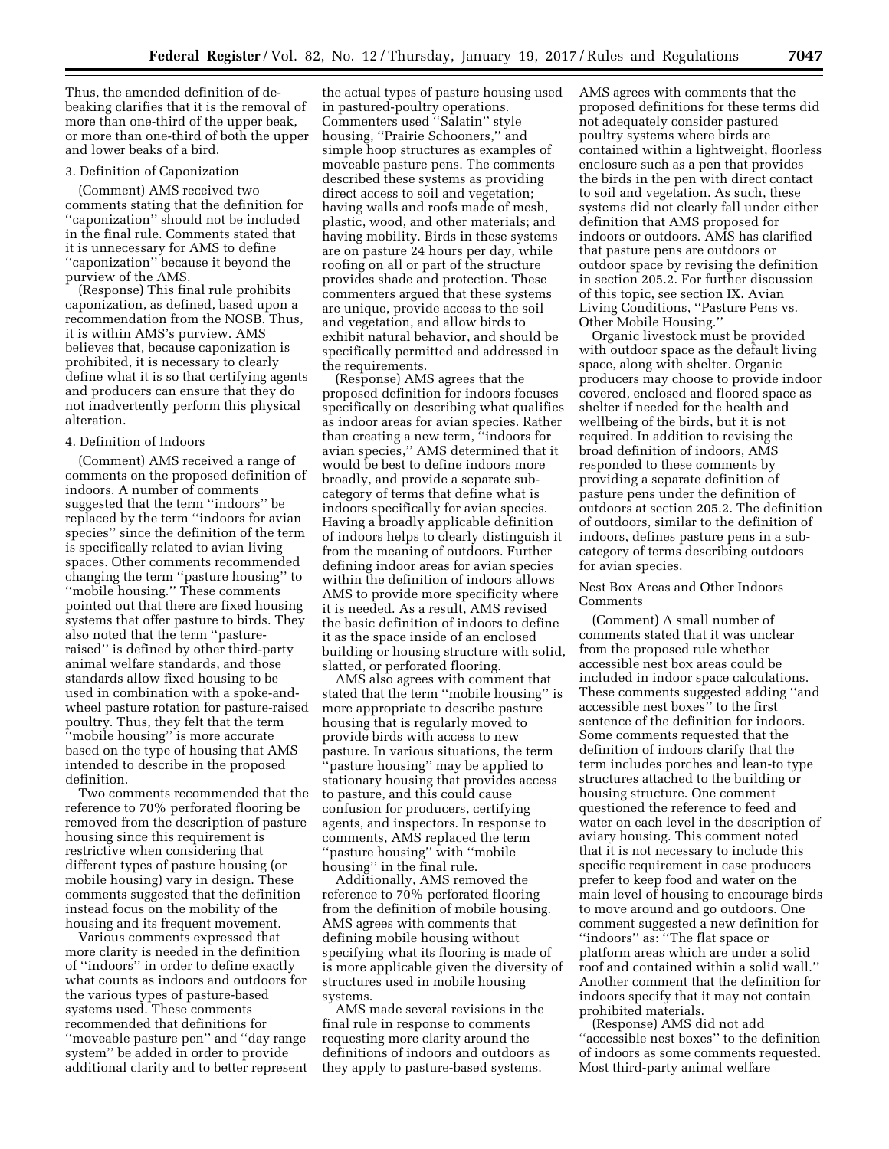Thus, the amended definition of debeaking clarifies that it is the removal of more than one-third of the upper beak, or more than one-third of both the upper and lower beaks of a bird.

### 3. Definition of Caponization

(Comment) AMS received two comments stating that the definition for ''caponization'' should not be included in the final rule. Comments stated that it is unnecessary for AMS to define ''caponization'' because it beyond the purview of the AMS.

(Response) This final rule prohibits caponization, as defined, based upon a recommendation from the NOSB. Thus, it is within AMS's purview. AMS believes that, because caponization is prohibited, it is necessary to clearly define what it is so that certifying agents and producers can ensure that they do not inadvertently perform this physical alteration.

# 4. Definition of Indoors

(Comment) AMS received a range of comments on the proposed definition of indoors. A number of comments suggested that the term ''indoors'' be replaced by the term ''indoors for avian species'' since the definition of the term is specifically related to avian living spaces. Other comments recommended changing the term ''pasture housing'' to ''mobile housing.'' These comments pointed out that there are fixed housing systems that offer pasture to birds. They also noted that the term ''pastureraised'' is defined by other third-party animal welfare standards, and those standards allow fixed housing to be used in combination with a spoke-andwheel pasture rotation for pasture-raised poultry. Thus, they felt that the term ''mobile housing'' is more accurate based on the type of housing that AMS intended to describe in the proposed definition.

Two comments recommended that the reference to 70% perforated flooring be removed from the description of pasture housing since this requirement is restrictive when considering that different types of pasture housing (or mobile housing) vary in design. These comments suggested that the definition instead focus on the mobility of the housing and its frequent movement.

Various comments expressed that more clarity is needed in the definition of ''indoors'' in order to define exactly what counts as indoors and outdoors for the various types of pasture-based systems used. These comments recommended that definitions for ''moveable pasture pen'' and ''day range system'' be added in order to provide additional clarity and to better represent

the actual types of pasture housing used in pastured-poultry operations. Commenters used ''Salatin'' style housing, ''Prairie Schooners,'' and simple hoop structures as examples of moveable pasture pens. The comments described these systems as providing direct access to soil and vegetation; having walls and roofs made of mesh, plastic, wood, and other materials; and having mobility. Birds in these systems are on pasture 24 hours per day, while roofing on all or part of the structure provides shade and protection. These commenters argued that these systems are unique, provide access to the soil and vegetation, and allow birds to exhibit natural behavior, and should be specifically permitted and addressed in the requirements.

(Response) AMS agrees that the proposed definition for indoors focuses specifically on describing what qualifies as indoor areas for avian species. Rather than creating a new term, ''indoors for avian species,'' AMS determined that it would be best to define indoors more broadly, and provide a separate subcategory of terms that define what is indoors specifically for avian species. Having a broadly applicable definition of indoors helps to clearly distinguish it from the meaning of outdoors. Further defining indoor areas for avian species within the definition of indoors allows AMS to provide more specificity where it is needed. As a result, AMS revised the basic definition of indoors to define it as the space inside of an enclosed building or housing structure with solid, slatted, or perforated flooring.

AMS also agrees with comment that stated that the term ''mobile housing'' is more appropriate to describe pasture housing that is regularly moved to provide birds with access to new pasture. In various situations, the term 'pasture housing'' may be applied to stationary housing that provides access to pasture, and this could cause confusion for producers, certifying agents, and inspectors. In response to comments, AMS replaced the term ''pasture housing'' with ''mobile housing'' in the final rule.

Additionally, AMS removed the reference to 70% perforated flooring from the definition of mobile housing. AMS agrees with comments that defining mobile housing without specifying what its flooring is made of is more applicable given the diversity of structures used in mobile housing systems.

AMS made several revisions in the final rule in response to comments requesting more clarity around the definitions of indoors and outdoors as they apply to pasture-based systems.

AMS agrees with comments that the proposed definitions for these terms did not adequately consider pastured poultry systems where birds are contained within a lightweight, floorless enclosure such as a pen that provides the birds in the pen with direct contact to soil and vegetation. As such, these systems did not clearly fall under either definition that AMS proposed for indoors or outdoors. AMS has clarified that pasture pens are outdoors or outdoor space by revising the definition in section 205.2. For further discussion of this topic, see section IX. Avian Living Conditions, ''Pasture Pens vs. Other Mobile Housing.''

Organic livestock must be provided with outdoor space as the default living space, along with shelter. Organic producers may choose to provide indoor covered, enclosed and floored space as shelter if needed for the health and wellbeing of the birds, but it is not required. In addition to revising the broad definition of indoors, AMS responded to these comments by providing a separate definition of pasture pens under the definition of outdoors at section 205.2. The definition of outdoors, similar to the definition of indoors, defines pasture pens in a subcategory of terms describing outdoors for avian species.

### Nest Box Areas and Other Indoors Comments

(Comment) A small number of comments stated that it was unclear from the proposed rule whether accessible nest box areas could be included in indoor space calculations. These comments suggested adding ''and accessible nest boxes'' to the first sentence of the definition for indoors. Some comments requested that the definition of indoors clarify that the term includes porches and lean-to type structures attached to the building or housing structure. One comment questioned the reference to feed and water on each level in the description of aviary housing. This comment noted that it is not necessary to include this specific requirement in case producers prefer to keep food and water on the main level of housing to encourage birds to move around and go outdoors. One comment suggested a new definition for ''indoors'' as: ''The flat space or platform areas which are under a solid roof and contained within a solid wall.'' Another comment that the definition for indoors specify that it may not contain prohibited materials.

(Response) AMS did not add ''accessible nest boxes'' to the definition of indoors as some comments requested. Most third-party animal welfare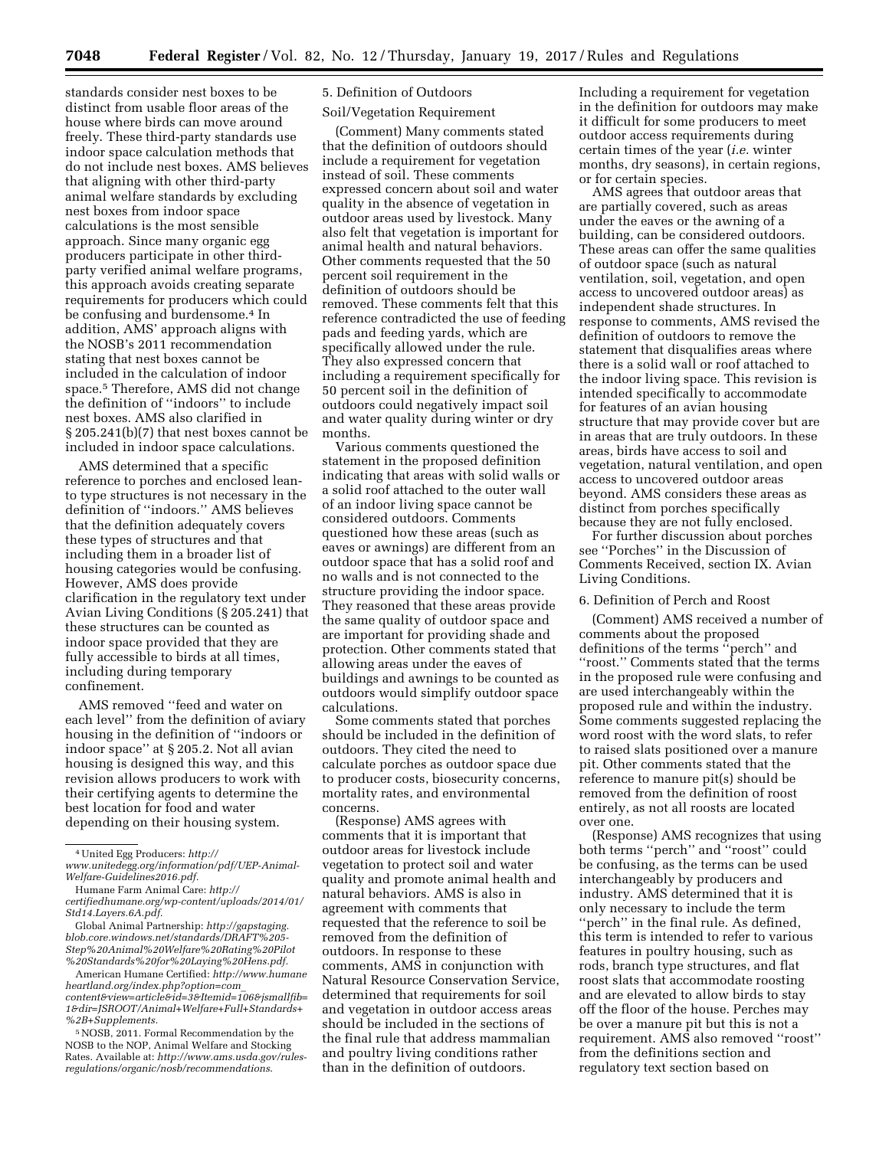**7048 Federal Register** / Vol. 82, No. 12 / Thursday, January 19, 2017 / Rules and Regulations

standards consider nest boxes to be distinct from usable floor areas of the house where birds can move around freely. These third-party standards use indoor space calculation methods that do not include nest boxes. AMS believes that aligning with other third-party animal welfare standards by excluding nest boxes from indoor space calculations is the most sensible approach. Since many organic egg producers participate in other thirdparty verified animal welfare programs, this approach avoids creating separate requirements for producers which could be confusing and burdensome.<sup>4</sup> In addition, AMS' approach aligns with the NOSB's 2011 recommendation stating that nest boxes cannot be included in the calculation of indoor space.5 Therefore, AMS did not change the definition of ''indoors'' to include nest boxes. AMS also clarified in § 205.241(b)(7) that nest boxes cannot be included in indoor space calculations.

AMS determined that a specific reference to porches and enclosed leanto type structures is not necessary in the definition of ''indoors.'' AMS believes that the definition adequately covers these types of structures and that including them in a broader list of housing categories would be confusing. However, AMS does provide clarification in the regulatory text under Avian Living Conditions (§ 205.241) that these structures can be counted as indoor space provided that they are fully accessible to birds at all times, including during temporary confinement.

AMS removed ''feed and water on each level'' from the definition of aviary housing in the definition of ''indoors or indoor space'' at § 205.2. Not all avian housing is designed this way, and this revision allows producers to work with their certifying agents to determine the best location for food and water depending on their housing system.

5NOSB, 2011. Formal Recommendation by the NOSB to the NOP, Animal Welfare and Stocking Rates. Available at: *[http://www.ams.usda.gov/rules](http://www.ams.usda.gov/rules-regulations/organic/nosb/recommendations)[regulations/organic/nosb/recommendations](http://www.ams.usda.gov/rules-regulations/organic/nosb/recommendations)*.

# 5. Definition of Outdoors

### Soil/Vegetation Requirement

(Comment) Many comments stated that the definition of outdoors should include a requirement for vegetation instead of soil. These comments expressed concern about soil and water quality in the absence of vegetation in outdoor areas used by livestock. Many also felt that vegetation is important for animal health and natural behaviors. Other comments requested that the 50 percent soil requirement in the definition of outdoors should be removed. These comments felt that this reference contradicted the use of feeding pads and feeding yards, which are specifically allowed under the rule. They also expressed concern that including a requirement specifically for 50 percent soil in the definition of outdoors could negatively impact soil and water quality during winter or dry months.

Various comments questioned the statement in the proposed definition indicating that areas with solid walls or a solid roof attached to the outer wall of an indoor living space cannot be considered outdoors. Comments questioned how these areas (such as eaves or awnings) are different from an outdoor space that has a solid roof and no walls and is not connected to the structure providing the indoor space. They reasoned that these areas provide the same quality of outdoor space and are important for providing shade and protection. Other comments stated that allowing areas under the eaves of buildings and awnings to be counted as outdoors would simplify outdoor space calculations.

Some comments stated that porches should be included in the definition of outdoors. They cited the need to calculate porches as outdoor space due to producer costs, biosecurity concerns, mortality rates, and environmental concerns.

(Response) AMS agrees with comments that it is important that outdoor areas for livestock include vegetation to protect soil and water quality and promote animal health and natural behaviors. AMS is also in agreement with comments that requested that the reference to soil be removed from the definition of outdoors. In response to these comments, AMS in conjunction with Natural Resource Conservation Service, determined that requirements for soil and vegetation in outdoor access areas should be included in the sections of the final rule that address mammalian and poultry living conditions rather than in the definition of outdoors.

Including a requirement for vegetation in the definition for outdoors may make it difficult for some producers to meet outdoor access requirements during certain times of the year (*i.e.* winter months, dry seasons), in certain regions, or for certain species.

AMS agrees that outdoor areas that are partially covered, such as areas under the eaves or the awning of a building, can be considered outdoors. These areas can offer the same qualities of outdoor space (such as natural ventilation, soil, vegetation, and open access to uncovered outdoor areas) as independent shade structures. In response to comments, AMS revised the definition of outdoors to remove the statement that disqualifies areas where there is a solid wall or roof attached to the indoor living space. This revision is intended specifically to accommodate for features of an avian housing structure that may provide cover but are in areas that are truly outdoors. In these areas, birds have access to soil and vegetation, natural ventilation, and open access to uncovered outdoor areas beyond. AMS considers these areas as distinct from porches specifically because they are not fully enclosed.

For further discussion about porches see ''Porches'' in the Discussion of Comments Received, section IX. Avian Living Conditions.

### 6. Definition of Perch and Roost

(Comment) AMS received a number of comments about the proposed definitions of the terms ''perch'' and ''roost.'' Comments stated that the terms in the proposed rule were confusing and are used interchangeably within the proposed rule and within the industry. Some comments suggested replacing the word roost with the word slats, to refer to raised slats positioned over a manure pit. Other comments stated that the reference to manure pit(s) should be removed from the definition of roost entirely, as not all roosts are located over one.

(Response) AMS recognizes that using both terms ''perch'' and ''roost'' could be confusing, as the terms can be used interchangeably by producers and industry. AMS determined that it is only necessary to include the term "perch" in the final rule. As defined, this term is intended to refer to various features in poultry housing, such as rods, branch type structures, and flat roost slats that accommodate roosting and are elevated to allow birds to stay off the floor of the house. Perches may be over a manure pit but this is not a requirement. AMS also removed ''roost'' from the definitions section and regulatory text section based on

<sup>4</sup>United Egg Producers: *[http://](http://www.unitedegg.org/information/pdf/UEP-Animal-Welfare-Guidelines2016.pdf)*

*[www.unitedegg.org/information/pdf/UEP-Animal-](http://www.unitedegg.org/information/pdf/UEP-Animal-Welfare-Guidelines2016.pdf)[Welfare-Guidelines2016.pdf.](http://www.unitedegg.org/information/pdf/UEP-Animal-Welfare-Guidelines2016.pdf)* 

Humane Farm Animal Care: *[http://](http://certifiedhumane.org/wp-content/uploads/2014/01/Std14.Layers.6A.pdf)* 

*[certifiedhumane.org/wp-content/uploads/2014/01/](http://certifiedhumane.org/wp-content/uploads/2014/01/Std14.Layers.6A.pdf) [Std14.Layers.6A.pdf.](http://certifiedhumane.org/wp-content/uploads/2014/01/Std14.Layers.6A.pdf)* 

Global Animal Partnership: *[http://gapstaging.](http://gapstaging.blob.core.windows.net/standards/DRAFT%205-Step%20Animal%20Welfare%20Rating%20Pilot%20Standards%20for%20Laying%20Hens.pdf) [blob.core.windows.net/standards/DRAFT%205-](http://gapstaging.blob.core.windows.net/standards/DRAFT%205-Step%20Animal%20Welfare%20Rating%20Pilot%20Standards%20for%20Laying%20Hens.pdf) [Step%20Animal%20Welfare%20Rating%20Pilot](http://gapstaging.blob.core.windows.net/standards/DRAFT%205-Step%20Animal%20Welfare%20Rating%20Pilot%20Standards%20for%20Laying%20Hens.pdf) [%20Standards%20for%20Laying%20Hens.pdf.](http://gapstaging.blob.core.windows.net/standards/DRAFT%205-Step%20Animal%20Welfare%20Rating%20Pilot%20Standards%20for%20Laying%20Hens.pdf)* 

American Humane Certified: *[http://www.humane](http://www.humaneheartland.org/index.php?option=com_content&view=article&id=3&Itemid=106&jsmallfib=1&dir=JSROOT/Animal+Welfare+Full+Standards+%2B+Supplements) [heartland.org/index.php?option=com](http://www.humaneheartland.org/index.php?option=com_content&view=article&id=3&Itemid=106&jsmallfib=1&dir=JSROOT/Animal+Welfare+Full+Standards+%2B+Supplements)*\_ *[content&view=article&id=3&Itemid=106&jsmallfib=](http://www.humaneheartland.org/index.php?option=com_content&view=article&id=3&Itemid=106&jsmallfib=1&dir=JSROOT/Animal+Welfare+Full+Standards+%2B+Supplements) [1&dir=JSROOT/Animal+Welfare+Full+Standards+](http://www.humaneheartland.org/index.php?option=com_content&view=article&id=3&Itemid=106&jsmallfib=1&dir=JSROOT/Animal+Welfare+Full+Standards+%2B+Supplements) [%2B+Supplements.](http://www.humaneheartland.org/index.php?option=com_content&view=article&id=3&Itemid=106&jsmallfib=1&dir=JSROOT/Animal+Welfare+Full+Standards+%2B+Supplements)*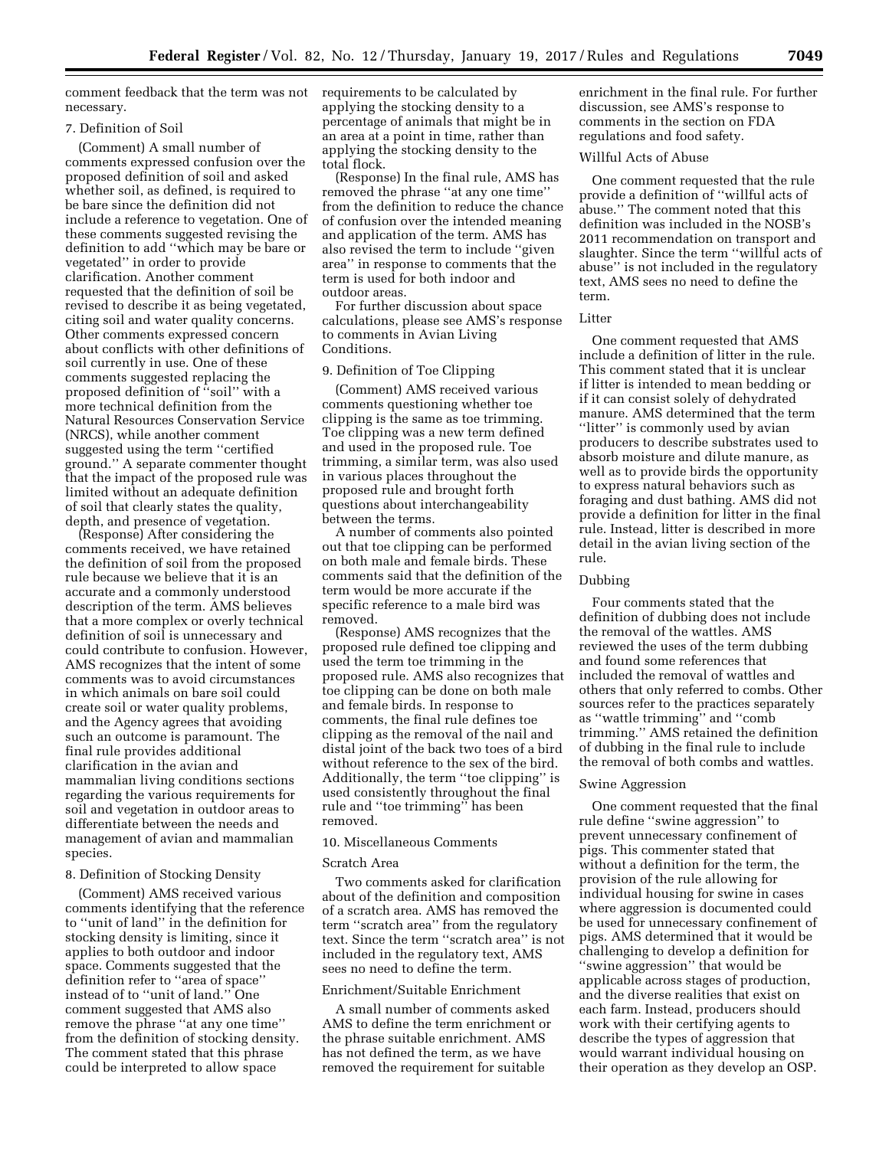comment feedback that the term was not requirements to be calculated by necessary.

# 7. Definition of Soil

(Comment) A small number of comments expressed confusion over the proposed definition of soil and asked whether soil, as defined, is required to be bare since the definition did not include a reference to vegetation. One of these comments suggested revising the definition to add ''which may be bare or vegetated'' in order to provide clarification. Another comment requested that the definition of soil be revised to describe it as being vegetated, citing soil and water quality concerns. Other comments expressed concern about conflicts with other definitions of soil currently in use. One of these comments suggested replacing the proposed definition of "soil" with a more technical definition from the Natural Resources Conservation Service (NRCS), while another comment suggested using the term ''certified ground.'' A separate commenter thought that the impact of the proposed rule was limited without an adequate definition of soil that clearly states the quality, depth, and presence of vegetation.

(Response) After considering the comments received, we have retained the definition of soil from the proposed rule because we believe that it is an accurate and a commonly understood description of the term. AMS believes that a more complex or overly technical definition of soil is unnecessary and could contribute to confusion. However, AMS recognizes that the intent of some comments was to avoid circumstances in which animals on bare soil could create soil or water quality problems, and the Agency agrees that avoiding such an outcome is paramount. The final rule provides additional clarification in the avian and mammalian living conditions sections regarding the various requirements for soil and vegetation in outdoor areas to differentiate between the needs and management of avian and mammalian species.

### 8. Definition of Stocking Density

(Comment) AMS received various comments identifying that the reference to ''unit of land'' in the definition for stocking density is limiting, since it applies to both outdoor and indoor space. Comments suggested that the definition refer to ''area of space'' instead of to ''unit of land.'' One comment suggested that AMS also remove the phrase ''at any one time'' from the definition of stocking density. The comment stated that this phrase could be interpreted to allow space

applying the stocking density to a percentage of animals that might be in an area at a point in time, rather than applying the stocking density to the total flock.

(Response) In the final rule, AMS has removed the phrase ''at any one time'' from the definition to reduce the chance of confusion over the intended meaning and application of the term. AMS has also revised the term to include ''given area'' in response to comments that the term is used for both indoor and outdoor areas.

For further discussion about space calculations, please see AMS's response to comments in Avian Living Conditions.

### 9. Definition of Toe Clipping

(Comment) AMS received various comments questioning whether toe clipping is the same as toe trimming. Toe clipping was a new term defined and used in the proposed rule. Toe trimming, a similar term, was also used in various places throughout the proposed rule and brought forth questions about interchangeability between the terms.

A number of comments also pointed out that toe clipping can be performed on both male and female birds. These comments said that the definition of the term would be more accurate if the specific reference to a male bird was removed.

(Response) AMS recognizes that the proposed rule defined toe clipping and used the term toe trimming in the proposed rule. AMS also recognizes that toe clipping can be done on both male and female birds. In response to comments, the final rule defines toe clipping as the removal of the nail and distal joint of the back two toes of a bird without reference to the sex of the bird. Additionally, the term ''toe clipping'' is used consistently throughout the final rule and ''toe trimming'' has been removed.

# 10. Miscellaneous Comments

#### Scratch Area

Two comments asked for clarification about of the definition and composition of a scratch area. AMS has removed the term ''scratch area'' from the regulatory text. Since the term ''scratch area'' is not included in the regulatory text, AMS sees no need to define the term.

# Enrichment/Suitable Enrichment

A small number of comments asked AMS to define the term enrichment or the phrase suitable enrichment. AMS has not defined the term, as we have removed the requirement for suitable

enrichment in the final rule. For further discussion, see AMS's response to comments in the section on FDA regulations and food safety.

# Willful Acts of Abuse

One comment requested that the rule provide a definition of ''willful acts of abuse.'' The comment noted that this definition was included in the NOSB's 2011 recommendation on transport and slaughter. Since the term ''willful acts of abuse'' is not included in the regulatory text, AMS sees no need to define the term.

#### Litter

One comment requested that AMS include a definition of litter in the rule. This comment stated that it is unclear if litter is intended to mean bedding or if it can consist solely of dehydrated manure. AMS determined that the term "litter" is commonly used by avian producers to describe substrates used to absorb moisture and dilute manure, as well as to provide birds the opportunity to express natural behaviors such as foraging and dust bathing. AMS did not provide a definition for litter in the final rule. Instead, litter is described in more detail in the avian living section of the rule.

### Dubbing

Four comments stated that the definition of dubbing does not include the removal of the wattles. AMS reviewed the uses of the term dubbing and found some references that included the removal of wattles and others that only referred to combs. Other sources refer to the practices separately as ''wattle trimming'' and ''comb trimming.'' AMS retained the definition of dubbing in the final rule to include the removal of both combs and wattles.

#### Swine Aggression

One comment requested that the final rule define ''swine aggression'' to prevent unnecessary confinement of pigs. This commenter stated that without a definition for the term, the provision of the rule allowing for individual housing for swine in cases where aggression is documented could be used for unnecessary confinement of pigs. AMS determined that it would be challenging to develop a definition for ''swine aggression'' that would be applicable across stages of production, and the diverse realities that exist on each farm. Instead, producers should work with their certifying agents to describe the types of aggression that would warrant individual housing on their operation as they develop an OSP.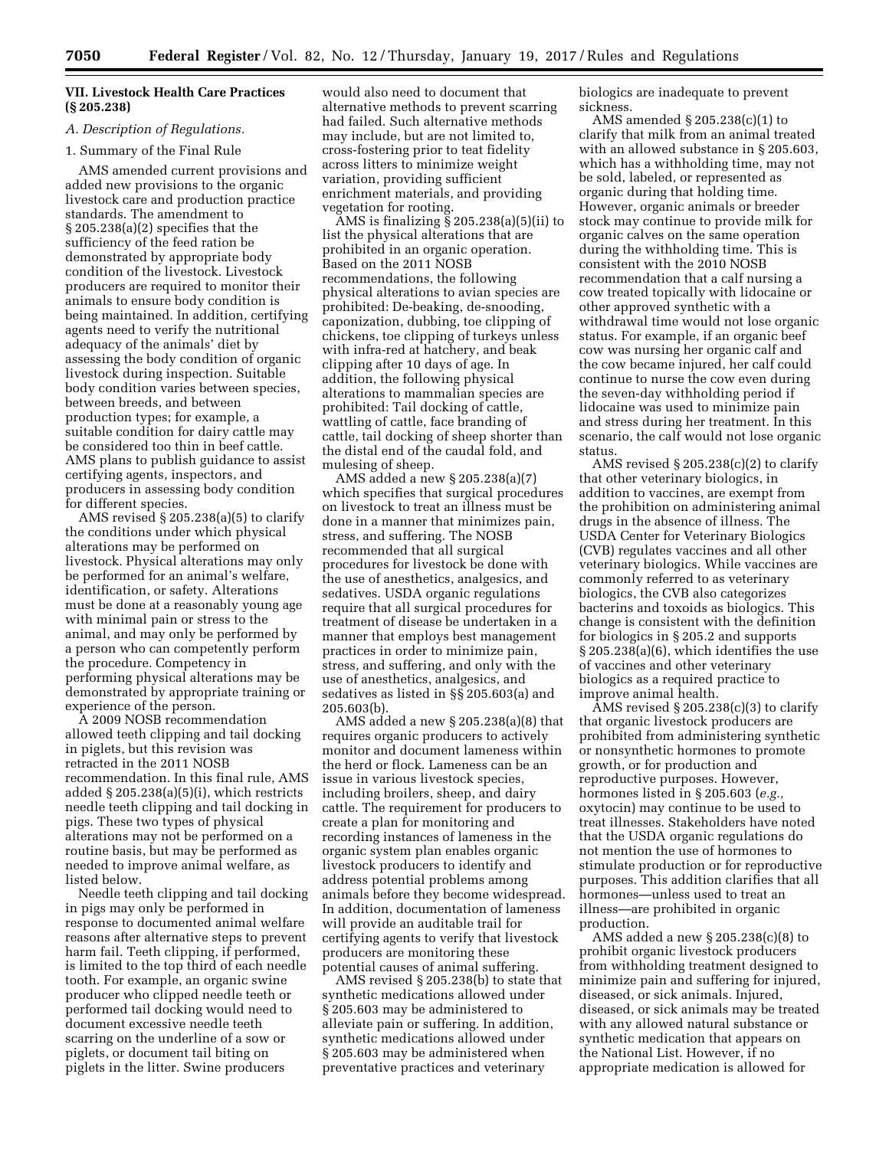### **VII. Livestock Health Care Practices (§ 205.238)**

### *A. Description of Regulations.*

### 1. Summary of the Final Rule

AMS amended current provisions and added new provisions to the organic livestock care and production practice standards. The amendment to § 205.238(a)(2) specifies that the sufficiency of the feed ration be demonstrated by appropriate body condition of the livestock. Livestock producers are required to monitor their animals to ensure body condition is being maintained. In addition, certifying agents need to verify the nutritional adequacy of the animals' diet by assessing the body condition of organic livestock during inspection. Suitable body condition varies between species, between breeds, and between production types; for example, a suitable condition for dairy cattle may be considered too thin in beef cattle. AMS plans to publish guidance to assist certifying agents, inspectors, and producers in assessing body condition for different species.

AMS revised § 205.238(a)(5) to clarify the conditions under which physical alterations may be performed on livestock. Physical alterations may only be performed for an animal's welfare, identification, or safety. Alterations must be done at a reasonably young age with minimal pain or stress to the animal, and may only be performed by a person who can competently perform the procedure. Competency in performing physical alterations may be demonstrated by appropriate training or experience of the person.

A 2009 NOSB recommendation allowed teeth clipping and tail docking in piglets, but this revision was retracted in the 2011 NOSB recommendation. In this final rule, AMS added § 205.238(a)(5)(i), which restricts needle teeth clipping and tail docking in pigs. These two types of physical alterations may not be performed on a routine basis, but may be performed as needed to improve animal welfare, as listed below.

Needle teeth clipping and tail docking in pigs may only be performed in response to documented animal welfare reasons after alternative steps to prevent harm fail. Teeth clipping, if performed, is limited to the top third of each needle tooth. For example, an organic swine producer who clipped needle teeth or performed tail docking would need to document excessive needle teeth scarring on the underline of a sow or piglets, or document tail biting on piglets in the litter. Swine producers

would also need to document that alternative methods to prevent scarring had failed. Such alternative methods may include, but are not limited to, cross-fostering prior to teat fidelity across litters to minimize weight variation, providing sufficient enrichment materials, and providing vegetation for rooting.

AMS is finalizing § 205.238(a)(5)(ii) to list the physical alterations that are prohibited in an organic operation. Based on the 2011 NOSB recommendations, the following physical alterations to avian species are prohibited: De-beaking, de-snooding, caponization, dubbing, toe clipping of chickens, toe clipping of turkeys unless with infra-red at hatchery, and beak clipping after 10 days of age. In addition, the following physical alterations to mammalian species are prohibited: Tail docking of cattle, wattling of cattle, face branding of cattle, tail docking of sheep shorter than the distal end of the caudal fold, and mulesing of sheep.

AMS added a new § 205.238(a)(7) which specifies that surgical procedures on livestock to treat an illness must be done in a manner that minimizes pain, stress, and suffering. The NOSB recommended that all surgical procedures for livestock be done with the use of anesthetics, analgesics, and sedatives. USDA organic regulations require that all surgical procedures for treatment of disease be undertaken in a manner that employs best management practices in order to minimize pain, stress, and suffering, and only with the use of anesthetics, analgesics, and sedatives as listed in §§ 205.603(a) and 205.603(b).

AMS added a new § 205.238(a)(8) that requires organic producers to actively monitor and document lameness within the herd or flock. Lameness can be an issue in various livestock species, including broilers, sheep, and dairy cattle. The requirement for producers to create a plan for monitoring and recording instances of lameness in the organic system plan enables organic livestock producers to identify and address potential problems among animals before they become widespread. In addition, documentation of lameness will provide an auditable trail for certifying agents to verify that livestock producers are monitoring these potential causes of animal suffering.

AMS revised § 205.238(b) to state that synthetic medications allowed under § 205.603 may be administered to alleviate pain or suffering. In addition, synthetic medications allowed under § 205.603 may be administered when preventative practices and veterinary

biologics are inadequate to prevent sickness.

AMS amended § 205.238(c)(1) to clarify that milk from an animal treated with an allowed substance in § 205.603, which has a withholding time, may not be sold, labeled, or represented as organic during that holding time. However, organic animals or breeder stock may continue to provide milk for organic calves on the same operation during the withholding time. This is consistent with the 2010 NOSB recommendation that a calf nursing a cow treated topically with lidocaine or other approved synthetic with a withdrawal time would not lose organic status. For example, if an organic beef cow was nursing her organic calf and the cow became injured, her calf could continue to nurse the cow even during the seven-day withholding period if lidocaine was used to minimize pain and stress during her treatment. In this scenario, the calf would not lose organic status.

AMS revised  $\S 205.238(c)(2)$  to clarify that other veterinary biologics, in addition to vaccines, are exempt from the prohibition on administering animal drugs in the absence of illness. The USDA Center for Veterinary Biologics (CVB) regulates vaccines and all other veterinary biologics. While vaccines are commonly referred to as veterinary biologics, the CVB also categorizes bacterins and toxoids as biologics. This change is consistent with the definition for biologics in § 205.2 and supports § 205.238(a)(6), which identifies the use of vaccines and other veterinary biologics as a required practice to improve animal health.

 $\widehat{A}MS$  revised  $\S 205.238(c)(3)$  to clarify that organic livestock producers are prohibited from administering synthetic or nonsynthetic hormones to promote growth, or for production and reproductive purposes. However, hormones listed in § 205.603 (*e.g.,*  oxytocin) may continue to be used to treat illnesses. Stakeholders have noted that the USDA organic regulations do not mention the use of hormones to stimulate production or for reproductive purposes. This addition clarifies that all hormones—unless used to treat an illness—are prohibited in organic production.

AMS added a new § 205.238(c)(8) to prohibit organic livestock producers from withholding treatment designed to minimize pain and suffering for injured, diseased, or sick animals. Injured, diseased, or sick animals may be treated with any allowed natural substance or synthetic medication that appears on the National List. However, if no appropriate medication is allowed for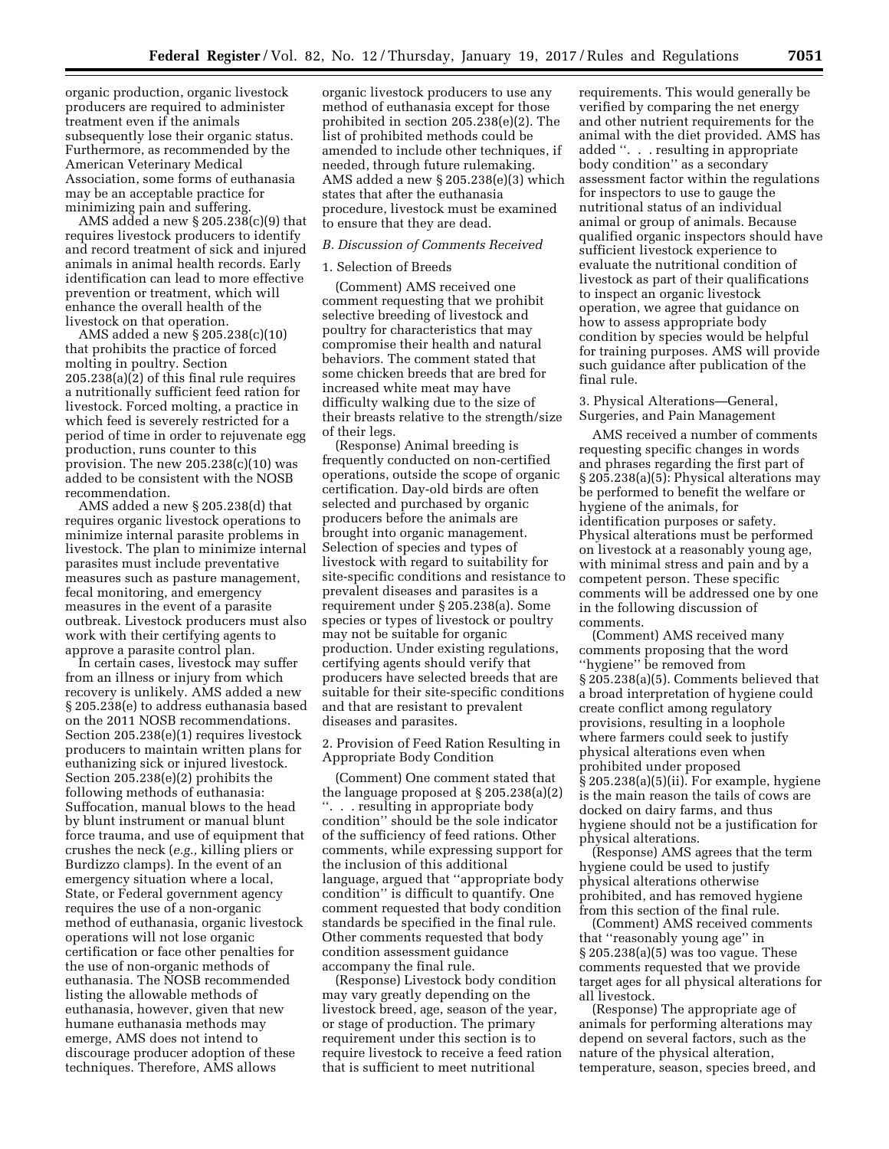organic production, organic livestock producers are required to administer treatment even if the animals subsequently lose their organic status. Furthermore, as recommended by the American Veterinary Medical Association, some forms of euthanasia may be an acceptable practice for minimizing pain and suffering.

AMS added a new  $\S 205.238(c)(9)$  that requires livestock producers to identify and record treatment of sick and injured animals in animal health records. Early identification can lead to more effective prevention or treatment, which will enhance the overall health of the livestock on that operation.

AMS added a new § 205.238(c)(10) that prohibits the practice of forced molting in poultry. Section 205.238(a)(2) of this final rule requires a nutritionally sufficient feed ration for livestock. Forced molting, a practice in which feed is severely restricted for a period of time in order to rejuvenate egg production, runs counter to this provision. The new  $205.238(c)(10)$  was added to be consistent with the NOSB recommendation.

AMS added a new § 205.238(d) that requires organic livestock operations to minimize internal parasite problems in livestock. The plan to minimize internal parasites must include preventative measures such as pasture management, fecal monitoring, and emergency measures in the event of a parasite outbreak. Livestock producers must also work with their certifying agents to approve a parasite control plan.

In certain cases, livestock may suffer from an illness or injury from which recovery is unlikely. AMS added a new § 205.238(e) to address euthanasia based on the 2011 NOSB recommendations. Section 205.238(e)(1) requires livestock producers to maintain written plans for euthanizing sick or injured livestock. Section 205.238(e)(2) prohibits the following methods of euthanasia: Suffocation, manual blows to the head by blunt instrument or manual blunt force trauma, and use of equipment that crushes the neck (*e.g.,* killing pliers or Burdizzo clamps). In the event of an emergency situation where a local, State, or Federal government agency requires the use of a non-organic method of euthanasia, organic livestock operations will not lose organic certification or face other penalties for the use of non-organic methods of euthanasia. The NOSB recommended listing the allowable methods of euthanasia, however, given that new humane euthanasia methods may emerge, AMS does not intend to discourage producer adoption of these techniques. Therefore, AMS allows

organic livestock producers to use any method of euthanasia except for those prohibited in section 205.238(e)(2). The list of prohibited methods could be amended to include other techniques, if needed, through future rulemaking. AMS added a new § 205.238(e)(3) which states that after the euthanasia procedure, livestock must be examined to ensure that they are dead.

## *B. Discussion of Comments Received*

#### 1. Selection of Breeds

(Comment) AMS received one comment requesting that we prohibit selective breeding of livestock and poultry for characteristics that may compromise their health and natural behaviors. The comment stated that some chicken breeds that are bred for increased white meat may have difficulty walking due to the size of their breasts relative to the strength/size of their legs.

(Response) Animal breeding is frequently conducted on non-certified operations, outside the scope of organic certification. Day-old birds are often selected and purchased by organic producers before the animals are brought into organic management. Selection of species and types of livestock with regard to suitability for site-specific conditions and resistance to prevalent diseases and parasites is a requirement under § 205.238(a). Some species or types of livestock or poultry may not be suitable for organic production. Under existing regulations, certifying agents should verify that producers have selected breeds that are suitable for their site-specific conditions and that are resistant to prevalent diseases and parasites.

2. Provision of Feed Ration Resulting in Appropriate Body Condition

(Comment) One comment stated that the language proposed at § 205.238(a)(2) ''. . . resulting in appropriate body condition'' should be the sole indicator of the sufficiency of feed rations. Other comments, while expressing support for the inclusion of this additional language, argued that ''appropriate body condition'' is difficult to quantify. One comment requested that body condition standards be specified in the final rule. Other comments requested that body condition assessment guidance accompany the final rule.

(Response) Livestock body condition may vary greatly depending on the livestock breed, age, season of the year, or stage of production. The primary requirement under this section is to require livestock to receive a feed ration that is sufficient to meet nutritional

requirements. This would generally be verified by comparing the net energy and other nutrient requirements for the animal with the diet provided. AMS has added ''. . . resulting in appropriate body condition'' as a secondary assessment factor within the regulations for inspectors to use to gauge the nutritional status of an individual animal or group of animals. Because qualified organic inspectors should have sufficient livestock experience to evaluate the nutritional condition of livestock as part of their qualifications to inspect an organic livestock operation, we agree that guidance on how to assess appropriate body condition by species would be helpful for training purposes. AMS will provide such guidance after publication of the final rule.

3. Physical Alterations—General, Surgeries, and Pain Management

AMS received a number of comments requesting specific changes in words and phrases regarding the first part of § 205.238(a)(5): Physical alterations may be performed to benefit the welfare or hygiene of the animals, for identification purposes or safety. Physical alterations must be performed on livestock at a reasonably young age, with minimal stress and pain and by a competent person. These specific comments will be addressed one by one in the following discussion of comments.

(Comment) AMS received many comments proposing that the word ''hygiene'' be removed from § 205.238(a)(5). Comments believed that a broad interpretation of hygiene could create conflict among regulatory provisions, resulting in a loophole where farmers could seek to justify physical alterations even when prohibited under proposed § 205.238(a)(5)(ii). For example, hygiene is the main reason the tails of cows are docked on dairy farms, and thus hygiene should not be a justification for physical alterations.

(Response) AMS agrees that the term hygiene could be used to justify physical alterations otherwise prohibited, and has removed hygiene from this section of the final rule.

(Comment) AMS received comments that ''reasonably young age'' in § 205.238(a)(5) was too vague. These comments requested that we provide target ages for all physical alterations for all livestock.

(Response) The appropriate age of animals for performing alterations may depend on several factors, such as the nature of the physical alteration, temperature, season, species breed, and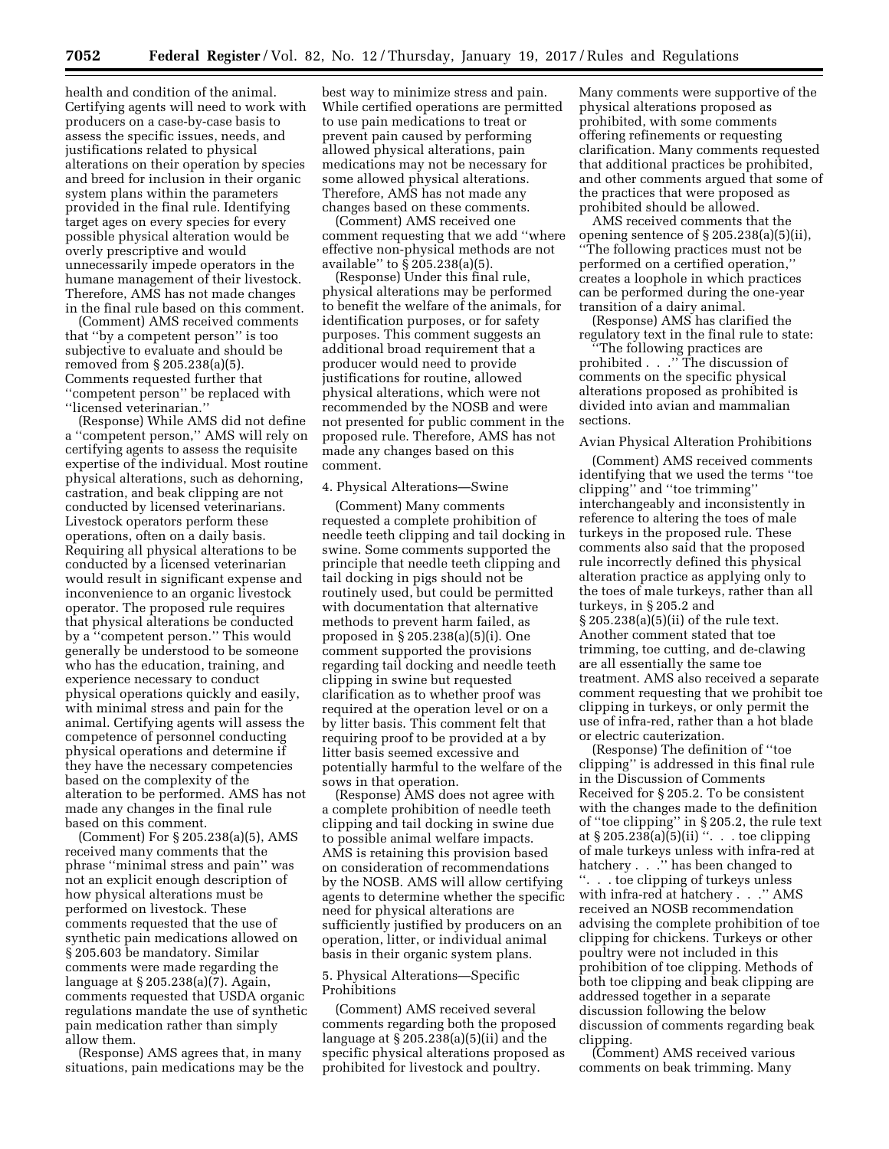health and condition of the animal. Certifying agents will need to work with producers on a case-by-case basis to assess the specific issues, needs, and justifications related to physical alterations on their operation by species and breed for inclusion in their organic system plans within the parameters provided in the final rule. Identifying target ages on every species for every possible physical alteration would be overly prescriptive and would unnecessarily impede operators in the humane management of their livestock. Therefore, AMS has not made changes in the final rule based on this comment.

(Comment) AMS received comments that ''by a competent person'' is too subjective to evaluate and should be removed from § 205.238(a)(5). Comments requested further that ''competent person'' be replaced with ''licensed veterinarian.''

(Response) While AMS did not define a ''competent person,'' AMS will rely on certifying agents to assess the requisite expertise of the individual. Most routine physical alterations, such as dehorning, castration, and beak clipping are not conducted by licensed veterinarians. Livestock operators perform these operations, often on a daily basis. Requiring all physical alterations to be conducted by a licensed veterinarian would result in significant expense and inconvenience to an organic livestock operator. The proposed rule requires that physical alterations be conducted by a "competent person." This would generally be understood to be someone who has the education, training, and experience necessary to conduct physical operations quickly and easily, with minimal stress and pain for the animal. Certifying agents will assess the competence of personnel conducting physical operations and determine if they have the necessary competencies based on the complexity of the alteration to be performed. AMS has not made any changes in the final rule based on this comment.

(Comment) For § 205.238(a)(5), AMS received many comments that the phrase ''minimal stress and pain'' was not an explicit enough description of how physical alterations must be performed on livestock. These comments requested that the use of synthetic pain medications allowed on § 205.603 be mandatory. Similar comments were made regarding the language at § 205.238(a)(7). Again, comments requested that USDA organic regulations mandate the use of synthetic pain medication rather than simply allow them.

(Response) AMS agrees that, in many situations, pain medications may be the

best way to minimize stress and pain. While certified operations are permitted to use pain medications to treat or prevent pain caused by performing allowed physical alterations, pain medications may not be necessary for some allowed physical alterations. Therefore, AMS has not made any changes based on these comments.

(Comment) AMS received one comment requesting that we add ''where effective non-physical methods are not available'' to § 205.238(a)(5).

(Response) Under this final rule, physical alterations may be performed to benefit the welfare of the animals, for identification purposes, or for safety purposes. This comment suggests an additional broad requirement that a producer would need to provide justifications for routine, allowed physical alterations, which were not recommended by the NOSB and were not presented for public comment in the proposed rule. Therefore, AMS has not made any changes based on this comment.

#### 4. Physical Alterations—Swine

(Comment) Many comments requested a complete prohibition of needle teeth clipping and tail docking in swine. Some comments supported the principle that needle teeth clipping and tail docking in pigs should not be routinely used, but could be permitted with documentation that alternative methods to prevent harm failed, as proposed in § 205.238(a)(5)(i). One comment supported the provisions regarding tail docking and needle teeth clipping in swine but requested clarification as to whether proof was required at the operation level or on a by litter basis. This comment felt that requiring proof to be provided at a by litter basis seemed excessive and potentially harmful to the welfare of the sows in that operation.

(Response) AMS does not agree with a complete prohibition of needle teeth clipping and tail docking in swine due to possible animal welfare impacts. AMS is retaining this provision based on consideration of recommendations by the NOSB. AMS will allow certifying agents to determine whether the specific need for physical alterations are sufficiently justified by producers on an operation, litter, or individual animal basis in their organic system plans.

### 5. Physical Alterations—Specific Prohibitions

(Comment) AMS received several comments regarding both the proposed language at  $\S$  205.238(a)(5)(ii) and the specific physical alterations proposed as prohibited for livestock and poultry.

Many comments were supportive of the physical alterations proposed as prohibited, with some comments offering refinements or requesting clarification. Many comments requested that additional practices be prohibited, and other comments argued that some of the practices that were proposed as prohibited should be allowed.

AMS received comments that the opening sentence of § 205.238(a)(5)(ii), ''The following practices must not be performed on a certified operation,'' creates a loophole in which practices can be performed during the one-year transition of a dairy animal.

(Response) AMS has clarified the regulatory text in the final rule to state:

''The following practices are prohibited . . .'' The discussion of comments on the specific physical alterations proposed as prohibited is divided into avian and mammalian sections.

### Avian Physical Alteration Prohibitions

(Comment) AMS received comments identifying that we used the terms ''toe clipping'' and ''toe trimming'' interchangeably and inconsistently in reference to altering the toes of male turkeys in the proposed rule. These comments also said that the proposed rule incorrectly defined this physical alteration practice as applying only to the toes of male turkeys, rather than all turkeys, in § 205.2 and § 205.238(a)(5)(ii) of the rule text. Another comment stated that toe trimming, toe cutting, and de-clawing are all essentially the same toe treatment. AMS also received a separate comment requesting that we prohibit toe clipping in turkeys, or only permit the use of infra-red, rather than a hot blade or electric cauterization.

(Response) The definition of ''toe clipping'' is addressed in this final rule in the Discussion of Comments Received for § 205.2. To be consistent with the changes made to the definition of ''toe clipping'' in § 205.2, the rule text at  $\S 205.238(a)(5)(ii)$  ". . toe clipping of male turkeys unless with infra-red at hatchery . . .'' has been changed to ''. . . toe clipping of turkeys unless with infra-red at hatchery . . .'' AMS received an NOSB recommendation advising the complete prohibition of toe clipping for chickens. Turkeys or other poultry were not included in this prohibition of toe clipping. Methods of both toe clipping and beak clipping are addressed together in a separate discussion following the below discussion of comments regarding beak clipping.

(Comment) AMS received various comments on beak trimming. Many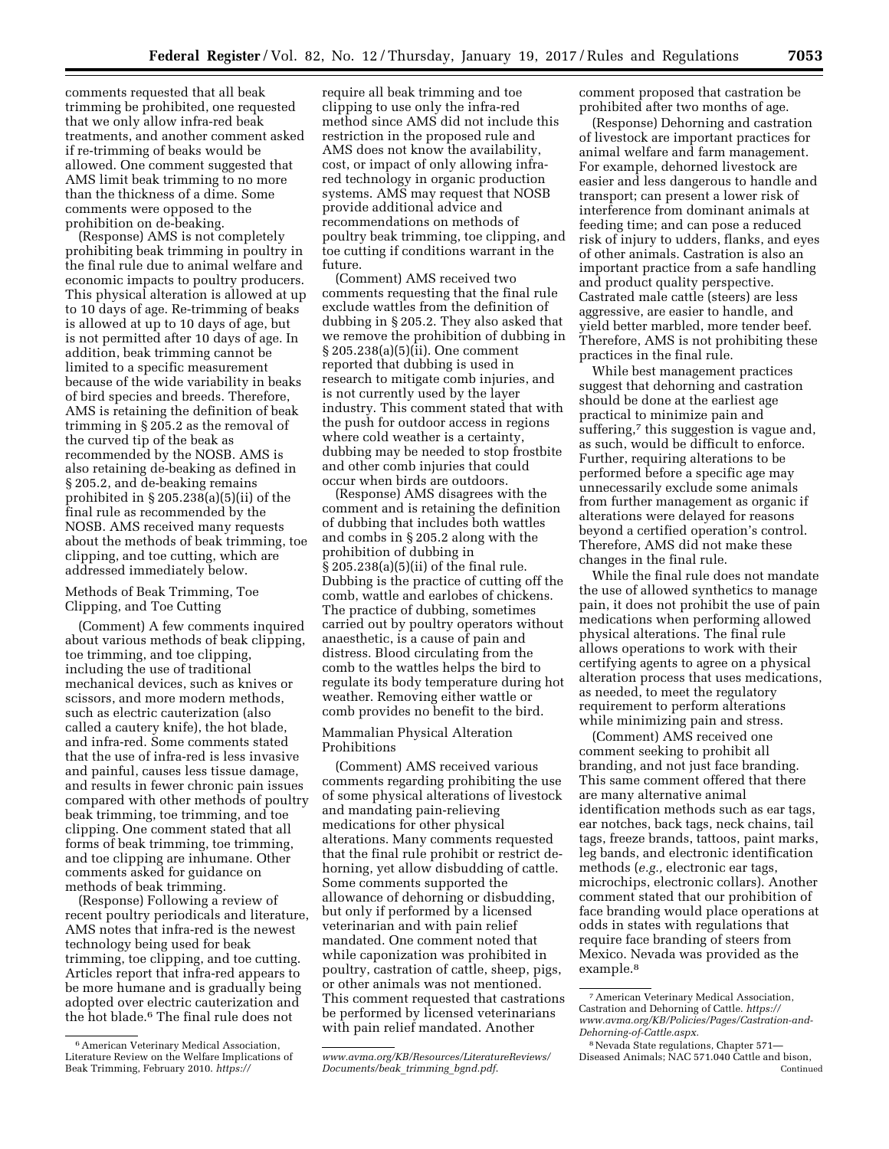comments requested that all beak trimming be prohibited, one requested that we only allow infra-red beak treatments, and another comment asked if re-trimming of beaks would be allowed. One comment suggested that AMS limit beak trimming to no more than the thickness of a dime. Some comments were opposed to the prohibition on de-beaking.

(Response) AMS is not completely prohibiting beak trimming in poultry in the final rule due to animal welfare and economic impacts to poultry producers. This physical alteration is allowed at up to 10 days of age. Re-trimming of beaks is allowed at up to 10 days of age, but is not permitted after 10 days of age. In addition, beak trimming cannot be limited to a specific measurement because of the wide variability in beaks of bird species and breeds. Therefore, AMS is retaining the definition of beak trimming in § 205.2 as the removal of the curved tip of the beak as recommended by the NOSB. AMS is also retaining de-beaking as defined in § 205.2, and de-beaking remains prohibited in § 205.238(a)(5)(ii) of the final rule as recommended by the NOSB. AMS received many requests about the methods of beak trimming, toe clipping, and toe cutting, which are addressed immediately below.

# Methods of Beak Trimming, Toe Clipping, and Toe Cutting

(Comment) A few comments inquired about various methods of beak clipping, toe trimming, and toe clipping, including the use of traditional mechanical devices, such as knives or scissors, and more modern methods, such as electric cauterization (also called a cautery knife), the hot blade, and infra-red. Some comments stated that the use of infra-red is less invasive and painful, causes less tissue damage, and results in fewer chronic pain issues compared with other methods of poultry beak trimming, toe trimming, and toe clipping. One comment stated that all forms of beak trimming, toe trimming, and toe clipping are inhumane. Other comments asked for guidance on methods of beak trimming.

(Response) Following a review of recent poultry periodicals and literature, AMS notes that infra-red is the newest technology being used for beak trimming, toe clipping, and toe cutting. Articles report that infra-red appears to be more humane and is gradually being adopted over electric cauterization and the hot blade.6 The final rule does not

require all beak trimming and toe clipping to use only the infra-red method since AMS did not include this restriction in the proposed rule and AMS does not know the availability, cost, or impact of only allowing infrared technology in organic production systems. AMS may request that NOSB provide additional advice and recommendations on methods of poultry beak trimming, toe clipping, and toe cutting if conditions warrant in the future.

(Comment) AMS received two comments requesting that the final rule exclude wattles from the definition of dubbing in § 205.2. They also asked that we remove the prohibition of dubbing in § 205.238(a)(5)(ii). One comment reported that dubbing is used in research to mitigate comb injuries, and is not currently used by the layer industry. This comment stated that with the push for outdoor access in regions where cold weather is a certainty, dubbing may be needed to stop frostbite and other comb injuries that could occur when birds are outdoors.

(Response) AMS disagrees with the comment and is retaining the definition of dubbing that includes both wattles and combs in § 205.2 along with the prohibition of dubbing in § 205.238(a)(5)(ii) of the final rule. Dubbing is the practice of cutting off the comb, wattle and earlobes of chickens. The practice of dubbing, sometimes carried out by poultry operators without anaesthetic, is a cause of pain and distress. Blood circulating from the comb to the wattles helps the bird to regulate its body temperature during hot weather. Removing either wattle or comb provides no benefit to the bird.

# Mammalian Physical Alteration Prohibitions

(Comment) AMS received various comments regarding prohibiting the use of some physical alterations of livestock and mandating pain-relieving medications for other physical alterations. Many comments requested that the final rule prohibit or restrict dehorning, yet allow disbudding of cattle. Some comments supported the allowance of dehorning or disbudding, but only if performed by a licensed veterinarian and with pain relief mandated. One comment noted that while caponization was prohibited in poultry, castration of cattle, sheep, pigs, or other animals was not mentioned. This comment requested that castrations be performed by licensed veterinarians with pain relief mandated. Another

comment proposed that castration be prohibited after two months of age.

(Response) Dehorning and castration of livestock are important practices for animal welfare and farm management. For example, dehorned livestock are easier and less dangerous to handle and transport; can present a lower risk of interference from dominant animals at feeding time; and can pose a reduced risk of injury to udders, flanks, and eyes of other animals. Castration is also an important practice from a safe handling and product quality perspective. Castrated male cattle (steers) are less aggressive, are easier to handle, and yield better marbled, more tender beef. Therefore, AMS is not prohibiting these practices in the final rule.

While best management practices suggest that dehorning and castration should be done at the earliest age practical to minimize pain and suffering,7 this suggestion is vague and, as such, would be difficult to enforce. Further, requiring alterations to be performed before a specific age may unnecessarily exclude some animals from further management as organic if alterations were delayed for reasons beyond a certified operation's control. Therefore, AMS did not make these changes in the final rule.

While the final rule does not mandate the use of allowed synthetics to manage pain, it does not prohibit the use of pain medications when performing allowed physical alterations. The final rule allows operations to work with their certifying agents to agree on a physical alteration process that uses medications, as needed, to meet the regulatory requirement to perform alterations while minimizing pain and stress.

(Comment) AMS received one comment seeking to prohibit all branding, and not just face branding. This same comment offered that there are many alternative animal identification methods such as ear tags, ear notches, back tags, neck chains, tail tags, freeze brands, tattoos, paint marks, leg bands, and electronic identification methods (*e.g.,* electronic ear tags, microchips, electronic collars). Another comment stated that our prohibition of face branding would place operations at odds in states with regulations that require face branding of steers from Mexico. Nevada was provided as the example.8

<sup>6</sup>American Veterinary Medical Association, Literature Review on the Welfare Implications of Beak Trimming, February 2010. *[https://](https://www.avma.org/KB/Resources/LiteratureReviews/Documents/beak_trimming_bgnd.pdf)* 

*[www.avma.org/KB/Resources/LiteratureReviews/](https://www.avma.org/KB/Resources/LiteratureReviews/Documents/beak_trimming_bgnd.pdf) [Documents/beak](https://www.avma.org/KB/Resources/LiteratureReviews/Documents/beak_trimming_bgnd.pdf)*\_*trimming*\_*bgnd.pdf*.

<sup>7</sup>American Veterinary Medical Association, Castration and Dehorning of Cattle. *[https://](https://www.avma.org/KB/Policies/Pages/Castration-and-Dehorning-of-Cattle.aspx)  [www.avma.org/KB/Policies/Pages/Castration-and-](https://www.avma.org/KB/Policies/Pages/Castration-and-Dehorning-of-Cattle.aspx)[Dehorning-of-Cattle.aspx.](https://www.avma.org/KB/Policies/Pages/Castration-and-Dehorning-of-Cattle.aspx)* 

<sup>8</sup>Nevada State regulations, Chapter 571— Diseased Animals; NAC 571.040 Cattle and bison, Continued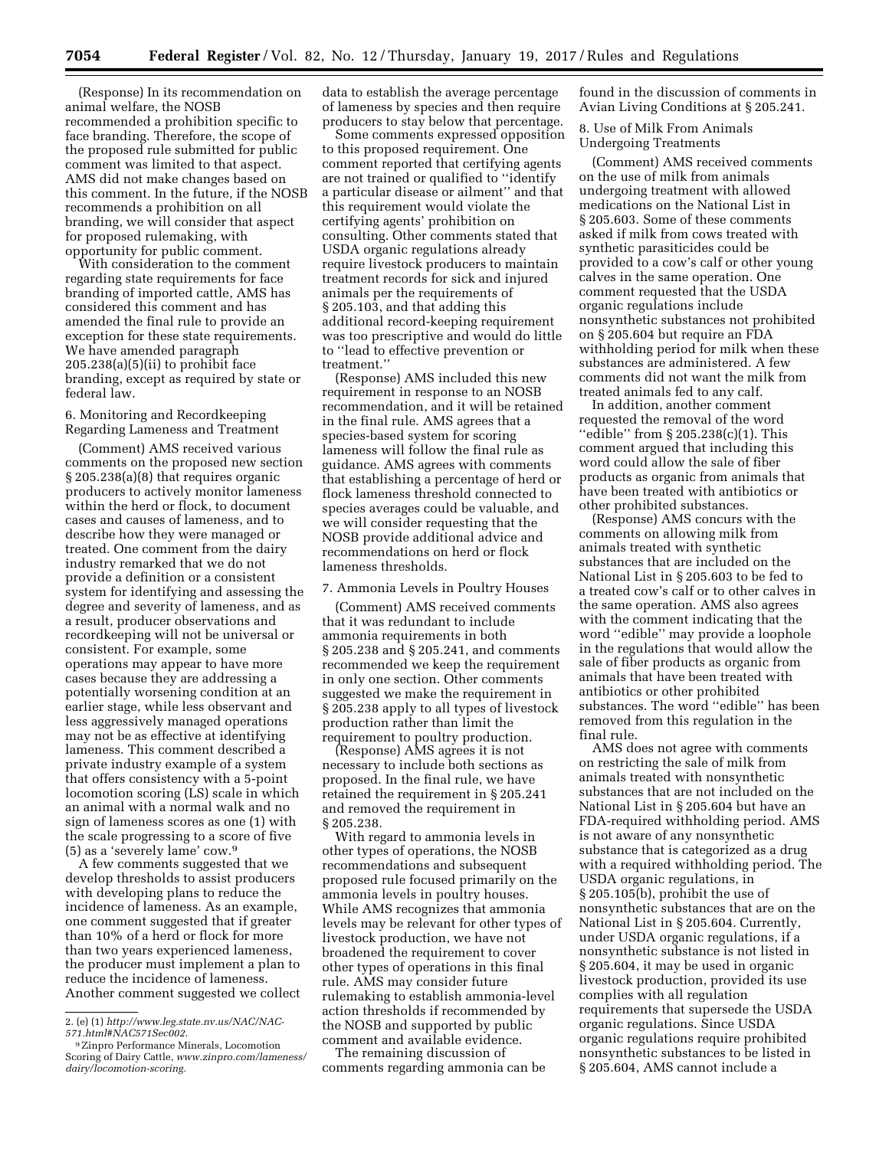(Response) In its recommendation on animal welfare, the NOSB recommended a prohibition specific to face branding. Therefore, the scope of the proposed rule submitted for public comment was limited to that aspect. AMS did not make changes based on this comment. In the future, if the NOSB recommends a prohibition on all branding, we will consider that aspect for proposed rulemaking, with opportunity for public comment.

With consideration to the comment regarding state requirements for face branding of imported cattle, AMS has considered this comment and has amended the final rule to provide an exception for these state requirements. We have amended paragraph  $205.238(a)(5)(ii)$  to prohibit face branding, except as required by state or federal law.

# 6. Monitoring and Recordkeeping Regarding Lameness and Treatment

(Comment) AMS received various comments on the proposed new section § 205.238(a)(8) that requires organic producers to actively monitor lameness within the herd or flock, to document cases and causes of lameness, and to describe how they were managed or treated. One comment from the dairy industry remarked that we do not provide a definition or a consistent system for identifying and assessing the degree and severity of lameness, and as a result, producer observations and recordkeeping will not be universal or consistent. For example, some operations may appear to have more cases because they are addressing a potentially worsening condition at an earlier stage, while less observant and less aggressively managed operations may not be as effective at identifying lameness. This comment described a private industry example of a system that offers consistency with a 5-point locomotion scoring (LS) scale in which an animal with a normal walk and no sign of lameness scores as one (1) with the scale progressing to a score of five (5) as a 'severely lame' cow.9

A few comments suggested that we develop thresholds to assist producers with developing plans to reduce the incidence of lameness. As an example, one comment suggested that if greater than 10% of a herd or flock for more than two years experienced lameness, the producer must implement a plan to reduce the incidence of lameness. Another comment suggested we collect data to establish the average percentage of lameness by species and then require producers to stay below that percentage.

Some comments expressed opposition to this proposed requirement. One comment reported that certifying agents are not trained or qualified to ''identify a particular disease or ailment'' and that this requirement would violate the certifying agents' prohibition on consulting. Other comments stated that USDA organic regulations already require livestock producers to maintain treatment records for sick and injured animals per the requirements of § 205.103, and that adding this additional record-keeping requirement was too prescriptive and would do little to ''lead to effective prevention or treatment.''

(Response) AMS included this new requirement in response to an NOSB recommendation, and it will be retained in the final rule. AMS agrees that a species-based system for scoring lameness will follow the final rule as guidance. AMS agrees with comments that establishing a percentage of herd or flock lameness threshold connected to species averages could be valuable, and we will consider requesting that the NOSB provide additional advice and recommendations on herd or flock lameness thresholds.

### 7. Ammonia Levels in Poultry Houses

(Comment) AMS received comments that it was redundant to include ammonia requirements in both § 205.238 and § 205.241, and comments recommended we keep the requirement in only one section. Other comments suggested we make the requirement in § 205.238 apply to all types of livestock production rather than limit the requirement to poultry production.

(Response) AMS agrees it is not necessary to include both sections as proposed. In the final rule, we have retained the requirement in § 205.241 and removed the requirement in § 205.238.

With regard to ammonia levels in other types of operations, the NOSB recommendations and subsequent proposed rule focused primarily on the ammonia levels in poultry houses. While AMS recognizes that ammonia levels may be relevant for other types of livestock production, we have not broadened the requirement to cover other types of operations in this final rule. AMS may consider future rulemaking to establish ammonia-level action thresholds if recommended by the NOSB and supported by public comment and available evidence.

The remaining discussion of comments regarding ammonia can be found in the discussion of comments in Avian Living Conditions at § 205.241.

8. Use of Milk From Animals Undergoing Treatments

(Comment) AMS received comments on the use of milk from animals undergoing treatment with allowed medications on the National List in § 205.603. Some of these comments asked if milk from cows treated with synthetic parasiticides could be provided to a cow's calf or other young calves in the same operation. One comment requested that the USDA organic regulations include nonsynthetic substances not prohibited on § 205.604 but require an FDA withholding period for milk when these substances are administered. A few comments did not want the milk from treated animals fed to any calf.

In addition, another comment requested the removal of the word ''edible'' from § 205.238(c)(1). This comment argued that including this word could allow the sale of fiber products as organic from animals that have been treated with antibiotics or other prohibited substances.

(Response) AMS concurs with the comments on allowing milk from animals treated with synthetic substances that are included on the National List in § 205.603 to be fed to a treated cow's calf or to other calves in the same operation. AMS also agrees with the comment indicating that the word ''edible'' may provide a loophole in the regulations that would allow the sale of fiber products as organic from animals that have been treated with antibiotics or other prohibited substances. The word ''edible'' has been removed from this regulation in the final rule.

AMS does not agree with comments on restricting the sale of milk from animals treated with nonsynthetic substances that are not included on the National List in § 205.604 but have an FDA-required withholding period. AMS is not aware of any nonsynthetic substance that is categorized as a drug with a required withholding period. The USDA organic regulations, in § 205.105(b), prohibit the use of nonsynthetic substances that are on the National List in § 205.604. Currently, under USDA organic regulations, if a nonsynthetic substance is not listed in § 205.604, it may be used in organic livestock production, provided its use complies with all regulation requirements that supersede the USDA organic regulations. Since USDA organic regulations require prohibited nonsynthetic substances to be listed in § 205.604, AMS cannot include a

<sup>2. (</sup>e) (1) *[http://www.leg.state.nv.us/NAC/NAC-](http://www.leg.state.nv.us/NAC/NAC-571.html#NAC571Sec002)*

<sup>&</sup>lt;sup>9</sup> Zinpro Performance Minerals, Locomotion Scoring of Dairy Cattle, *[www.zinpro.com/lameness/](http://www.zinpro.com/lameness/dairy/locomotion-scoring) [dairy/locomotion-scoring.](http://www.zinpro.com/lameness/dairy/locomotion-scoring)*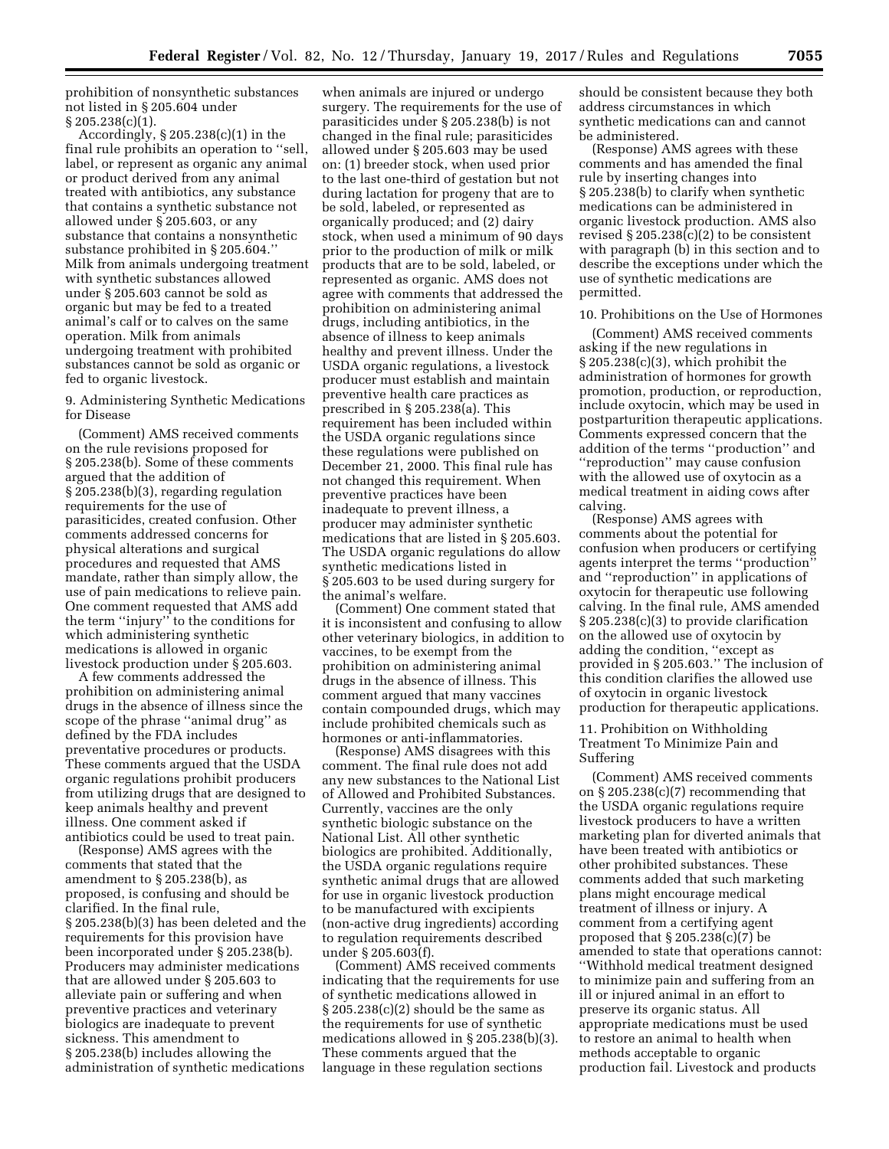prohibition of nonsynthetic substances not listed in § 205.604 under § 205.238(c)(1).

Accordingly, § 205.238(c)(1) in the final rule prohibits an operation to ''sell, label, or represent as organic any animal or product derived from any animal treated with antibiotics, any substance that contains a synthetic substance not allowed under § 205.603, or any substance that contains a nonsynthetic substance prohibited in § 205.604.'' Milk from animals undergoing treatment with synthetic substances allowed under § 205.603 cannot be sold as organic but may be fed to a treated animal's calf or to calves on the same operation. Milk from animals undergoing treatment with prohibited substances cannot be sold as organic or fed to organic livestock.

9. Administering Synthetic Medications for Disease

(Comment) AMS received comments on the rule revisions proposed for § 205.238(b). Some of these comments argued that the addition of § 205.238(b)(3), regarding regulation requirements for the use of parasiticides, created confusion. Other comments addressed concerns for physical alterations and surgical procedures and requested that AMS mandate, rather than simply allow, the use of pain medications to relieve pain. One comment requested that AMS add the term ''injury'' to the conditions for which administering synthetic medications is allowed in organic livestock production under § 205.603.

A few comments addressed the prohibition on administering animal drugs in the absence of illness since the scope of the phrase ''animal drug'' as defined by the FDA includes preventative procedures or products. These comments argued that the USDA organic regulations prohibit producers from utilizing drugs that are designed to keep animals healthy and prevent illness. One comment asked if antibiotics could be used to treat pain.

(Response) AMS agrees with the comments that stated that the amendment to § 205.238(b), as proposed, is confusing and should be clarified. In the final rule, § 205.238(b)(3) has been deleted and the requirements for this provision have been incorporated under § 205.238(b). Producers may administer medications that are allowed under § 205.603 to alleviate pain or suffering and when preventive practices and veterinary biologics are inadequate to prevent sickness. This amendment to § 205.238(b) includes allowing the administration of synthetic medications

when animals are injured or undergo surgery. The requirements for the use of parasiticides under § 205.238(b) is not changed in the final rule; parasiticides allowed under § 205.603 may be used on: (1) breeder stock, when used prior to the last one-third of gestation but not during lactation for progeny that are to be sold, labeled, or represented as organically produced; and (2) dairy stock, when used a minimum of 90 days prior to the production of milk or milk products that are to be sold, labeled, or represented as organic. AMS does not agree with comments that addressed the prohibition on administering animal drugs, including antibiotics, in the absence of illness to keep animals healthy and prevent illness. Under the USDA organic regulations, a livestock producer must establish and maintain preventive health care practices as prescribed in § 205.238(a). This requirement has been included within the USDA organic regulations since these regulations were published on December 21, 2000. This final rule has not changed this requirement. When preventive practices have been inadequate to prevent illness, a producer may administer synthetic medications that are listed in § 205.603. The USDA organic regulations do allow synthetic medications listed in § 205.603 to be used during surgery for the animal's welfare.

(Comment) One comment stated that it is inconsistent and confusing to allow other veterinary biologics, in addition to vaccines, to be exempt from the prohibition on administering animal drugs in the absence of illness. This comment argued that many vaccines contain compounded drugs, which may include prohibited chemicals such as hormones or anti-inflammatories.

(Response) AMS disagrees with this comment. The final rule does not add any new substances to the National List of Allowed and Prohibited Substances. Currently, vaccines are the only synthetic biologic substance on the National List. All other synthetic biologics are prohibited. Additionally, the USDA organic regulations require synthetic animal drugs that are allowed for use in organic livestock production to be manufactured with excipients (non-active drug ingredients) according to regulation requirements described under § 205.603(f).

(Comment) AMS received comments indicating that the requirements for use of synthetic medications allowed in § 205.238(c)(2) should be the same as the requirements for use of synthetic medications allowed in § 205.238(b)(3). These comments argued that the language in these regulation sections

should be consistent because they both address circumstances in which synthetic medications can and cannot be administered.

(Response) AMS agrees with these comments and has amended the final rule by inserting changes into § 205.238(b) to clarify when synthetic medications can be administered in organic livestock production. AMS also revised § 205.238(c)(2) to be consistent with paragraph (b) in this section and to describe the exceptions under which the use of synthetic medications are permitted.

#### 10. Prohibitions on the Use of Hormones

(Comment) AMS received comments asking if the new regulations in § 205.238(c)(3), which prohibit the administration of hormones for growth promotion, production, or reproduction, include oxytocin, which may be used in postparturition therapeutic applications. Comments expressed concern that the addition of the terms ''production'' and ''reproduction'' may cause confusion with the allowed use of oxytocin as a medical treatment in aiding cows after calving.

(Response) AMS agrees with comments about the potential for confusion when producers or certifying agents interpret the terms ''production'' and ''reproduction'' in applications of oxytocin for therapeutic use following calving. In the final rule, AMS amended § 205.238(c)(3) to provide clarification on the allowed use of oxytocin by adding the condition, ''except as provided in § 205.603.'' The inclusion of this condition clarifies the allowed use of oxytocin in organic livestock production for therapeutic applications.

# 11. Prohibition on Withholding Treatment To Minimize Pain and Suffering

(Comment) AMS received comments on § 205.238(c)(7) recommending that the USDA organic regulations require livestock producers to have a written marketing plan for diverted animals that have been treated with antibiotics or other prohibited substances. These comments added that such marketing plans might encourage medical treatment of illness or injury. A comment from a certifying agent proposed that § 205.238(c)(7) be amended to state that operations cannot: ''Withhold medical treatment designed to minimize pain and suffering from an ill or injured animal in an effort to preserve its organic status. All appropriate medications must be used to restore an animal to health when methods acceptable to organic production fail. Livestock and products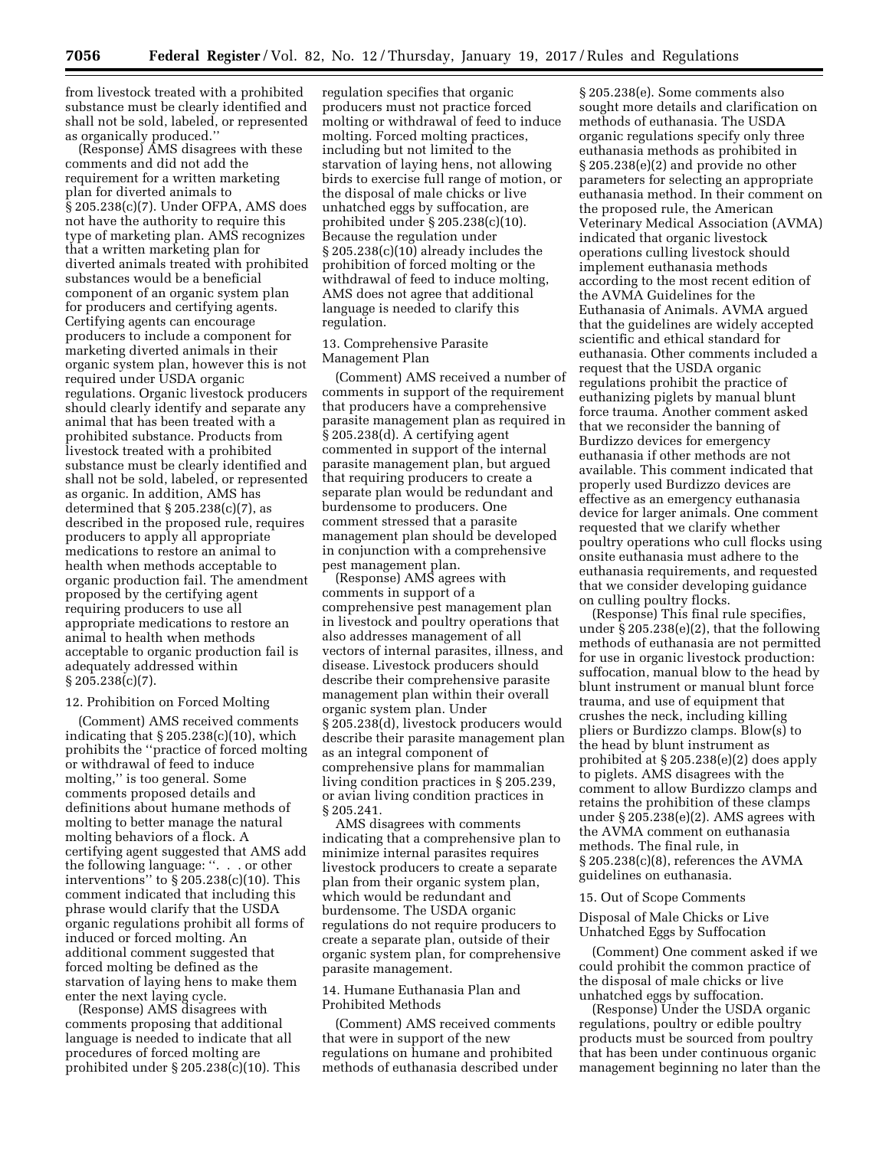from livestock treated with a prohibited substance must be clearly identified and shall not be sold, labeled, or represented as organically produced.''

(Response) AMS disagrees with these comments and did not add the requirement for a written marketing plan for diverted animals to § 205.238(c)(7). Under OFPA, AMS does not have the authority to require this type of marketing plan. AMS recognizes that a written marketing plan for diverted animals treated with prohibited substances would be a beneficial component of an organic system plan for producers and certifying agents. Certifying agents can encourage producers to include a component for marketing diverted animals in their organic system plan, however this is not required under USDA organic regulations. Organic livestock producers should clearly identify and separate any animal that has been treated with a prohibited substance. Products from livestock treated with a prohibited substance must be clearly identified and shall not be sold, labeled, or represented as organic. In addition, AMS has determined that  $\S 205.238(c)(7)$ , as described in the proposed rule, requires producers to apply all appropriate medications to restore an animal to health when methods acceptable to organic production fail. The amendment proposed by the certifying agent requiring producers to use all appropriate medications to restore an animal to health when methods acceptable to organic production fail is adequately addressed within § 205.238(c)(7).

# 12. Prohibition on Forced Molting

(Comment) AMS received comments indicating that  $\S 205.238(c)(10)$ , which prohibits the ''practice of forced molting or withdrawal of feed to induce molting,'' is too general. Some comments proposed details and definitions about humane methods of molting to better manage the natural molting behaviors of a flock. A certifying agent suggested that AMS add the following language: ''. . . or other interventions'' to § 205.238(c)(10). This comment indicated that including this phrase would clarify that the USDA organic regulations prohibit all forms of induced or forced molting. An additional comment suggested that forced molting be defined as the starvation of laying hens to make them enter the next laying cycle.

(Response) AMS disagrees with comments proposing that additional language is needed to indicate that all procedures of forced molting are prohibited under § 205.238(c)(10). This regulation specifies that organic producers must not practice forced molting or withdrawal of feed to induce molting. Forced molting practices, including but not limited to the starvation of laying hens, not allowing birds to exercise full range of motion, or the disposal of male chicks or live unhatched eggs by suffocation, are prohibited under § 205.238(c)(10). Because the regulation under § 205.238(c)(10) already includes the prohibition of forced molting or the withdrawal of feed to induce molting, AMS does not agree that additional language is needed to clarify this regulation.

# 13. Comprehensive Parasite Management Plan

(Comment) AMS received a number of comments in support of the requirement that producers have a comprehensive parasite management plan as required in § 205.238(d). A certifying agent commented in support of the internal parasite management plan, but argued that requiring producers to create a separate plan would be redundant and burdensome to producers. One comment stressed that a parasite management plan should be developed in conjunction with a comprehensive pest management plan.

(Response) AMS agrees with comments in support of a comprehensive pest management plan in livestock and poultry operations that also addresses management of all vectors of internal parasites, illness, and disease. Livestock producers should describe their comprehensive parasite management plan within their overall organic system plan. Under § 205.238(d), livestock producers would describe their parasite management plan as an integral component of comprehensive plans for mammalian living condition practices in § 205.239, or avian living condition practices in § 205.241.

AMS disagrees with comments indicating that a comprehensive plan to minimize internal parasites requires livestock producers to create a separate plan from their organic system plan, which would be redundant and burdensome. The USDA organic regulations do not require producers to create a separate plan, outside of their organic system plan, for comprehensive parasite management.

# 14. Humane Euthanasia Plan and Prohibited Methods

(Comment) AMS received comments that were in support of the new regulations on humane and prohibited methods of euthanasia described under

§ 205.238(e). Some comments also sought more details and clarification on methods of euthanasia. The USDA organic regulations specify only three euthanasia methods as prohibited in § 205.238(e)(2) and provide no other parameters for selecting an appropriate euthanasia method. In their comment on the proposed rule, the American Veterinary Medical Association (AVMA) indicated that organic livestock operations culling livestock should implement euthanasia methods according to the most recent edition of the AVMA Guidelines for the Euthanasia of Animals. AVMA argued that the guidelines are widely accepted scientific and ethical standard for euthanasia. Other comments included a request that the USDA organic regulations prohibit the practice of euthanizing piglets by manual blunt force trauma. Another comment asked that we reconsider the banning of Burdizzo devices for emergency euthanasia if other methods are not available. This comment indicated that properly used Burdizzo devices are effective as an emergency euthanasia device for larger animals. One comment requested that we clarify whether poultry operations who cull flocks using onsite euthanasia must adhere to the euthanasia requirements, and requested that we consider developing guidance on culling poultry flocks.

(Response) This final rule specifies, under § 205.238(e)(2), that the following methods of euthanasia are not permitted for use in organic livestock production: suffocation, manual blow to the head by blunt instrument or manual blunt force trauma, and use of equipment that crushes the neck, including killing pliers or Burdizzo clamps. Blow(s) to the head by blunt instrument as prohibited at § 205.238(e)(2) does apply to piglets. AMS disagrees with the comment to allow Burdizzo clamps and retains the prohibition of these clamps under § 205.238(e)(2). AMS agrees with the AVMA comment on euthanasia methods. The final rule, in § 205.238(c)(8), references the AVMA guidelines on euthanasia.

#### 15. Out of Scope Comments

Disposal of Male Chicks or Live Unhatched Eggs by Suffocation

(Comment) One comment asked if we could prohibit the common practice of the disposal of male chicks or live unhatched eggs by suffocation.

(Response) Under the USDA organic regulations, poultry or edible poultry products must be sourced from poultry that has been under continuous organic management beginning no later than the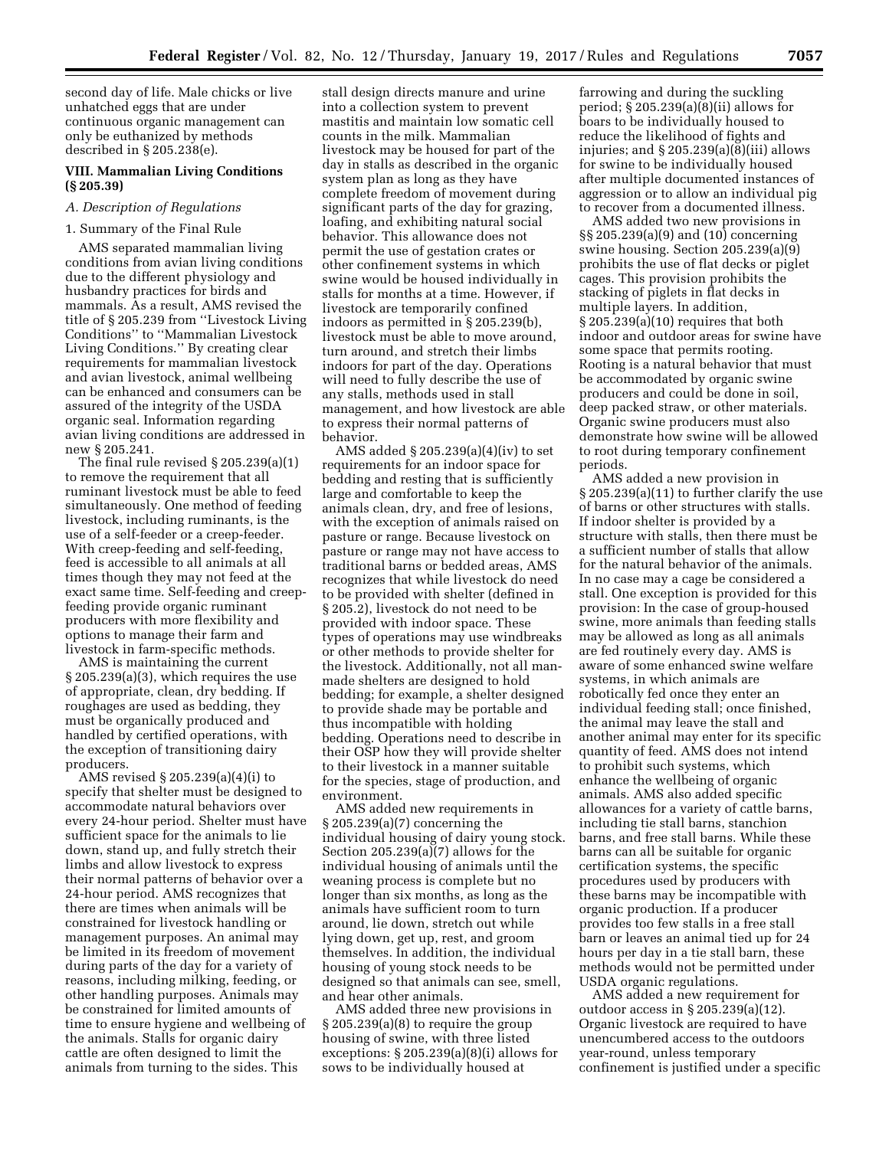second day of life. Male chicks or live unhatched eggs that are under continuous organic management can only be euthanized by methods described in § 205.238(e).

### **VIII. Mammalian Living Conditions (§ 205.39)**

# *A. Description of Regulations*

# 1. Summary of the Final Rule

AMS separated mammalian living conditions from avian living conditions due to the different physiology and husbandry practices for birds and mammals. As a result, AMS revised the title of § 205.239 from ''Livestock Living Conditions'' to ''Mammalian Livestock Living Conditions.'' By creating clear requirements for mammalian livestock and avian livestock, animal wellbeing can be enhanced and consumers can be assured of the integrity of the USDA organic seal. Information regarding avian living conditions are addressed in new § 205.241.

The final rule revised § 205.239(a)(1) to remove the requirement that all ruminant livestock must be able to feed simultaneously. One method of feeding livestock, including ruminants, is the use of a self-feeder or a creep-feeder. With creep-feeding and self-feeding, feed is accessible to all animals at all times though they may not feed at the exact same time. Self-feeding and creepfeeding provide organic ruminant producers with more flexibility and options to manage their farm and livestock in farm-specific methods.

AMS is maintaining the current § 205.239(a)(3), which requires the use of appropriate, clean, dry bedding. If roughages are used as bedding, they must be organically produced and handled by certified operations, with the exception of transitioning dairy producers.

AMS revised § 205.239(a)(4)(i) to specify that shelter must be designed to accommodate natural behaviors over every 24-hour period. Shelter must have sufficient space for the animals to lie down, stand up, and fully stretch their limbs and allow livestock to express their normal patterns of behavior over a 24-hour period. AMS recognizes that there are times when animals will be constrained for livestock handling or management purposes. An animal may be limited in its freedom of movement during parts of the day for a variety of reasons, including milking, feeding, or other handling purposes. Animals may be constrained for limited amounts of time to ensure hygiene and wellbeing of the animals. Stalls for organic dairy cattle are often designed to limit the animals from turning to the sides. This

stall design directs manure and urine into a collection system to prevent mastitis and maintain low somatic cell counts in the milk. Mammalian livestock may be housed for part of the day in stalls as described in the organic system plan as long as they have complete freedom of movement during significant parts of the day for grazing, loafing, and exhibiting natural social behavior. This allowance does not permit the use of gestation crates or other confinement systems in which swine would be housed individually in stalls for months at a time. However, if livestock are temporarily confined indoors as permitted in § 205.239(b), livestock must be able to move around, turn around, and stretch their limbs indoors for part of the day. Operations will need to fully describe the use of any stalls, methods used in stall management, and how livestock are able to express their normal patterns of behavior.

AMS added § 205.239(a)(4)(iv) to set requirements for an indoor space for bedding and resting that is sufficiently large and comfortable to keep the animals clean, dry, and free of lesions, with the exception of animals raised on pasture or range. Because livestock on pasture or range may not have access to traditional barns or bedded areas, AMS recognizes that while livestock do need to be provided with shelter (defined in § 205.2), livestock do not need to be provided with indoor space. These types of operations may use windbreaks or other methods to provide shelter for the livestock. Additionally, not all manmade shelters are designed to hold bedding; for example, a shelter designed to provide shade may be portable and thus incompatible with holding bedding. Operations need to describe in their OSP how they will provide shelter to their livestock in a manner suitable for the species, stage of production, and environment.

AMS added new requirements in § 205.239(a)(7) concerning the individual housing of dairy young stock. Section 205.239(a)(7) allows for the individual housing of animals until the weaning process is complete but no longer than six months, as long as the animals have sufficient room to turn around, lie down, stretch out while lying down, get up, rest, and groom themselves. In addition, the individual housing of young stock needs to be designed so that animals can see, smell, and hear other animals.

AMS added three new provisions in § 205.239(a)(8) to require the group housing of swine, with three listed exceptions: § 205.239(a)(8)(i) allows for sows to be individually housed at

farrowing and during the suckling period; § 205.239(a)(8)(ii) allows for boars to be individually housed to reduce the likelihood of fights and injuries; and  $\S 205.239(a)(8)(iii)$  allows for swine to be individually housed after multiple documented instances of aggression or to allow an individual pig to recover from a documented illness.

AMS added two new provisions in §§ 205.239(a)(9) and (10) concerning swine housing. Section 205.239(a)(9) prohibits the use of flat decks or piglet cages. This provision prohibits the stacking of piglets in flat decks in multiple layers. In addition, § 205.239(a)(10) requires that both indoor and outdoor areas for swine have some space that permits rooting. Rooting is a natural behavior that must be accommodated by organic swine producers and could be done in soil, deep packed straw, or other materials. Organic swine producers must also demonstrate how swine will be allowed to root during temporary confinement periods.

AMS added a new provision in § 205.239(a)(11) to further clarify the use of barns or other structures with stalls. If indoor shelter is provided by a structure with stalls, then there must be a sufficient number of stalls that allow for the natural behavior of the animals. In no case may a cage be considered a stall. One exception is provided for this provision: In the case of group-housed swine, more animals than feeding stalls may be allowed as long as all animals are fed routinely every day. AMS is aware of some enhanced swine welfare systems, in which animals are robotically fed once they enter an individual feeding stall; once finished, the animal may leave the stall and another animal may enter for its specific quantity of feed. AMS does not intend to prohibit such systems, which enhance the wellbeing of organic animals. AMS also added specific allowances for a variety of cattle barns, including tie stall barns, stanchion barns, and free stall barns. While these barns can all be suitable for organic certification systems, the specific procedures used by producers with these barns may be incompatible with organic production. If a producer provides too few stalls in a free stall barn or leaves an animal tied up for 24 hours per day in a tie stall barn, these methods would not be permitted under USDA organic regulations.

AMS added a new requirement for outdoor access in § 205.239(a)(12). Organic livestock are required to have unencumbered access to the outdoors year-round, unless temporary confinement is justified under a specific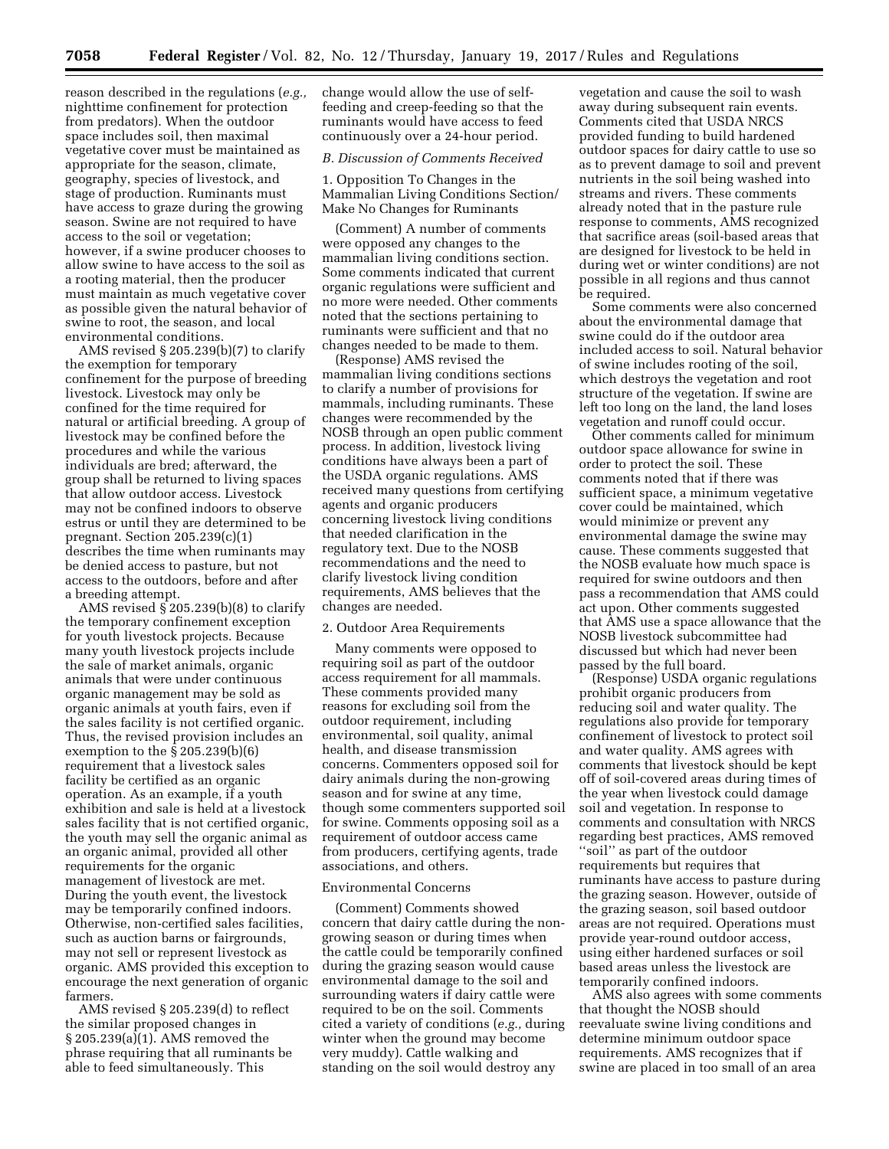reason described in the regulations (*e.g.,*  nighttime confinement for protection from predators). When the outdoor space includes soil, then maximal vegetative cover must be maintained as appropriate for the season, climate, geography, species of livestock, and stage of production. Ruminants must have access to graze during the growing season. Swine are not required to have access to the soil or vegetation; however, if a swine producer chooses to allow swine to have access to the soil as a rooting material, then the producer must maintain as much vegetative cover as possible given the natural behavior of swine to root, the season, and local environmental conditions.

AMS revised § 205.239(b)(7) to clarify the exemption for temporary confinement for the purpose of breeding livestock. Livestock may only be confined for the time required for natural or artificial breeding. A group of livestock may be confined before the procedures and while the various individuals are bred; afterward, the group shall be returned to living spaces that allow outdoor access. Livestock may not be confined indoors to observe estrus or until they are determined to be pregnant. Section 205.239(c)(1) describes the time when ruminants may be denied access to pasture, but not access to the outdoors, before and after a breeding attempt.

AMS revised  $\S$  205.239(b)(8) to clarify the temporary confinement exception for youth livestock projects. Because many youth livestock projects include the sale of market animals, organic animals that were under continuous organic management may be sold as organic animals at youth fairs, even if the sales facility is not certified organic. Thus, the revised provision includes an exemption to the § 205.239(b)(6) requirement that a livestock sales facility be certified as an organic operation. As an example, if a youth exhibition and sale is held at a livestock sales facility that is not certified organic, the youth may sell the organic animal as an organic animal, provided all other requirements for the organic management of livestock are met. During the youth event, the livestock may be temporarily confined indoors. Otherwise, non-certified sales facilities, such as auction barns or fairgrounds, may not sell or represent livestock as organic. AMS provided this exception to encourage the next generation of organic farmers.

AMS revised § 205.239(d) to reflect the similar proposed changes in § 205.239(a)(1). AMS removed the phrase requiring that all ruminants be able to feed simultaneously. This

change would allow the use of selffeeding and creep-feeding so that the ruminants would have access to feed continuously over a 24-hour period.

#### *B. Discussion of Comments Received*

1. Opposition To Changes in the Mammalian Living Conditions Section/ Make No Changes for Ruminants

(Comment) A number of comments were opposed any changes to the mammalian living conditions section. Some comments indicated that current organic regulations were sufficient and no more were needed. Other comments noted that the sections pertaining to ruminants were sufficient and that no changes needed to be made to them.

(Response) AMS revised the mammalian living conditions sections to clarify a number of provisions for mammals, including ruminants. These changes were recommended by the NOSB through an open public comment process. In addition, livestock living conditions have always been a part of the USDA organic regulations. AMS received many questions from certifying agents and organic producers concerning livestock living conditions that needed clarification in the regulatory text. Due to the NOSB recommendations and the need to clarify livestock living condition requirements, AMS believes that the changes are needed.

#### 2. Outdoor Area Requirements

Many comments were opposed to requiring soil as part of the outdoor access requirement for all mammals. These comments provided many reasons for excluding soil from the outdoor requirement, including environmental, soil quality, animal health, and disease transmission concerns. Commenters opposed soil for dairy animals during the non-growing season and for swine at any time, though some commenters supported soil for swine. Comments opposing soil as a requirement of outdoor access came from producers, certifying agents, trade associations, and others.

#### Environmental Concerns

(Comment) Comments showed concern that dairy cattle during the nongrowing season or during times when the cattle could be temporarily confined during the grazing season would cause environmental damage to the soil and surrounding waters if dairy cattle were required to be on the soil. Comments cited a variety of conditions (*e.g.,* during winter when the ground may become very muddy). Cattle walking and standing on the soil would destroy any

vegetation and cause the soil to wash away during subsequent rain events. Comments cited that USDA NRCS provided funding to build hardened outdoor spaces for dairy cattle to use so as to prevent damage to soil and prevent nutrients in the soil being washed into streams and rivers. These comments already noted that in the pasture rule response to comments, AMS recognized that sacrifice areas (soil-based areas that are designed for livestock to be held in during wet or winter conditions) are not possible in all regions and thus cannot be required.

Some comments were also concerned about the environmental damage that swine could do if the outdoor area included access to soil. Natural behavior of swine includes rooting of the soil, which destroys the vegetation and root structure of the vegetation. If swine are left too long on the land, the land loses vegetation and runoff could occur.

Other comments called for minimum outdoor space allowance for swine in order to protect the soil. These comments noted that if there was sufficient space, a minimum vegetative cover could be maintained, which would minimize or prevent any environmental damage the swine may cause. These comments suggested that the NOSB evaluate how much space is required for swine outdoors and then pass a recommendation that AMS could act upon. Other comments suggested that AMS use a space allowance that the NOSB livestock subcommittee had discussed but which had never been passed by the full board.

(Response) USDA organic regulations prohibit organic producers from reducing soil and water quality. The regulations also provide for temporary confinement of livestock to protect soil and water quality. AMS agrees with comments that livestock should be kept off of soil-covered areas during times of the year when livestock could damage soil and vegetation. In response to comments and consultation with NRCS regarding best practices, AMS removed ''soil'' as part of the outdoor requirements but requires that ruminants have access to pasture during the grazing season. However, outside of the grazing season, soil based outdoor areas are not required. Operations must provide year-round outdoor access, using either hardened surfaces or soil based areas unless the livestock are temporarily confined indoors.

AMS also agrees with some comments that thought the NOSB should reevaluate swine living conditions and determine minimum outdoor space requirements. AMS recognizes that if swine are placed in too small of an area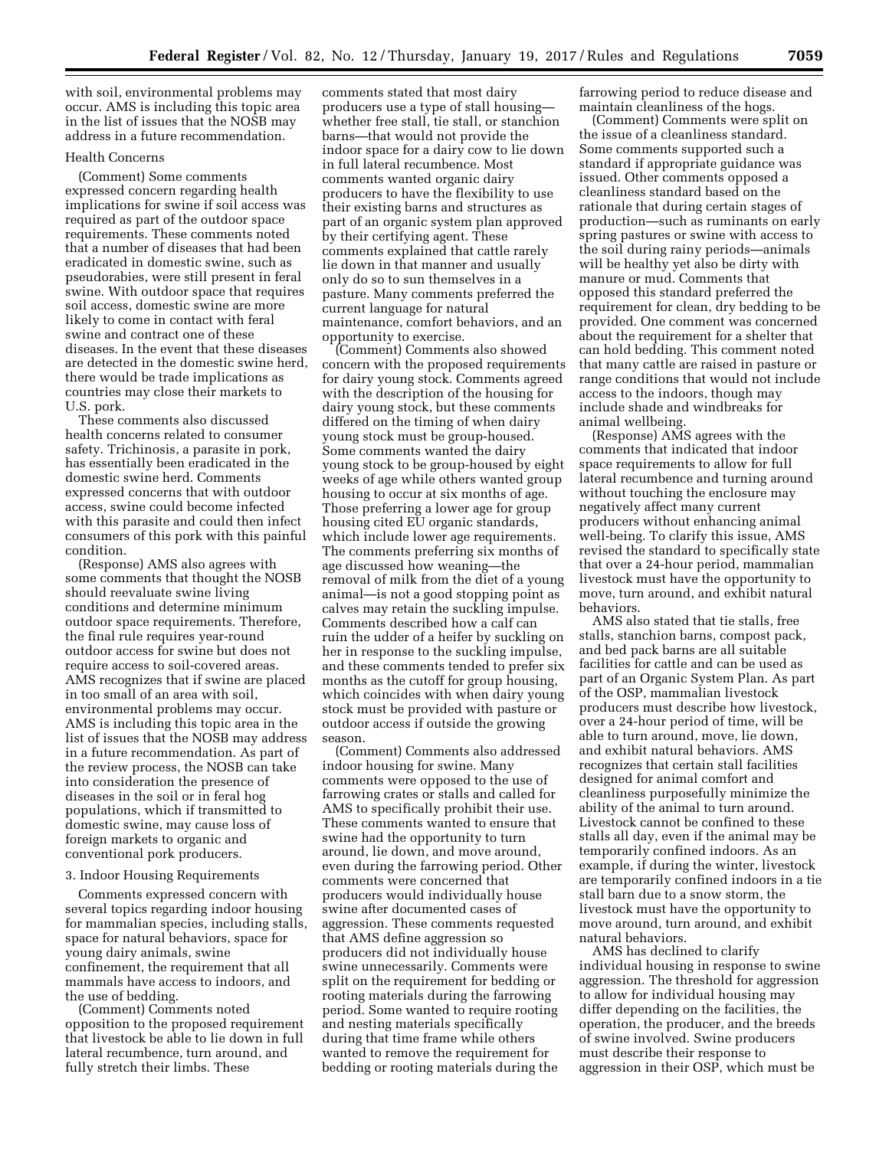with soil, environmental problems may occur. AMS is including this topic area in the list of issues that the NOSB may address in a future recommendation.

### Health Concerns

(Comment) Some comments expressed concern regarding health implications for swine if soil access was required as part of the outdoor space requirements. These comments noted that a number of diseases that had been eradicated in domestic swine, such as pseudorabies, were still present in feral swine. With outdoor space that requires soil access, domestic swine are more likely to come in contact with feral swine and contract one of these diseases. In the event that these diseases are detected in the domestic swine herd, there would be trade implications as countries may close their markets to U.S. pork.

These comments also discussed health concerns related to consumer safety. Trichinosis, a parasite in pork, has essentially been eradicated in the domestic swine herd. Comments expressed concerns that with outdoor access, swine could become infected with this parasite and could then infect consumers of this pork with this painful condition.

(Response) AMS also agrees with some comments that thought the NOSB should reevaluate swine living conditions and determine minimum outdoor space requirements. Therefore, the final rule requires year-round outdoor access for swine but does not require access to soil-covered areas. AMS recognizes that if swine are placed in too small of an area with soil, environmental problems may occur. AMS is including this topic area in the list of issues that the NOSB may address in a future recommendation. As part of the review process, the NOSB can take into consideration the presence of diseases in the soil or in feral hog populations, which if transmitted to domestic swine, may cause loss of foreign markets to organic and conventional pork producers.

### 3. Indoor Housing Requirements

Comments expressed concern with several topics regarding indoor housing for mammalian species, including stalls, space for natural behaviors, space for young dairy animals, swine confinement, the requirement that all mammals have access to indoors, and the use of bedding.

(Comment) Comments noted opposition to the proposed requirement that livestock be able to lie down in full lateral recumbence, turn around, and fully stretch their limbs. These

comments stated that most dairy producers use a type of stall housing whether free stall, tie stall, or stanchion barns—that would not provide the indoor space for a dairy cow to lie down in full lateral recumbence. Most comments wanted organic dairy producers to have the flexibility to use their existing barns and structures as part of an organic system plan approved by their certifying agent. These comments explained that cattle rarely lie down in that manner and usually only do so to sun themselves in a pasture. Many comments preferred the current language for natural maintenance, comfort behaviors, and an opportunity to exercise.

(Comment) Comments also showed concern with the proposed requirements for dairy young stock. Comments agreed with the description of the housing for dairy young stock, but these comments differed on the timing of when dairy young stock must be group-housed. Some comments wanted the dairy young stock to be group-housed by eight weeks of age while others wanted group housing to occur at six months of age. Those preferring a lower age for group housing cited EU organic standards, which include lower age requirements. The comments preferring six months of age discussed how weaning—the removal of milk from the diet of a young animal—is not a good stopping point as calves may retain the suckling impulse. Comments described how a calf can ruin the udder of a heifer by suckling on her in response to the suckling impulse, and these comments tended to prefer six months as the cutoff for group housing, which coincides with when dairy young stock must be provided with pasture or outdoor access if outside the growing season.

(Comment) Comments also addressed indoor housing for swine. Many comments were opposed to the use of farrowing crates or stalls and called for AMS to specifically prohibit their use. These comments wanted to ensure that swine had the opportunity to turn around, lie down, and move around, even during the farrowing period. Other comments were concerned that producers would individually house swine after documented cases of aggression. These comments requested that AMS define aggression so producers did not individually house swine unnecessarily. Comments were split on the requirement for bedding or rooting materials during the farrowing period. Some wanted to require rooting and nesting materials specifically during that time frame while others wanted to remove the requirement for bedding or rooting materials during the

farrowing period to reduce disease and maintain cleanliness of the hogs.

(Comment) Comments were split on the issue of a cleanliness standard. Some comments supported such a standard if appropriate guidance was issued. Other comments opposed a cleanliness standard based on the rationale that during certain stages of production—such as ruminants on early spring pastures or swine with access to the soil during rainy periods—animals will be healthy yet also be dirty with manure or mud. Comments that opposed this standard preferred the requirement for clean, dry bedding to be provided. One comment was concerned about the requirement for a shelter that can hold bedding. This comment noted that many cattle are raised in pasture or range conditions that would not include access to the indoors, though may include shade and windbreaks for animal wellbeing.

(Response) AMS agrees with the comments that indicated that indoor space requirements to allow for full lateral recumbence and turning around without touching the enclosure may negatively affect many current producers without enhancing animal well-being. To clarify this issue, AMS revised the standard to specifically state that over a 24-hour period, mammalian livestock must have the opportunity to move, turn around, and exhibit natural behaviors.

AMS also stated that tie stalls, free stalls, stanchion barns, compost pack, and bed pack barns are all suitable facilities for cattle and can be used as part of an Organic System Plan. As part of the OSP, mammalian livestock producers must describe how livestock, over a 24-hour period of time, will be able to turn around, move, lie down, and exhibit natural behaviors. AMS recognizes that certain stall facilities designed for animal comfort and cleanliness purposefully minimize the ability of the animal to turn around. Livestock cannot be confined to these stalls all day, even if the animal may be temporarily confined indoors. As an example, if during the winter, livestock are temporarily confined indoors in a tie stall barn due to a snow storm, the livestock must have the opportunity to move around, turn around, and exhibit natural behaviors.

AMS has declined to clarify individual housing in response to swine aggression. The threshold for aggression to allow for individual housing may differ depending on the facilities, the operation, the producer, and the breeds of swine involved. Swine producers must describe their response to aggression in their OSP, which must be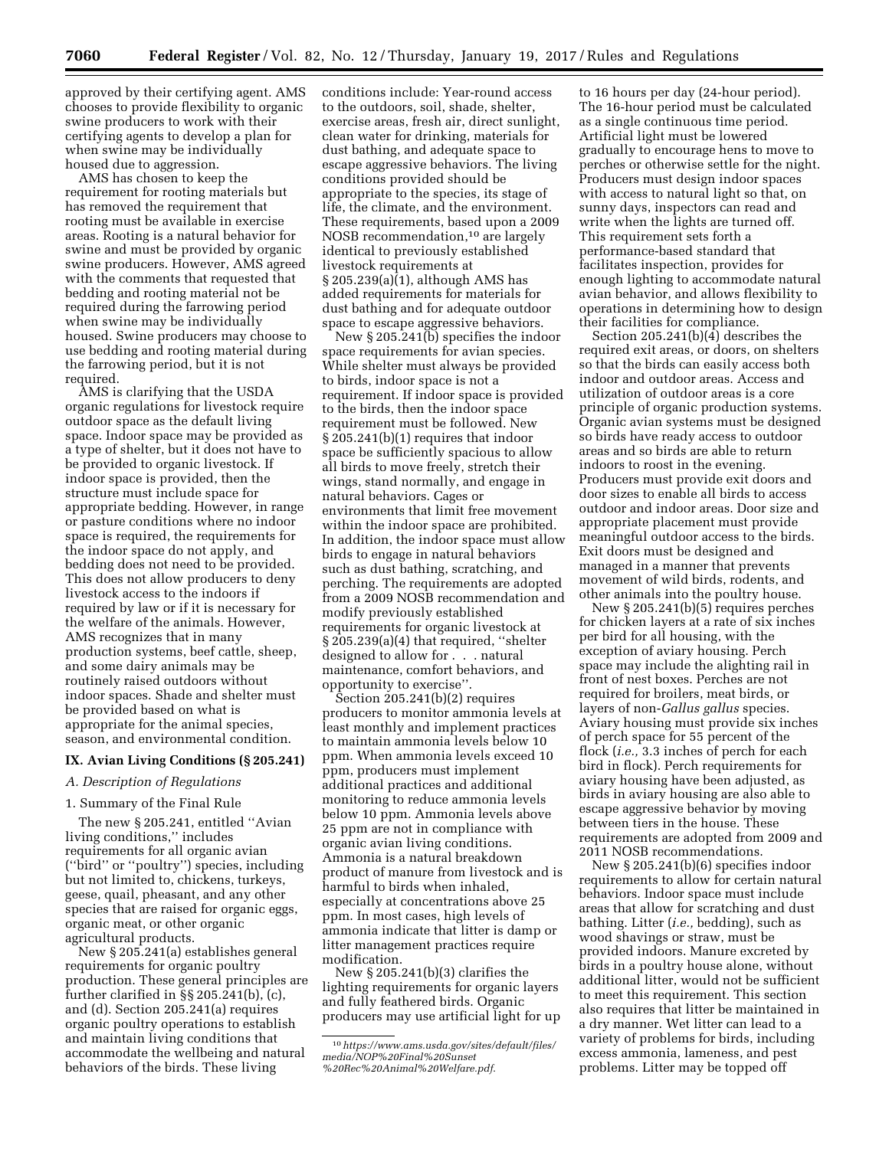approved by their certifying agent. AMS chooses to provide flexibility to organic swine producers to work with their certifying agents to develop a plan for when swine may be individually housed due to aggression.

AMS has chosen to keep the requirement for rooting materials but has removed the requirement that rooting must be available in exercise areas. Rooting is a natural behavior for swine and must be provided by organic swine producers. However, AMS agreed with the comments that requested that bedding and rooting material not be required during the farrowing period when swine may be individually housed. Swine producers may choose to use bedding and rooting material during the farrowing period, but it is not required.

AMS is clarifying that the USDA organic regulations for livestock require outdoor space as the default living space. Indoor space may be provided as a type of shelter, but it does not have to be provided to organic livestock. If indoor space is provided, then the structure must include space for appropriate bedding. However, in range or pasture conditions where no indoor space is required, the requirements for the indoor space do not apply, and bedding does not need to be provided. This does not allow producers to deny livestock access to the indoors if required by law or if it is necessary for the welfare of the animals. However, AMS recognizes that in many production systems, beef cattle, sheep, and some dairy animals may be routinely raised outdoors without indoor spaces. Shade and shelter must be provided based on what is appropriate for the animal species, season, and environmental condition.

#### **IX. Avian Living Conditions (§ 205.241)**

### *A. Description of Regulations*

### 1. Summary of the Final Rule

The new § 205.241, entitled ''Avian living conditions,'' includes requirements for all organic avian (''bird'' or ''poultry'') species, including but not limited to, chickens, turkeys, geese, quail, pheasant, and any other species that are raised for organic eggs, organic meat, or other organic agricultural products.

New § 205.241(a) establishes general requirements for organic poultry production. These general principles are further clarified in §§ 205.241(b), (c), and (d). Section 205.241(a) requires organic poultry operations to establish and maintain living conditions that accommodate the wellbeing and natural behaviors of the birds. These living

conditions include: Year-round access to the outdoors, soil, shade, shelter, exercise areas, fresh air, direct sunlight, clean water for drinking, materials for dust bathing, and adequate space to escape aggressive behaviors. The living conditions provided should be appropriate to the species, its stage of life, the climate, and the environment. These requirements, based upon a 2009 NOSB recommendation,10 are largely identical to previously established livestock requirements at § 205.239(a)(1), although AMS has added requirements for materials for dust bathing and for adequate outdoor space to escape aggressive behaviors.

New § 205.241(b) specifies the indoor space requirements for avian species. While shelter must always be provided to birds, indoor space is not a requirement. If indoor space is provided to the birds, then the indoor space requirement must be followed. New § 205.241(b)(1) requires that indoor space be sufficiently spacious to allow all birds to move freely, stretch their wings, stand normally, and engage in natural behaviors. Cages or environments that limit free movement within the indoor space are prohibited. In addition, the indoor space must allow birds to engage in natural behaviors such as dust bathing, scratching, and perching. The requirements are adopted from a 2009 NOSB recommendation and modify previously established requirements for organic livestock at § 205.239(a)(4) that required, ''shelter designed to allow for . . . natural maintenance, comfort behaviors, and opportunity to exercise''.

Section 205.241(b)(2) requires producers to monitor ammonia levels at least monthly and implement practices to maintain ammonia levels below 10 ppm. When ammonia levels exceed 10 ppm, producers must implement additional practices and additional monitoring to reduce ammonia levels below 10 ppm. Ammonia levels above 25 ppm are not in compliance with organic avian living conditions. Ammonia is a natural breakdown product of manure from livestock and is harmful to birds when inhaled, especially at concentrations above 25 ppm. In most cases, high levels of ammonia indicate that litter is damp or litter management practices require modification.

New § 205.241(b)(3) clarifies the lighting requirements for organic layers and fully feathered birds. Organic producers may use artificial light for up

to 16 hours per day (24-hour period). The 16-hour period must be calculated as a single continuous time period. Artificial light must be lowered gradually to encourage hens to move to perches or otherwise settle for the night. Producers must design indoor spaces with access to natural light so that, on sunny days, inspectors can read and write when the lights are turned off. This requirement sets forth a performance-based standard that facilitates inspection, provides for enough lighting to accommodate natural avian behavior, and allows flexibility to operations in determining how to design their facilities for compliance.

Section 205.241(b)(4) describes the required exit areas, or doors, on shelters so that the birds can easily access both indoor and outdoor areas. Access and utilization of outdoor areas is a core principle of organic production systems. Organic avian systems must be designed so birds have ready access to outdoor areas and so birds are able to return indoors to roost in the evening. Producers must provide exit doors and door sizes to enable all birds to access outdoor and indoor areas. Door size and appropriate placement must provide meaningful outdoor access to the birds. Exit doors must be designed and managed in a manner that prevents movement of wild birds, rodents, and other animals into the poultry house.

New § 205.241(b)(5) requires perches for chicken layers at a rate of six inches per bird for all housing, with the exception of aviary housing. Perch space may include the alighting rail in front of nest boxes. Perches are not required for broilers, meat birds, or layers of non-*Gallus gallus* species. Aviary housing must provide six inches of perch space for 55 percent of the flock (*i.e.,* 3.3 inches of perch for each bird in flock). Perch requirements for aviary housing have been adjusted, as birds in aviary housing are also able to escape aggressive behavior by moving between tiers in the house. These requirements are adopted from 2009 and 2011 NOSB recommendations.

New § 205.241(b)(6) specifies indoor requirements to allow for certain natural behaviors. Indoor space must include areas that allow for scratching and dust bathing. Litter (*i.e.,* bedding), such as wood shavings or straw, must be provided indoors. Manure excreted by birds in a poultry house alone, without additional litter, would not be sufficient to meet this requirement. This section also requires that litter be maintained in a dry manner. Wet litter can lead to a variety of problems for birds, including excess ammonia, lameness, and pest problems. Litter may be topped off

<sup>10</sup>*[https://www.ams.usda.gov/sites/default/files/](https://www.ams.usda.gov/sites/default/files/media/NOP%20Final%20Sunset%20Rec%20Animal%20Welfare.pdf)  [media/NOP%20Final%20Sunset](https://www.ams.usda.gov/sites/default/files/media/NOP%20Final%20Sunset%20Rec%20Animal%20Welfare.pdf) [%20Rec%20Animal%20Welfare.pdf](https://www.ams.usda.gov/sites/default/files/media/NOP%20Final%20Sunset%20Rec%20Animal%20Welfare.pdf)*.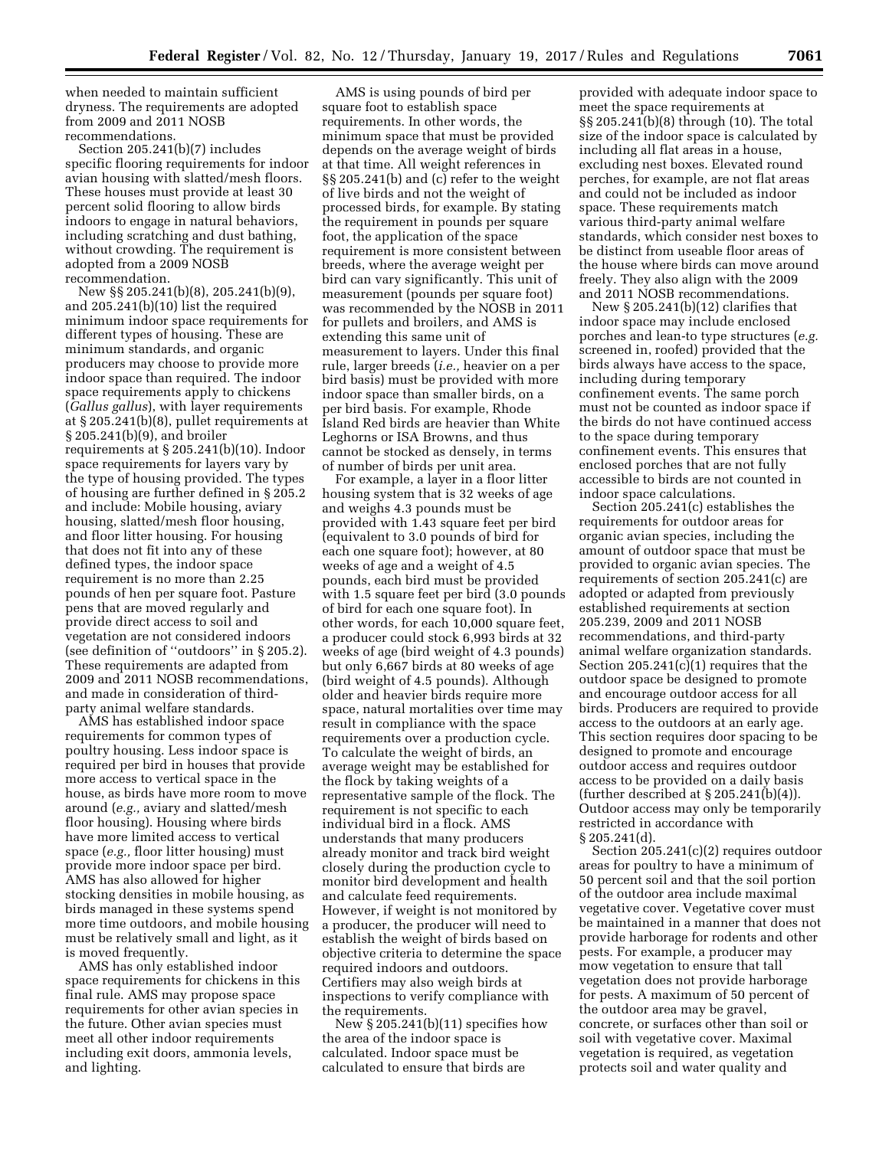when needed to maintain sufficient dryness. The requirements are adopted from 2009 and 2011 NOSB recommendations.

Section 205.241(b)(7) includes specific flooring requirements for indoor avian housing with slatted/mesh floors. These houses must provide at least 30 percent solid flooring to allow birds indoors to engage in natural behaviors, including scratching and dust bathing, without crowding. The requirement is adopted from a 2009 NOSB recommendation.

New §§ 205.241(b)(8), 205.241(b)(9), and 205.241(b)(10) list the required minimum indoor space requirements for different types of housing. These are minimum standards, and organic producers may choose to provide more indoor space than required. The indoor space requirements apply to chickens (*Gallus gallus*), with layer requirements at § 205.241(b)(8), pullet requirements at § 205.241(b)(9), and broiler requirements at § 205.241(b)(10). Indoor space requirements for layers vary by the type of housing provided. The types of housing are further defined in § 205.2 and include: Mobile housing, aviary housing, slatted/mesh floor housing, and floor litter housing. For housing that does not fit into any of these defined types, the indoor space requirement is no more than 2.25 pounds of hen per square foot. Pasture pens that are moved regularly and provide direct access to soil and vegetation are not considered indoors (see definition of ''outdoors'' in § 205.2). These requirements are adapted from 2009 and 2011 NOSB recommendations, and made in consideration of thirdparty animal welfare standards.

AMS has established indoor space requirements for common types of poultry housing. Less indoor space is required per bird in houses that provide more access to vertical space in the house, as birds have more room to move around (*e.g.,* aviary and slatted/mesh floor housing). Housing where birds have more limited access to vertical space (*e.g.,* floor litter housing) must provide more indoor space per bird. AMS has also allowed for higher stocking densities in mobile housing, as birds managed in these systems spend more time outdoors, and mobile housing must be relatively small and light, as it is moved frequently.

AMS has only established indoor space requirements for chickens in this final rule. AMS may propose space requirements for other avian species in the future. Other avian species must meet all other indoor requirements including exit doors, ammonia levels, and lighting.

AMS is using pounds of bird per square foot to establish space requirements. In other words, the minimum space that must be provided depends on the average weight of birds at that time. All weight references in §§ 205.241(b) and (c) refer to the weight of live birds and not the weight of processed birds, for example. By stating the requirement in pounds per square foot, the application of the space requirement is more consistent between breeds, where the average weight per bird can vary significantly. This unit of measurement (pounds per square foot) was recommended by the NOSB in 2011 for pullets and broilers, and AMS is extending this same unit of measurement to layers. Under this final rule, larger breeds (*i.e.,* heavier on a per bird basis) must be provided with more indoor space than smaller birds, on a per bird basis. For example, Rhode Island Red birds are heavier than White Leghorns or ISA Browns, and thus cannot be stocked as densely, in terms of number of birds per unit area.

For example, a layer in a floor litter housing system that is 32 weeks of age and weighs 4.3 pounds must be provided with 1.43 square feet per bird (equivalent to 3.0 pounds of bird for each one square foot); however, at 80 weeks of age and a weight of 4.5 pounds, each bird must be provided with 1.5 square feet per bird (3.0 pounds of bird for each one square foot). In other words, for each 10,000 square feet, a producer could stock 6,993 birds at 32 weeks of age (bird weight of 4.3 pounds) but only 6,667 birds at 80 weeks of age (bird weight of 4.5 pounds). Although older and heavier birds require more space, natural mortalities over time may result in compliance with the space requirements over a production cycle. To calculate the weight of birds, an average weight may be established for the flock by taking weights of a representative sample of the flock. The requirement is not specific to each individual bird in a flock. AMS understands that many producers already monitor and track bird weight closely during the production cycle to monitor bird development and health and calculate feed requirements. However, if weight is not monitored by a producer, the producer will need to establish the weight of birds based on objective criteria to determine the space required indoors and outdoors. Certifiers may also weigh birds at inspections to verify compliance with the requirements.

New  $\S 205.241(b)(11)$  specifies how the area of the indoor space is calculated. Indoor space must be calculated to ensure that birds are

provided with adequate indoor space to meet the space requirements at §§ 205.241(b)(8) through (10). The total size of the indoor space is calculated by including all flat areas in a house, excluding nest boxes. Elevated round perches, for example, are not flat areas and could not be included as indoor space. These requirements match various third-party animal welfare standards, which consider nest boxes to be distinct from useable floor areas of the house where birds can move around freely. They also align with the 2009 and 2011 NOSB recommendations.

New § 205.241(b)(12) clarifies that indoor space may include enclosed porches and lean-to type structures (*e.g.*  screened in, roofed) provided that the birds always have access to the space, including during temporary confinement events. The same porch must not be counted as indoor space if the birds do not have continued access to the space during temporary confinement events. This ensures that enclosed porches that are not fully accessible to birds are not counted in indoor space calculations.

Section 205.241(c) establishes the requirements for outdoor areas for organic avian species, including the amount of outdoor space that must be provided to organic avian species. The requirements of section 205.241(c) are adopted or adapted from previously established requirements at section 205.239, 2009 and 2011 NOSB recommendations, and third-party animal welfare organization standards. Section 205.241(c)(1) requires that the outdoor space be designed to promote and encourage outdoor access for all birds. Producers are required to provide access to the outdoors at an early age. This section requires door spacing to be designed to promote and encourage outdoor access and requires outdoor access to be provided on a daily basis (further described at § 205.241(b)(4)). Outdoor access may only be temporarily restricted in accordance with § 205.241(d).

Section 205.241(c)(2) requires outdoor areas for poultry to have a minimum of 50 percent soil and that the soil portion of the outdoor area include maximal vegetative cover. Vegetative cover must be maintained in a manner that does not provide harborage for rodents and other pests. For example, a producer may mow vegetation to ensure that tall vegetation does not provide harborage for pests. A maximum of 50 percent of the outdoor area may be gravel, concrete, or surfaces other than soil or soil with vegetative cover. Maximal vegetation is required, as vegetation protects soil and water quality and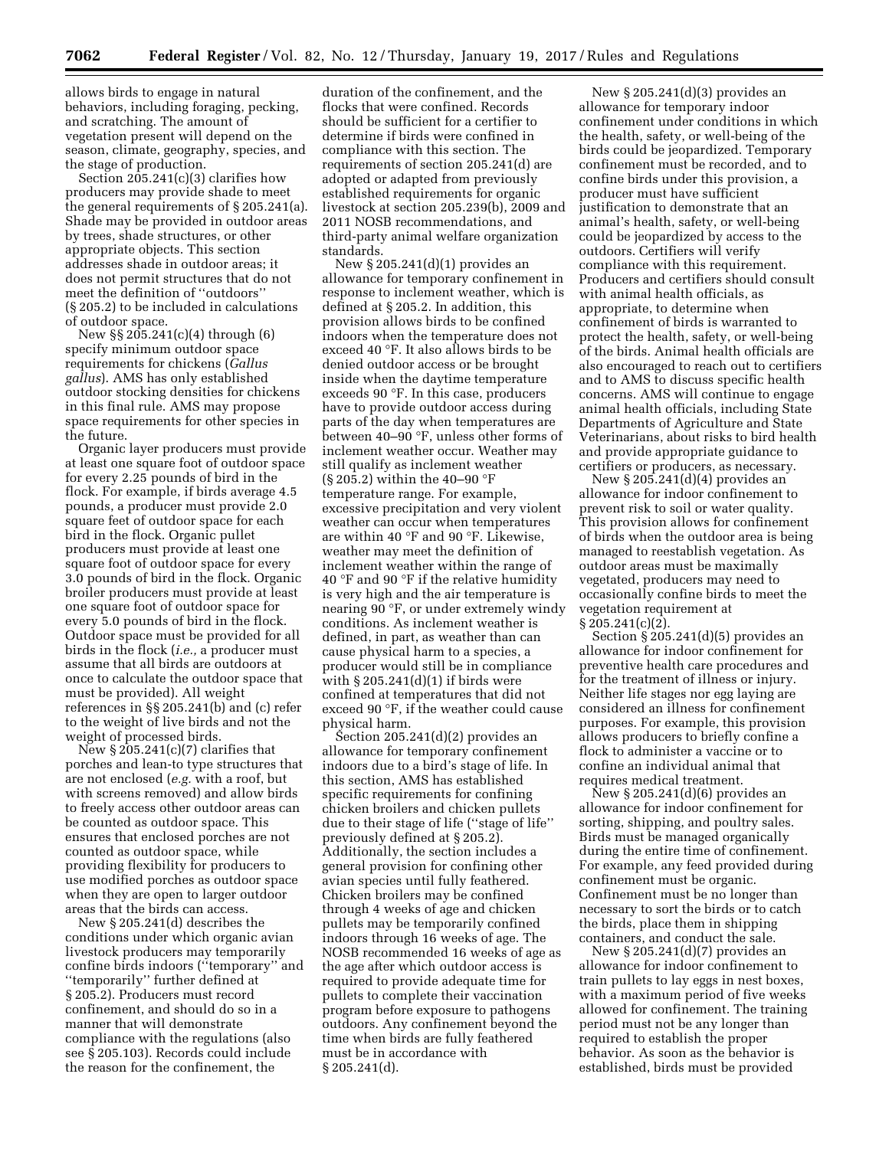allows birds to engage in natural behaviors, including foraging, pecking, and scratching. The amount of vegetation present will depend on the season, climate, geography, species, and the stage of production.

Section 205.241(c)(3) clarifies how producers may provide shade to meet the general requirements of § 205.241(a). Shade may be provided in outdoor areas by trees, shade structures, or other appropriate objects. This section addresses shade in outdoor areas; it does not permit structures that do not meet the definition of ''outdoors'' (§ 205.2) to be included in calculations of outdoor space.

New §§ 205.241(c)(4) through (6) specify minimum outdoor space requirements for chickens (*Gallus gallus*). AMS has only established outdoor stocking densities for chickens in this final rule. AMS may propose space requirements for other species in the future.

Organic layer producers must provide at least one square foot of outdoor space for every 2.25 pounds of bird in the flock. For example, if birds average 4.5 pounds, a producer must provide 2.0 square feet of outdoor space for each bird in the flock. Organic pullet producers must provide at least one square foot of outdoor space for every 3.0 pounds of bird in the flock. Organic broiler producers must provide at least one square foot of outdoor space for every 5.0 pounds of bird in the flock. Outdoor space must be provided for all birds in the flock (*i.e.,* a producer must assume that all birds are outdoors at once to calculate the outdoor space that must be provided). All weight references in §§ 205.241(b) and (c) refer to the weight of live birds and not the weight of processed birds.

New  $\S 205.241(c)(7)$  clarifies that porches and lean-to type structures that are not enclosed (*e.g.* with a roof, but with screens removed) and allow birds to freely access other outdoor areas can be counted as outdoor space. This ensures that enclosed porches are not counted as outdoor space, while providing flexibility for producers to use modified porches as outdoor space when they are open to larger outdoor areas that the birds can access.

New § 205.241(d) describes the conditions under which organic avian livestock producers may temporarily confine birds indoors (''temporary'' and ''temporarily'' further defined at § 205.2). Producers must record confinement, and should do so in a manner that will demonstrate compliance with the regulations (also see § 205.103). Records could include the reason for the confinement, the

duration of the confinement, and the flocks that were confined. Records should be sufficient for a certifier to determine if birds were confined in compliance with this section. The requirements of section 205.241(d) are adopted or adapted from previously established requirements for organic livestock at section 205.239(b), 2009 and 2011 NOSB recommendations, and third-party animal welfare organization standards.

New § 205.241(d)(1) provides an allowance for temporary confinement in response to inclement weather, which is defined at § 205.2. In addition, this provision allows birds to be confined indoors when the temperature does not exceed 40 °F. It also allows birds to be denied outdoor access or be brought inside when the daytime temperature exceeds 90 °F. In this case, producers have to provide outdoor access during parts of the day when temperatures are between 40–90 °F, unless other forms of inclement weather occur. Weather may still qualify as inclement weather (§ 205.2) within the 40–90 °F temperature range. For example, excessive precipitation and very violent weather can occur when temperatures are within 40 °F and 90 °F. Likewise, weather may meet the definition of inclement weather within the range of 40 °F and 90 °F if the relative humidity is very high and the air temperature is nearing 90 °F, or under extremely windy conditions. As inclement weather is defined, in part, as weather than can cause physical harm to a species, a producer would still be in compliance with  $\S 205.241(d)(1)$  if birds were confined at temperatures that did not exceed 90 °F, if the weather could cause physical harm.

Section 205.241(d)(2) provides an allowance for temporary confinement indoors due to a bird's stage of life. In this section, AMS has established specific requirements for confining chicken broilers and chicken pullets due to their stage of life (''stage of life'' previously defined at § 205.2). Additionally, the section includes a general provision for confining other avian species until fully feathered. Chicken broilers may be confined through 4 weeks of age and chicken pullets may be temporarily confined indoors through 16 weeks of age. The NOSB recommended 16 weeks of age as the age after which outdoor access is required to provide adequate time for pullets to complete their vaccination program before exposure to pathogens outdoors. Any confinement beyond the time when birds are fully feathered must be in accordance with § 205.241(d).

New § 205.241(d)(3) provides an allowance for temporary indoor confinement under conditions in which the health, safety, or well-being of the birds could be jeopardized. Temporary confinement must be recorded, and to confine birds under this provision, a producer must have sufficient justification to demonstrate that an animal's health, safety, or well-being could be jeopardized by access to the outdoors. Certifiers will verify compliance with this requirement. Producers and certifiers should consult with animal health officials, as appropriate, to determine when confinement of birds is warranted to protect the health, safety, or well-being of the birds. Animal health officials are also encouraged to reach out to certifiers and to AMS to discuss specific health concerns. AMS will continue to engage animal health officials, including State Departments of Agriculture and State Veterinarians, about risks to bird health and provide appropriate guidance to certifiers or producers, as necessary.

New § 205.241(d)(4) provides an allowance for indoor confinement to prevent risk to soil or water quality. This provision allows for confinement of birds when the outdoor area is being managed to reestablish vegetation. As outdoor areas must be maximally vegetated, producers may need to occasionally confine birds to meet the vegetation requirement at  $§ 205.241(c)(2).$ 

Section  $\S 205.241(d)(5)$  provides an allowance for indoor confinement for preventive health care procedures and for the treatment of illness or injury. Neither life stages nor egg laying are considered an illness for confinement purposes. For example, this provision allows producers to briefly confine a flock to administer a vaccine or to confine an individual animal that requires medical treatment.

New § 205.241(d)(6) provides an allowance for indoor confinement for sorting, shipping, and poultry sales. Birds must be managed organically during the entire time of confinement. For example, any feed provided during confinement must be organic. Confinement must be no longer than necessary to sort the birds or to catch the birds, place them in shipping containers, and conduct the sale.

New § 205.241(d)(7) provides an allowance for indoor confinement to train pullets to lay eggs in nest boxes, with a maximum period of five weeks allowed for confinement. The training period must not be any longer than required to establish the proper behavior. As soon as the behavior is established, birds must be provided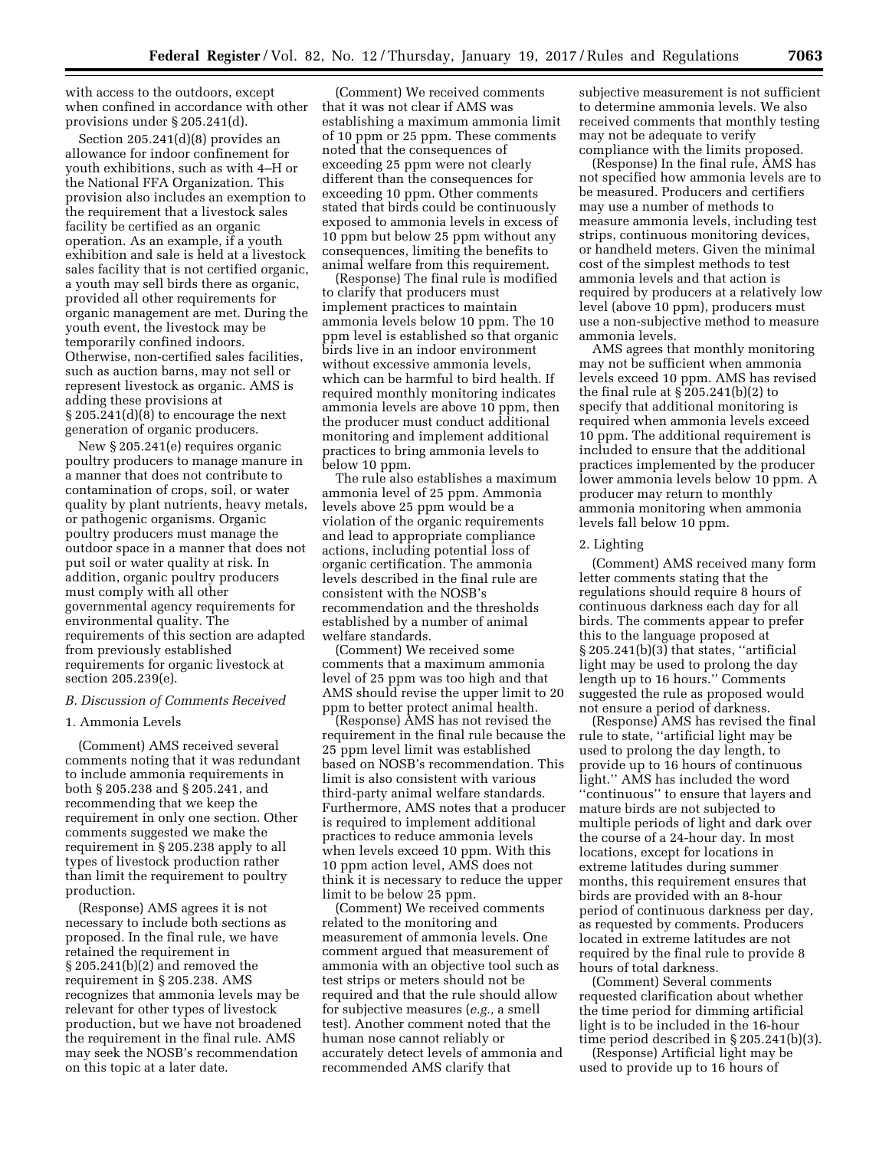with access to the outdoors, except when confined in accordance with other provisions under § 205.241(d).

Section 205.241(d)(8) provides an allowance for indoor confinement for youth exhibitions, such as with 4–H or the National FFA Organization. This provision also includes an exemption to the requirement that a livestock sales facility be certified as an organic operation. As an example, if a youth exhibition and sale is held at a livestock sales facility that is not certified organic, a youth may sell birds there as organic, provided all other requirements for organic management are met. During the youth event, the livestock may be temporarily confined indoors. Otherwise, non-certified sales facilities, such as auction barns, may not sell or represent livestock as organic. AMS is adding these provisions at § 205.241(d)(8) to encourage the next generation of organic producers.

New § 205.241(e) requires organic poultry producers to manage manure in a manner that does not contribute to contamination of crops, soil, or water quality by plant nutrients, heavy metals, or pathogenic organisms. Organic poultry producers must manage the outdoor space in a manner that does not put soil or water quality at risk. In addition, organic poultry producers must comply with all other governmental agency requirements for environmental quality. The requirements of this section are adapted from previously established requirements for organic livestock at section 205.239(e).

#### *B. Discussion of Comments Received*

### 1. Ammonia Levels

(Comment) AMS received several comments noting that it was redundant to include ammonia requirements in both § 205.238 and § 205.241, and recommending that we keep the requirement in only one section. Other comments suggested we make the requirement in § 205.238 apply to all types of livestock production rather than limit the requirement to poultry production.

(Response) AMS agrees it is not necessary to include both sections as proposed. In the final rule, we have retained the requirement in § 205.241(b)(2) and removed the requirement in § 205.238. AMS recognizes that ammonia levels may be relevant for other types of livestock production, but we have not broadened the requirement in the final rule. AMS may seek the NOSB's recommendation on this topic at a later date.

(Comment) We received comments that it was not clear if AMS was establishing a maximum ammonia limit of 10 ppm or 25 ppm. These comments noted that the consequences of exceeding 25 ppm were not clearly different than the consequences for exceeding 10 ppm. Other comments stated that birds could be continuously exposed to ammonia levels in excess of 10 ppm but below 25 ppm without any consequences, limiting the benefits to animal welfare from this requirement.

(Response) The final rule is modified to clarify that producers must implement practices to maintain ammonia levels below 10 ppm. The 10 ppm level is established so that organic birds live in an indoor environment without excessive ammonia levels, which can be harmful to bird health. If required monthly monitoring indicates ammonia levels are above 10 ppm, then the producer must conduct additional monitoring and implement additional practices to bring ammonia levels to below 10 ppm.

The rule also establishes a maximum ammonia level of 25 ppm. Ammonia levels above 25 ppm would be a violation of the organic requirements and lead to appropriate compliance actions, including potential loss of organic certification. The ammonia levels described in the final rule are consistent with the NOSB's recommendation and the thresholds established by a number of animal welfare standards.

(Comment) We received some comments that a maximum ammonia level of 25 ppm was too high and that AMS should revise the upper limit to 20 ppm to better protect animal health.

(Response) AMS has not revised the requirement in the final rule because the 25 ppm level limit was established based on NOSB's recommendation. This limit is also consistent with various third-party animal welfare standards. Furthermore, AMS notes that a producer is required to implement additional practices to reduce ammonia levels when levels exceed 10 ppm. With this 10 ppm action level, AMS does not think it is necessary to reduce the upper limit to be below 25 ppm.

(Comment) We received comments related to the monitoring and measurement of ammonia levels. One comment argued that measurement of ammonia with an objective tool such as test strips or meters should not be required and that the rule should allow for subjective measures (*e.g.,* a smell test). Another comment noted that the human nose cannot reliably or accurately detect levels of ammonia and recommended AMS clarify that

subjective measurement is not sufficient to determine ammonia levels. We also received comments that monthly testing may not be adequate to verify compliance with the limits proposed.

(Response) In the final rule, AMS has not specified how ammonia levels are to be measured. Producers and certifiers may use a number of methods to measure ammonia levels, including test strips, continuous monitoring devices, or handheld meters. Given the minimal cost of the simplest methods to test ammonia levels and that action is required by producers at a relatively low level (above 10 ppm), producers must use a non-subjective method to measure ammonia levels.

AMS agrees that monthly monitoring may not be sufficient when ammonia levels exceed 10 ppm. AMS has revised the final rule at § 205.241(b)(2) to specify that additional monitoring is required when ammonia levels exceed 10 ppm. The additional requirement is included to ensure that the additional practices implemented by the producer lower ammonia levels below 10 ppm. A producer may return to monthly ammonia monitoring when ammonia levels fall below 10 ppm.

# 2. Lighting

(Comment) AMS received many form letter comments stating that the regulations should require 8 hours of continuous darkness each day for all birds. The comments appear to prefer this to the language proposed at  $\S 205.241(b)(3)$  that states, "artificial light may be used to prolong the day length up to 16 hours.'' Comments suggested the rule as proposed would not ensure a period of darkness.

(Response) AMS has revised the final rule to state, ''artificial light may be used to prolong the day length, to provide up to 16 hours of continuous light.'' AMS has included the word ''continuous'' to ensure that layers and mature birds are not subjected to multiple periods of light and dark over the course of a 24-hour day. In most locations, except for locations in extreme latitudes during summer months, this requirement ensures that birds are provided with an 8-hour period of continuous darkness per day, as requested by comments. Producers located in extreme latitudes are not required by the final rule to provide 8 hours of total darkness.

(Comment) Several comments requested clarification about whether the time period for dimming artificial light is to be included in the 16-hour time period described in § 205.241(b)(3).

(Response) Artificial light may be used to provide up to 16 hours of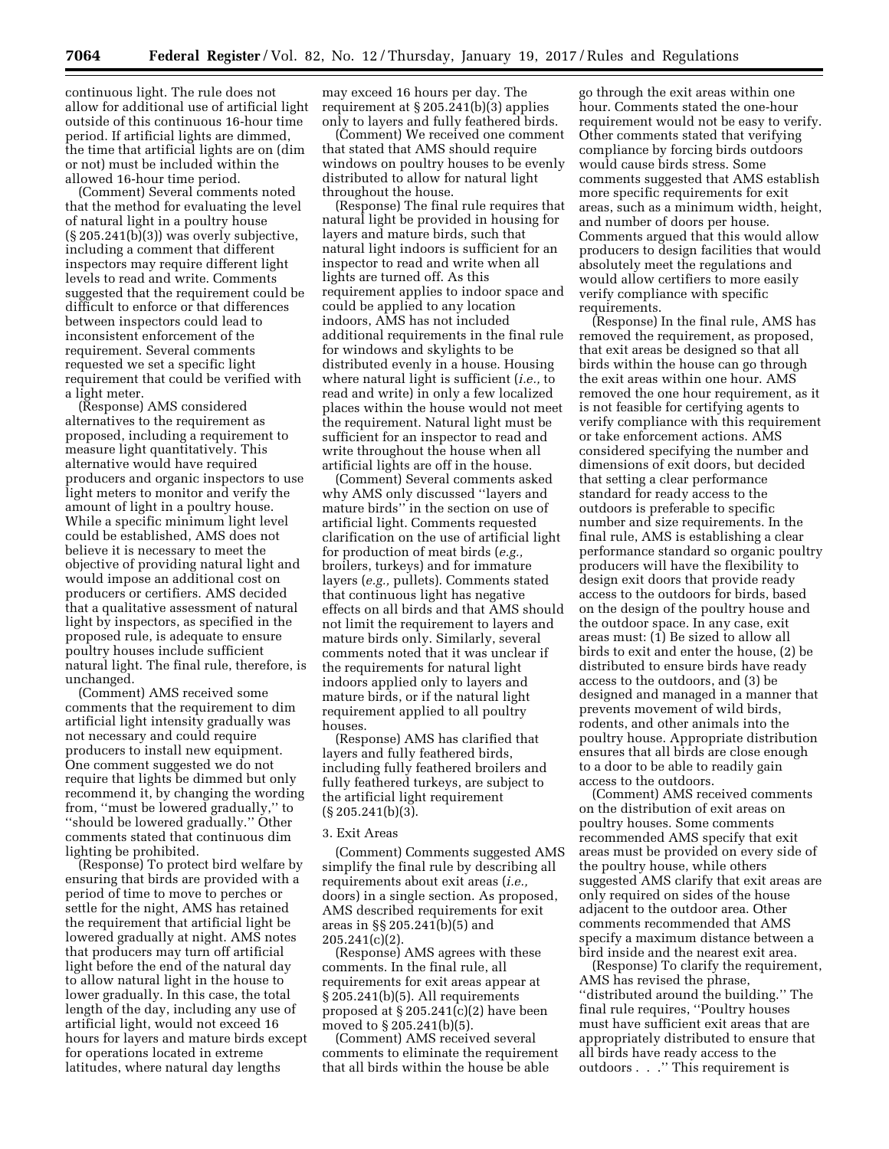continuous light. The rule does not allow for additional use of artificial light outside of this continuous 16-hour time period. If artificial lights are dimmed, the time that artificial lights are on (dim or not) must be included within the allowed 16-hour time period.

(Comment) Several comments noted that the method for evaluating the level of natural light in a poultry house  $(S 205.241(b)(3))$  was overly subjective, including a comment that different inspectors may require different light levels to read and write. Comments suggested that the requirement could be difficult to enforce or that differences between inspectors could lead to inconsistent enforcement of the requirement. Several comments requested we set a specific light requirement that could be verified with a light meter.

(Response) AMS considered alternatives to the requirement as proposed, including a requirement to measure light quantitatively. This alternative would have required producers and organic inspectors to use light meters to monitor and verify the amount of light in a poultry house. While a specific minimum light level could be established, AMS does not believe it is necessary to meet the objective of providing natural light and would impose an additional cost on producers or certifiers. AMS decided that a qualitative assessment of natural light by inspectors, as specified in the proposed rule, is adequate to ensure poultry houses include sufficient natural light. The final rule, therefore, is unchanged.

(Comment) AMS received some comments that the requirement to dim artificial light intensity gradually was not necessary and could require producers to install new equipment. One comment suggested we do not require that lights be dimmed but only recommend it, by changing the wording from, ''must be lowered gradually,'' to ''should be lowered gradually.'' Other comments stated that continuous dim lighting be prohibited.

(Response) To protect bird welfare by ensuring that birds are provided with a period of time to move to perches or settle for the night, AMS has retained the requirement that artificial light be lowered gradually at night. AMS notes that producers may turn off artificial light before the end of the natural day to allow natural light in the house to lower gradually. In this case, the total length of the day, including any use of artificial light, would not exceed 16 hours for layers and mature birds except for operations located in extreme latitudes, where natural day lengths

may exceed 16 hours per day. The requirement at § 205.241(b)(3) applies only to layers and fully feathered birds.

(Comment) We received one comment that stated that AMS should require windows on poultry houses to be evenly distributed to allow for natural light throughout the house.

(Response) The final rule requires that natural light be provided in housing for layers and mature birds, such that natural light indoors is sufficient for an inspector to read and write when all lights are turned off. As this requirement applies to indoor space and could be applied to any location indoors, AMS has not included additional requirements in the final rule for windows and skylights to be distributed evenly in a house. Housing where natural light is sufficient (*i.e.,* to read and write) in only a few localized places within the house would not meet the requirement. Natural light must be sufficient for an inspector to read and write throughout the house when all artificial lights are off in the house.

(Comment) Several comments asked why AMS only discussed ''layers and mature birds'' in the section on use of artificial light. Comments requested clarification on the use of artificial light for production of meat birds (*e.g.,*  broilers, turkeys) and for immature layers (*e.g.,* pullets). Comments stated that continuous light has negative effects on all birds and that AMS should not limit the requirement to layers and mature birds only. Similarly, several comments noted that it was unclear if the requirements for natural light indoors applied only to layers and mature birds, or if the natural light requirement applied to all poultry houses.

(Response) AMS has clarified that layers and fully feathered birds, including fully feathered broilers and fully feathered turkeys, are subject to the artificial light requirement  $(S 205.241(b)(3)$ .

#### 3. Exit Areas

(Comment) Comments suggested AMS simplify the final rule by describing all requirements about exit areas (*i.e.,*  doors) in a single section. As proposed, AMS described requirements for exit areas in §§ 205.241(b)(5) and 205.241(c)(2).

(Response) AMS agrees with these comments. In the final rule, all requirements for exit areas appear at § 205.241(b)(5). All requirements proposed at § 205.241(c)(2) have been moved to § 205.241(b)(5).

(Comment) AMS received several comments to eliminate the requirement that all birds within the house be able

go through the exit areas within one hour. Comments stated the one-hour requirement would not be easy to verify. Other comments stated that verifying compliance by forcing birds outdoors would cause birds stress. Some comments suggested that AMS establish more specific requirements for exit areas, such as a minimum width, height, and number of doors per house. Comments argued that this would allow producers to design facilities that would absolutely meet the regulations and would allow certifiers to more easily verify compliance with specific requirements.

(Response) In the final rule, AMS has removed the requirement, as proposed, that exit areas be designed so that all birds within the house can go through the exit areas within one hour. AMS removed the one hour requirement, as it is not feasible for certifying agents to verify compliance with this requirement or take enforcement actions. AMS considered specifying the number and dimensions of exit doors, but decided that setting a clear performance standard for ready access to the outdoors is preferable to specific number and size requirements. In the final rule, AMS is establishing a clear performance standard so organic poultry producers will have the flexibility to design exit doors that provide ready access to the outdoors for birds, based on the design of the poultry house and the outdoor space. In any case, exit areas must: (1) Be sized to allow all birds to exit and enter the house, (2) be distributed to ensure birds have ready access to the outdoors, and (3) be designed and managed in a manner that prevents movement of wild birds, rodents, and other animals into the poultry house. Appropriate distribution ensures that all birds are close enough to a door to be able to readily gain access to the outdoors.

(Comment) AMS received comments on the distribution of exit areas on poultry houses. Some comments recommended AMS specify that exit areas must be provided on every side of the poultry house, while others suggested AMS clarify that exit areas are only required on sides of the house adjacent to the outdoor area. Other comments recommended that AMS specify a maximum distance between a bird inside and the nearest exit area.

(Response) To clarify the requirement, AMS has revised the phrase, ''distributed around the building.'' The final rule requires, ''Poultry houses must have sufficient exit areas that are appropriately distributed to ensure that all birds have ready access to the outdoors . . .'' This requirement is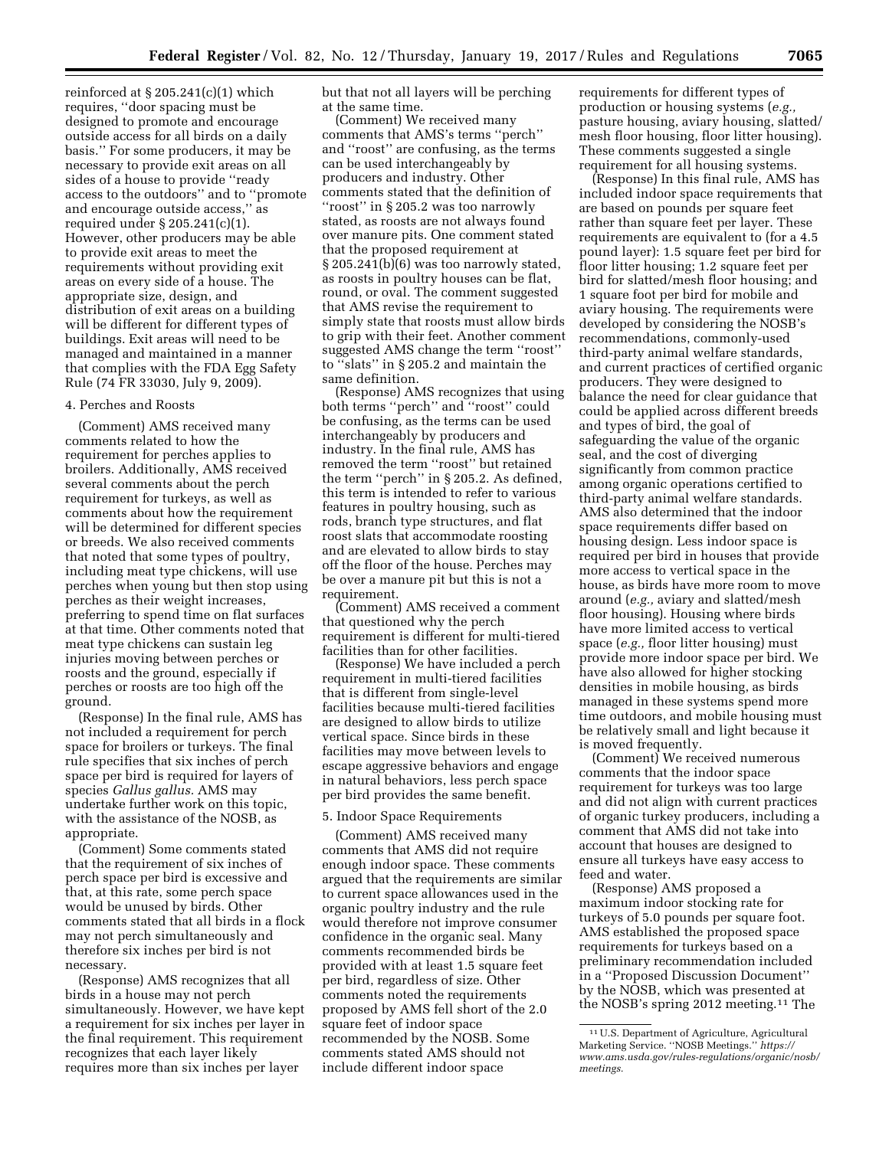reinforced at  $\S 205.241(c)(1)$  which requires, ''door spacing must be designed to promote and encourage outside access for all birds on a daily basis.'' For some producers, it may be necessary to provide exit areas on all sides of a house to provide ''ready access to the outdoors'' and to ''promote and encourage outside access,'' as required under § 205.241(c)(1). However, other producers may be able to provide exit areas to meet the requirements without providing exit areas on every side of a house. The appropriate size, design, and distribution of exit areas on a building will be different for different types of buildings. Exit areas will need to be managed and maintained in a manner that complies with the FDA Egg Safety Rule (74 FR 33030, July 9, 2009).

# 4. Perches and Roosts

(Comment) AMS received many comments related to how the requirement for perches applies to broilers. Additionally, AMS received several comments about the perch requirement for turkeys, as well as comments about how the requirement will be determined for different species or breeds. We also received comments that noted that some types of poultry, including meat type chickens, will use perches when young but then stop using perches as their weight increases, preferring to spend time on flat surfaces at that time. Other comments noted that meat type chickens can sustain leg injuries moving between perches or roosts and the ground, especially if perches or roosts are too high off the ground.

(Response) In the final rule, AMS has not included a requirement for perch space for broilers or turkeys. The final rule specifies that six inches of perch space per bird is required for layers of species *Gallus gallus.* AMS may undertake further work on this topic, with the assistance of the NOSB, as appropriate.

(Comment) Some comments stated that the requirement of six inches of perch space per bird is excessive and that, at this rate, some perch space would be unused by birds. Other comments stated that all birds in a flock may not perch simultaneously and therefore six inches per bird is not necessary.

(Response) AMS recognizes that all birds in a house may not perch simultaneously. However, we have kept a requirement for six inches per layer in the final requirement. This requirement recognizes that each layer likely requires more than six inches per layer

but that not all layers will be perching at the same time.

(Comment) We received many comments that AMS's terms ''perch'' and ''roost'' are confusing, as the terms can be used interchangeably by producers and industry. Other comments stated that the definition of ''roost'' in § 205.2 was too narrowly stated, as roosts are not always found over manure pits. One comment stated that the proposed requirement at § 205.241(b)(6) was too narrowly stated, as roosts in poultry houses can be flat, round, or oval. The comment suggested that AMS revise the requirement to simply state that roosts must allow birds to grip with their feet. Another comment suggested AMS change the term ''roost'' to ''slats'' in § 205.2 and maintain the same definition.

(Response) AMS recognizes that using both terms ''perch'' and ''roost'' could be confusing, as the terms can be used interchangeably by producers and industry. In the final rule, AMS has removed the term ''roost'' but retained the term ''perch'' in § 205.2. As defined, this term is intended to refer to various features in poultry housing, such as rods, branch type structures, and flat roost slats that accommodate roosting and are elevated to allow birds to stay off the floor of the house. Perches may be over a manure pit but this is not a requirement.

(Comment) AMS received a comment that questioned why the perch requirement is different for multi-tiered facilities than for other facilities.

(Response) We have included a perch requirement in multi-tiered facilities that is different from single-level facilities because multi-tiered facilities are designed to allow birds to utilize vertical space. Since birds in these facilities may move between levels to escape aggressive behaviors and engage in natural behaviors, less perch space per bird provides the same benefit.

### 5. Indoor Space Requirements

(Comment) AMS received many comments that AMS did not require enough indoor space. These comments argued that the requirements are similar to current space allowances used in the organic poultry industry and the rule would therefore not improve consumer confidence in the organic seal. Many comments recommended birds be provided with at least 1.5 square feet per bird, regardless of size. Other comments noted the requirements proposed by AMS fell short of the 2.0 square feet of indoor space recommended by the NOSB. Some comments stated AMS should not include different indoor space

requirements for different types of production or housing systems (*e.g.,*  pasture housing, aviary housing, slatted/ mesh floor housing, floor litter housing). These comments suggested a single requirement for all housing systems.

(Response) In this final rule, AMS has included indoor space requirements that are based on pounds per square feet rather than square feet per layer. These requirements are equivalent to (for a 4.5 pound layer): 1.5 square feet per bird for floor litter housing; 1.2 square feet per bird for slatted/mesh floor housing; and 1 square foot per bird for mobile and aviary housing. The requirements were developed by considering the NOSB's recommendations, commonly-used third-party animal welfare standards, and current practices of certified organic producers. They were designed to balance the need for clear guidance that could be applied across different breeds and types of bird, the goal of safeguarding the value of the organic seal, and the cost of diverging significantly from common practice among organic operations certified to third-party animal welfare standards. AMS also determined that the indoor space requirements differ based on housing design. Less indoor space is required per bird in houses that provide more access to vertical space in the house, as birds have more room to move around (*e.g.,* aviary and slatted/mesh floor housing). Housing where birds have more limited access to vertical space (*e.g.,* floor litter housing) must provide more indoor space per bird. We have also allowed for higher stocking densities in mobile housing, as birds managed in these systems spend more time outdoors, and mobile housing must be relatively small and light because it is moved frequently.

(Comment) We received numerous comments that the indoor space requirement for turkeys was too large and did not align with current practices of organic turkey producers, including a comment that AMS did not take into account that houses are designed to ensure all turkeys have easy access to feed and water.

(Response) AMS proposed a maximum indoor stocking rate for turkeys of 5.0 pounds per square foot. AMS established the proposed space requirements for turkeys based on a preliminary recommendation included in a ''Proposed Discussion Document'' by the NOSB, which was presented at the NOSB's spring 2012 meeting.11 The

<sup>11</sup>U.S. Department of Agriculture, Agricultural Marketing Service. ''NOSB Meetings.'' *[https://](https://www.ams.usda.gov/rules-regulations/organic/nosb/meetings) [www.ams.usda.gov/rules-regulations/organic/nosb/](https://www.ams.usda.gov/rules-regulations/organic/nosb/meetings)  [meetings.](https://www.ams.usda.gov/rules-regulations/organic/nosb/meetings)*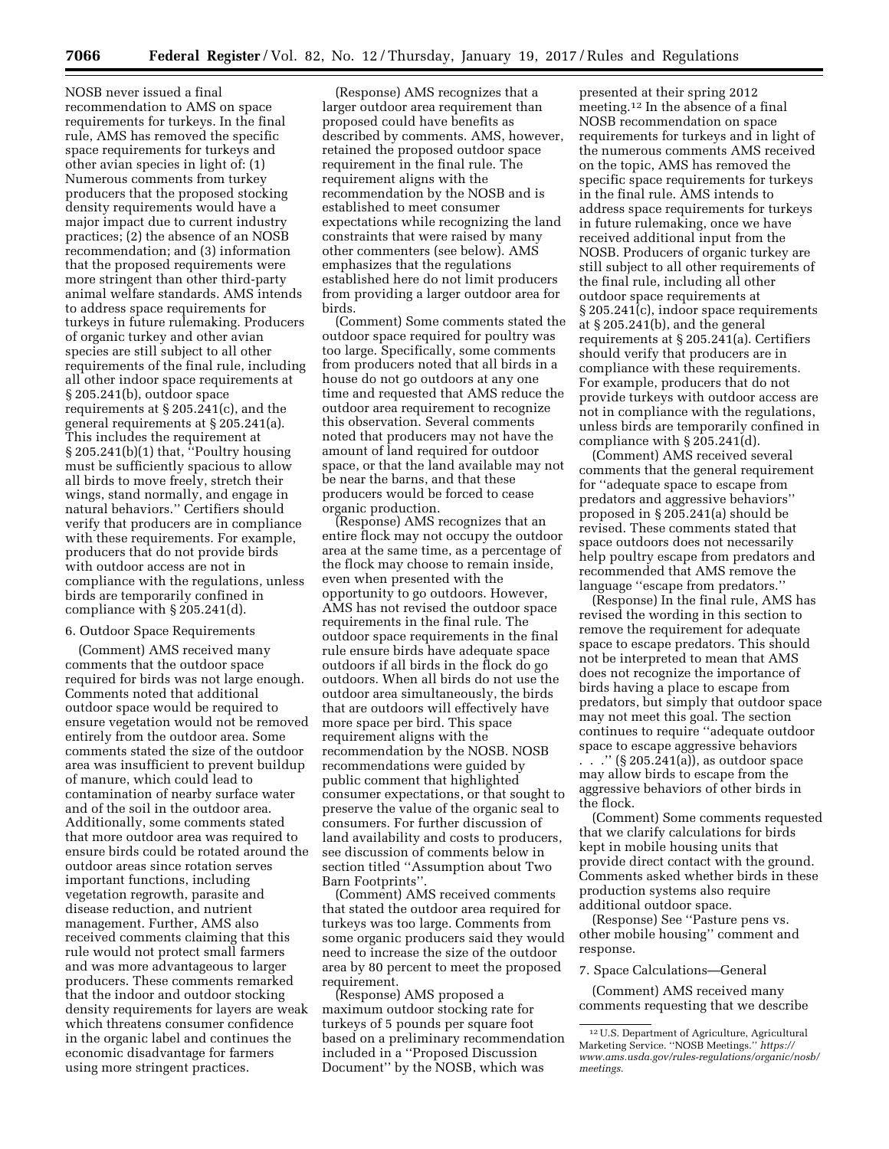NOSB never issued a final recommendation to AMS on space requirements for turkeys. In the final rule, AMS has removed the specific space requirements for turkeys and other avian species in light of: (1) Numerous comments from turkey producers that the proposed stocking density requirements would have a major impact due to current industry practices; (2) the absence of an NOSB recommendation; and (3) information that the proposed requirements were more stringent than other third-party animal welfare standards. AMS intends to address space requirements for turkeys in future rulemaking. Producers of organic turkey and other avian species are still subject to all other requirements of the final rule, including all other indoor space requirements at § 205.241(b), outdoor space requirements at § 205.241(c), and the general requirements at § 205.241(a). This includes the requirement at § 205.241(b)(1) that, ''Poultry housing must be sufficiently spacious to allow all birds to move freely, stretch their wings, stand normally, and engage in natural behaviors.'' Certifiers should verify that producers are in compliance with these requirements. For example, producers that do not provide birds with outdoor access are not in compliance with the regulations, unless birds are temporarily confined in compliance with § 205.241(d).

# 6. Outdoor Space Requirements

(Comment) AMS received many comments that the outdoor space required for birds was not large enough. Comments noted that additional outdoor space would be required to ensure vegetation would not be removed entirely from the outdoor area. Some comments stated the size of the outdoor area was insufficient to prevent buildup of manure, which could lead to contamination of nearby surface water and of the soil in the outdoor area. Additionally, some comments stated that more outdoor area was required to ensure birds could be rotated around the outdoor areas since rotation serves important functions, including vegetation regrowth, parasite and disease reduction, and nutrient management. Further, AMS also received comments claiming that this rule would not protect small farmers and was more advantageous to larger producers. These comments remarked that the indoor and outdoor stocking density requirements for layers are weak which threatens consumer confidence in the organic label and continues the economic disadvantage for farmers using more stringent practices.

(Response) AMS recognizes that a larger outdoor area requirement than proposed could have benefits as described by comments. AMS, however, retained the proposed outdoor space requirement in the final rule. The requirement aligns with the recommendation by the NOSB and is established to meet consumer expectations while recognizing the land constraints that were raised by many other commenters (see below). AMS emphasizes that the regulations established here do not limit producers from providing a larger outdoor area for birds.

(Comment) Some comments stated the outdoor space required for poultry was too large. Specifically, some comments from producers noted that all birds in a house do not go outdoors at any one time and requested that AMS reduce the outdoor area requirement to recognize this observation. Several comments noted that producers may not have the amount of land required for outdoor space, or that the land available may not be near the barns, and that these producers would be forced to cease organic production.

(Response) AMS recognizes that an entire flock may not occupy the outdoor area at the same time, as a percentage of the flock may choose to remain inside, even when presented with the opportunity to go outdoors. However, AMS has not revised the outdoor space requirements in the final rule. The outdoor space requirements in the final rule ensure birds have adequate space outdoors if all birds in the flock do go outdoors. When all birds do not use the outdoor area simultaneously, the birds that are outdoors will effectively have more space per bird. This space requirement aligns with the recommendation by the NOSB. NOSB recommendations were guided by public comment that highlighted consumer expectations, or that sought to preserve the value of the organic seal to consumers. For further discussion of land availability and costs to producers, see discussion of comments below in section titled ''Assumption about Two Barn Footprints''.

(Comment) AMS received comments that stated the outdoor area required for turkeys was too large. Comments from some organic producers said they would need to increase the size of the outdoor area by 80 percent to meet the proposed requirement.

(Response) AMS proposed a maximum outdoor stocking rate for turkeys of 5 pounds per square foot based on a preliminary recommendation included in a ''Proposed Discussion Document'' by the NOSB, which was

presented at their spring 2012 meeting.12 In the absence of a final NOSB recommendation on space requirements for turkeys and in light of the numerous comments AMS received on the topic, AMS has removed the specific space requirements for turkeys in the final rule. AMS intends to address space requirements for turkeys in future rulemaking, once we have received additional input from the NOSB. Producers of organic turkey are still subject to all other requirements of the final rule, including all other outdoor space requirements at § 205.241(c), indoor space requirements at § 205.241(b), and the general requirements at § 205.241(a). Certifiers should verify that producers are in compliance with these requirements. For example, producers that do not provide turkeys with outdoor access are not in compliance with the regulations, unless birds are temporarily confined in compliance with § 205.241(d).

(Comment) AMS received several comments that the general requirement for ''adequate space to escape from predators and aggressive behaviors'' proposed in § 205.241(a) should be revised. These comments stated that space outdoors does not necessarily help poultry escape from predators and recommended that AMS remove the language ''escape from predators.''

(Response) In the final rule, AMS has revised the wording in this section to remove the requirement for adequate space to escape predators. This should not be interpreted to mean that AMS does not recognize the importance of birds having a place to escape from predators, but simply that outdoor space may not meet this goal. The section continues to require ''adequate outdoor space to escape aggressive behaviors

. . .'' (§ 205.241(a)), as outdoor space may allow birds to escape from the aggressive behaviors of other birds in the flock.

(Comment) Some comments requested that we clarify calculations for birds kept in mobile housing units that provide direct contact with the ground. Comments asked whether birds in these production systems also require additional outdoor space.

(Response) See ''Pasture pens vs. other mobile housing'' comment and response.

7. Space Calculations—General

(Comment) AMS received many comments requesting that we describe

<sup>12</sup>U.S. Department of Agriculture, Agricultural Marketing Service. ''NOSB Meetings.'' *[https://](https://www.ams.usda.gov/rules-regulations/organic/nosb/meetings) [www.ams.usda.gov/rules-regulations/organic/nosb/](https://www.ams.usda.gov/rules-regulations/organic/nosb/meetings)  [meetings.](https://www.ams.usda.gov/rules-regulations/organic/nosb/meetings)*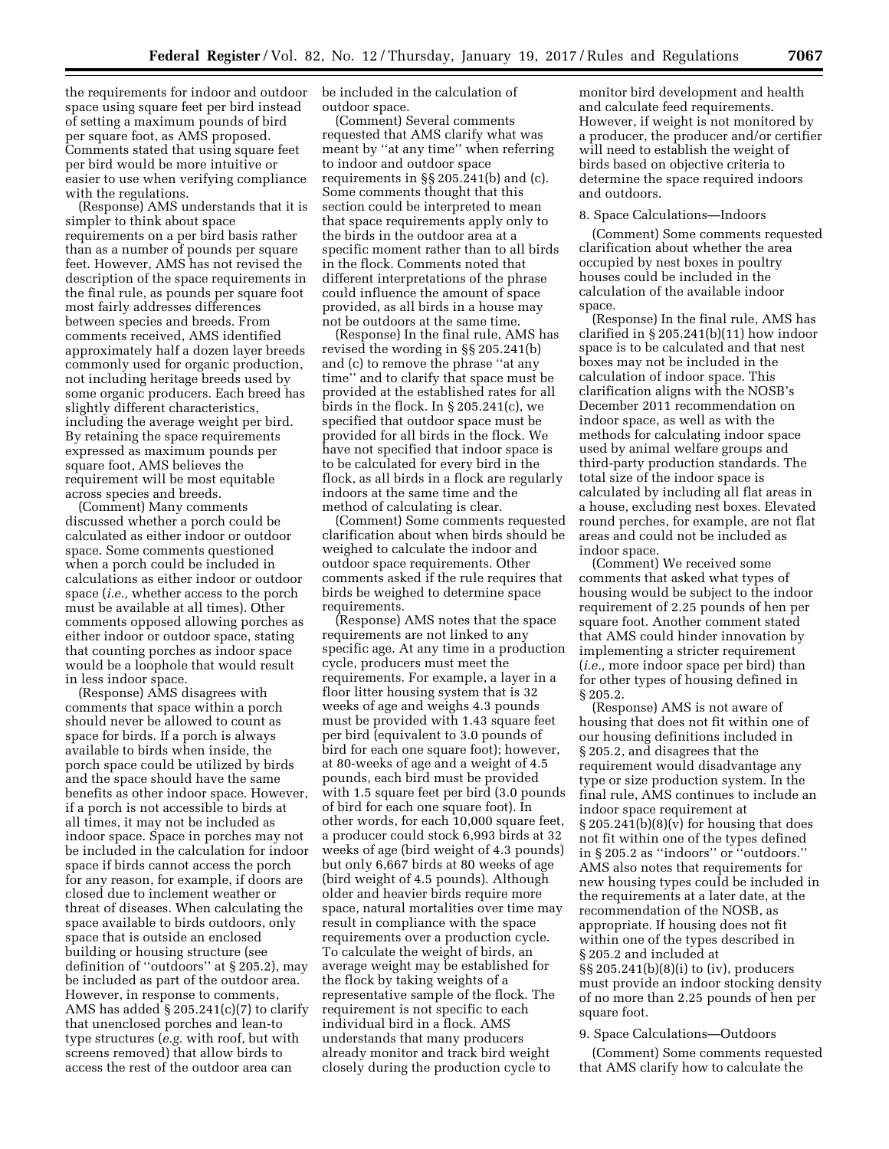the requirements for indoor and outdoor space using square feet per bird instead of setting a maximum pounds of bird per square foot, as AMS proposed. Comments stated that using square feet per bird would be more intuitive or easier to use when verifying compliance with the regulations.

(Response) AMS understands that it is simpler to think about space requirements on a per bird basis rather than as a number of pounds per square feet. However, AMS has not revised the description of the space requirements in the final rule, as pounds per square foot most fairly addresses differences between species and breeds. From comments received, AMS identified approximately half a dozen layer breeds commonly used for organic production, not including heritage breeds used by some organic producers. Each breed has slightly different characteristics, including the average weight per bird. By retaining the space requirements expressed as maximum pounds per square foot, AMS believes the requirement will be most equitable across species and breeds.

(Comment) Many comments discussed whether a porch could be calculated as either indoor or outdoor space. Some comments questioned when a porch could be included in calculations as either indoor or outdoor space (*i.e.,* whether access to the porch must be available at all times). Other comments opposed allowing porches as either indoor or outdoor space, stating that counting porches as indoor space would be a loophole that would result in less indoor space.

(Response) AMS disagrees with comments that space within a porch should never be allowed to count as space for birds. If a porch is always available to birds when inside, the porch space could be utilized by birds and the space should have the same benefits as other indoor space. However, if a porch is not accessible to birds at all times, it may not be included as indoor space. Space in porches may not be included in the calculation for indoor space if birds cannot access the porch for any reason, for example, if doors are closed due to inclement weather or threat of diseases. When calculating the space available to birds outdoors, only space that is outside an enclosed building or housing structure (see definition of ''outdoors'' at § 205.2), may be included as part of the outdoor area. However, in response to comments, AMS has added § 205.241(c)(7) to clarify that unenclosed porches and lean-to type structures (*e.g.* with roof, but with screens removed) that allow birds to access the rest of the outdoor area can

be included in the calculation of outdoor space.

(Comment) Several comments requested that AMS clarify what was meant by ''at any time'' when referring to indoor and outdoor space requirements in §§ 205.241(b) and (c). Some comments thought that this section could be interpreted to mean that space requirements apply only to the birds in the outdoor area at a specific moment rather than to all birds in the flock. Comments noted that different interpretations of the phrase could influence the amount of space provided, as all birds in a house may not be outdoors at the same time.

(Response) In the final rule, AMS has revised the wording in §§ 205.241(b) and (c) to remove the phrase ''at any time'' and to clarify that space must be provided at the established rates for all birds in the flock. In § 205.241(c), we specified that outdoor space must be provided for all birds in the flock. We have not specified that indoor space is to be calculated for every bird in the flock, as all birds in a flock are regularly indoors at the same time and the method of calculating is clear.

(Comment) Some comments requested clarification about when birds should be weighed to calculate the indoor and outdoor space requirements. Other comments asked if the rule requires that birds be weighed to determine space requirements.

(Response) AMS notes that the space requirements are not linked to any specific age. At any time in a production cycle, producers must meet the requirements. For example, a layer in a floor litter housing system that is 32 weeks of age and weighs 4.3 pounds must be provided with 1.43 square feet per bird (equivalent to 3.0 pounds of bird for each one square foot); however, at 80-weeks of age and a weight of 4.5 pounds, each bird must be provided with 1.5 square feet per bird (3.0 pounds of bird for each one square foot). In other words, for each 10,000 square feet, a producer could stock 6,993 birds at 32 weeks of age (bird weight of 4.3 pounds) but only 6,667 birds at 80 weeks of age (bird weight of 4.5 pounds). Although older and heavier birds require more space, natural mortalities over time may result in compliance with the space requirements over a production cycle. To calculate the weight of birds, an average weight may be established for the flock by taking weights of a representative sample of the flock. The requirement is not specific to each individual bird in a flock. AMS understands that many producers already monitor and track bird weight closely during the production cycle to

monitor bird development and health and calculate feed requirements. However, if weight is not monitored by a producer, the producer and/or certifier will need to establish the weight of birds based on objective criteria to determine the space required indoors and outdoors.

#### 8. Space Calculations—Indoors

(Comment) Some comments requested clarification about whether the area occupied by nest boxes in poultry houses could be included in the calculation of the available indoor space.

(Response) In the final rule, AMS has clarified in § 205.241(b)(11) how indoor space is to be calculated and that nest boxes may not be included in the calculation of indoor space. This clarification aligns with the NOSB's December 2011 recommendation on indoor space, as well as with the methods for calculating indoor space used by animal welfare groups and third-party production standards. The total size of the indoor space is calculated by including all flat areas in a house, excluding nest boxes. Elevated round perches, for example, are not flat areas and could not be included as indoor space.

(Comment) We received some comments that asked what types of housing would be subject to the indoor requirement of 2.25 pounds of hen per square foot. Another comment stated that AMS could hinder innovation by implementing a stricter requirement (*i.e.,* more indoor space per bird) than for other types of housing defined in § 205.2.

(Response) AMS is not aware of housing that does not fit within one of our housing definitions included in § 205.2, and disagrees that the requirement would disadvantage any type or size production system. In the final rule, AMS continues to include an indoor space requirement at  $\S 205.241(b)(8)(v)$  for housing that does not fit within one of the types defined in § 205.2 as ''indoors'' or ''outdoors.'' AMS also notes that requirements for new housing types could be included in the requirements at a later date, at the recommendation of the NOSB, as appropriate. If housing does not fit within one of the types described in § 205.2 and included at §§ 205.241(b)(8)(i) to (iv), producers must provide an indoor stocking density of no more than 2.25 pounds of hen per square foot.

#### 9. Space Calculations—Outdoors

(Comment) Some comments requested that AMS clarify how to calculate the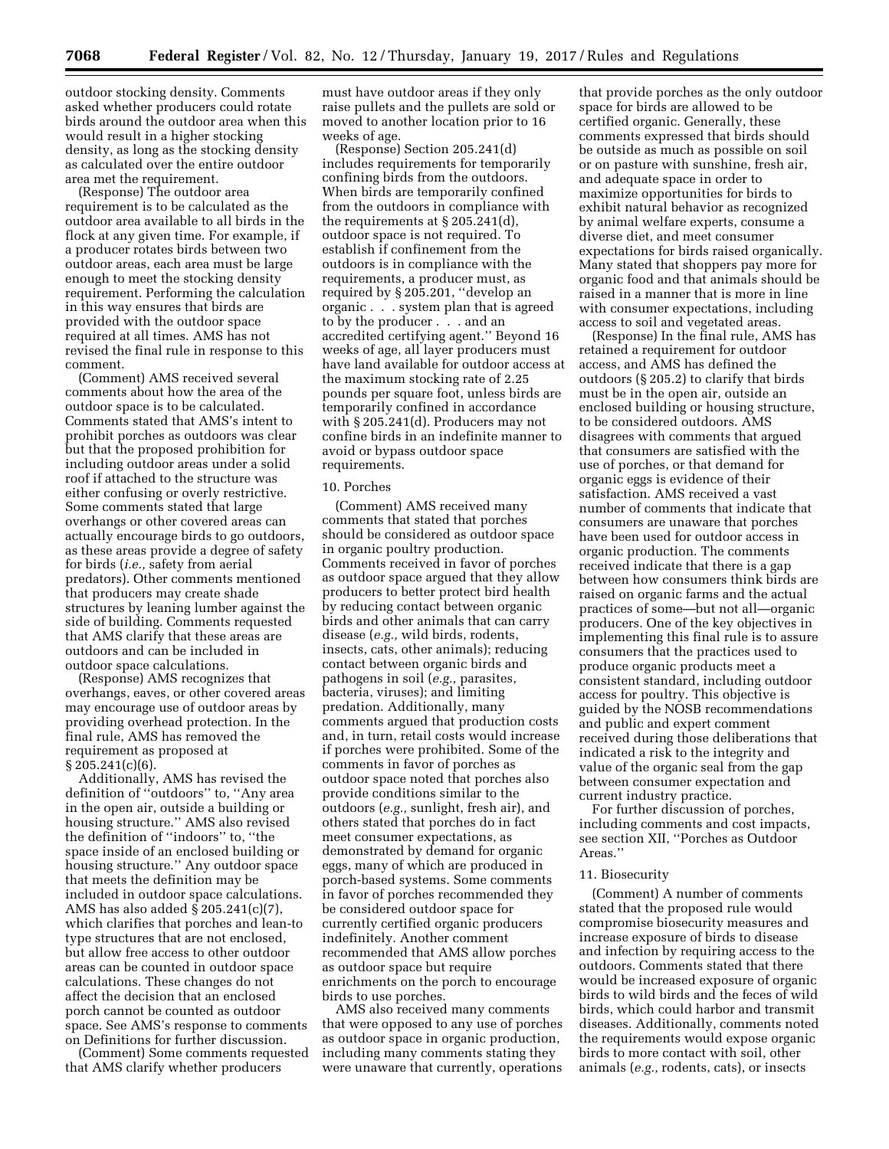outdoor stocking density. Comments asked whether producers could rotate birds around the outdoor area when this would result in a higher stocking density, as long as the stocking density as calculated over the entire outdoor area met the requirement.

(Response) The outdoor area requirement is to be calculated as the outdoor area available to all birds in the flock at any given time. For example, if a producer rotates birds between two outdoor areas, each area must be large enough to meet the stocking density requirement. Performing the calculation in this way ensures that birds are provided with the outdoor space required at all times. AMS has not revised the final rule in response to this comment.

(Comment) AMS received several comments about how the area of the outdoor space is to be calculated. Comments stated that AMS's intent to prohibit porches as outdoors was clear but that the proposed prohibition for including outdoor areas under a solid roof if attached to the structure was either confusing or overly restrictive. Some comments stated that large overhangs or other covered areas can actually encourage birds to go outdoors, as these areas provide a degree of safety for birds (*i.e.,* safety from aerial predators). Other comments mentioned that producers may create shade structures by leaning lumber against the side of building. Comments requested that AMS clarify that these areas are outdoors and can be included in outdoor space calculations.

(Response) AMS recognizes that overhangs, eaves, or other covered areas may encourage use of outdoor areas by providing overhead protection. In the final rule, AMS has removed the requirement as proposed at § 205.241(c)(6).

Additionally, AMS has revised the definition of ''outdoors'' to, ''Any area in the open air, outside a building or housing structure.'' AMS also revised the definition of ''indoors'' to, ''the space inside of an enclosed building or housing structure.'' Any outdoor space that meets the definition may be included in outdoor space calculations. AMS has also added § 205.241(c)(7), which clarifies that porches and lean-to type structures that are not enclosed, but allow free access to other outdoor areas can be counted in outdoor space calculations. These changes do not affect the decision that an enclosed porch cannot be counted as outdoor space. See AMS's response to comments on Definitions for further discussion.

(Comment) Some comments requested that AMS clarify whether producers

must have outdoor areas if they only raise pullets and the pullets are sold or moved to another location prior to 16 weeks of age.

(Response) Section 205.241(d) includes requirements for temporarily confining birds from the outdoors. When birds are temporarily confined from the outdoors in compliance with the requirements at § 205.241(d), outdoor space is not required. To establish if confinement from the outdoors is in compliance with the requirements, a producer must, as required by § 205.201, ''develop an organic . . . system plan that is agreed to by the producer . . . and an accredited certifying agent.'' Beyond 16 weeks of age, all layer producers must have land available for outdoor access at the maximum stocking rate of 2.25 pounds per square foot, unless birds are temporarily confined in accordance with § 205.241(d). Producers may not confine birds in an indefinite manner to avoid or bypass outdoor space requirements.

#### 10. Porches

(Comment) AMS received many comments that stated that porches should be considered as outdoor space in organic poultry production. Comments received in favor of porches as outdoor space argued that they allow producers to better protect bird health by reducing contact between organic birds and other animals that can carry disease (*e.g.,* wild birds, rodents, insects, cats, other animals); reducing contact between organic birds and pathogens in soil (*e.g.,* parasites, bacteria, viruses); and limiting predation. Additionally, many comments argued that production costs and, in turn, retail costs would increase if porches were prohibited. Some of the comments in favor of porches as outdoor space noted that porches also provide conditions similar to the outdoors (*e.g.,* sunlight, fresh air), and others stated that porches do in fact meet consumer expectations, as demonstrated by demand for organic eggs, many of which are produced in porch-based systems. Some comments in favor of porches recommended they be considered outdoor space for currently certified organic producers indefinitely. Another comment recommended that AMS allow porches as outdoor space but require enrichments on the porch to encourage birds to use porches.

AMS also received many comments that were opposed to any use of porches as outdoor space in organic production, including many comments stating they were unaware that currently, operations

that provide porches as the only outdoor space for birds are allowed to be certified organic. Generally, these comments expressed that birds should be outside as much as possible on soil or on pasture with sunshine, fresh air, and adequate space in order to maximize opportunities for birds to exhibit natural behavior as recognized by animal welfare experts, consume a diverse diet, and meet consumer expectations for birds raised organically. Many stated that shoppers pay more for organic food and that animals should be raised in a manner that is more in line with consumer expectations, including access to soil and vegetated areas.

(Response) In the final rule, AMS has retained a requirement for outdoor access, and AMS has defined the outdoors (§ 205.2) to clarify that birds must be in the open air, outside an enclosed building or housing structure, to be considered outdoors. AMS disagrees with comments that argued that consumers are satisfied with the use of porches, or that demand for organic eggs is evidence of their satisfaction. AMS received a vast number of comments that indicate that consumers are unaware that porches have been used for outdoor access in organic production. The comments received indicate that there is a gap between how consumers think birds are raised on organic farms and the actual practices of some—but not all—organic producers. One of the key objectives in implementing this final rule is to assure consumers that the practices used to produce organic products meet a consistent standard, including outdoor access for poultry. This objective is guided by the NOSB recommendations and public and expert comment received during those deliberations that indicated a risk to the integrity and value of the organic seal from the gap between consumer expectation and current industry practice.

For further discussion of porches, including comments and cost impacts, see section XII, ''Porches as Outdoor Areas.''

### 11. Biosecurity

(Comment) A number of comments stated that the proposed rule would compromise biosecurity measures and increase exposure of birds to disease and infection by requiring access to the outdoors. Comments stated that there would be increased exposure of organic birds to wild birds and the feces of wild birds, which could harbor and transmit diseases. Additionally, comments noted the requirements would expose organic birds to more contact with soil, other animals (*e.g.,* rodents, cats), or insects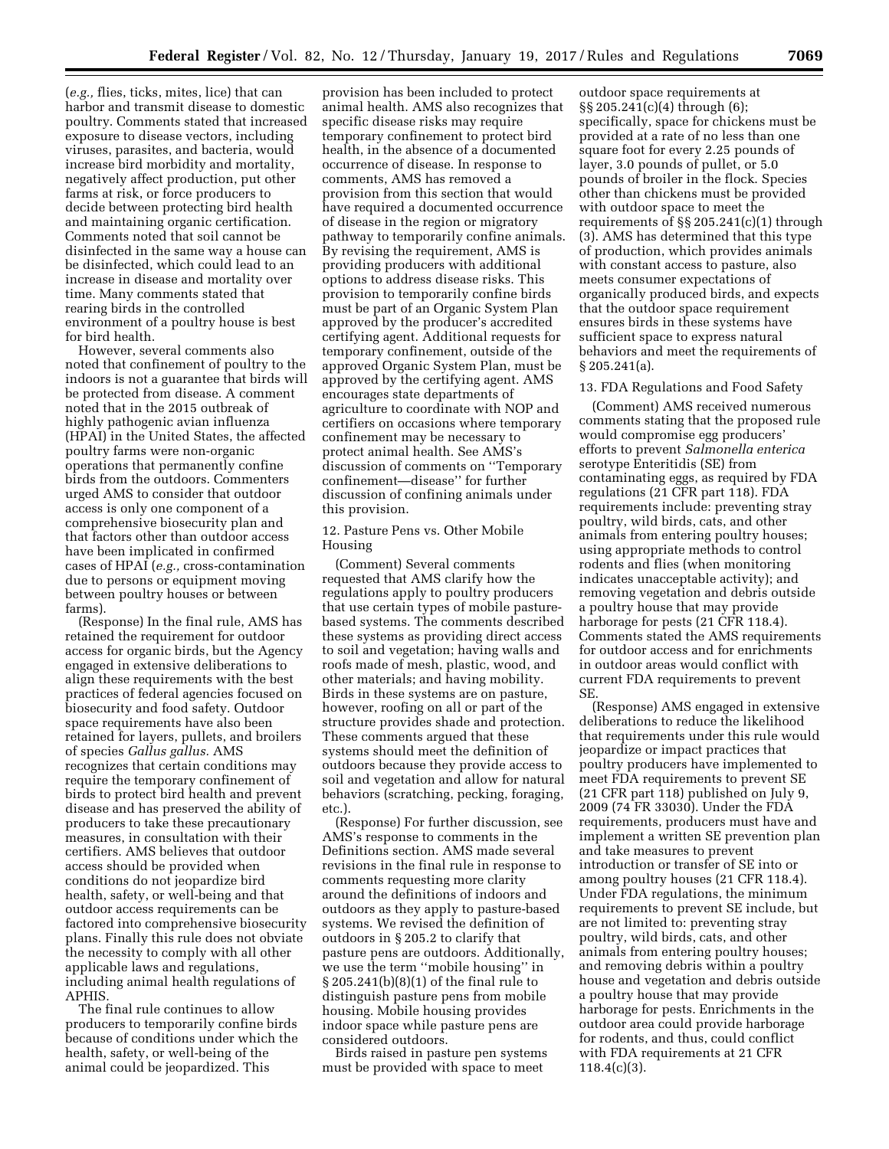(*e.g.,* flies, ticks, mites, lice) that can harbor and transmit disease to domestic poultry. Comments stated that increased exposure to disease vectors, including viruses, parasites, and bacteria, would increase bird morbidity and mortality, negatively affect production, put other farms at risk, or force producers to decide between protecting bird health and maintaining organic certification. Comments noted that soil cannot be disinfected in the same way a house can be disinfected, which could lead to an increase in disease and mortality over time. Many comments stated that rearing birds in the controlled environment of a poultry house is best for bird health.

However, several comments also noted that confinement of poultry to the indoors is not a guarantee that birds will be protected from disease. A comment noted that in the 2015 outbreak of highly pathogenic avian influenza (HPAI) in the United States, the affected poultry farms were non-organic operations that permanently confine birds from the outdoors. Commenters urged AMS to consider that outdoor access is only one component of a comprehensive biosecurity plan and that factors other than outdoor access have been implicated in confirmed cases of HPAI (*e.g.,* cross-contamination due to persons or equipment moving between poultry houses or between farms).

(Response) In the final rule, AMS has retained the requirement for outdoor access for organic birds, but the Agency engaged in extensive deliberations to align these requirements with the best practices of federal agencies focused on biosecurity and food safety. Outdoor space requirements have also been retained for layers, pullets, and broilers of species *Gallus gallus.* AMS recognizes that certain conditions may require the temporary confinement of birds to protect bird health and prevent disease and has preserved the ability of producers to take these precautionary measures, in consultation with their certifiers. AMS believes that outdoor access should be provided when conditions do not jeopardize bird health, safety, or well-being and that outdoor access requirements can be factored into comprehensive biosecurity plans. Finally this rule does not obviate the necessity to comply with all other applicable laws and regulations, including animal health regulations of APHIS.

The final rule continues to allow producers to temporarily confine birds because of conditions under which the health, safety, or well-being of the animal could be jeopardized. This

provision has been included to protect animal health. AMS also recognizes that specific disease risks may require temporary confinement to protect bird health, in the absence of a documented occurrence of disease. In response to comments, AMS has removed a provision from this section that would have required a documented occurrence of disease in the region or migratory pathway to temporarily confine animals. By revising the requirement, AMS is providing producers with additional options to address disease risks. This provision to temporarily confine birds must be part of an Organic System Plan approved by the producer's accredited certifying agent. Additional requests for temporary confinement, outside of the approved Organic System Plan, must be approved by the certifying agent. AMS encourages state departments of agriculture to coordinate with NOP and certifiers on occasions where temporary confinement may be necessary to protect animal health. See AMS's discussion of comments on ''Temporary confinement—disease'' for further discussion of confining animals under this provision.

12. Pasture Pens vs. Other Mobile Housing

(Comment) Several comments requested that AMS clarify how the regulations apply to poultry producers that use certain types of mobile pasturebased systems. The comments described these systems as providing direct access to soil and vegetation; having walls and roofs made of mesh, plastic, wood, and other materials; and having mobility. Birds in these systems are on pasture, however, roofing on all or part of the structure provides shade and protection. These comments argued that these systems should meet the definition of outdoors because they provide access to soil and vegetation and allow for natural behaviors (scratching, pecking, foraging, etc.).

(Response) For further discussion, see AMS's response to comments in the Definitions section. AMS made several revisions in the final rule in response to comments requesting more clarity around the definitions of indoors and outdoors as they apply to pasture-based systems. We revised the definition of outdoors in § 205.2 to clarify that pasture pens are outdoors. Additionally, we use the term ''mobile housing'' in § 205.241(b)(8)(1) of the final rule to distinguish pasture pens from mobile housing. Mobile housing provides indoor space while pasture pens are considered outdoors.

Birds raised in pasture pen systems must be provided with space to meet

outdoor space requirements at §§ 205.241(c)(4) through (6); specifically, space for chickens must be provided at a rate of no less than one square foot for every 2.25 pounds of layer, 3.0 pounds of pullet, or 5.0 pounds of broiler in the flock. Species other than chickens must be provided with outdoor space to meet the requirements of §§ 205.241(c)(1) through (3). AMS has determined that this type of production, which provides animals with constant access to pasture, also meets consumer expectations of organically produced birds, and expects that the outdoor space requirement ensures birds in these systems have sufficient space to express natural behaviors and meet the requirements of § 205.241(a).

### 13. FDA Regulations and Food Safety

(Comment) AMS received numerous comments stating that the proposed rule would compromise egg producers' efforts to prevent *Salmonella enterica*  serotype Enteritidis (SE) from contaminating eggs, as required by FDA regulations (21 CFR part 118). FDA requirements include: preventing stray poultry, wild birds, cats, and other animals from entering poultry houses; using appropriate methods to control rodents and flies (when monitoring indicates unacceptable activity); and removing vegetation and debris outside a poultry house that may provide harborage for pests (21 CFR 118.4). Comments stated the AMS requirements for outdoor access and for enrichments in outdoor areas would conflict with current FDA requirements to prevent SE.

(Response) AMS engaged in extensive deliberations to reduce the likelihood that requirements under this rule would jeopardize or impact practices that poultry producers have implemented to meet FDA requirements to prevent SE (21 CFR part 118) published on July 9, 2009 (74 FR 33030). Under the FDA requirements, producers must have and implement a written SE prevention plan and take measures to prevent introduction or transfer of SE into or among poultry houses (21 CFR 118.4). Under FDA regulations, the minimum requirements to prevent SE include, but are not limited to: preventing stray poultry, wild birds, cats, and other animals from entering poultry houses; and removing debris within a poultry house and vegetation and debris outside a poultry house that may provide harborage for pests. Enrichments in the outdoor area could provide harborage for rodents, and thus, could conflict with FDA requirements at 21 CFR  $118.4(c)(3)$ .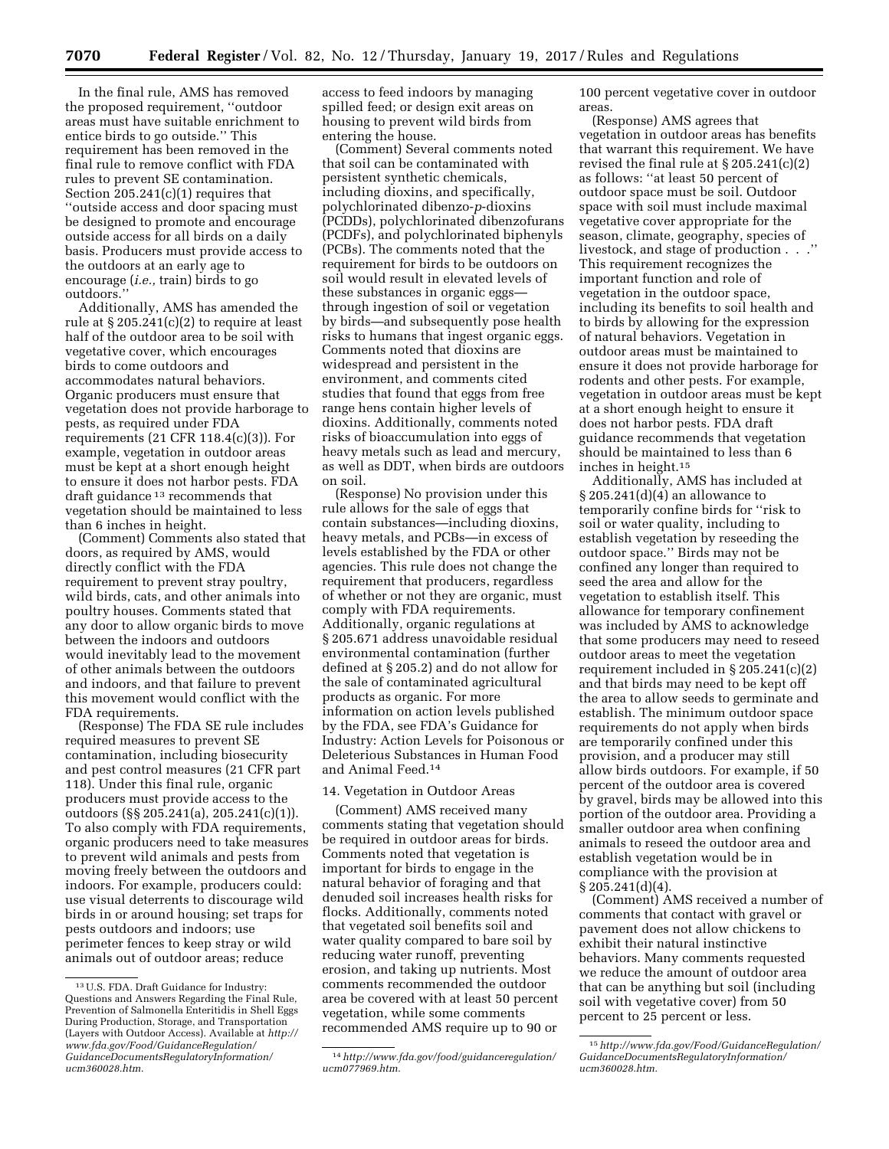In the final rule, AMS has removed the proposed requirement, ''outdoor areas must have suitable enrichment to entice birds to go outside.'' This requirement has been removed in the final rule to remove conflict with FDA rules to prevent SE contamination. Section 205.241(c)(1) requires that ''outside access and door spacing must be designed to promote and encourage outside access for all birds on a daily basis. Producers must provide access to the outdoors at an early age to encourage (*i.e.,* train) birds to go outdoors.''

Additionally, AMS has amended the rule at  $\S 205.241(c)(2)$  to require at least half of the outdoor area to be soil with vegetative cover, which encourages birds to come outdoors and accommodates natural behaviors. Organic producers must ensure that vegetation does not provide harborage to pests, as required under FDA requirements (21 CFR 118.4(c)(3)). For example, vegetation in outdoor areas must be kept at a short enough height to ensure it does not harbor pests. FDA draft guidance 13 recommends that vegetation should be maintained to less than 6 inches in height.

(Comment) Comments also stated that doors, as required by AMS, would directly conflict with the FDA requirement to prevent stray poultry, wild birds, cats, and other animals into poultry houses. Comments stated that any door to allow organic birds to move between the indoors and outdoors would inevitably lead to the movement of other animals between the outdoors and indoors, and that failure to prevent this movement would conflict with the FDA requirements.

(Response) The FDA SE rule includes required measures to prevent SE contamination, including biosecurity and pest control measures (21 CFR part 118). Under this final rule, organic producers must provide access to the outdoors (§§ 205.241(a), 205.241(c)(1)). To also comply with FDA requirements, organic producers need to take measures to prevent wild animals and pests from moving freely between the outdoors and indoors. For example, producers could: use visual deterrents to discourage wild birds in or around housing; set traps for pests outdoors and indoors; use perimeter fences to keep stray or wild animals out of outdoor areas; reduce

access to feed indoors by managing spilled feed; or design exit areas on housing to prevent wild birds from entering the house.

(Comment) Several comments noted that soil can be contaminated with persistent synthetic chemicals, including dioxins, and specifically, polychlorinated dibenzo-*p*-dioxins (PCDDs), polychlorinated dibenzofurans (PCDFs), and polychlorinated biphenyls (PCBs). The comments noted that the requirement for birds to be outdoors on soil would result in elevated levels of these substances in organic eggs through ingestion of soil or vegetation by birds—and subsequently pose health risks to humans that ingest organic eggs. Comments noted that dioxins are widespread and persistent in the environment, and comments cited studies that found that eggs from free range hens contain higher levels of dioxins. Additionally, comments noted risks of bioaccumulation into eggs of heavy metals such as lead and mercury, as well as DDT, when birds are outdoors on soil.

(Response) No provision under this rule allows for the sale of eggs that contain substances—including dioxins, heavy metals, and PCBs—in excess of levels established by the FDA or other agencies. This rule does not change the requirement that producers, regardless of whether or not they are organic, must comply with FDA requirements. Additionally, organic regulations at § 205.671 address unavoidable residual environmental contamination (further defined at § 205.2) and do not allow for the sale of contaminated agricultural products as organic. For more information on action levels published by the FDA, see FDA's Guidance for Industry: Action Levels for Poisonous or Deleterious Substances in Human Food and Animal Feed.14

#### 14. Vegetation in Outdoor Areas

(Comment) AMS received many comments stating that vegetation should be required in outdoor areas for birds. Comments noted that vegetation is important for birds to engage in the natural behavior of foraging and that denuded soil increases health risks for flocks. Additionally, comments noted that vegetated soil benefits soil and water quality compared to bare soil by reducing water runoff, preventing erosion, and taking up nutrients. Most comments recommended the outdoor area be covered with at least 50 percent vegetation, while some comments recommended AMS require up to 90 or

100 percent vegetative cover in outdoor areas.

(Response) AMS agrees that vegetation in outdoor areas has benefits that warrant this requirement. We have revised the final rule at § 205.241(c)(2) as follows: ''at least 50 percent of outdoor space must be soil. Outdoor space with soil must include maximal vegetative cover appropriate for the season, climate, geography, species of livestock, and stage of production . . .'' This requirement recognizes the important function and role of vegetation in the outdoor space, including its benefits to soil health and to birds by allowing for the expression of natural behaviors. Vegetation in outdoor areas must be maintained to ensure it does not provide harborage for rodents and other pests. For example, vegetation in outdoor areas must be kept at a short enough height to ensure it does not harbor pests. FDA draft guidance recommends that vegetation should be maintained to less than 6 inches in height.15

Additionally, AMS has included at § 205.241(d)(4) an allowance to temporarily confine birds for ''risk to soil or water quality, including to establish vegetation by reseeding the outdoor space.'' Birds may not be confined any longer than required to seed the area and allow for the vegetation to establish itself. This allowance for temporary confinement was included by AMS to acknowledge that some producers may need to reseed outdoor areas to meet the vegetation requirement included in § 205.241(c)(2) and that birds may need to be kept off the area to allow seeds to germinate and establish. The minimum outdoor space requirements do not apply when birds are temporarily confined under this provision, and a producer may still allow birds outdoors. For example, if 50 percent of the outdoor area is covered by gravel, birds may be allowed into this portion of the outdoor area. Providing a smaller outdoor area when confining animals to reseed the outdoor area and establish vegetation would be in compliance with the provision at  $\S 205.241(d)(4)$ .

(Comment) AMS received a number of comments that contact with gravel or pavement does not allow chickens to exhibit their natural instinctive behaviors. Many comments requested we reduce the amount of outdoor area that can be anything but soil (including soil with vegetative cover) from 50 percent to 25 percent or less.

<sup>13</sup>U.S. FDA. Draft Guidance for Industry: Questions and Answers Regarding the Final Rule, Prevention of Salmonella Enteritidis in Shell Eggs During Production, Storage, and Transportation (Layers with Outdoor Access). Available at *[http://](http://www.fda.gov/Food/GuidanceRegulation/GuidanceDocumentsRegulatoryInformation/ucm360028.htm) [www.fda.gov/Food/GuidanceRegulation/](http://www.fda.gov/Food/GuidanceRegulation/GuidanceDocumentsRegulatoryInformation/ucm360028.htm) [GuidanceDocumentsRegulatoryInformation/](http://www.fda.gov/Food/GuidanceRegulation/GuidanceDocumentsRegulatoryInformation/ucm360028.htm) [ucm360028.htm.](http://www.fda.gov/Food/GuidanceRegulation/GuidanceDocumentsRegulatoryInformation/ucm360028.htm)* 

<sup>14</sup>*[http://www.fda.gov/food/guidanceregulation/](http://www.fda.gov/food/guidanceregulation/ucm077969.htm)  [ucm077969.htm.](http://www.fda.gov/food/guidanceregulation/ucm077969.htm)* 

<sup>15</sup>*[http://www.fda.gov/Food/GuidanceRegulation/](http://www.fda.gov/Food/GuidanceRegulation/GuidanceDocumentsRegulatoryInformation/ucm360028.htm) [GuidanceDocumentsRegulatoryInformation/](http://www.fda.gov/Food/GuidanceRegulation/GuidanceDocumentsRegulatoryInformation/ucm360028.htm)  [ucm360028.htm.](http://www.fda.gov/Food/GuidanceRegulation/GuidanceDocumentsRegulatoryInformation/ucm360028.htm)*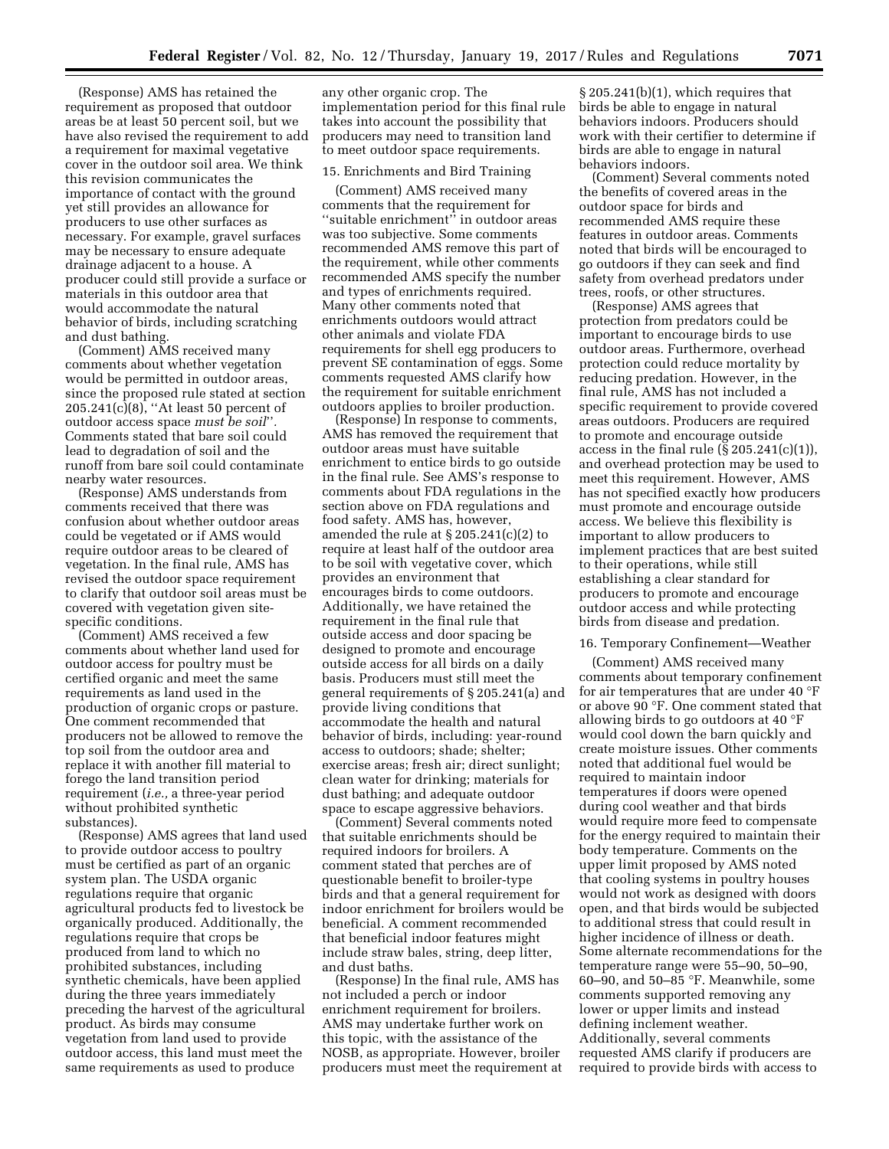(Response) AMS has retained the requirement as proposed that outdoor areas be at least 50 percent soil, but we have also revised the requirement to add a requirement for maximal vegetative cover in the outdoor soil area. We think this revision communicates the importance of contact with the ground yet still provides an allowance for producers to use other surfaces as necessary. For example, gravel surfaces may be necessary to ensure adequate drainage adjacent to a house. A producer could still provide a surface or materials in this outdoor area that would accommodate the natural behavior of birds, including scratching and dust bathing.

(Comment) AMS received many comments about whether vegetation would be permitted in outdoor areas, since the proposed rule stated at section 205.241(c)(8), ''At least 50 percent of outdoor access space *must be soil*''*.*  Comments stated that bare soil could lead to degradation of soil and the runoff from bare soil could contaminate nearby water resources.

(Response) AMS understands from comments received that there was confusion about whether outdoor areas could be vegetated or if AMS would require outdoor areas to be cleared of vegetation. In the final rule, AMS has revised the outdoor space requirement to clarify that outdoor soil areas must be covered with vegetation given sitespecific conditions.

(Comment) AMS received a few comments about whether land used for outdoor access for poultry must be certified organic and meet the same requirements as land used in the production of organic crops or pasture. One comment recommended that producers not be allowed to remove the top soil from the outdoor area and replace it with another fill material to forego the land transition period requirement (*i.e.,* a three-year period without prohibited synthetic substances).

(Response) AMS agrees that land used to provide outdoor access to poultry must be certified as part of an organic system plan. The USDA organic regulations require that organic agricultural products fed to livestock be organically produced. Additionally, the regulations require that crops be produced from land to which no prohibited substances, including synthetic chemicals, have been applied during the three years immediately preceding the harvest of the agricultural product. As birds may consume vegetation from land used to provide outdoor access, this land must meet the same requirements as used to produce

any other organic crop. The implementation period for this final rule takes into account the possibility that producers may need to transition land to meet outdoor space requirements.

### 15. Enrichments and Bird Training

(Comment) AMS received many comments that the requirement for "suitable enrichment" in outdoor areas was too subjective. Some comments recommended AMS remove this part of the requirement, while other comments recommended AMS specify the number and types of enrichments required. Many other comments noted that enrichments outdoors would attract other animals and violate FDA requirements for shell egg producers to prevent SE contamination of eggs. Some comments requested AMS clarify how the requirement for suitable enrichment outdoors applies to broiler production.

(Response) In response to comments, AMS has removed the requirement that outdoor areas must have suitable enrichment to entice birds to go outside in the final rule. See AMS's response to comments about FDA regulations in the section above on FDA regulations and food safety. AMS has, however, amended the rule at § 205.241(c)(2) to require at least half of the outdoor area to be soil with vegetative cover, which provides an environment that encourages birds to come outdoors. Additionally, we have retained the requirement in the final rule that outside access and door spacing be designed to promote and encourage outside access for all birds on a daily basis. Producers must still meet the general requirements of § 205.241(a) and provide living conditions that accommodate the health and natural behavior of birds, including: year-round access to outdoors; shade; shelter; exercise areas; fresh air; direct sunlight; clean water for drinking; materials for dust bathing; and adequate outdoor space to escape aggressive behaviors.

(Comment) Several comments noted that suitable enrichments should be required indoors for broilers. A comment stated that perches are of questionable benefit to broiler-type birds and that a general requirement for indoor enrichment for broilers would be beneficial. A comment recommended that beneficial indoor features might include straw bales, string, deep litter, and dust baths.

(Response) In the final rule, AMS has not included a perch or indoor enrichment requirement for broilers. AMS may undertake further work on this topic, with the assistance of the NOSB, as appropriate. However, broiler producers must meet the requirement at

§ 205.241(b)(1), which requires that birds be able to engage in natural behaviors indoors. Producers should work with their certifier to determine if birds are able to engage in natural behaviors indoors.

(Comment) Several comments noted the benefits of covered areas in the outdoor space for birds and recommended AMS require these features in outdoor areas. Comments noted that birds will be encouraged to go outdoors if they can seek and find safety from overhead predators under trees, roofs, or other structures.

(Response) AMS agrees that protection from predators could be important to encourage birds to use outdoor areas. Furthermore, overhead protection could reduce mortality by reducing predation. However, in the final rule, AMS has not included a specific requirement to provide covered areas outdoors. Producers are required to promote and encourage outside access in the final rule  $(\S 205.241(c)(1)),$ and overhead protection may be used to meet this requirement. However, AMS has not specified exactly how producers must promote and encourage outside access. We believe this flexibility is important to allow producers to implement practices that are best suited to their operations, while still establishing a clear standard for producers to promote and encourage outdoor access and while protecting birds from disease and predation.

# 16. Temporary Confinement—Weather

(Comment) AMS received many comments about temporary confinement for air temperatures that are under 40 °F or above 90 °F. One comment stated that allowing birds to go outdoors at 40 °F would cool down the barn quickly and create moisture issues. Other comments noted that additional fuel would be required to maintain indoor temperatures if doors were opened during cool weather and that birds would require more feed to compensate for the energy required to maintain their body temperature. Comments on the upper limit proposed by AMS noted that cooling systems in poultry houses would not work as designed with doors open, and that birds would be subjected to additional stress that could result in higher incidence of illness or death. Some alternate recommendations for the temperature range were 55–90, 50–90, 60–90, and 50–85 °F. Meanwhile, some comments supported removing any lower or upper limits and instead defining inclement weather. Additionally, several comments requested AMS clarify if producers are required to provide birds with access to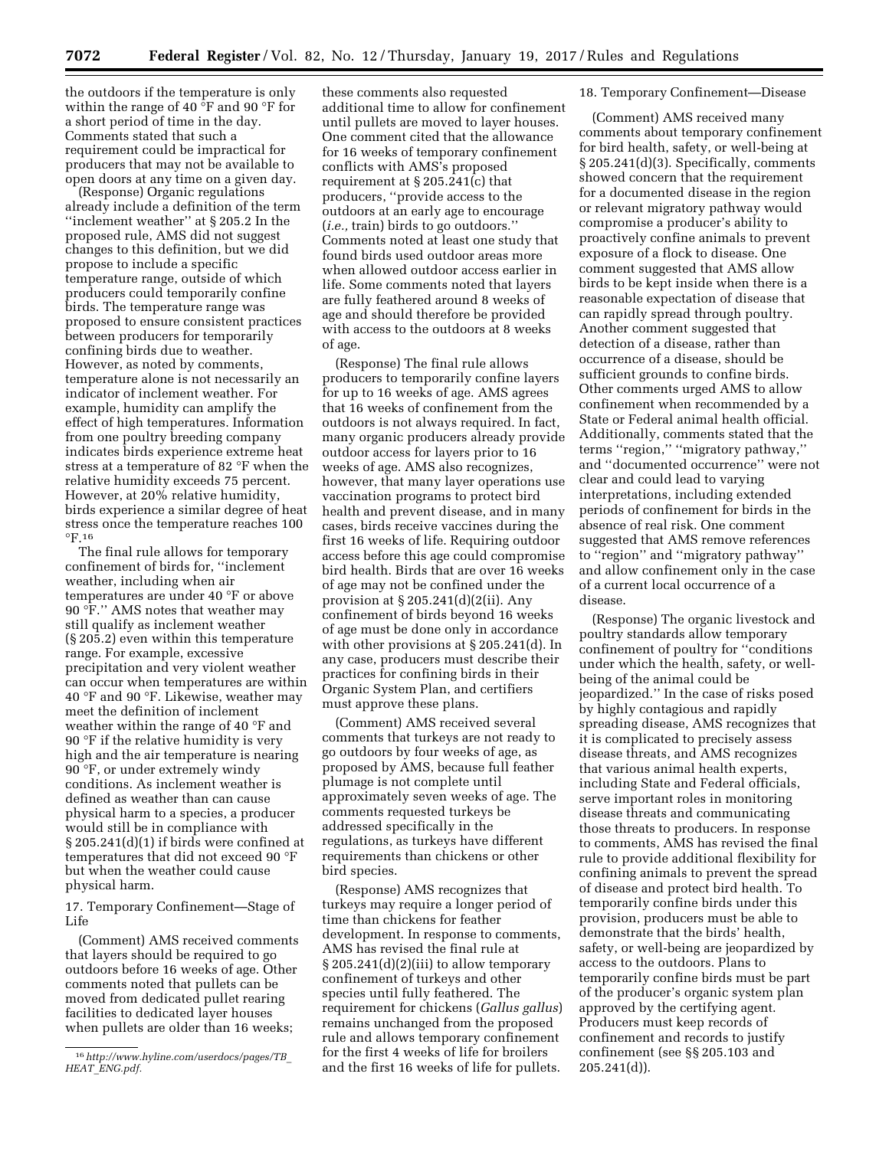the outdoors if the temperature is only within the range of 40 °F and 90 °F for a short period of time in the day. Comments stated that such a requirement could be impractical for producers that may not be available to open doors at any time on a given day.

(Response) Organic regulations already include a definition of the term ''inclement weather'' at § 205.2 In the proposed rule, AMS did not suggest changes to this definition, but we did propose to include a specific temperature range, outside of which producers could temporarily confine birds. The temperature range was proposed to ensure consistent practices between producers for temporarily confining birds due to weather. However, as noted by comments, temperature alone is not necessarily an indicator of inclement weather. For example, humidity can amplify the effect of high temperatures. Information from one poultry breeding company indicates birds experience extreme heat stress at a temperature of 82 °F when the relative humidity exceeds 75 percent. However, at 20% relative humidity, birds experience a similar degree of heat stress once the temperature reaches 100 °F.16

The final rule allows for temporary confinement of birds for, ''inclement weather, including when air temperatures are under 40 °F or above 90 °F.'' AMS notes that weather may still qualify as inclement weather (§ 205.2) even within this temperature range. For example, excessive precipitation and very violent weather can occur when temperatures are within 40 °F and 90 °F. Likewise, weather may meet the definition of inclement weather within the range of 40 °F and 90 °F if the relative humidity is very high and the air temperature is nearing 90 °F, or under extremely windy conditions. As inclement weather is defined as weather than can cause physical harm to a species, a producer would still be in compliance with § 205.241(d)(1) if birds were confined at temperatures that did not exceed 90 °F but when the weather could cause physical harm.

17. Temporary Confinement—Stage of Life

(Comment) AMS received comments that layers should be required to go outdoors before 16 weeks of age. Other comments noted that pullets can be moved from dedicated pullet rearing facilities to dedicated layer houses when pullets are older than 16 weeks;

these comments also requested additional time to allow for confinement until pullets are moved to layer houses. One comment cited that the allowance for 16 weeks of temporary confinement conflicts with AMS's proposed requirement at § 205.241(c) that producers, ''provide access to the outdoors at an early age to encourage (*i.e.,* train) birds to go outdoors.'' Comments noted at least one study that found birds used outdoor areas more when allowed outdoor access earlier in life. Some comments noted that layers are fully feathered around 8 weeks of age and should therefore be provided with access to the outdoors at 8 weeks of age.

(Response) The final rule allows producers to temporarily confine layers for up to 16 weeks of age. AMS agrees that 16 weeks of confinement from the outdoors is not always required. In fact, many organic producers already provide outdoor access for layers prior to 16 weeks of age. AMS also recognizes, however, that many layer operations use vaccination programs to protect bird health and prevent disease, and in many cases, birds receive vaccines during the first 16 weeks of life. Requiring outdoor access before this age could compromise bird health. Birds that are over 16 weeks of age may not be confined under the provision at  $\S 205.241(d)(2(ii)$ . Any confinement of birds beyond 16 weeks of age must be done only in accordance with other provisions at § 205.241(d). In any case, producers must describe their practices for confining birds in their Organic System Plan, and certifiers must approve these plans.

(Comment) AMS received several comments that turkeys are not ready to go outdoors by four weeks of age, as proposed by AMS, because full feather plumage is not complete until approximately seven weeks of age. The comments requested turkeys be addressed specifically in the regulations, as turkeys have different requirements than chickens or other bird species.

(Response) AMS recognizes that turkeys may require a longer period of time than chickens for feather development. In response to comments, AMS has revised the final rule at § 205.241(d)(2)(iii) to allow temporary confinement of turkeys and other species until fully feathered. The requirement for chickens (*Gallus gallus*) remains unchanged from the proposed rule and allows temporary confinement for the first 4 weeks of life for broilers and the first 16 weeks of life for pullets.

#### 18. Temporary Confinement—Disease

(Comment) AMS received many comments about temporary confinement for bird health, safety, or well-being at § 205.241(d)(3). Specifically, comments showed concern that the requirement for a documented disease in the region or relevant migratory pathway would compromise a producer's ability to proactively confine animals to prevent exposure of a flock to disease. One comment suggested that AMS allow birds to be kept inside when there is a reasonable expectation of disease that can rapidly spread through poultry. Another comment suggested that detection of a disease, rather than occurrence of a disease, should be sufficient grounds to confine birds. Other comments urged AMS to allow confinement when recommended by a State or Federal animal health official. Additionally, comments stated that the terms ''region,'' ''migratory pathway,'' and ''documented occurrence'' were not clear and could lead to varying interpretations, including extended periods of confinement for birds in the absence of real risk. One comment suggested that AMS remove references to ''region'' and ''migratory pathway'' and allow confinement only in the case of a current local occurrence of a disease.

(Response) The organic livestock and poultry standards allow temporary confinement of poultry for ''conditions under which the health, safety, or wellbeing of the animal could be jeopardized.'' In the case of risks posed by highly contagious and rapidly spreading disease, AMS recognizes that it is complicated to precisely assess disease threats, and AMS recognizes that various animal health experts, including State and Federal officials, serve important roles in monitoring disease threats and communicating those threats to producers. In response to comments, AMS has revised the final rule to provide additional flexibility for confining animals to prevent the spread of disease and protect bird health. To temporarily confine birds under this provision, producers must be able to demonstrate that the birds' health, safety, or well-being are jeopardized by access to the outdoors. Plans to temporarily confine birds must be part of the producer's organic system plan approved by the certifying agent. Producers must keep records of confinement and records to justify confinement (see §§ 205.103 and 205.241(d)).

<sup>16</sup>*[http://www.hyline.com/userdocs/pages/TB](http://www.hyline.com/userdocs/pages/TB_HEAT_ENG.pdf)*\_ *HEAT*\_*[ENG.pdf.](http://www.hyline.com/userdocs/pages/TB_HEAT_ENG.pdf)*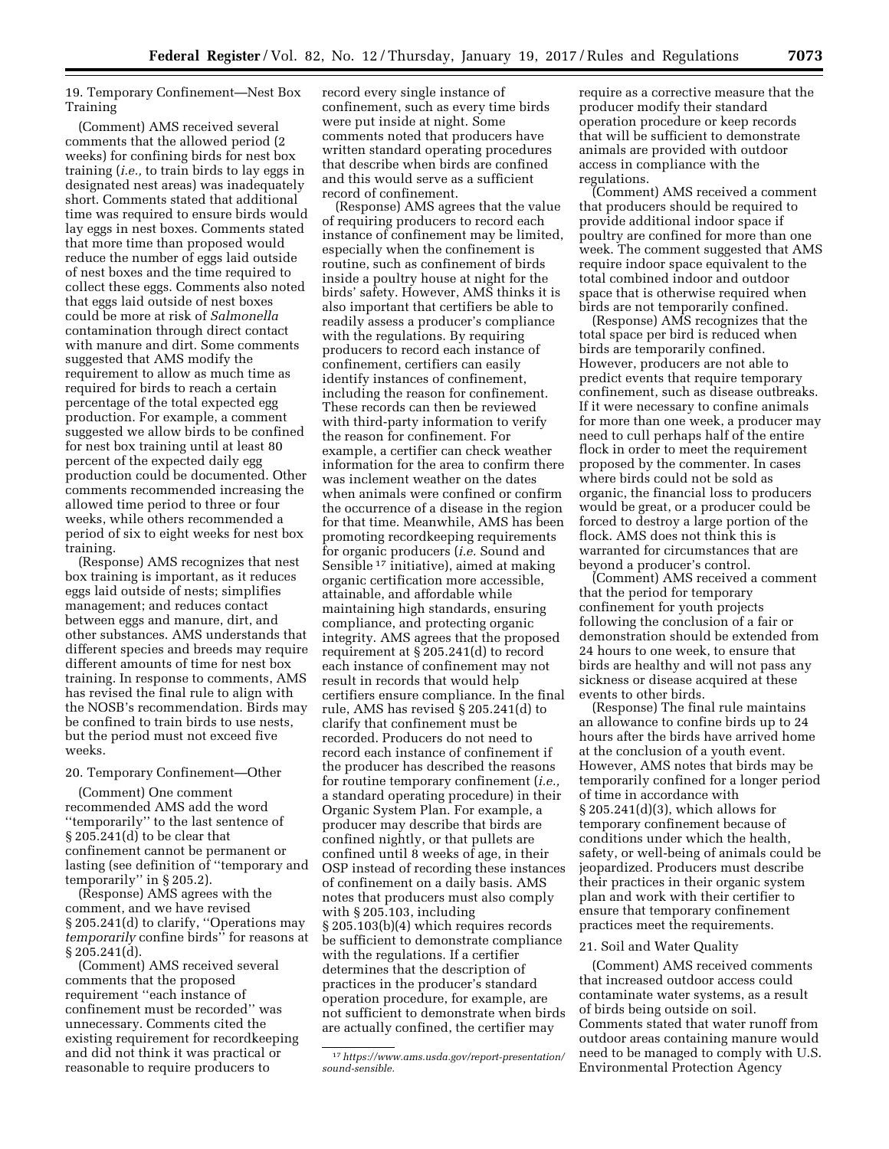19. Temporary Confinement—Nest Box Training

(Comment) AMS received several comments that the allowed period (2 weeks) for confining birds for nest box training (*i.e.,* to train birds to lay eggs in designated nest areas) was inadequately short. Comments stated that additional time was required to ensure birds would lay eggs in nest boxes. Comments stated that more time than proposed would reduce the number of eggs laid outside of nest boxes and the time required to collect these eggs. Comments also noted that eggs laid outside of nest boxes could be more at risk of *Salmonella*  contamination through direct contact with manure and dirt. Some comments suggested that AMS modify the requirement to allow as much time as required for birds to reach a certain percentage of the total expected egg production. For example, a comment suggested we allow birds to be confined for nest box training until at least 80 percent of the expected daily egg production could be documented. Other comments recommended increasing the allowed time period to three or four weeks, while others recommended a period of six to eight weeks for nest box training.

(Response) AMS recognizes that nest box training is important, as it reduces eggs laid outside of nests; simplifies management; and reduces contact between eggs and manure, dirt, and other substances. AMS understands that different species and breeds may require different amounts of time for nest box training. In response to comments, AMS has revised the final rule to align with the NOSB's recommendation. Birds may be confined to train birds to use nests, but the period must not exceed five weeks.

# 20. Temporary Confinement—Other

(Comment) One comment recommended AMS add the word ''temporarily'' to the last sentence of § 205.241(d) to be clear that confinement cannot be permanent or lasting (see definition of ''temporary and temporarily'' in § 205.2).

(Response) AMS agrees with the comment, and we have revised § 205.241(d) to clarify, ''Operations may *temporarily* confine birds'' for reasons at  $\S 205.241(d)$ .

(Comment) AMS received several comments that the proposed requirement ''each instance of confinement must be recorded'' was unnecessary. Comments cited the existing requirement for recordkeeping and did not think it was practical or reasonable to require producers to

record every single instance of confinement, such as every time birds were put inside at night. Some comments noted that producers have written standard operating procedures that describe when birds are confined and this would serve as a sufficient record of confinement.

(Response) AMS agrees that the value of requiring producers to record each instance of confinement may be limited, especially when the confinement is routine, such as confinement of birds inside a poultry house at night for the birds' safety. However, AMS thinks it is also important that certifiers be able to readily assess a producer's compliance with the regulations. By requiring producers to record each instance of confinement, certifiers can easily identify instances of confinement, including the reason for confinement. These records can then be reviewed with third-party information to verify the reason for confinement. For example, a certifier can check weather information for the area to confirm there was inclement weather on the dates when animals were confined or confirm the occurrence of a disease in the region for that time. Meanwhile, AMS has been promoting recordkeeping requirements for organic producers (*i.e.* Sound and Sensible 17 initiative), aimed at making organic certification more accessible, attainable, and affordable while maintaining high standards, ensuring compliance, and protecting organic integrity. AMS agrees that the proposed requirement at § 205.241(d) to record each instance of confinement may not result in records that would help certifiers ensure compliance. In the final rule, AMS has revised § 205.241(d) to clarify that confinement must be recorded. Producers do not need to record each instance of confinement if the producer has described the reasons for routine temporary confinement (*i.e.,*  a standard operating procedure) in their Organic System Plan. For example, a producer may describe that birds are confined nightly, or that pullets are confined until 8 weeks of age, in their OSP instead of recording these instances of confinement on a daily basis. AMS notes that producers must also comply with § 205.103, including § 205.103(b)(4) which requires records be sufficient to demonstrate compliance with the regulations. If a certifier determines that the description of practices in the producer's standard operation procedure, for example, are not sufficient to demonstrate when birds are actually confined, the certifier may

require as a corrective measure that the producer modify their standard operation procedure or keep records that will be sufficient to demonstrate animals are provided with outdoor access in compliance with the regulations.

(Comment) AMS received a comment that producers should be required to provide additional indoor space if poultry are confined for more than one week. The comment suggested that AMS require indoor space equivalent to the total combined indoor and outdoor space that is otherwise required when birds are not temporarily confined.

(Response) AMS recognizes that the total space per bird is reduced when birds are temporarily confined. However, producers are not able to predict events that require temporary confinement, such as disease outbreaks. If it were necessary to confine animals for more than one week, a producer may need to cull perhaps half of the entire flock in order to meet the requirement proposed by the commenter. In cases where birds could not be sold as organic, the financial loss to producers would be great, or a producer could be forced to destroy a large portion of the flock. AMS does not think this is warranted for circumstances that are beyond a producer's control.

(Comment) AMS received a comment that the period for temporary confinement for youth projects following the conclusion of a fair or demonstration should be extended from 24 hours to one week, to ensure that birds are healthy and will not pass any sickness or disease acquired at these events to other birds.

(Response) The final rule maintains an allowance to confine birds up to 24 hours after the birds have arrived home at the conclusion of a youth event. However, AMS notes that birds may be temporarily confined for a longer period of time in accordance with § 205.241(d)(3), which allows for temporary confinement because of conditions under which the health, safety, or well-being of animals could be jeopardized. Producers must describe their practices in their organic system plan and work with their certifier to ensure that temporary confinement practices meet the requirements.

#### 21. Soil and Water Quality

(Comment) AMS received comments that increased outdoor access could contaminate water systems, as a result of birds being outside on soil. Comments stated that water runoff from outdoor areas containing manure would need to be managed to comply with U.S. Environmental Protection Agency

<sup>17</sup>*[https://www.ams.usda.gov/report-presentation/](https://www.ams.usda.gov/report-presentation/sound-sensible) [sound-sensible.](https://www.ams.usda.gov/report-presentation/sound-sensible)*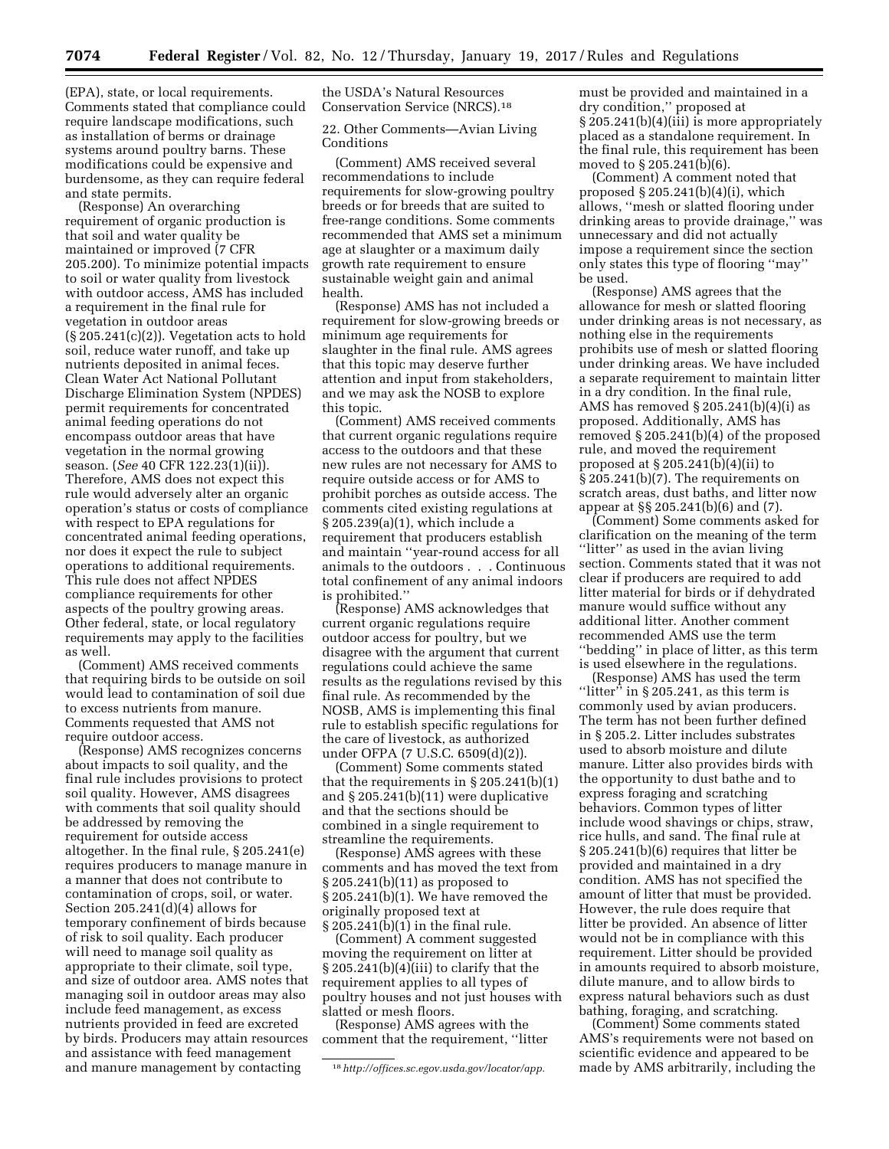(EPA), state, or local requirements. Comments stated that compliance could require landscape modifications, such as installation of berms or drainage systems around poultry barns. These modifications could be expensive and burdensome, as they can require federal and state permits.

(Response) An overarching requirement of organic production is that soil and water quality be maintained or improved (7 CFR 205.200). To minimize potential impacts to soil or water quality from livestock with outdoor access, AMS has included a requirement in the final rule for vegetation in outdoor areas  $(\S 205.241(c)(2))$ . Vegetation acts to hold soil, reduce water runoff, and take up nutrients deposited in animal feces. Clean Water Act National Pollutant Discharge Elimination System (NPDES) permit requirements for concentrated animal feeding operations do not encompass outdoor areas that have vegetation in the normal growing season. (*See* 40 CFR 122.23(1)(ii)). Therefore, AMS does not expect this rule would adversely alter an organic operation's status or costs of compliance with respect to EPA regulations for concentrated animal feeding operations, nor does it expect the rule to subject operations to additional requirements. This rule does not affect NPDES compliance requirements for other aspects of the poultry growing areas. Other federal, state, or local regulatory requirements may apply to the facilities as well.

(Comment) AMS received comments that requiring birds to be outside on soil would lead to contamination of soil due to excess nutrients from manure. Comments requested that AMS not require outdoor access.

(Response) AMS recognizes concerns about impacts to soil quality, and the final rule includes provisions to protect soil quality. However, AMS disagrees with comments that soil quality should be addressed by removing the requirement for outside access altogether. In the final rule, § 205.241(e) requires producers to manage manure in a manner that does not contribute to contamination of crops, soil, or water. Section 205.241(d)(4) allows for temporary confinement of birds because of risk to soil quality. Each producer will need to manage soil quality as appropriate to their climate, soil type, and size of outdoor area. AMS notes that managing soil in outdoor areas may also include feed management, as excess nutrients provided in feed are excreted by birds. Producers may attain resources and assistance with feed management and manure management by contacting

the USDA's Natural Resources Conservation Service (NRCS).18

22. Other Comments—Avian Living Conditions

(Comment) AMS received several recommendations to include requirements for slow-growing poultry breeds or for breeds that are suited to free-range conditions. Some comments recommended that AMS set a minimum age at slaughter or a maximum daily growth rate requirement to ensure sustainable weight gain and animal health.

(Response) AMS has not included a requirement for slow-growing breeds or minimum age requirements for slaughter in the final rule. AMS agrees that this topic may deserve further attention and input from stakeholders, and we may ask the NOSB to explore this topic.

(Comment) AMS received comments that current organic regulations require access to the outdoors and that these new rules are not necessary for AMS to require outside access or for AMS to prohibit porches as outside access. The comments cited existing regulations at § 205.239(a)(1), which include a requirement that producers establish and maintain ''year-round access for all animals to the outdoors . . . Continuous total confinement of any animal indoors is prohibited.''

(Response) AMS acknowledges that current organic regulations require outdoor access for poultry, but we disagree with the argument that current regulations could achieve the same results as the regulations revised by this final rule. As recommended by the NOSB, AMS is implementing this final rule to establish specific regulations for the care of livestock, as authorized under OFPA (7 U.S.C. 6509(d)(2)).

(Comment) Some comments stated that the requirements in  $\S 205.241(b)(1)$ and § 205.241(b)(11) were duplicative and that the sections should be combined in a single requirement to streamline the requirements.

(Response) AMS agrees with these comments and has moved the text from § 205.241(b)(11) as proposed to § 205.241(b)(1). We have removed the originally proposed text at § 205.241(b)(1) in the final rule.

(Comment) A comment suggested moving the requirement on litter at § 205.241(b)(4)(iii) to clarify that the requirement applies to all types of poultry houses and not just houses with slatted or mesh floors.

(Response) AMS agrees with the comment that the requirement, ''litter must be provided and maintained in a dry condition,'' proposed at § 205.241(b)(4)(iii) is more appropriately placed as a standalone requirement. In the final rule, this requirement has been moved to § 205.241(b)(6).

(Comment) A comment noted that proposed § 205.241(b)(4)(i), which allows, ''mesh or slatted flooring under drinking areas to provide drainage,'' was unnecessary and did not actually impose a requirement since the section only states this type of flooring ''may'' be used.

(Response) AMS agrees that the allowance for mesh or slatted flooring under drinking areas is not necessary, as nothing else in the requirements prohibits use of mesh or slatted flooring under drinking areas. We have included a separate requirement to maintain litter in a dry condition. In the final rule, AMS has removed  $\S 205.241(b)(4)(i)$  as proposed. Additionally, AMS has removed § 205.241(b)(4) of the proposed rule, and moved the requirement proposed at  $\S 205.241(b)(4)(ii)$  to § 205.241(b)(7). The requirements on scratch areas, dust baths, and litter now appear at §§ 205.241(b)(6) and (7).

(Comment) Some comments asked for clarification on the meaning of the term "litter" as used in the avian living section. Comments stated that it was not clear if producers are required to add litter material for birds or if dehydrated manure would suffice without any additional litter. Another comment recommended AMS use the term ''bedding'' in place of litter, as this term is used elsewhere in the regulations.

(Response) AMS has used the term "litter" in  $\S 205.241$ , as this term is commonly used by avian producers. The term has not been further defined in § 205.2. Litter includes substrates used to absorb moisture and dilute manure. Litter also provides birds with the opportunity to dust bathe and to express foraging and scratching behaviors. Common types of litter include wood shavings or chips, straw, rice hulls, and sand. The final rule at § 205.241(b)(6) requires that litter be provided and maintained in a dry condition. AMS has not specified the amount of litter that must be provided. However, the rule does require that litter be provided. An absence of litter would not be in compliance with this requirement. Litter should be provided in amounts required to absorb moisture, dilute manure, and to allow birds to express natural behaviors such as dust bathing, foraging, and scratching.

(Comment) Some comments stated AMS's requirements were not based on scientific evidence and appeared to be made by AMS arbitrarily, including the

<sup>18</sup>*[http://offices.sc.egov.usda.gov/locator/app.](http://offices.sc.egov.usda.gov/locator/app)*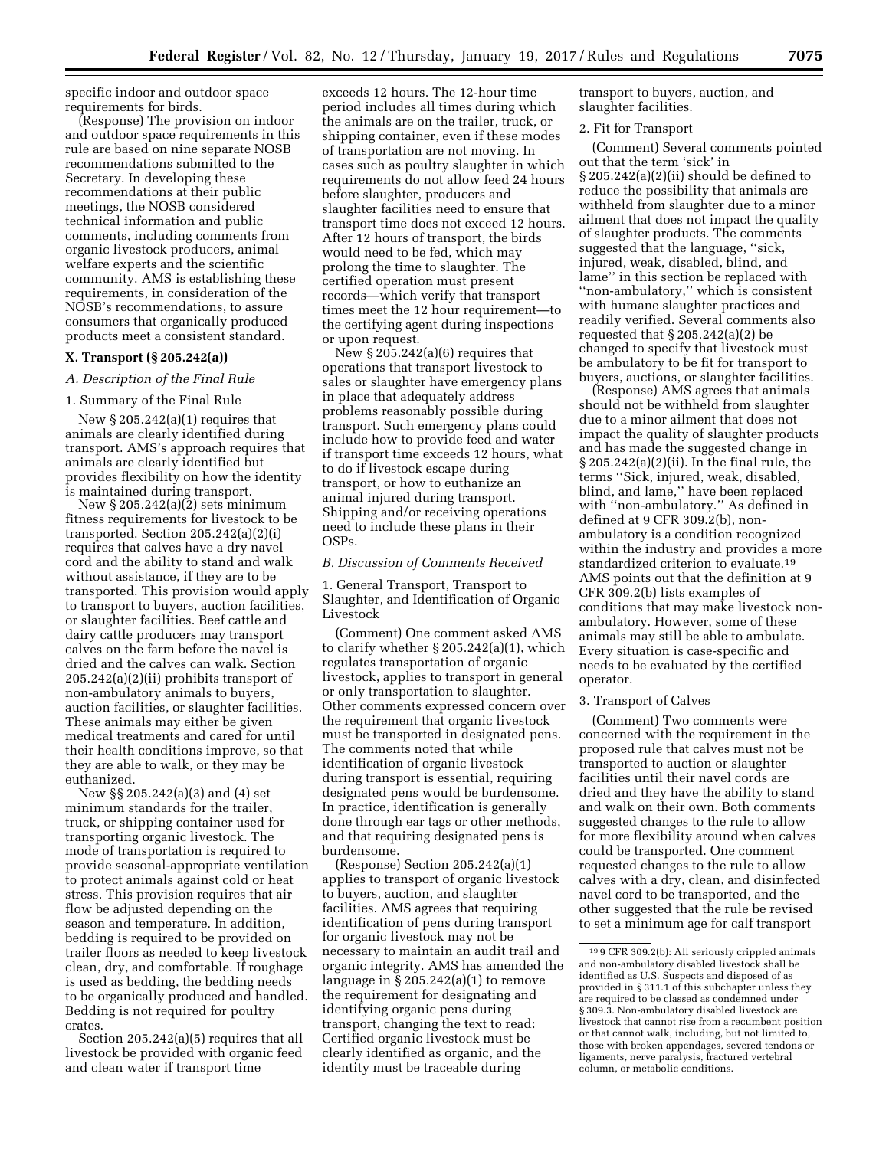specific indoor and outdoor space requirements for birds.

(Response) The provision on indoor and outdoor space requirements in this rule are based on nine separate NOSB recommendations submitted to the Secretary. In developing these recommendations at their public meetings, the NOSB considered technical information and public comments, including comments from organic livestock producers, animal welfare experts and the scientific community. AMS is establishing these requirements, in consideration of the NOSB's recommendations, to assure consumers that organically produced products meet a consistent standard.

### **X. Transport (§ 205.242(a))**

#### *A. Description of the Final Rule*

### 1. Summary of the Final Rule

New  $\S 205.242(a)(1)$  requires that animals are clearly identified during transport. AMS's approach requires that animals are clearly identified but provides flexibility on how the identity is maintained during transport.

New  $\S 205.242(a)(2)$  sets minimum fitness requirements for livestock to be transported. Section 205.242(a)(2)(i) requires that calves have a dry navel cord and the ability to stand and walk without assistance, if they are to be transported. This provision would apply to transport to buyers, auction facilities, or slaughter facilities. Beef cattle and dairy cattle producers may transport calves on the farm before the navel is dried and the calves can walk. Section 205.242(a)(2)(ii) prohibits transport of non-ambulatory animals to buyers, auction facilities, or slaughter facilities. These animals may either be given medical treatments and cared for until their health conditions improve, so that they are able to walk, or they may be euthanized.

New §§ 205.242(a)(3) and (4) set minimum standards for the trailer, truck, or shipping container used for transporting organic livestock. The mode of transportation is required to provide seasonal-appropriate ventilation to protect animals against cold or heat stress. This provision requires that air flow be adjusted depending on the season and temperature. In addition, bedding is required to be provided on trailer floors as needed to keep livestock clean, dry, and comfortable. If roughage is used as bedding, the bedding needs to be organically produced and handled. Bedding is not required for poultry crates.

Section 205.242(a)(5) requires that all livestock be provided with organic feed and clean water if transport time

exceeds 12 hours. The 12-hour time period includes all times during which the animals are on the trailer, truck, or shipping container, even if these modes of transportation are not moving. In cases such as poultry slaughter in which requirements do not allow feed 24 hours before slaughter, producers and slaughter facilities need to ensure that transport time does not exceed 12 hours. After 12 hours of transport, the birds would need to be fed, which may prolong the time to slaughter. The certified operation must present records—which verify that transport times meet the 12 hour requirement—to the certifying agent during inspections or upon request.

New § 205.242(a)(6) requires that operations that transport livestock to sales or slaughter have emergency plans in place that adequately address problems reasonably possible during transport. Such emergency plans could include how to provide feed and water if transport time exceeds 12 hours, what to do if livestock escape during transport, or how to euthanize an animal injured during transport. Shipping and/or receiving operations need to include these plans in their OSPs.

### *B. Discussion of Comments Received*

1. General Transport, Transport to Slaughter, and Identification of Organic Livestock

(Comment) One comment asked AMS to clarify whether § 205.242(a)(1), which regulates transportation of organic livestock, applies to transport in general or only transportation to slaughter. Other comments expressed concern over the requirement that organic livestock must be transported in designated pens. The comments noted that while identification of organic livestock during transport is essential, requiring designated pens would be burdensome. In practice, identification is generally done through ear tags or other methods, and that requiring designated pens is burdensome.

(Response) Section 205.242(a)(1) applies to transport of organic livestock to buyers, auction, and slaughter facilities. AMS agrees that requiring identification of pens during transport for organic livestock may not be necessary to maintain an audit trail and organic integrity. AMS has amended the language in  $\S 205.242(a)(1)$  to remove the requirement for designating and identifying organic pens during transport, changing the text to read: Certified organic livestock must be clearly identified as organic, and the identity must be traceable during

transport to buyers, auction, and slaughter facilities.

#### 2. Fit for Transport

(Comment) Several comments pointed out that the term 'sick' in § 205.242(a)(2)(ii) should be defined to reduce the possibility that animals are withheld from slaughter due to a minor ailment that does not impact the quality of slaughter products. The comments suggested that the language, ''sick, injured, weak, disabled, blind, and lame'' in this section be replaced with ''non-ambulatory,'' which is consistent with humane slaughter practices and readily verified. Several comments also requested that  $\S 205.242(a)(2)$  be changed to specify that livestock must be ambulatory to be fit for transport to buyers, auctions, or slaughter facilities.

(Response) AMS agrees that animals should not be withheld from slaughter due to a minor ailment that does not impact the quality of slaughter products and has made the suggested change in § 205.242(a)(2)(ii). In the final rule, the terms ''Sick, injured, weak, disabled, blind, and lame,'' have been replaced with ''non-ambulatory.'' As defined in defined at 9 CFR 309.2(b), nonambulatory is a condition recognized within the industry and provides a more standardized criterion to evaluate.19 AMS points out that the definition at 9 CFR 309.2(b) lists examples of conditions that may make livestock nonambulatory. However, some of these animals may still be able to ambulate. Every situation is case-specific and needs to be evaluated by the certified operator.

#### 3. Transport of Calves

(Comment) Two comments were concerned with the requirement in the proposed rule that calves must not be transported to auction or slaughter facilities until their navel cords are dried and they have the ability to stand and walk on their own. Both comments suggested changes to the rule to allow for more flexibility around when calves could be transported. One comment requested changes to the rule to allow calves with a dry, clean, and disinfected navel cord to be transported, and the other suggested that the rule be revised to set a minimum age for calf transport

<sup>19</sup> 9 CFR 309.2(b): All seriously crippled animals and non-ambulatory disabled livestock shall be identified as U.S. Suspects and disposed of as provided in § 311.1 of this subchapter unless they are required to be classed as condemned under § 309.3. Non-ambulatory disabled livestock are livestock that cannot rise from a recumbent position or that cannot walk, including, but not limited to, those with broken appendages, severed tendons or ligaments, nerve paralysis, fractured vertebral column, or metabolic conditions.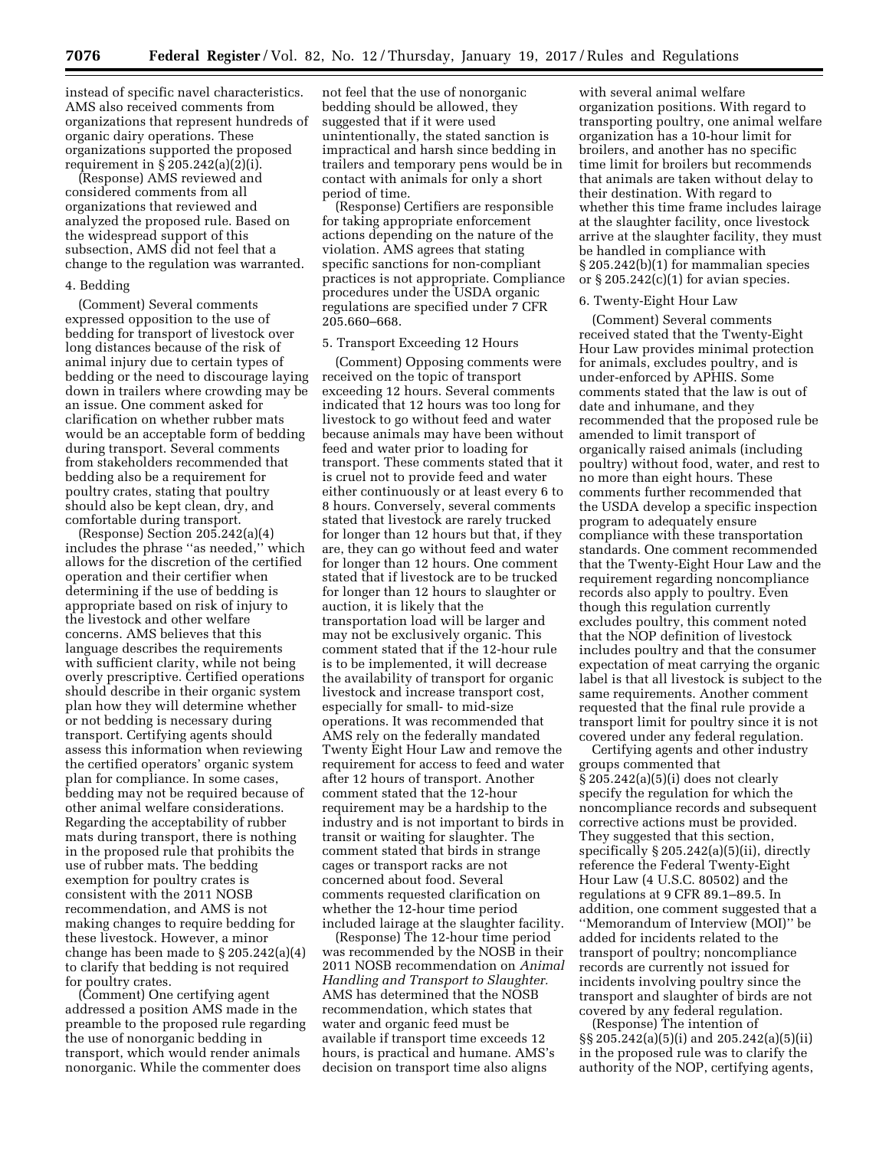instead of specific navel characteristics. AMS also received comments from organizations that represent hundreds of organic dairy operations. These organizations supported the proposed requirement in § 205.242(a)(2)(i).

(Response) AMS reviewed and considered comments from all organizations that reviewed and analyzed the proposed rule. Based on the widespread support of this subsection, AMS did not feel that a change to the regulation was warranted.

### 4. Bedding

(Comment) Several comments expressed opposition to the use of bedding for transport of livestock over long distances because of the risk of animal injury due to certain types of bedding or the need to discourage laying down in trailers where crowding may be an issue. One comment asked for clarification on whether rubber mats would be an acceptable form of bedding during transport. Several comments from stakeholders recommended that bedding also be a requirement for poultry crates, stating that poultry should also be kept clean, dry, and comfortable during transport.

(Response) Section 205.242(a)(4) includes the phrase ''as needed,'' which allows for the discretion of the certified operation and their certifier when determining if the use of bedding is appropriate based on risk of injury to the livestock and other welfare concerns. AMS believes that this language describes the requirements with sufficient clarity, while not being overly prescriptive. Certified operations should describe in their organic system plan how they will determine whether or not bedding is necessary during transport. Certifying agents should assess this information when reviewing the certified operators' organic system plan for compliance. In some cases, bedding may not be required because of other animal welfare considerations. Regarding the acceptability of rubber mats during transport, there is nothing in the proposed rule that prohibits the use of rubber mats. The bedding exemption for poultry crates is consistent with the 2011 NOSB recommendation, and AMS is not making changes to require bedding for these livestock. However, a minor change has been made to § 205.242(a)(4) to clarify that bedding is not required for poultry crates.

(Comment) One certifying agent addressed a position AMS made in the preamble to the proposed rule regarding the use of nonorganic bedding in transport, which would render animals nonorganic. While the commenter does

not feel that the use of nonorganic bedding should be allowed, they suggested that if it were used unintentionally, the stated sanction is impractical and harsh since bedding in trailers and temporary pens would be in contact with animals for only a short period of time.

(Response) Certifiers are responsible for taking appropriate enforcement actions depending on the nature of the violation. AMS agrees that stating specific sanctions for non-compliant practices is not appropriate. Compliance procedures under the USDA organic regulations are specified under 7 CFR 205.660–668.

### 5. Transport Exceeding 12 Hours

(Comment) Opposing comments were received on the topic of transport exceeding 12 hours. Several comments indicated that 12 hours was too long for livestock to go without feed and water because animals may have been without feed and water prior to loading for transport. These comments stated that it is cruel not to provide feed and water either continuously or at least every 6 to 8 hours. Conversely, several comments stated that livestock are rarely trucked for longer than 12 hours but that, if they are, they can go without feed and water for longer than 12 hours. One comment stated that if livestock are to be trucked for longer than 12 hours to slaughter or auction, it is likely that the transportation load will be larger and may not be exclusively organic. This comment stated that if the 12-hour rule is to be implemented, it will decrease the availability of transport for organic livestock and increase transport cost, especially for small- to mid-size operations. It was recommended that AMS rely on the federally mandated Twenty Eight Hour Law and remove the requirement for access to feed and water after 12 hours of transport. Another comment stated that the 12-hour requirement may be a hardship to the industry and is not important to birds in transit or waiting for slaughter. The comment stated that birds in strange cages or transport racks are not concerned about food. Several comments requested clarification on whether the 12-hour time period included lairage at the slaughter facility.

(Response) The 12-hour time period was recommended by the NOSB in their 2011 NOSB recommendation on *Animal Handling and Transport to Slaughter.*  AMS has determined that the NOSB recommendation, which states that water and organic feed must be available if transport time exceeds 12 hours, is practical and humane. AMS's decision on transport time also aligns

with several animal welfare organization positions. With regard to transporting poultry, one animal welfare organization has a 10-hour limit for broilers, and another has no specific time limit for broilers but recommends that animals are taken without delay to their destination. With regard to whether this time frame includes lairage at the slaughter facility, once livestock arrive at the slaughter facility, they must be handled in compliance with § 205.242(b)(1) for mammalian species or  $\S 205.242(c)(1)$  for avian species.

### 6. Twenty-Eight Hour Law

(Comment) Several comments received stated that the Twenty-Eight Hour Law provides minimal protection for animals, excludes poultry, and is under-enforced by APHIS. Some comments stated that the law is out of date and inhumane, and they recommended that the proposed rule be amended to limit transport of organically raised animals (including poultry) without food, water, and rest to no more than eight hours. These comments further recommended that the USDA develop a specific inspection program to adequately ensure compliance with these transportation standards. One comment recommended that the Twenty-Eight Hour Law and the requirement regarding noncompliance records also apply to poultry. Even though this regulation currently excludes poultry, this comment noted that the NOP definition of livestock includes poultry and that the consumer expectation of meat carrying the organic label is that all livestock is subject to the same requirements. Another comment requested that the final rule provide a transport limit for poultry since it is not covered under any federal regulation.

Certifying agents and other industry groups commented that § 205.242(a)(5)(i) does not clearly specify the regulation for which the noncompliance records and subsequent corrective actions must be provided. They suggested that this section, specifically § 205.242(a)(5)(ii), directly reference the Federal Twenty-Eight Hour Law (4 U.S.C. 80502) and the regulations at 9 CFR 89.1–89.5. In addition, one comment suggested that a ''Memorandum of Interview (MOI)'' be added for incidents related to the transport of poultry; noncompliance records are currently not issued for incidents involving poultry since the transport and slaughter of birds are not covered by any federal regulation.

(Response) The intention of §§ 205.242(a)(5)(i) and 205.242(a)(5)(ii) in the proposed rule was to clarify the authority of the NOP, certifying agents,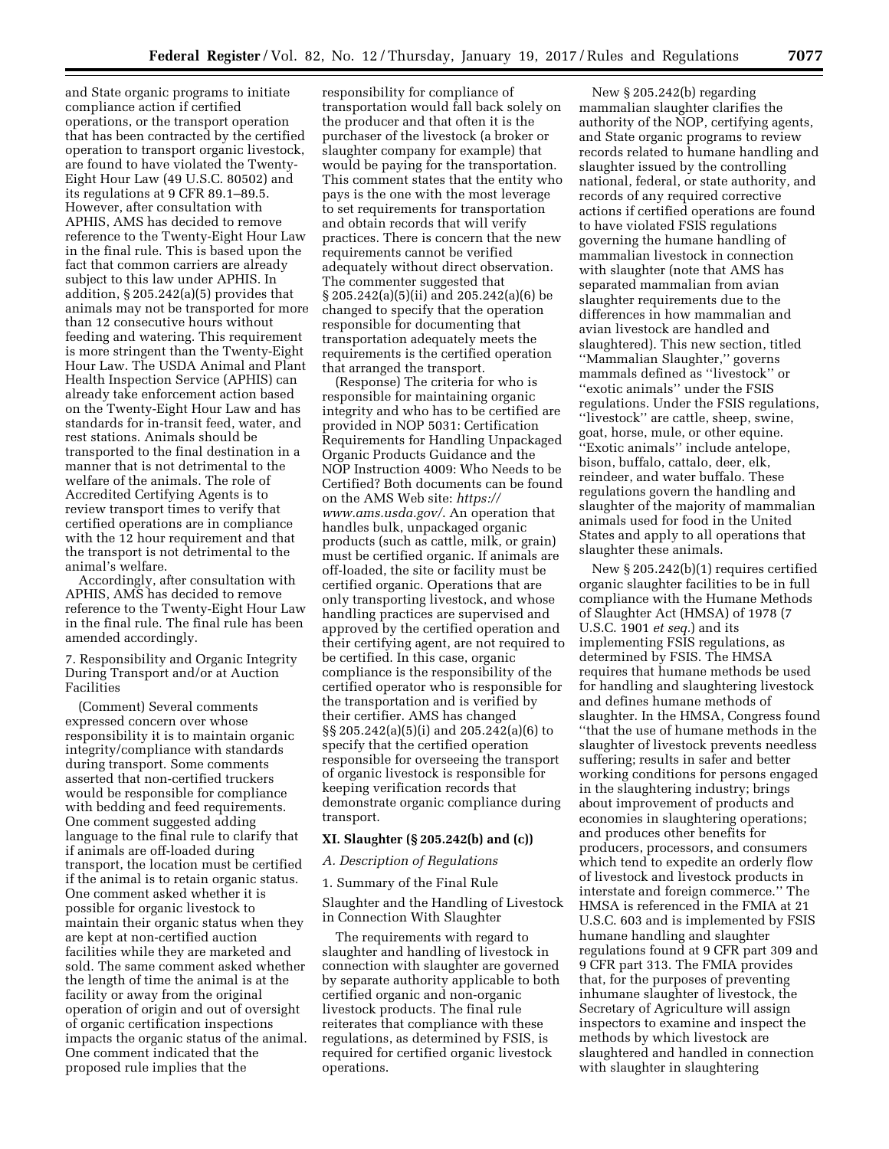and State organic programs to initiate compliance action if certified operations, or the transport operation that has been contracted by the certified operation to transport organic livestock, are found to have violated the Twenty-Eight Hour Law (49 U.S.C. 80502) and its regulations at 9 CFR 89.1–89.5. However, after consultation with APHIS, AMS has decided to remove reference to the Twenty-Eight Hour Law in the final rule. This is based upon the fact that common carriers are already subject to this law under APHIS. In addition, § 205.242(a)(5) provides that animals may not be transported for more than 12 consecutive hours without feeding and watering. This requirement is more stringent than the Twenty-Eight Hour Law. The USDA Animal and Plant Health Inspection Service (APHIS) can already take enforcement action based on the Twenty-Eight Hour Law and has standards for in-transit feed, water, and rest stations. Animals should be transported to the final destination in a manner that is not detrimental to the welfare of the animals. The role of Accredited Certifying Agents is to review transport times to verify that certified operations are in compliance with the 12 hour requirement and that the transport is not detrimental to the animal's welfare.

Accordingly, after consultation with APHIS, AMS has decided to remove reference to the Twenty-Eight Hour Law in the final rule. The final rule has been amended accordingly.

7. Responsibility and Organic Integrity During Transport and/or at Auction Facilities

(Comment) Several comments expressed concern over whose responsibility it is to maintain organic integrity/compliance with standards during transport. Some comments asserted that non-certified truckers would be responsible for compliance with bedding and feed requirements. One comment suggested adding language to the final rule to clarify that if animals are off-loaded during transport, the location must be certified if the animal is to retain organic status. One comment asked whether it is possible for organic livestock to maintain their organic status when they are kept at non-certified auction facilities while they are marketed and sold. The same comment asked whether the length of time the animal is at the facility or away from the original operation of origin and out of oversight of organic certification inspections impacts the organic status of the animal. One comment indicated that the proposed rule implies that the

responsibility for compliance of transportation would fall back solely on the producer and that often it is the purchaser of the livestock (a broker or slaughter company for example) that would be paying for the transportation. This comment states that the entity who pays is the one with the most leverage to set requirements for transportation and obtain records that will verify practices. There is concern that the new requirements cannot be verified adequately without direct observation. The commenter suggested that § 205.242(a)(5)(ii) and 205.242(a)(6) be changed to specify that the operation responsible for documenting that transportation adequately meets the requirements is the certified operation that arranged the transport.

(Response) The criteria for who is responsible for maintaining organic integrity and who has to be certified are provided in NOP 5031: Certification Requirements for Handling Unpackaged Organic Products Guidance and the NOP Instruction 4009: Who Needs to be Certified? Both documents can be found on the AMS Web site: *[https://](https://www.ams.usda.gov/) [www.ams.usda.gov/](https://www.ams.usda.gov/)*. An operation that handles bulk, unpackaged organic products (such as cattle, milk, or grain) must be certified organic. If animals are off-loaded, the site or facility must be certified organic. Operations that are only transporting livestock, and whose handling practices are supervised and approved by the certified operation and their certifying agent, are not required to be certified. In this case, organic compliance is the responsibility of the certified operator who is responsible for the transportation and is verified by their certifier. AMS has changed §§ 205.242(a)(5)(i) and 205.242(a)(6) to specify that the certified operation responsible for overseeing the transport of organic livestock is responsible for keeping verification records that demonstrate organic compliance during transport.

# **XI. Slaughter (§ 205.242(b) and (c))**

*A. Description of Regulations* 

# 1. Summary of the Final Rule

Slaughter and the Handling of Livestock in Connection With Slaughter

The requirements with regard to slaughter and handling of livestock in connection with slaughter are governed by separate authority applicable to both certified organic and non-organic livestock products. The final rule reiterates that compliance with these regulations, as determined by FSIS, is required for certified organic livestock operations.

New § 205.242(b) regarding mammalian slaughter clarifies the authority of the NOP, certifying agents, and State organic programs to review records related to humane handling and slaughter issued by the controlling national, federal, or state authority, and records of any required corrective actions if certified operations are found to have violated FSIS regulations governing the humane handling of mammalian livestock in connection with slaughter (note that AMS has separated mammalian from avian slaughter requirements due to the differences in how mammalian and avian livestock are handled and slaughtered). This new section, titled ''Mammalian Slaughter,'' governs mammals defined as ''livestock'' or ''exotic animals'' under the FSIS regulations. Under the FSIS regulations, ''livestock'' are cattle, sheep, swine, goat, horse, mule, or other equine. ''Exotic animals'' include antelope, bison, buffalo, cattalo, deer, elk, reindeer, and water buffalo. These regulations govern the handling and slaughter of the majority of mammalian animals used for food in the United States and apply to all operations that slaughter these animals.

New § 205.242(b)(1) requires certified organic slaughter facilities to be in full compliance with the Humane Methods of Slaughter Act (HMSA) of 1978 (7 U.S.C. 1901 *et seq.*) and its implementing FSIS regulations, as determined by FSIS. The HMSA requires that humane methods be used for handling and slaughtering livestock and defines humane methods of slaughter. In the HMSA, Congress found ''that the use of humane methods in the slaughter of livestock prevents needless suffering; results in safer and better working conditions for persons engaged in the slaughtering industry; brings about improvement of products and economies in slaughtering operations; and produces other benefits for producers, processors, and consumers which tend to expedite an orderly flow of livestock and livestock products in interstate and foreign commerce.'' The HMSA is referenced in the FMIA at 21 U.S.C. 603 and is implemented by FSIS humane handling and slaughter regulations found at 9 CFR part 309 and 9 CFR part 313. The FMIA provides that, for the purposes of preventing inhumane slaughter of livestock, the Secretary of Agriculture will assign inspectors to examine and inspect the methods by which livestock are slaughtered and handled in connection with slaughter in slaughtering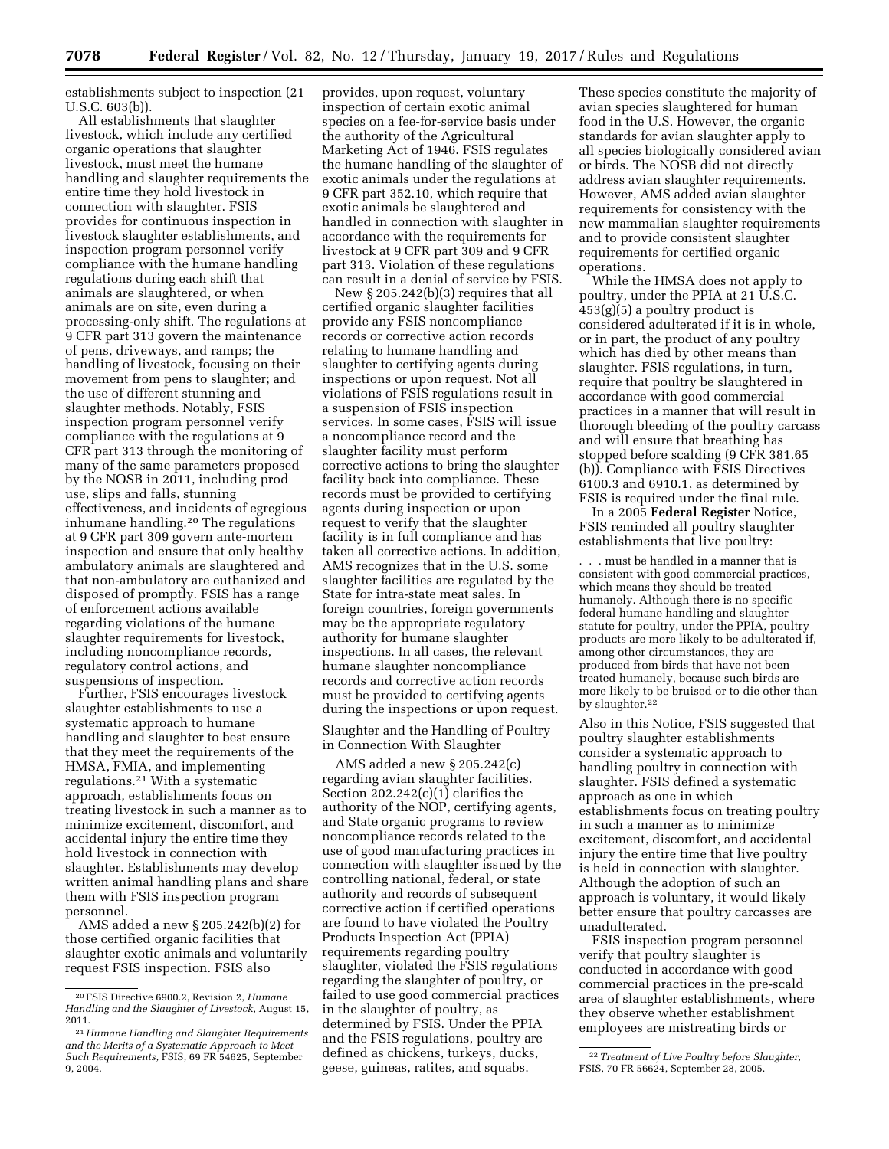establishments subject to inspection (21 U.S.C. 603(b)).

All establishments that slaughter livestock, which include any certified organic operations that slaughter livestock, must meet the humane handling and slaughter requirements the entire time they hold livestock in connection with slaughter. FSIS provides for continuous inspection in livestock slaughter establishments, and inspection program personnel verify compliance with the humane handling regulations during each shift that animals are slaughtered, or when animals are on site, even during a processing-only shift. The regulations at 9 CFR part 313 govern the maintenance of pens, driveways, and ramps; the handling of livestock, focusing on their movement from pens to slaughter; and the use of different stunning and slaughter methods. Notably, FSIS inspection program personnel verify compliance with the regulations at 9 CFR part 313 through the monitoring of many of the same parameters proposed by the NOSB in 2011, including prod use, slips and falls, stunning effectiveness, and incidents of egregious inhumane handling.20 The regulations at 9 CFR part 309 govern ante-mortem inspection and ensure that only healthy ambulatory animals are slaughtered and that non-ambulatory are euthanized and disposed of promptly. FSIS has a range of enforcement actions available regarding violations of the humane slaughter requirements for livestock, including noncompliance records, regulatory control actions, and suspensions of inspection.

Further, FSIS encourages livestock slaughter establishments to use a systematic approach to humane handling and slaughter to best ensure that they meet the requirements of the HMSA, FMIA, and implementing regulations.21 With a systematic approach, establishments focus on treating livestock in such a manner as to minimize excitement, discomfort, and accidental injury the entire time they hold livestock in connection with slaughter. Establishments may develop written animal handling plans and share them with FSIS inspection program personnel.

AMS added a new § 205.242(b)(2) for those certified organic facilities that slaughter exotic animals and voluntarily request FSIS inspection. FSIS also

provides, upon request, voluntary inspection of certain exotic animal species on a fee-for-service basis under the authority of the Agricultural Marketing Act of 1946. FSIS regulates the humane handling of the slaughter of exotic animals under the regulations at 9 CFR part 352.10, which require that exotic animals be slaughtered and handled in connection with slaughter in accordance with the requirements for livestock at 9 CFR part 309 and 9 CFR part 313. Violation of these regulations can result in a denial of service by FSIS.

New § 205.242(b)(3) requires that all certified organic slaughter facilities provide any FSIS noncompliance records or corrective action records relating to humane handling and slaughter to certifying agents during inspections or upon request. Not all violations of FSIS regulations result in a suspension of FSIS inspection services. In some cases, FSIS will issue a noncompliance record and the slaughter facility must perform corrective actions to bring the slaughter facility back into compliance. These records must be provided to certifying agents during inspection or upon request to verify that the slaughter facility is in full compliance and has taken all corrective actions. In addition, AMS recognizes that in the U.S. some slaughter facilities are regulated by the State for intra-state meat sales. In foreign countries, foreign governments may be the appropriate regulatory authority for humane slaughter inspections. In all cases, the relevant humane slaughter noncompliance records and corrective action records must be provided to certifying agents during the inspections or upon request.

Slaughter and the Handling of Poultry in Connection With Slaughter

AMS added a new § 205.242(c) regarding avian slaughter facilities. Section 202.242(c)(1) clarifies the authority of the NOP, certifying agents, and State organic programs to review noncompliance records related to the use of good manufacturing practices in connection with slaughter issued by the controlling national, federal, or state authority and records of subsequent corrective action if certified operations are found to have violated the Poultry Products Inspection Act (PPIA) requirements regarding poultry slaughter, violated the FSIS regulations regarding the slaughter of poultry, or failed to use good commercial practices in the slaughter of poultry, as determined by FSIS. Under the PPIA and the FSIS regulations, poultry are defined as chickens, turkeys, ducks, geese, guineas, ratites, and squabs.

These species constitute the majority of avian species slaughtered for human food in the U.S. However, the organic standards for avian slaughter apply to all species biologically considered avian or birds. The NOSB did not directly address avian slaughter requirements. However, AMS added avian slaughter requirements for consistency with the new mammalian slaughter requirements and to provide consistent slaughter requirements for certified organic operations.

While the HMSA does not apply to poultry, under the PPIA at 21 U.S.C. 453(g)(5) a poultry product is considered adulterated if it is in whole, or in part, the product of any poultry which has died by other means than slaughter. FSIS regulations, in turn, require that poultry be slaughtered in accordance with good commercial practices in a manner that will result in thorough bleeding of the poultry carcass and will ensure that breathing has stopped before scalding (9 CFR 381.65 (b)). Compliance with FSIS Directives 6100.3 and 6910.1, as determined by FSIS is required under the final rule.

In a 2005 **Federal Register** Notice, FSIS reminded all poultry slaughter establishments that live poultry:

. . . must be handled in a manner that is consistent with good commercial practices, which means they should be treated humanely. Although there is no specific federal humane handling and slaughter statute for poultry, under the PPIA, poultry products are more likely to be adulterated if, among other circumstances, they are produced from birds that have not been treated humanely, because such birds are more likely to be bruised or to die other than by slaughter.<sup>22</sup>

Also in this Notice, FSIS suggested that poultry slaughter establishments consider a systematic approach to handling poultry in connection with slaughter. FSIS defined a systematic approach as one in which establishments focus on treating poultry in such a manner as to minimize excitement, discomfort, and accidental injury the entire time that live poultry is held in connection with slaughter. Although the adoption of such an approach is voluntary, it would likely better ensure that poultry carcasses are unadulterated.

FSIS inspection program personnel verify that poultry slaughter is conducted in accordance with good commercial practices in the pre-scald area of slaughter establishments, where they observe whether establishment employees are mistreating birds or

<sup>20</sup>FSIS Directive 6900.2, Revision 2, *Humane Handling and the Slaughter of Livestock,* August 15, 2011.

<sup>21</sup>*Humane Handling and Slaughter Requirements and the Merits of a Systematic Approach to Meet Such Requirements,* FSIS, 69 FR 54625, September 9, 2004.

<sup>22</sup>*Treatment of Live Poultry before Slaughter,*  FSIS, 70 FR 56624, September 28, 2005.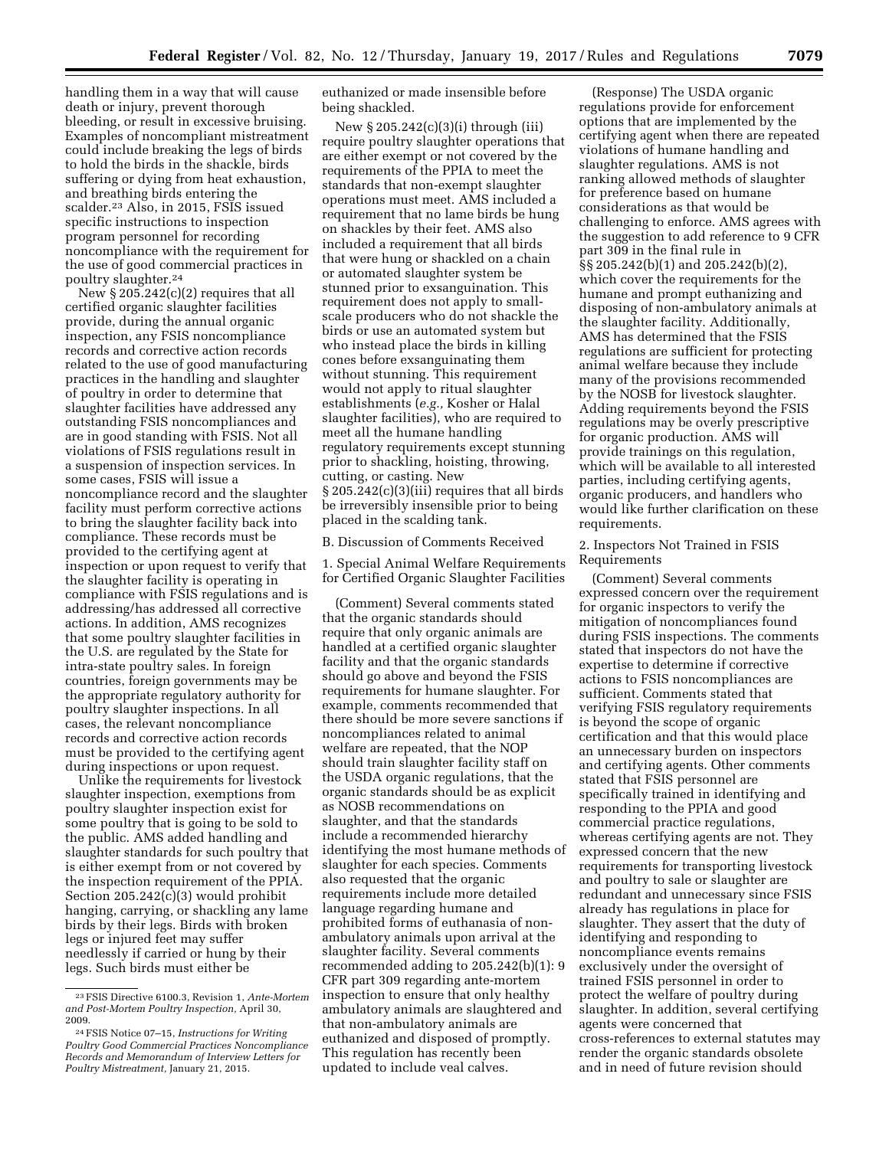handling them in a way that will cause death or injury, prevent thorough bleeding, or result in excessive bruising. Examples of noncompliant mistreatment could include breaking the legs of birds to hold the birds in the shackle, birds suffering or dying from heat exhaustion, and breathing birds entering the scalder.23 Also, in 2015, FSIS issued specific instructions to inspection program personnel for recording noncompliance with the requirement for the use of good commercial practices in poultry slaughter.24

New  $\S 205.242(c)(2)$  requires that all certified organic slaughter facilities provide, during the annual organic inspection, any FSIS noncompliance records and corrective action records related to the use of good manufacturing practices in the handling and slaughter of poultry in order to determine that slaughter facilities have addressed any outstanding FSIS noncompliances and are in good standing with FSIS. Not all violations of FSIS regulations result in a suspension of inspection services. In some cases, FSIS will issue a noncompliance record and the slaughter facility must perform corrective actions to bring the slaughter facility back into compliance. These records must be provided to the certifying agent at inspection or upon request to verify that the slaughter facility is operating in compliance with FSIS regulations and is addressing/has addressed all corrective actions. In addition, AMS recognizes that some poultry slaughter facilities in the U.S. are regulated by the State for intra-state poultry sales. In foreign countries, foreign governments may be the appropriate regulatory authority for poultry slaughter inspections. In all cases, the relevant noncompliance records and corrective action records must be provided to the certifying agent during inspections or upon request.

Unlike the requirements for livestock slaughter inspection, exemptions from poultry slaughter inspection exist for some poultry that is going to be sold to the public. AMS added handling and slaughter standards for such poultry that is either exempt from or not covered by the inspection requirement of the PPIA. Section 205.242(c)(3) would prohibit hanging, carrying, or shackling any lame birds by their legs. Birds with broken legs or injured feet may suffer needlessly if carried or hung by their legs. Such birds must either be

euthanized or made insensible before being shackled.

New § 205.242(c)(3)(i) through (iii) require poultry slaughter operations that are either exempt or not covered by the requirements of the PPIA to meet the standards that non-exempt slaughter operations must meet. AMS included a requirement that no lame birds be hung on shackles by their feet. AMS also included a requirement that all birds that were hung or shackled on a chain or automated slaughter system be stunned prior to exsanguination. This requirement does not apply to smallscale producers who do not shackle the birds or use an automated system but who instead place the birds in killing cones before exsanguinating them without stunning. This requirement would not apply to ritual slaughter establishments (*e.g.,* Kosher or Halal slaughter facilities), who are required to meet all the humane handling regulatory requirements except stunning prior to shackling, hoisting, throwing, cutting, or casting. New § 205.242(c)(3)(iii) requires that all birds be irreversibly insensible prior to being placed in the scalding tank.

B. Discussion of Comments Received

1. Special Animal Welfare Requirements for Certified Organic Slaughter Facilities

(Comment) Several comments stated that the organic standards should require that only organic animals are handled at a certified organic slaughter facility and that the organic standards should go above and beyond the FSIS requirements for humane slaughter. For example, comments recommended that there should be more severe sanctions if noncompliances related to animal welfare are repeated, that the NOP should train slaughter facility staff on the USDA organic regulations, that the organic standards should be as explicit as NOSB recommendations on slaughter, and that the standards include a recommended hierarchy identifying the most humane methods of slaughter for each species. Comments also requested that the organic requirements include more detailed language regarding humane and prohibited forms of euthanasia of nonambulatory animals upon arrival at the slaughter facility. Several comments recommended adding to 205.242(b)(1): 9 CFR part 309 regarding ante-mortem inspection to ensure that only healthy ambulatory animals are slaughtered and that non-ambulatory animals are euthanized and disposed of promptly. This regulation has recently been updated to include veal calves.

(Response) The USDA organic regulations provide for enforcement options that are implemented by the certifying agent when there are repeated violations of humane handling and slaughter regulations. AMS is not ranking allowed methods of slaughter for preference based on humane considerations as that would be challenging to enforce. AMS agrees with the suggestion to add reference to 9 CFR part 309 in the final rule in §§ 205.242(b)(1) and 205.242(b)(2), which cover the requirements for the humane and prompt euthanizing and disposing of non-ambulatory animals at the slaughter facility. Additionally, AMS has determined that the FSIS regulations are sufficient for protecting animal welfare because they include many of the provisions recommended by the NOSB for livestock slaughter. Adding requirements beyond the FSIS regulations may be overly prescriptive for organic production. AMS will provide trainings on this regulation, which will be available to all interested parties, including certifying agents, organic producers, and handlers who would like further clarification on these requirements.

### 2. Inspectors Not Trained in FSIS Requirements

(Comment) Several comments expressed concern over the requirement for organic inspectors to verify the mitigation of noncompliances found during FSIS inspections. The comments stated that inspectors do not have the expertise to determine if corrective actions to FSIS noncompliances are sufficient. Comments stated that verifying FSIS regulatory requirements is beyond the scope of organic certification and that this would place an unnecessary burden on inspectors and certifying agents. Other comments stated that FSIS personnel are specifically trained in identifying and responding to the PPIA and good commercial practice regulations, whereas certifying agents are not. They expressed concern that the new requirements for transporting livestock and poultry to sale or slaughter are redundant and unnecessary since FSIS already has regulations in place for slaughter. They assert that the duty of identifying and responding to noncompliance events remains exclusively under the oversight of trained FSIS personnel in order to protect the welfare of poultry during slaughter. In addition, several certifying agents were concerned that cross-references to external statutes may render the organic standards obsolete and in need of future revision should

<sup>23</sup>FSIS Directive 6100.3, Revision 1, *Ante-Mortem and Post-Mortem Poultry Inspection,* April 30, 2009.

<sup>24</sup>FSIS Notice 07–15, *Instructions for Writing Poultry Good Commercial Practices Noncompliance Records and Memorandum of Interview Letters for Poultry Mistreatment,* January 21, 2015.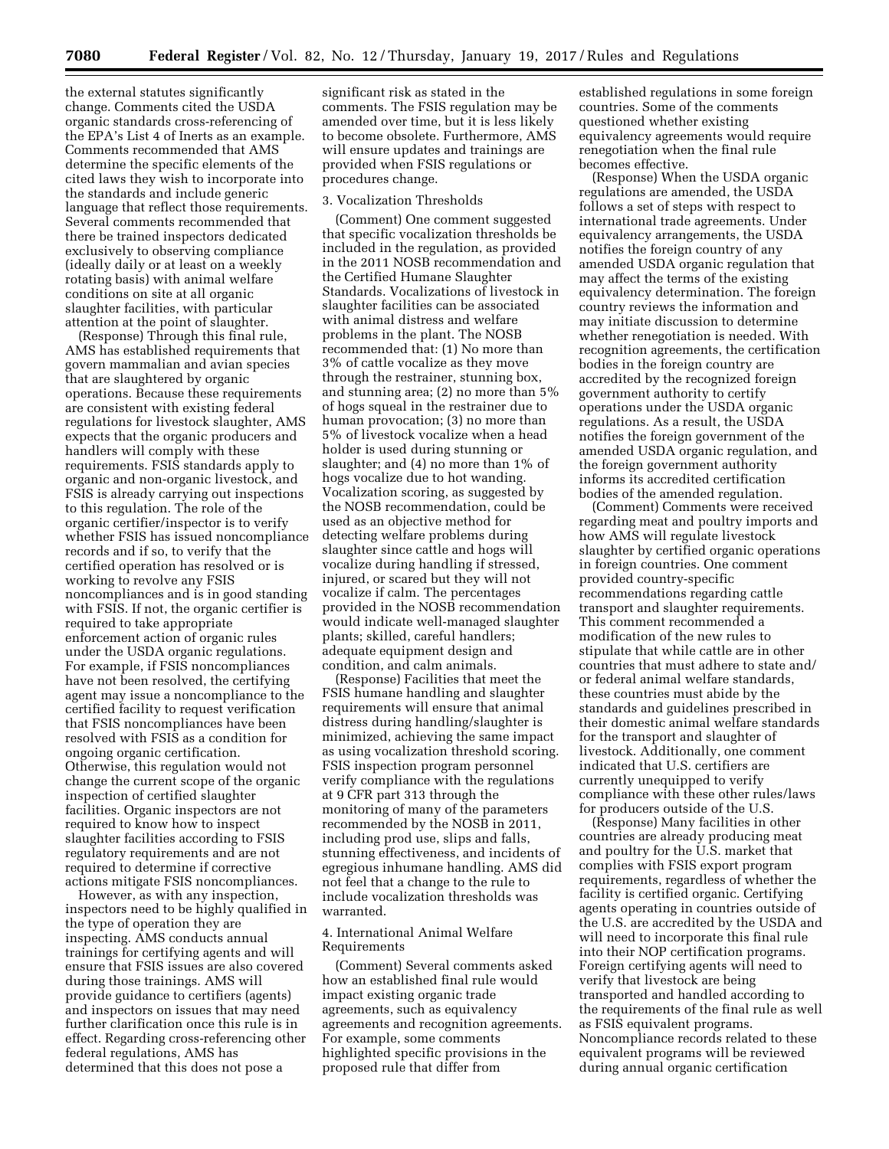the external statutes significantly change. Comments cited the USDA organic standards cross-referencing of the EPA's List 4 of Inerts as an example. Comments recommended that AMS determine the specific elements of the cited laws they wish to incorporate into the standards and include generic language that reflect those requirements. Several comments recommended that there be trained inspectors dedicated exclusively to observing compliance (ideally daily or at least on a weekly rotating basis) with animal welfare conditions on site at all organic slaughter facilities, with particular attention at the point of slaughter.

(Response) Through this final rule, AMS has established requirements that govern mammalian and avian species that are slaughtered by organic operations. Because these requirements are consistent with existing federal regulations for livestock slaughter, AMS expects that the organic producers and handlers will comply with these requirements. FSIS standards apply to organic and non-organic livestock, and FSIS is already carrying out inspections to this regulation. The role of the organic certifier/inspector is to verify whether FSIS has issued noncompliance records and if so, to verify that the certified operation has resolved or is working to revolve any FSIS noncompliances and is in good standing with FSIS. If not, the organic certifier is required to take appropriate enforcement action of organic rules under the USDA organic regulations. For example, if FSIS noncompliances have not been resolved, the certifying agent may issue a noncompliance to the certified facility to request verification that FSIS noncompliances have been resolved with FSIS as a condition for ongoing organic certification. Otherwise, this regulation would not change the current scope of the organic inspection of certified slaughter facilities. Organic inspectors are not required to know how to inspect slaughter facilities according to FSIS regulatory requirements and are not required to determine if corrective actions mitigate FSIS noncompliances.

However, as with any inspection, inspectors need to be highly qualified in the type of operation they are inspecting. AMS conducts annual trainings for certifying agents and will ensure that FSIS issues are also covered during those trainings. AMS will provide guidance to certifiers (agents) and inspectors on issues that may need further clarification once this rule is in effect. Regarding cross-referencing other federal regulations, AMS has determined that this does not pose a

significant risk as stated in the comments. The FSIS regulation may be amended over time, but it is less likely to become obsolete. Furthermore, AMS will ensure updates and trainings are provided when FSIS regulations or procedures change.

# 3. Vocalization Thresholds

(Comment) One comment suggested that specific vocalization thresholds be included in the regulation, as provided in the 2011 NOSB recommendation and the Certified Humane Slaughter Standards. Vocalizations of livestock in slaughter facilities can be associated with animal distress and welfare problems in the plant. The NOSB recommended that: (1) No more than 3% of cattle vocalize as they move through the restrainer, stunning box, and stunning area; (2) no more than 5% of hogs squeal in the restrainer due to human provocation; (3) no more than 5% of livestock vocalize when a head holder is used during stunning or slaughter; and (4) no more than 1% of hogs vocalize due to hot wanding. Vocalization scoring, as suggested by the NOSB recommendation, could be used as an objective method for detecting welfare problems during slaughter since cattle and hogs will vocalize during handling if stressed, injured, or scared but they will not vocalize if calm. The percentages provided in the NOSB recommendation would indicate well-managed slaughter plants; skilled, careful handlers; adequate equipment design and condition, and calm animals.

(Response) Facilities that meet the FSIS humane handling and slaughter requirements will ensure that animal distress during handling/slaughter is minimized, achieving the same impact as using vocalization threshold scoring. FSIS inspection program personnel verify compliance with the regulations at 9 CFR part 313 through the monitoring of many of the parameters recommended by the NOSB in 2011, including prod use, slips and falls, stunning effectiveness, and incidents of egregious inhumane handling. AMS did not feel that a change to the rule to include vocalization thresholds was warranted.

# 4. International Animal Welfare Requirements

(Comment) Several comments asked how an established final rule would impact existing organic trade agreements, such as equivalency agreements and recognition agreements. For example, some comments highlighted specific provisions in the proposed rule that differ from

established regulations in some foreign countries. Some of the comments questioned whether existing equivalency agreements would require renegotiation when the final rule becomes effective.

(Response) When the USDA organic regulations are amended, the USDA follows a set of steps with respect to international trade agreements. Under equivalency arrangements, the USDA notifies the foreign country of any amended USDA organic regulation that may affect the terms of the existing equivalency determination. The foreign country reviews the information and may initiate discussion to determine whether renegotiation is needed. With recognition agreements, the certification bodies in the foreign country are accredited by the recognized foreign government authority to certify operations under the USDA organic regulations. As a result, the USDA notifies the foreign government of the amended USDA organic regulation, and the foreign government authority informs its accredited certification bodies of the amended regulation.

(Comment) Comments were received regarding meat and poultry imports and how AMS will regulate livestock slaughter by certified organic operations in foreign countries. One comment provided country-specific recommendations regarding cattle transport and slaughter requirements. This comment recommended a modification of the new rules to stipulate that while cattle are in other countries that must adhere to state and/ or federal animal welfare standards, these countries must abide by the standards and guidelines prescribed in their domestic animal welfare standards for the transport and slaughter of livestock. Additionally, one comment indicated that U.S. certifiers are currently unequipped to verify compliance with these other rules/laws for producers outside of the U.S.

(Response) Many facilities in other countries are already producing meat and poultry for the U.S. market that complies with FSIS export program requirements, regardless of whether the facility is certified organic. Certifying agents operating in countries outside of the U.S. are accredited by the USDA and will need to incorporate this final rule into their NOP certification programs. Foreign certifying agents will need to verify that livestock are being transported and handled according to the requirements of the final rule as well as FSIS equivalent programs. Noncompliance records related to these equivalent programs will be reviewed during annual organic certification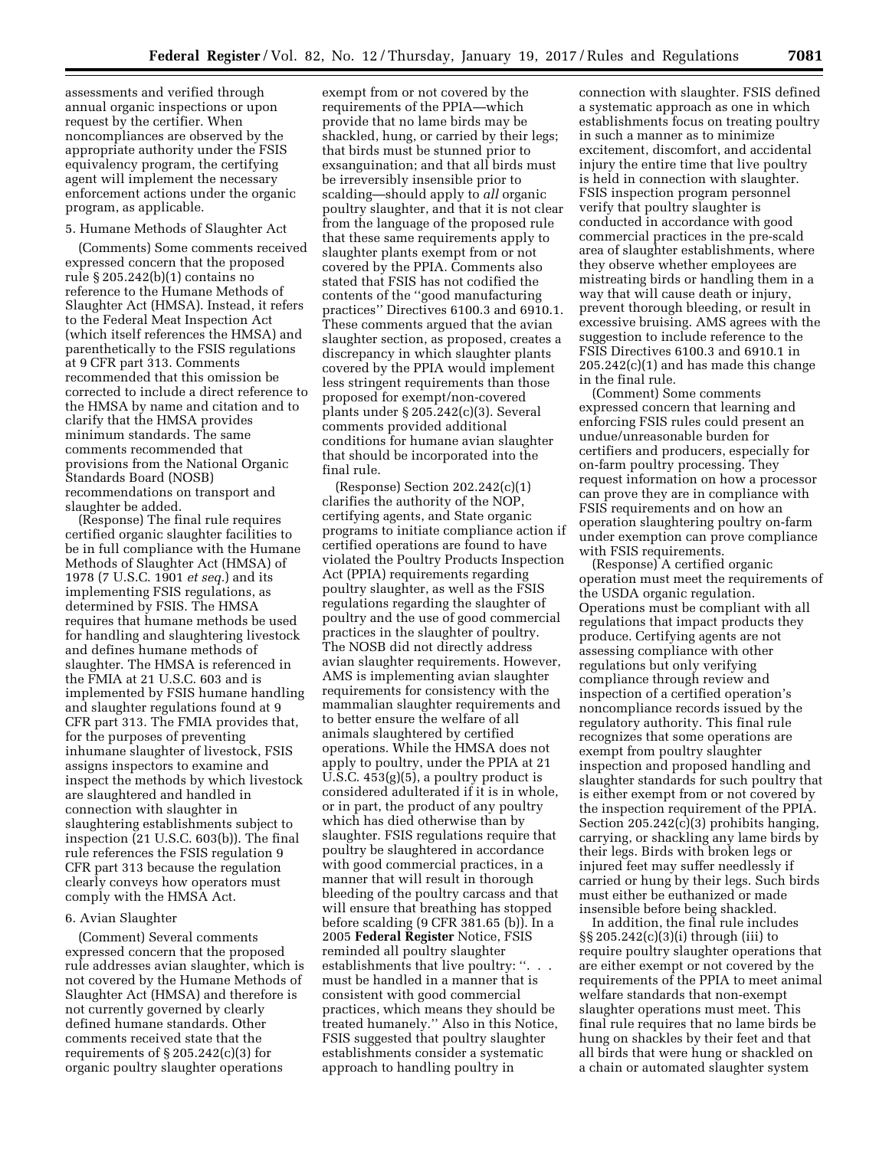assessments and verified through annual organic inspections or upon request by the certifier. When noncompliances are observed by the appropriate authority under the FSIS equivalency program, the certifying agent will implement the necessary enforcement actions under the organic program, as applicable.

### 5. Humane Methods of Slaughter Act

(Comments) Some comments received expressed concern that the proposed rule § 205.242(b)(1) contains no reference to the Humane Methods of Slaughter Act (HMSA). Instead, it refers to the Federal Meat Inspection Act (which itself references the HMSA) and parenthetically to the FSIS regulations at 9 CFR part 313. Comments recommended that this omission be corrected to include a direct reference to the HMSA by name and citation and to clarify that the HMSA provides minimum standards. The same comments recommended that provisions from the National Organic Standards Board (NOSB) recommendations on transport and slaughter be added.

(Response) The final rule requires certified organic slaughter facilities to be in full compliance with the Humane Methods of Slaughter Act (HMSA) of 1978 (7 U.S.C. 1901 *et seq.*) and its implementing FSIS regulations, as determined by FSIS. The HMSA requires that humane methods be used for handling and slaughtering livestock and defines humane methods of slaughter. The HMSA is referenced in the FMIA at 21 U.S.C. 603 and is implemented by FSIS humane handling and slaughter regulations found at 9 CFR part 313. The FMIA provides that, for the purposes of preventing inhumane slaughter of livestock, FSIS assigns inspectors to examine and inspect the methods by which livestock are slaughtered and handled in connection with slaughter in slaughtering establishments subject to inspection (21 U.S.C. 603(b)). The final rule references the FSIS regulation 9 CFR part 313 because the regulation clearly conveys how operators must comply with the HMSA Act.

### 6. Avian Slaughter

(Comment) Several comments expressed concern that the proposed rule addresses avian slaughter, which is not covered by the Humane Methods of Slaughter Act (HMSA) and therefore is not currently governed by clearly defined humane standards. Other comments received state that the requirements of  $\S 205.242(c)(3)$  for organic poultry slaughter operations

exempt from or not covered by the requirements of the PPIA—which provide that no lame birds may be shackled, hung, or carried by their legs; that birds must be stunned prior to exsanguination; and that all birds must be irreversibly insensible prior to scalding—should apply to *all* organic poultry slaughter, and that it is not clear from the language of the proposed rule that these same requirements apply to slaughter plants exempt from or not covered by the PPIA. Comments also stated that FSIS has not codified the contents of the ''good manufacturing practices'' Directives 6100.3 and 6910.1. These comments argued that the avian slaughter section, as proposed, creates a discrepancy in which slaughter plants covered by the PPIA would implement less stringent requirements than those proposed for exempt/non-covered plants under § 205.242(c)(3). Several comments provided additional conditions for humane avian slaughter that should be incorporated into the final rule.

(Response) Section 202.242(c)(1) clarifies the authority of the NOP, certifying agents, and State organic programs to initiate compliance action if certified operations are found to have violated the Poultry Products Inspection Act (PPIA) requirements regarding poultry slaughter, as well as the FSIS regulations regarding the slaughter of poultry and the use of good commercial practices in the slaughter of poultry. The NOSB did not directly address avian slaughter requirements. However, AMS is implementing avian slaughter requirements for consistency with the mammalian slaughter requirements and to better ensure the welfare of all animals slaughtered by certified operations. While the HMSA does not apply to poultry, under the PPIA at 21 U.S.C. 453(g)(5), a poultry product is considered adulterated if it is in whole, or in part, the product of any poultry which has died otherwise than by slaughter. FSIS regulations require that poultry be slaughtered in accordance with good commercial practices, in a manner that will result in thorough bleeding of the poultry carcass and that will ensure that breathing has stopped before scalding (9 CFR 381.65 (b)). In a 2005 **Federal Register** Notice, FSIS reminded all poultry slaughter establishments that live poultry: ''. . . must be handled in a manner that is consistent with good commercial practices, which means they should be treated humanely.'' Also in this Notice, FSIS suggested that poultry slaughter establishments consider a systematic approach to handling poultry in

connection with slaughter. FSIS defined a systematic approach as one in which establishments focus on treating poultry in such a manner as to minimize excitement, discomfort, and accidental injury the entire time that live poultry is held in connection with slaughter. FSIS inspection program personnel verify that poultry slaughter is conducted in accordance with good commercial practices in the pre-scald area of slaughter establishments, where they observe whether employees are mistreating birds or handling them in a way that will cause death or injury, prevent thorough bleeding, or result in excessive bruising. AMS agrees with the suggestion to include reference to the FSIS Directives 6100.3 and 6910.1 in 205.242(c)(1) and has made this change in the final rule.

(Comment) Some comments expressed concern that learning and enforcing FSIS rules could present an undue/unreasonable burden for certifiers and producers, especially for on-farm poultry processing. They request information on how a processor can prove they are in compliance with FSIS requirements and on how an operation slaughtering poultry on-farm under exemption can prove compliance with FSIS requirements.

(Response) A certified organic operation must meet the requirements of the USDA organic regulation. Operations must be compliant with all regulations that impact products they produce. Certifying agents are not assessing compliance with other regulations but only verifying compliance through review and inspection of a certified operation's noncompliance records issued by the regulatory authority. This final rule recognizes that some operations are exempt from poultry slaughter inspection and proposed handling and slaughter standards for such poultry that is either exempt from or not covered by the inspection requirement of the PPIA. Section 205.242(c)(3) prohibits hanging, carrying, or shackling any lame birds by their legs. Birds with broken legs or injured feet may suffer needlessly if carried or hung by their legs. Such birds must either be euthanized or made insensible before being shackled.

In addition, the final rule includes §§ 205.242(c)(3)(i) through (iii) to require poultry slaughter operations that are either exempt or not covered by the requirements of the PPIA to meet animal welfare standards that non-exempt slaughter operations must meet. This final rule requires that no lame birds be hung on shackles by their feet and that all birds that were hung or shackled on a chain or automated slaughter system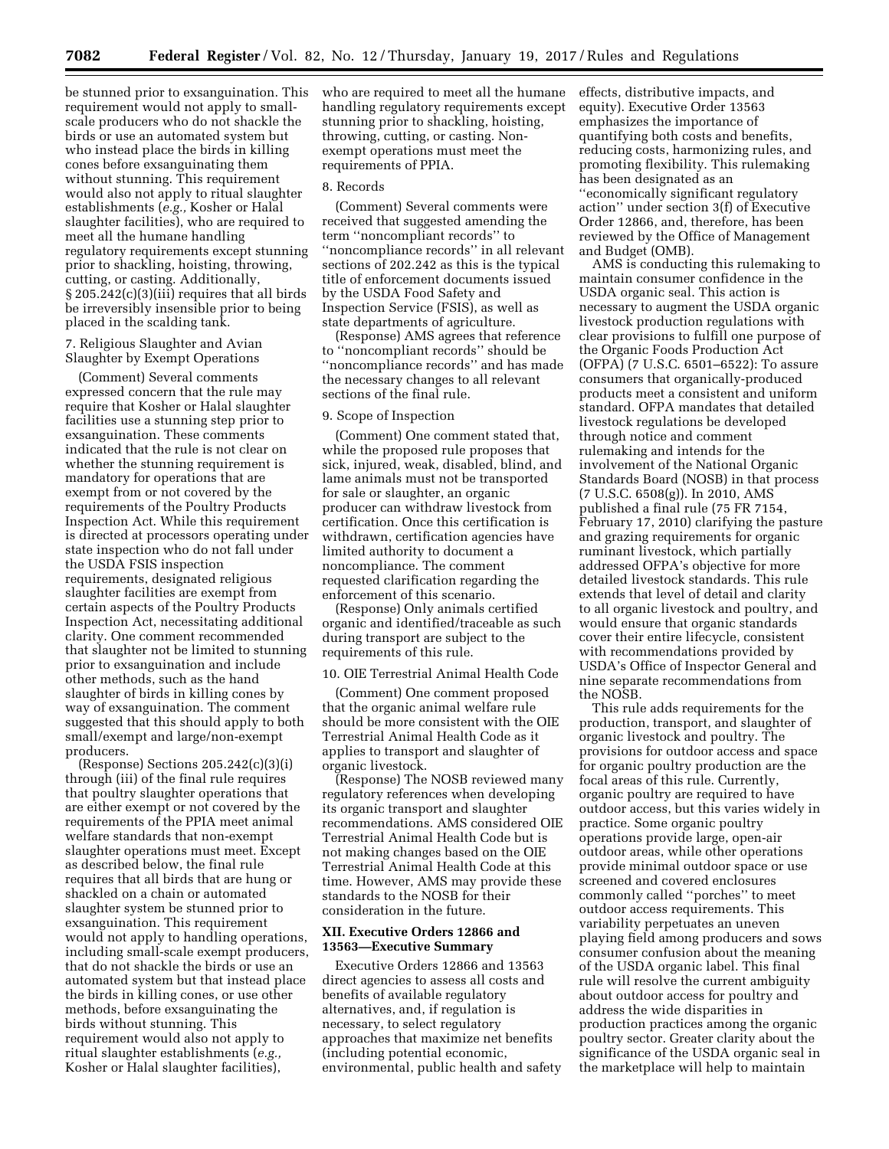be stunned prior to exsanguination. This requirement would not apply to smallscale producers who do not shackle the birds or use an automated system but who instead place the birds in killing cones before exsanguinating them without stunning. This requirement would also not apply to ritual slaughter establishments (*e.g.,* Kosher or Halal slaughter facilities), who are required to meet all the humane handling regulatory requirements except stunning prior to shackling, hoisting, throwing, cutting, or casting. Additionally, § 205.242(c)(3)(iii) requires that all birds be irreversibly insensible prior to being placed in the scalding tank.

7. Religious Slaughter and Avian Slaughter by Exempt Operations

(Comment) Several comments expressed concern that the rule may require that Kosher or Halal slaughter facilities use a stunning step prior to exsanguination. These comments indicated that the rule is not clear on whether the stunning requirement is mandatory for operations that are exempt from or not covered by the requirements of the Poultry Products Inspection Act. While this requirement is directed at processors operating under state inspection who do not fall under the USDA FSIS inspection requirements, designated religious slaughter facilities are exempt from certain aspects of the Poultry Products Inspection Act, necessitating additional clarity. One comment recommended that slaughter not be limited to stunning prior to exsanguination and include other methods, such as the hand slaughter of birds in killing cones by way of exsanguination. The comment suggested that this should apply to both small/exempt and large/non-exempt producers.

(Response) Sections 205.242(c)(3)(i) through (iii) of the final rule requires that poultry slaughter operations that are either exempt or not covered by the requirements of the PPIA meet animal welfare standards that non-exempt slaughter operations must meet. Except as described below, the final rule requires that all birds that are hung or shackled on a chain or automated slaughter system be stunned prior to exsanguination. This requirement would not apply to handling operations, including small-scale exempt producers, that do not shackle the birds or use an automated system but that instead place the birds in killing cones, or use other methods, before exsanguinating the birds without stunning. This requirement would also not apply to ritual slaughter establishments (*e.g.,*  Kosher or Halal slaughter facilities),

who are required to meet all the humane handling regulatory requirements except stunning prior to shackling, hoisting, throwing, cutting, or casting. Nonexempt operations must meet the requirements of PPIA.

#### 8. Records

(Comment) Several comments were received that suggested amending the term ''noncompliant records'' to ''noncompliance records'' in all relevant sections of 202.242 as this is the typical title of enforcement documents issued by the USDA Food Safety and Inspection Service (FSIS), as well as state departments of agriculture.

(Response) AMS agrees that reference to ''noncompliant records'' should be ''noncompliance records'' and has made the necessary changes to all relevant sections of the final rule.

#### 9. Scope of Inspection

(Comment) One comment stated that, while the proposed rule proposes that sick, injured, weak, disabled, blind, and lame animals must not be transported for sale or slaughter, an organic producer can withdraw livestock from certification. Once this certification is withdrawn, certification agencies have limited authority to document a noncompliance. The comment requested clarification regarding the enforcement of this scenario.

(Response) Only animals certified organic and identified/traceable as such during transport are subject to the requirements of this rule.

### 10. OIE Terrestrial Animal Health Code

(Comment) One comment proposed that the organic animal welfare rule should be more consistent with the OIE Terrestrial Animal Health Code as it applies to transport and slaughter of organic livestock.

(Response) The NOSB reviewed many regulatory references when developing its organic transport and slaughter recommendations. AMS considered OIE Terrestrial Animal Health Code but is not making changes based on the OIE Terrestrial Animal Health Code at this time. However, AMS may provide these standards to the NOSB for their consideration in the future.

### **XII. Executive Orders 12866 and 13563—Executive Summary**

Executive Orders 12866 and 13563 direct agencies to assess all costs and benefits of available regulatory alternatives, and, if regulation is necessary, to select regulatory approaches that maximize net benefits (including potential economic, environmental, public health and safety effects, distributive impacts, and equity). Executive Order 13563 emphasizes the importance of quantifying both costs and benefits, reducing costs, harmonizing rules, and promoting flexibility. This rulemaking has been designated as an ''economically significant regulatory action'' under section 3(f) of Executive Order 12866, and, therefore, has been reviewed by the Office of Management and Budget (OMB).

AMS is conducting this rulemaking to maintain consumer confidence in the USDA organic seal. This action is necessary to augment the USDA organic livestock production regulations with clear provisions to fulfill one purpose of the Organic Foods Production Act (OFPA) (7 U.S.C. 6501–6522): To assure consumers that organically-produced products meet a consistent and uniform standard. OFPA mandates that detailed livestock regulations be developed through notice and comment rulemaking and intends for the involvement of the National Organic Standards Board (NOSB) in that process (7 U.S.C. 6508(g)). In 2010, AMS published a final rule (75 FR 7154, February 17, 2010) clarifying the pasture and grazing requirements for organic ruminant livestock, which partially addressed OFPA's objective for more detailed livestock standards. This rule extends that level of detail and clarity to all organic livestock and poultry, and would ensure that organic standards cover their entire lifecycle, consistent with recommendations provided by USDA's Office of Inspector General and nine separate recommendations from the NOSB.

This rule adds requirements for the production, transport, and slaughter of organic livestock and poultry. The provisions for outdoor access and space for organic poultry production are the focal areas of this rule. Currently, organic poultry are required to have outdoor access, but this varies widely in practice. Some organic poultry operations provide large, open-air outdoor areas, while other operations provide minimal outdoor space or use screened and covered enclosures commonly called ''porches'' to meet outdoor access requirements. This variability perpetuates an uneven playing field among producers and sows consumer confusion about the meaning of the USDA organic label. This final rule will resolve the current ambiguity about outdoor access for poultry and address the wide disparities in production practices among the organic poultry sector. Greater clarity about the significance of the USDA organic seal in the marketplace will help to maintain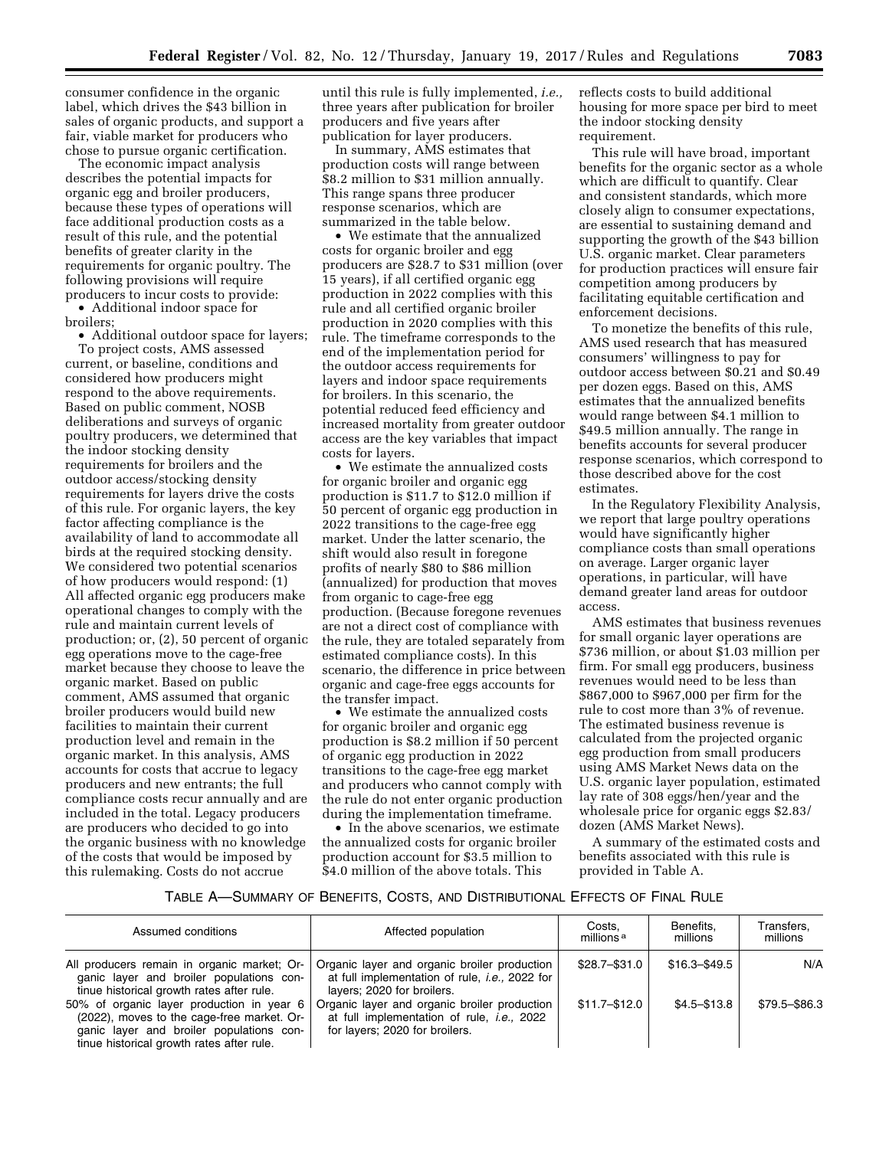consumer confidence in the organic label, which drives the \$43 billion in sales of organic products, and support a fair, viable market for producers who chose to pursue organic certification.

The economic impact analysis describes the potential impacts for organic egg and broiler producers, because these types of operations will face additional production costs as a result of this rule, and the potential benefits of greater clarity in the requirements for organic poultry. The following provisions will require producers to incur costs to provide:

• Additional indoor space for broilers;

• Additional outdoor space for layers; To project costs, AMS assessed current, or baseline, conditions and considered how producers might respond to the above requirements. Based on public comment, NOSB deliberations and surveys of organic poultry producers, we determined that the indoor stocking density requirements for broilers and the outdoor access/stocking density requirements for layers drive the costs of this rule. For organic layers, the key factor affecting compliance is the availability of land to accommodate all birds at the required stocking density. We considered two potential scenarios of how producers would respond: (1) All affected organic egg producers make operational changes to comply with the rule and maintain current levels of production; or, (2), 50 percent of organic egg operations move to the cage-free market because they choose to leave the organic market. Based on public comment, AMS assumed that organic broiler producers would build new facilities to maintain their current production level and remain in the organic market. In this analysis, AMS accounts for costs that accrue to legacy producers and new entrants; the full compliance costs recur annually and are included in the total. Legacy producers are producers who decided to go into the organic business with no knowledge of the costs that would be imposed by this rulemaking. Costs do not accrue

until this rule is fully implemented, *i.e.,*  three years after publication for broiler producers and five years after publication for layer producers.

In summary, AMS estimates that production costs will range between \$8.2 million to \$31 million annually. This range spans three producer response scenarios, which are summarized in the table below.

• We estimate that the annualized costs for organic broiler and egg producers are \$28.7 to \$31 million (over 15 years), if all certified organic egg production in 2022 complies with this rule and all certified organic broiler production in 2020 complies with this rule. The timeframe corresponds to the end of the implementation period for the outdoor access requirements for layers and indoor space requirements for broilers. In this scenario, the potential reduced feed efficiency and increased mortality from greater outdoor access are the key variables that impact costs for layers.

• We estimate the annualized costs for organic broiler and organic egg production is \$11.7 to \$12.0 million if 50 percent of organic egg production in 2022 transitions to the cage-free egg market. Under the latter scenario, the shift would also result in foregone profits of nearly \$80 to \$86 million (annualized) for production that moves from organic to cage-free egg production. (Because foregone revenues are not a direct cost of compliance with the rule, they are totaled separately from estimated compliance costs). In this scenario, the difference in price between organic and cage-free eggs accounts for the transfer impact.

• We estimate the annualized costs for organic broiler and organic egg production is \$8.2 million if 50 percent of organic egg production in 2022 transitions to the cage-free egg market and producers who cannot comply with the rule do not enter organic production during the implementation timeframe.

• In the above scenarios, we estimate the annualized costs for organic broiler production account for \$3.5 million to \$4.0 million of the above totals. This

reflects costs to build additional housing for more space per bird to meet the indoor stocking density requirement.

This rule will have broad, important benefits for the organic sector as a whole which are difficult to quantify. Clear and consistent standards, which more closely align to consumer expectations, are essential to sustaining demand and supporting the growth of the \$43 billion U.S. organic market. Clear parameters for production practices will ensure fair competition among producers by facilitating equitable certification and enforcement decisions.

To monetize the benefits of this rule, AMS used research that has measured consumers' willingness to pay for outdoor access between \$0.21 and \$0.49 per dozen eggs. Based on this, AMS estimates that the annualized benefits would range between \$4.1 million to \$49.5 million annually. The range in benefits accounts for several producer response scenarios, which correspond to those described above for the cost estimates.

In the Regulatory Flexibility Analysis, we report that large poultry operations would have significantly higher compliance costs than small operations on average. Larger organic layer operations, in particular, will have demand greater land areas for outdoor access.

AMS estimates that business revenues for small organic layer operations are \$736 million, or about \$1.03 million per firm. For small egg producers, business revenues would need to be less than \$867,000 to \$967,000 per firm for the rule to cost more than 3% of revenue. The estimated business revenue is calculated from the projected organic egg production from small producers using AMS Market News data on the U.S. organic layer population, estimated lay rate of 308 eggs/hen/year and the wholesale price for organic eggs \$2.83/ dozen (AMS Market News).

A summary of the estimated costs and benefits associated with this rule is provided in Table A.

# TABLE A—SUMMARY OF BENEFITS, COSTS, AND DISTRIBUTIONAL EFFECTS OF FINAL RULE

| Assumed conditions                                                                                                                                                               | Affected population                                                                                                                  | Costs.<br>millions <sup>a</sup> | Benefits.<br>millions | Transfers.<br>millions |
|----------------------------------------------------------------------------------------------------------------------------------------------------------------------------------|--------------------------------------------------------------------------------------------------------------------------------------|---------------------------------|-----------------------|------------------------|
| All producers remain in organic market; Or-<br>ganic layer and broiler populations con-<br>tinue historical growth rates after rule.                                             | Organic layer and organic broiler production<br>at full implementation of rule, <i>i.e.</i> , 2022 for<br>layers; 2020 for broilers. | \$28.7-\$31.0                   | \$16.3-\$49.5         | N/A                    |
| 50% of organic layer production in year 6<br>(2022), moves to the cage-free market. Or-<br>ganic layer and broiler populations con-<br>tinue historical growth rates after rule. | Organic layer and organic broiler production<br>at full implementation of rule, <i>i.e.</i> , 2022<br>for layers; 2020 for broilers. | $$11.7 - $12.0$                 | $$4.5 - $13.8$        | \$79.5 - \$86.3        |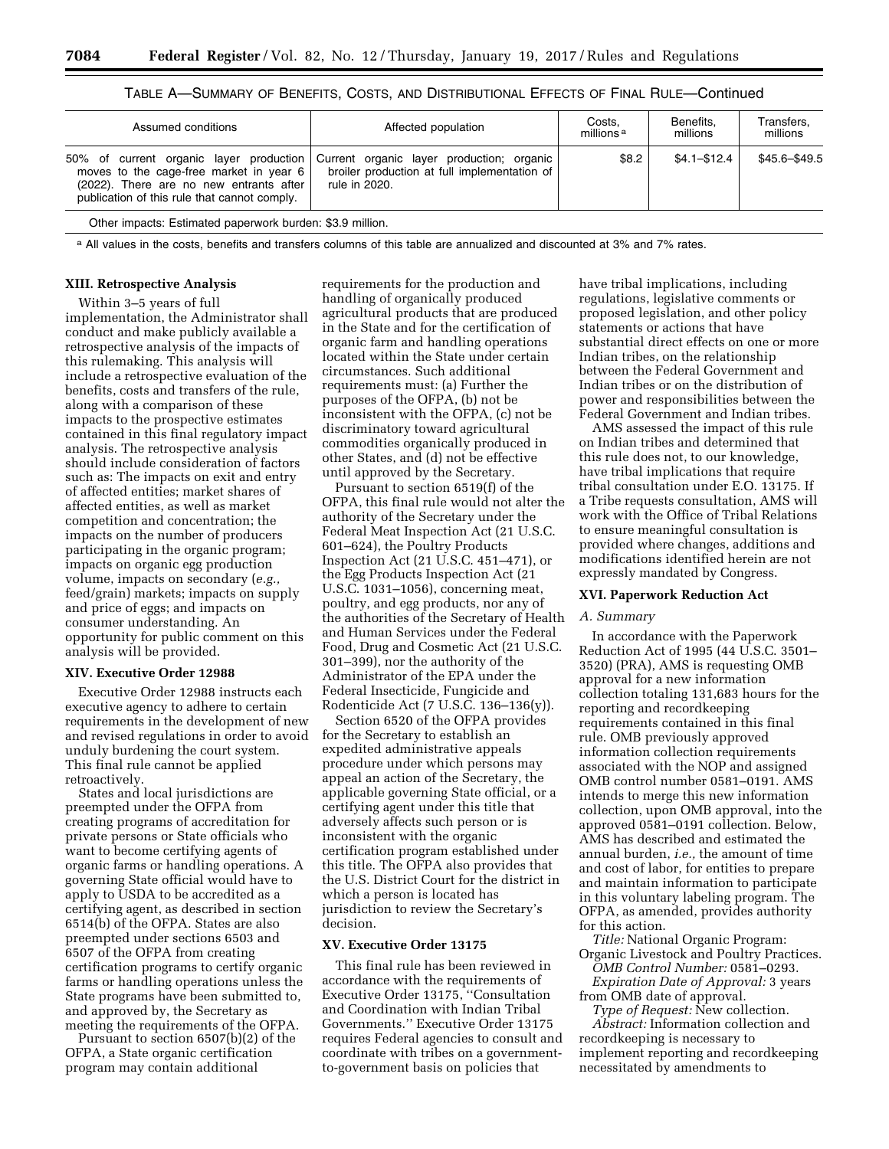|  |  | Table A—Summary of Benefits, Costs, and Distributional Effects of Final Rule—Continued |  |  |
|--|--|----------------------------------------------------------------------------------------|--|--|
|--|--|----------------------------------------------------------------------------------------|--|--|

| Assumed conditions                                                                                                                                                            | Affected population                                                                                        | Costs.<br>millions <sup>a</sup> | Benefits.<br>millions | Transfers,<br>millions |
|-------------------------------------------------------------------------------------------------------------------------------------------------------------------------------|------------------------------------------------------------------------------------------------------------|---------------------------------|-----------------------|------------------------|
| 50% of current organic layer production<br>moves to the cage-free market in year 6<br>(2022). There are no new entrants after<br>publication of this rule that cannot comply. | Current organic layer production; organic<br>broiler production at full implementation of<br>rule in 2020. | \$8.2                           | $$4.1 - $12.4$        | \$45.6-\$49.5          |

Other impacts: Estimated paperwork burden: \$3.9 million.

a All values in the costs, benefits and transfers columns of this table are annualized and discounted at 3% and 7% rates.

### **XIII. Retrospective Analysis**

Within 3–5 years of full implementation, the Administrator shall conduct and make publicly available a retrospective analysis of the impacts of this rulemaking. This analysis will include a retrospective evaluation of the benefits, costs and transfers of the rule, along with a comparison of these impacts to the prospective estimates contained in this final regulatory impact analysis. The retrospective analysis should include consideration of factors such as: The impacts on exit and entry of affected entities; market shares of affected entities, as well as market competition and concentration; the impacts on the number of producers participating in the organic program; impacts on organic egg production volume, impacts on secondary (*e.g.,*  feed/grain) markets; impacts on supply and price of eggs; and impacts on consumer understanding. An opportunity for public comment on this analysis will be provided.

#### **XIV. Executive Order 12988**

Executive Order 12988 instructs each executive agency to adhere to certain requirements in the development of new and revised regulations in order to avoid unduly burdening the court system. This final rule cannot be applied retroactively.

States and local jurisdictions are preempted under the OFPA from creating programs of accreditation for private persons or State officials who want to become certifying agents of organic farms or handling operations. A governing State official would have to apply to USDA to be accredited as a certifying agent, as described in section 6514(b) of the OFPA. States are also preempted under sections 6503 and 6507 of the OFPA from creating certification programs to certify organic farms or handling operations unless the State programs have been submitted to, and approved by, the Secretary as meeting the requirements of the OFPA.

Pursuant to section 6507(b)(2) of the OFPA, a State organic certification program may contain additional

requirements for the production and handling of organically produced agricultural products that are produced in the State and for the certification of organic farm and handling operations located within the State under certain circumstances. Such additional requirements must: (a) Further the purposes of the OFPA, (b) not be inconsistent with the OFPA, (c) not be discriminatory toward agricultural commodities organically produced in other States, and (d) not be effective until approved by the Secretary.

Pursuant to section 6519(f) of the OFPA, this final rule would not alter the authority of the Secretary under the Federal Meat Inspection Act (21 U.S.C. 601–624), the Poultry Products Inspection Act (21 U.S.C. 451–471), or the Egg Products Inspection Act (21 U.S.C. 1031–1056), concerning meat, poultry, and egg products, nor any of the authorities of the Secretary of Health and Human Services under the Federal Food, Drug and Cosmetic Act (21 U.S.C. 301–399), nor the authority of the Administrator of the EPA under the Federal Insecticide, Fungicide and Rodenticide Act (7 U.S.C. 136–136(y)).

Section 6520 of the OFPA provides for the Secretary to establish an expedited administrative appeals procedure under which persons may appeal an action of the Secretary, the applicable governing State official, or a certifying agent under this title that adversely affects such person or is inconsistent with the organic certification program established under this title. The OFPA also provides that the U.S. District Court for the district in which a person is located has jurisdiction to review the Secretary's decision.

#### **XV. Executive Order 13175**

This final rule has been reviewed in accordance with the requirements of Executive Order 13175, ''Consultation and Coordination with Indian Tribal Governments.'' Executive Order 13175 requires Federal agencies to consult and coordinate with tribes on a governmentto-government basis on policies that

have tribal implications, including regulations, legislative comments or proposed legislation, and other policy statements or actions that have substantial direct effects on one or more Indian tribes, on the relationship between the Federal Government and Indian tribes or on the distribution of power and responsibilities between the Federal Government and Indian tribes.

AMS assessed the impact of this rule on Indian tribes and determined that this rule does not, to our knowledge, have tribal implications that require tribal consultation under E.O. 13175. If a Tribe requests consultation, AMS will work with the Office of Tribal Relations to ensure meaningful consultation is provided where changes, additions and modifications identified herein are not expressly mandated by Congress.

### **XVI. Paperwork Reduction Act**

### *A. Summary*

In accordance with the Paperwork Reduction Act of 1995 (44 U.S.C. 3501– 3520) (PRA), AMS is requesting OMB approval for a new information collection totaling 131,683 hours for the reporting and recordkeeping requirements contained in this final rule. OMB previously approved information collection requirements associated with the NOP and assigned OMB control number 0581–0191. AMS intends to merge this new information collection, upon OMB approval, into the approved 0581–0191 collection. Below, AMS has described and estimated the annual burden, *i.e.,* the amount of time and cost of labor, for entities to prepare and maintain information to participate in this voluntary labeling program. The OFPA, as amended, provides authority for this action.

*Title:* National Organic Program: Organic Livestock and Poultry Practices. *OMB Control Number:* 0581–0293.

*Expiration Date of Approval:* 3 years from OMB date of approval.

*Type of Request:* New collection. *Abstract:* Information collection and recordkeeping is necessary to implement reporting and recordkeeping necessitated by amendments to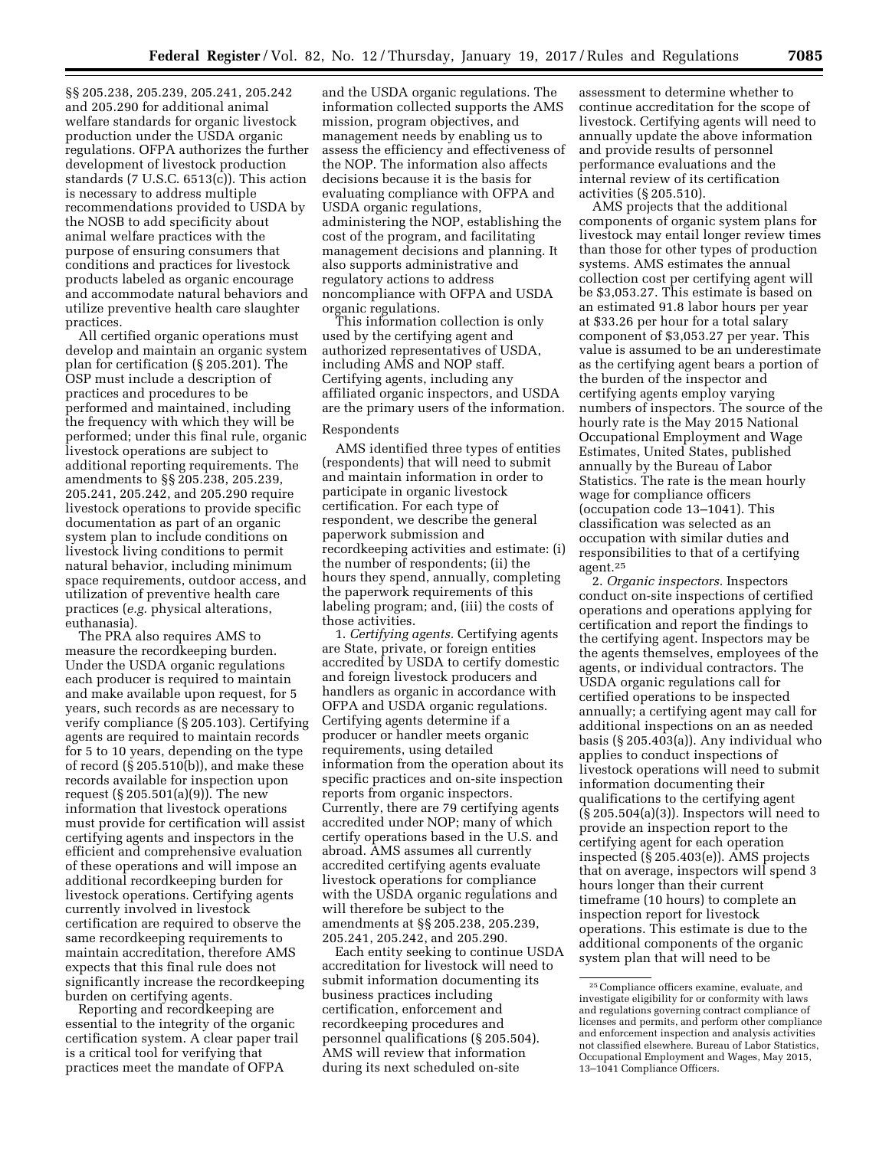§§ 205.238, 205.239, 205.241, 205.242 and 205.290 for additional animal welfare standards for organic livestock production under the USDA organic regulations. OFPA authorizes the further development of livestock production standards (7 U.S.C. 6513(c)). This action is necessary to address multiple recommendations provided to USDA by the NOSB to add specificity about animal welfare practices with the purpose of ensuring consumers that conditions and practices for livestock products labeled as organic encourage and accommodate natural behaviors and utilize preventive health care slaughter practices.

All certified organic operations must develop and maintain an organic system plan for certification (§ 205.201). The OSP must include a description of practices and procedures to be performed and maintained, including the frequency with which they will be performed; under this final rule, organic livestock operations are subject to additional reporting requirements. The amendments to §§ 205.238, 205.239, 205.241, 205.242, and 205.290 require livestock operations to provide specific documentation as part of an organic system plan to include conditions on livestock living conditions to permit natural behavior, including minimum space requirements, outdoor access, and utilization of preventive health care practices (*e.g.* physical alterations, euthanasia).

The PRA also requires AMS to measure the recordkeeping burden. Under the USDA organic regulations each producer is required to maintain and make available upon request, for 5 years, such records as are necessary to verify compliance (§ 205.103). Certifying agents are required to maintain records for 5 to 10 years, depending on the type of record (§ 205.510(b)), and make these records available for inspection upon request (§ 205.501(a)(9)). The new information that livestock operations must provide for certification will assist certifying agents and inspectors in the efficient and comprehensive evaluation of these operations and will impose an additional recordkeeping burden for livestock operations. Certifying agents currently involved in livestock certification are required to observe the same recordkeeping requirements to maintain accreditation, therefore AMS expects that this final rule does not significantly increase the recordkeeping burden on certifying agents.

Reporting and recordkeeping are essential to the integrity of the organic certification system. A clear paper trail is a critical tool for verifying that practices meet the mandate of OFPA

and the USDA organic regulations. The information collected supports the AMS mission, program objectives, and management needs by enabling us to assess the efficiency and effectiveness of the NOP. The information also affects decisions because it is the basis for evaluating compliance with OFPA and USDA organic regulations, administering the NOP, establishing the cost of the program, and facilitating management decisions and planning. It also supports administrative and regulatory actions to address noncompliance with OFPA and USDA organic regulations.

This information collection is only used by the certifying agent and authorized representatives of USDA, including AMS and NOP staff. Certifying agents, including any affiliated organic inspectors, and USDA are the primary users of the information.

#### Respondents

AMS identified three types of entities (respondents) that will need to submit and maintain information in order to participate in organic livestock certification. For each type of respondent, we describe the general paperwork submission and recordkeeping activities and estimate: (i) the number of respondents; (ii) the hours they spend, annually, completing the paperwork requirements of this labeling program; and, (iii) the costs of those activities.

1. *Certifying agents.* Certifying agents are State, private, or foreign entities accredited by USDA to certify domestic and foreign livestock producers and handlers as organic in accordance with OFPA and USDA organic regulations. Certifying agents determine if a producer or handler meets organic requirements, using detailed information from the operation about its specific practices and on-site inspection reports from organic inspectors. Currently, there are 79 certifying agents accredited under NOP; many of which certify operations based in the U.S. and abroad. AMS assumes all currently accredited certifying agents evaluate livestock operations for compliance with the USDA organic regulations and will therefore be subject to the amendments at §§ 205.238, 205.239, 205.241, 205.242, and 205.290.

Each entity seeking to continue USDA accreditation for livestock will need to submit information documenting its business practices including certification, enforcement and recordkeeping procedures and personnel qualifications (§ 205.504). AMS will review that information during its next scheduled on-site

assessment to determine whether to continue accreditation for the scope of livestock. Certifying agents will need to annually update the above information and provide results of personnel performance evaluations and the internal review of its certification activities (§ 205.510).

AMS projects that the additional components of organic system plans for livestock may entail longer review times than those for other types of production systems. AMS estimates the annual collection cost per certifying agent will be \$3,053.27. This estimate is based on an estimated 91.8 labor hours per year at \$33.26 per hour for a total salary component of \$3,053.27 per year. This value is assumed to be an underestimate as the certifying agent bears a portion of the burden of the inspector and certifying agents employ varying numbers of inspectors. The source of the hourly rate is the May 2015 National Occupational Employment and Wage Estimates, United States, published annually by the Bureau of Labor Statistics. The rate is the mean hourly wage for compliance officers (occupation code 13–1041). This classification was selected as an occupation with similar duties and responsibilities to that of a certifying agent.25

2. *Organic inspectors.* Inspectors conduct on-site inspections of certified operations and operations applying for certification and report the findings to the certifying agent. Inspectors may be the agents themselves, employees of the agents, or individual contractors. The USDA organic regulations call for certified operations to be inspected annually; a certifying agent may call for additional inspections on an as needed basis (§ 205.403(a)). Any individual who applies to conduct inspections of livestock operations will need to submit information documenting their qualifications to the certifying agent  $(\S 205.504(a)(3))$ . Inspectors will need to provide an inspection report to the certifying agent for each operation inspected (§ 205.403(e)). AMS projects that on average, inspectors will spend 3 hours longer than their current timeframe (10 hours) to complete an inspection report for livestock operations. This estimate is due to the additional components of the organic system plan that will need to be

<sup>25</sup>Compliance officers examine, evaluate, and investigate eligibility for or conformity with laws and regulations governing contract compliance of licenses and permits, and perform other compliance and enforcement inspection and analysis activities not classified elsewhere. Bureau of Labor Statistics, Occupational Employment and Wages, May 2015, 13–1041 Compliance Officers.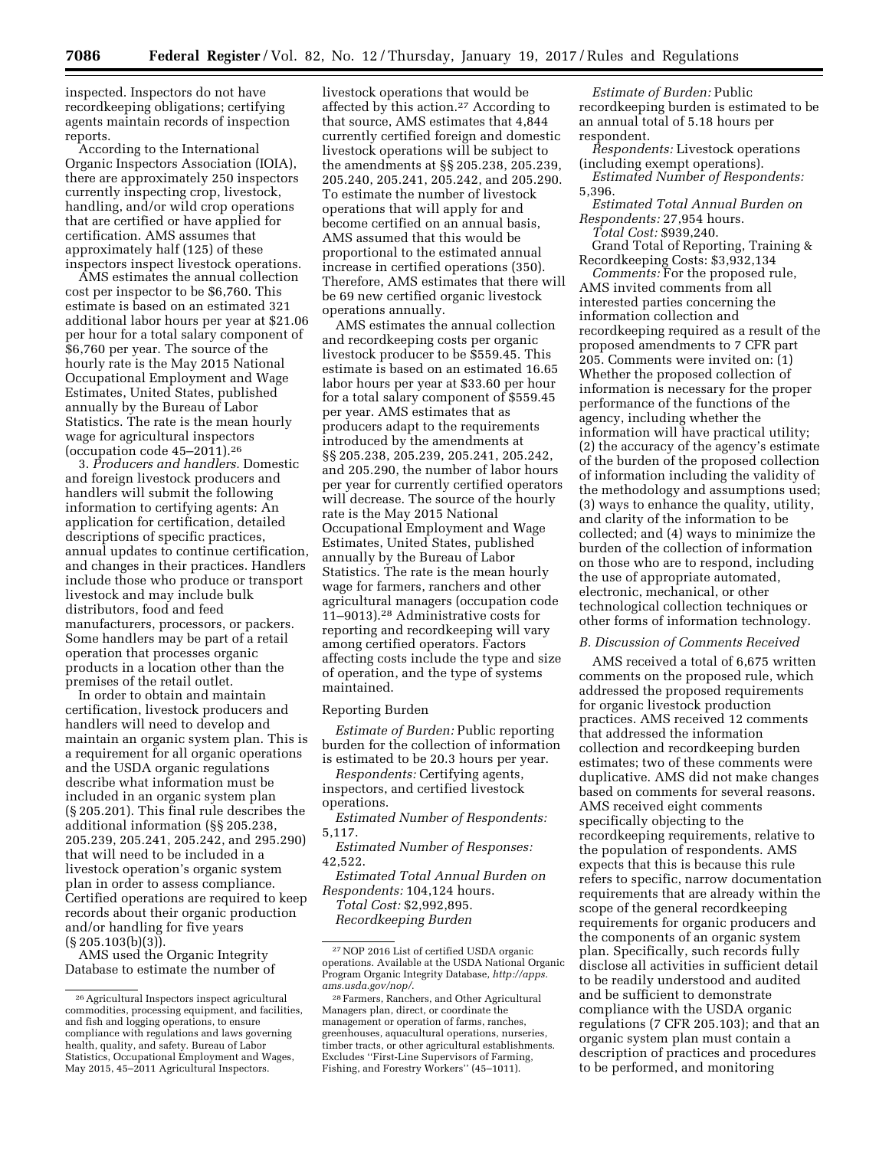inspected. Inspectors do not have recordkeeping obligations; certifying agents maintain records of inspection reports.

According to the International Organic Inspectors Association (IOIA), there are approximately 250 inspectors currently inspecting crop, livestock, handling, and/or wild crop operations that are certified or have applied for certification. AMS assumes that approximately half (125) of these inspectors inspect livestock operations.

AMS estimates the annual collection cost per inspector to be \$6,760. This estimate is based on an estimated 321 additional labor hours per year at \$21.06 per hour for a total salary component of \$6,760 per year. The source of the hourly rate is the May 2015 National Occupational Employment and Wage Estimates, United States, published annually by the Bureau of Labor Statistics. The rate is the mean hourly wage for agricultural inspectors (occupation code 45–2011).26

3. *Producers and handlers.* Domestic and foreign livestock producers and handlers will submit the following information to certifying agents: An application for certification, detailed descriptions of specific practices, annual updates to continue certification, and changes in their practices. Handlers include those who produce or transport livestock and may include bulk distributors, food and feed manufacturers, processors, or packers. Some handlers may be part of a retail operation that processes organic products in a location other than the premises of the retail outlet.

In order to obtain and maintain certification, livestock producers and handlers will need to develop and maintain an organic system plan. This is a requirement for all organic operations and the USDA organic regulations describe what information must be included in an organic system plan (§ 205.201). This final rule describes the additional information (§§ 205.238, 205.239, 205.241, 205.242, and 295.290) that will need to be included in a livestock operation's organic system plan in order to assess compliance. Certified operations are required to keep records about their organic production and/or handling for five years  $(\S 205.103(b)(3))$ .

AMS used the Organic Integrity Database to estimate the number of livestock operations that would be affected by this action.27 According to that source, AMS estimates that 4,844 currently certified foreign and domestic livestock operations will be subject to the amendments at §§ 205.238, 205.239, 205.240, 205.241, 205.242, and 205.290. To estimate the number of livestock operations that will apply for and become certified on an annual basis, AMS assumed that this would be proportional to the estimated annual increase in certified operations (350). Therefore, AMS estimates that there will be 69 new certified organic livestock operations annually.

AMS estimates the annual collection and recordkeeping costs per organic livestock producer to be \$559.45. This estimate is based on an estimated 16.65 labor hours per year at \$33.60 per hour for a total salary component of \$559.45 per year. AMS estimates that as producers adapt to the requirements introduced by the amendments at §§ 205.238, 205.239, 205.241, 205.242, and 205.290, the number of labor hours per year for currently certified operators will decrease. The source of the hourly rate is the May 2015 National Occupational Employment and Wage Estimates, United States, published annually by the Bureau of Labor Statistics. The rate is the mean hourly wage for farmers, ranchers and other agricultural managers (occupation code 11–9013).28 Administrative costs for reporting and recordkeeping will vary among certified operators. Factors affecting costs include the type and size of operation, and the type of systems maintained.

#### Reporting Burden

*Estimate of Burden:* Public reporting burden for the collection of information is estimated to be 20.3 hours per year.

*Respondents:* Certifying agents, inspectors, and certified livestock operations.

*Estimated Number of Respondents:*  5,117.

*Estimated Number of Responses:*  42,522.

*Estimated Total Annual Burden on Respondents:* 104,124 hours. *Total Cost:* \$2,992,895.

*Recordkeeping Burden* 

*Estimate of Burden:* Public recordkeeping burden is estimated to be an annual total of 5.18 hours per respondent.

*Respondents:* Livestock operations (including exempt operations).

*Estimated Number of Respondents:*  5,396.

*Estimated Total Annual Burden on Respondents:* 27,954 hours.

*Total Cost:* \$939,240. Grand Total of Reporting, Training &

Recordkeeping Costs: \$3,932,134 *Comments:* For the proposed rule,

AMS invited comments from all interested parties concerning the information collection and recordkeeping required as a result of the proposed amendments to 7 CFR part 205. Comments were invited on: (1) Whether the proposed collection of information is necessary for the proper performance of the functions of the agency, including whether the information will have practical utility; (2) the accuracy of the agency's estimate of the burden of the proposed collection of information including the validity of the methodology and assumptions used; (3) ways to enhance the quality, utility, and clarity of the information to be collected; and (4) ways to minimize the burden of the collection of information on those who are to respond, including the use of appropriate automated, electronic, mechanical, or other technological collection techniques or other forms of information technology.

#### *B. Discussion of Comments Received*

AMS received a total of 6,675 written comments on the proposed rule, which addressed the proposed requirements for organic livestock production practices. AMS received 12 comments that addressed the information collection and recordkeeping burden estimates; two of these comments were duplicative. AMS did not make changes based on comments for several reasons. AMS received eight comments specifically objecting to the recordkeeping requirements, relative to the population of respondents. AMS expects that this is because this rule refers to specific, narrow documentation requirements that are already within the scope of the general recordkeeping requirements for organic producers and the components of an organic system plan. Specifically, such records fully disclose all activities in sufficient detail to be readily understood and audited and be sufficient to demonstrate compliance with the USDA organic regulations (7 CFR 205.103); and that an organic system plan must contain a description of practices and procedures to be performed, and monitoring

<sup>26</sup>Agricultural Inspectors inspect agricultural commodities, processing equipment, and facilities, and fish and logging operations, to ensure compliance with regulations and laws governing health, quality, and safety. Bureau of Labor Statistics, Occupational Employment and Wages, May 2015, 45-2011 Agricultural Inspectors.

<sup>27</sup>NOP 2016 List of certified USDA organic operations. Available at the USDA National Organic Program Organic Integrity Database, *[http://apps.](http://apps.ams.usda.gov/nop/) [ams.usda.gov/nop/](http://apps.ams.usda.gov/nop/)*.

<sup>28</sup>Farmers, Ranchers, and Other Agricultural Managers plan, direct, or coordinate the management or operation of farms, ranches, greenhouses, aquacultural operations, nurseries, timber tracts, or other agricultural establishments. Excludes ''First-Line Supervisors of Farming, Fishing, and Forestry Workers'' (45–1011).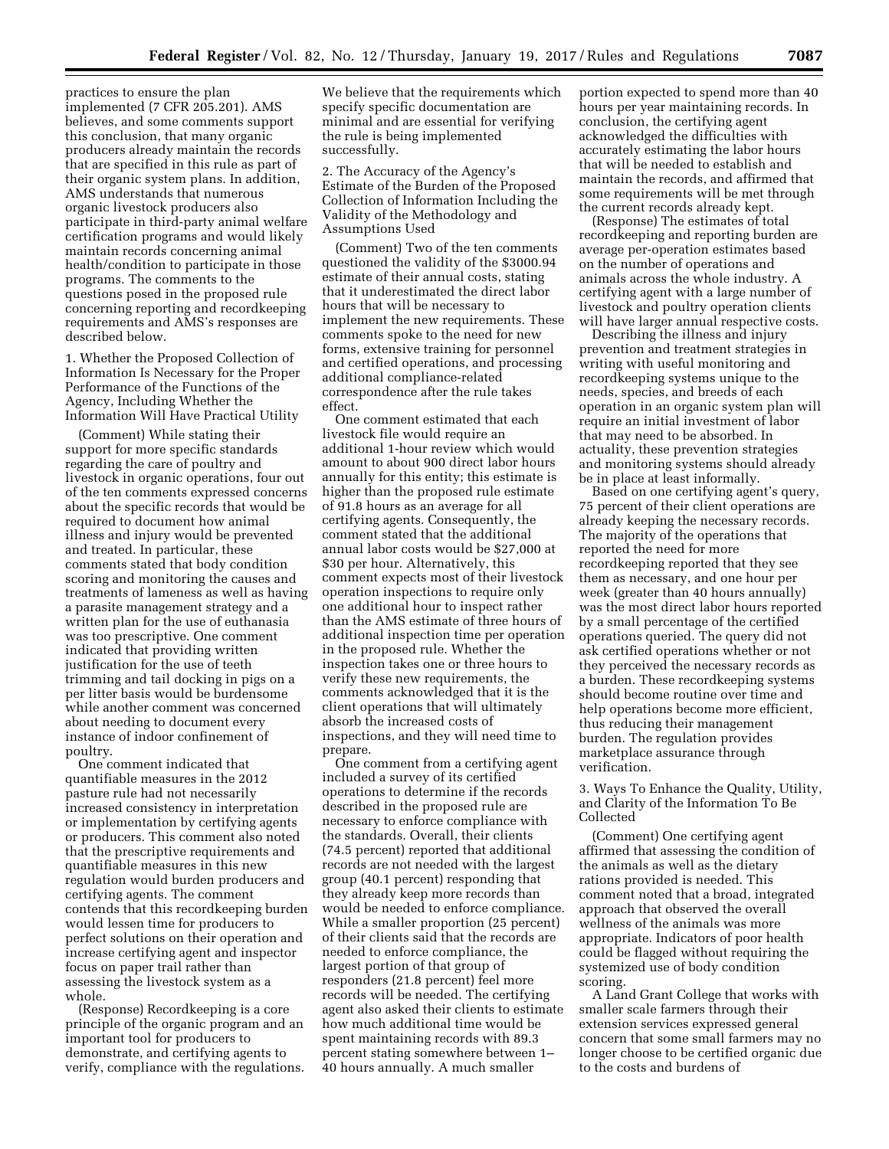practices to ensure the plan implemented (7 CFR 205.201). AMS believes, and some comments support this conclusion, that many organic producers already maintain the records that are specified in this rule as part of their organic system plans. In addition, AMS understands that numerous organic livestock producers also participate in third-party animal welfare certification programs and would likely maintain records concerning animal health/condition to participate in those programs. The comments to the questions posed in the proposed rule concerning reporting and recordkeeping requirements and AMS's responses are described below.

1. Whether the Proposed Collection of Information Is Necessary for the Proper Performance of the Functions of the Agency, Including Whether the Information Will Have Practical Utility

(Comment) While stating their support for more specific standards regarding the care of poultry and livestock in organic operations, four out of the ten comments expressed concerns about the specific records that would be required to document how animal illness and injury would be prevented and treated. In particular, these comments stated that body condition scoring and monitoring the causes and treatments of lameness as well as having a parasite management strategy and a written plan for the use of euthanasia was too prescriptive. One comment indicated that providing written justification for the use of teeth trimming and tail docking in pigs on a per litter basis would be burdensome while another comment was concerned about needing to document every instance of indoor confinement of poultry.

One comment indicated that quantifiable measures in the 2012 pasture rule had not necessarily increased consistency in interpretation or implementation by certifying agents or producers. This comment also noted that the prescriptive requirements and quantifiable measures in this new regulation would burden producers and certifying agents. The comment contends that this recordkeeping burden would lessen time for producers to perfect solutions on their operation and increase certifying agent and inspector focus on paper trail rather than assessing the livestock system as a whole.

(Response) Recordkeeping is a core principle of the organic program and an important tool for producers to demonstrate, and certifying agents to verify, compliance with the regulations. We believe that the requirements which specify specific documentation are minimal and are essential for verifying the rule is being implemented successfully.

2. The Accuracy of the Agency's Estimate of the Burden of the Proposed Collection of Information Including the Validity of the Methodology and Assumptions Used

(Comment) Two of the ten comments questioned the validity of the \$3000.94 estimate of their annual costs, stating that it underestimated the direct labor hours that will be necessary to implement the new requirements. These comments spoke to the need for new forms, extensive training for personnel and certified operations, and processing additional compliance-related correspondence after the rule takes effect.

One comment estimated that each livestock file would require an additional 1-hour review which would amount to about 900 direct labor hours annually for this entity; this estimate is higher than the proposed rule estimate of 91.8 hours as an average for all certifying agents. Consequently, the comment stated that the additional annual labor costs would be \$27,000 at \$30 per hour. Alternatively, this comment expects most of their livestock operation inspections to require only one additional hour to inspect rather than the AMS estimate of three hours of additional inspection time per operation in the proposed rule. Whether the inspection takes one or three hours to verify these new requirements, the comments acknowledged that it is the client operations that will ultimately absorb the increased costs of inspections, and they will need time to prepare.

One comment from a certifying agent included a survey of its certified operations to determine if the records described in the proposed rule are necessary to enforce compliance with the standards. Overall, their clients (74.5 percent) reported that additional records are not needed with the largest group (40.1 percent) responding that they already keep more records than would be needed to enforce compliance. While a smaller proportion (25 percent) of their clients said that the records are needed to enforce compliance, the largest portion of that group of responders (21.8 percent) feel more records will be needed. The certifying agent also asked their clients to estimate how much additional time would be spent maintaining records with 89.3 percent stating somewhere between 1– 40 hours annually. A much smaller

portion expected to spend more than 40 hours per year maintaining records. In conclusion, the certifying agent acknowledged the difficulties with accurately estimating the labor hours that will be needed to establish and maintain the records, and affirmed that some requirements will be met through the current records already kept.

(Response) The estimates of total recordkeeping and reporting burden are average per-operation estimates based on the number of operations and animals across the whole industry. A certifying agent with a large number of livestock and poultry operation clients will have larger annual respective costs.

Describing the illness and injury prevention and treatment strategies in writing with useful monitoring and recordkeeping systems unique to the needs, species, and breeds of each operation in an organic system plan will require an initial investment of labor that may need to be absorbed. In actuality, these prevention strategies and monitoring systems should already be in place at least informally.

Based on one certifying agent's query, 75 percent of their client operations are already keeping the necessary records. The majority of the operations that reported the need for more recordkeeping reported that they see them as necessary, and one hour per week (greater than 40 hours annually) was the most direct labor hours reported by a small percentage of the certified operations queried. The query did not ask certified operations whether or not they perceived the necessary records as a burden. These recordkeeping systems should become routine over time and help operations become more efficient, thus reducing their management burden. The regulation provides marketplace assurance through verification.

3. Ways To Enhance the Quality, Utility, and Clarity of the Information To Be Collected

(Comment) One certifying agent affirmed that assessing the condition of the animals as well as the dietary rations provided is needed. This comment noted that a broad, integrated approach that observed the overall wellness of the animals was more appropriate. Indicators of poor health could be flagged without requiring the systemized use of body condition scoring.

A Land Grant College that works with smaller scale farmers through their extension services expressed general concern that some small farmers may no longer choose to be certified organic due to the costs and burdens of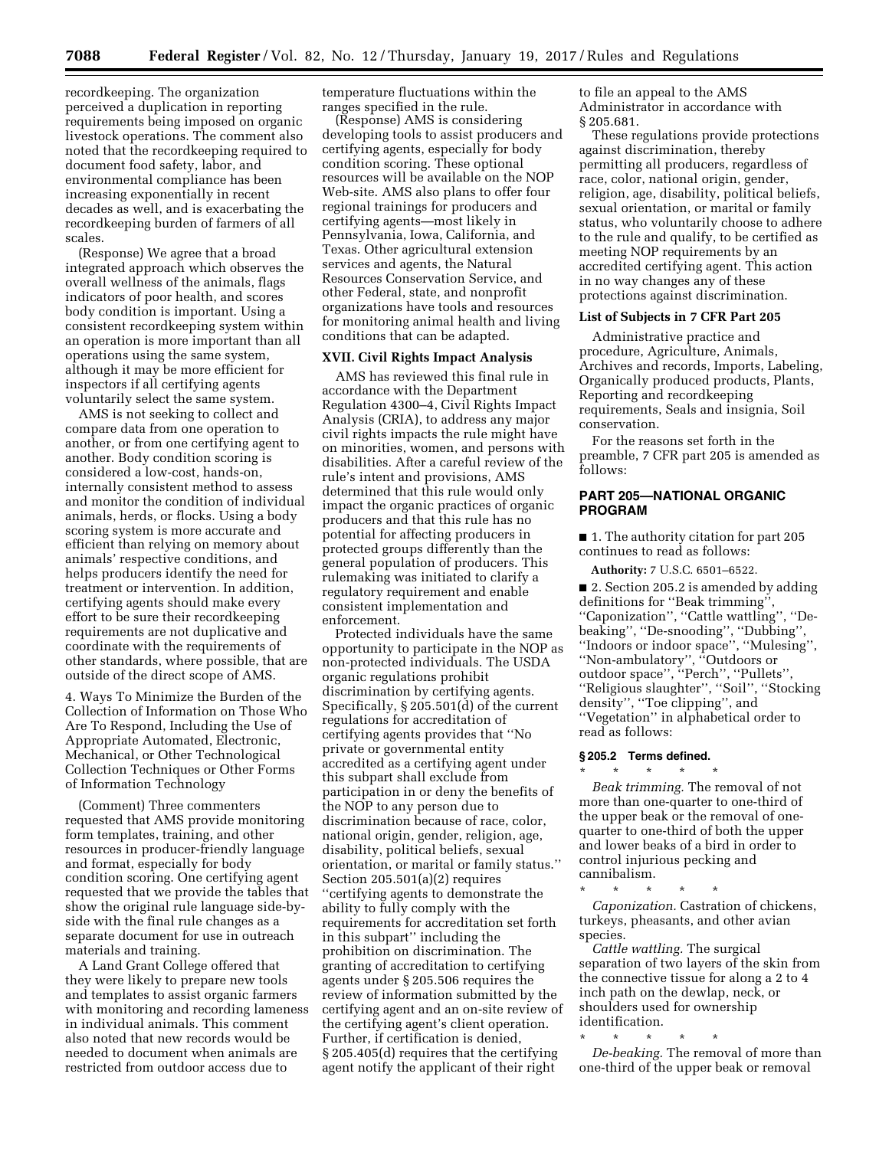recordkeeping. The organization perceived a duplication in reporting requirements being imposed on organic livestock operations. The comment also noted that the recordkeeping required to document food safety, labor, and environmental compliance has been increasing exponentially in recent decades as well, and is exacerbating the recordkeeping burden of farmers of all scales.

(Response) We agree that a broad integrated approach which observes the overall wellness of the animals, flags indicators of poor health, and scores body condition is important. Using a consistent recordkeeping system within an operation is more important than all operations using the same system, although it may be more efficient for inspectors if all certifying agents voluntarily select the same system.

AMS is not seeking to collect and compare data from one operation to another, or from one certifying agent to another. Body condition scoring is considered a low-cost, hands-on, internally consistent method to assess and monitor the condition of individual animals, herds, or flocks. Using a body scoring system is more accurate and efficient than relying on memory about animals' respective conditions, and helps producers identify the need for treatment or intervention. In addition, certifying agents should make every effort to be sure their recordkeeping requirements are not duplicative and coordinate with the requirements of other standards, where possible, that are outside of the direct scope of AMS.

4. Ways To Minimize the Burden of the Collection of Information on Those Who Are To Respond, Including the Use of Appropriate Automated, Electronic, Mechanical, or Other Technological Collection Techniques or Other Forms of Information Technology

(Comment) Three commenters requested that AMS provide monitoring form templates, training, and other resources in producer-friendly language and format, especially for body condition scoring. One certifying agent requested that we provide the tables that show the original rule language side-byside with the final rule changes as a separate document for use in outreach materials and training.

A Land Grant College offered that they were likely to prepare new tools and templates to assist organic farmers with monitoring and recording lameness in individual animals. This comment also noted that new records would be needed to document when animals are restricted from outdoor access due to

temperature fluctuations within the ranges specified in the rule.

(Response) AMS is considering developing tools to assist producers and certifying agents, especially for body condition scoring. These optional resources will be available on the NOP Web-site. AMS also plans to offer four regional trainings for producers and certifying agents—most likely in Pennsylvania, Iowa, California, and Texas. Other agricultural extension services and agents, the Natural Resources Conservation Service, and other Federal, state, and nonprofit organizations have tools and resources for monitoring animal health and living conditions that can be adapted.

### **XVII. Civil Rights Impact Analysis**

AMS has reviewed this final rule in accordance with the Department Regulation 4300–4, Civil Rights Impact Analysis (CRIA), to address any major civil rights impacts the rule might have on minorities, women, and persons with disabilities. After a careful review of the rule's intent and provisions, AMS determined that this rule would only impact the organic practices of organic producers and that this rule has no potential for affecting producers in protected groups differently than the general population of producers. This rulemaking was initiated to clarify a regulatory requirement and enable consistent implementation and enforcement.

Protected individuals have the same opportunity to participate in the NOP as non-protected individuals. The USDA organic regulations prohibit discrimination by certifying agents. Specifically, § 205.501(d) of the current regulations for accreditation of certifying agents provides that ''No private or governmental entity accredited as a certifying agent under this subpart shall exclude from participation in or deny the benefits of the NOP to any person due to discrimination because of race, color, national origin, gender, religion, age, disability, political beliefs, sexual orientation, or marital or family status.'' Section 205.501(a)(2) requires ''certifying agents to demonstrate the ability to fully comply with the requirements for accreditation set forth in this subpart'' including the prohibition on discrimination. The granting of accreditation to certifying agents under § 205.506 requires the review of information submitted by the certifying agent and an on-site review of the certifying agent's client operation. Further, if certification is denied, § 205.405(d) requires that the certifying agent notify the applicant of their right

to file an appeal to the AMS Administrator in accordance with § 205.681.

These regulations provide protections against discrimination, thereby permitting all producers, regardless of race, color, national origin, gender, religion, age, disability, political beliefs, sexual orientation, or marital or family status, who voluntarily choose to adhere to the rule and qualify, to be certified as meeting NOP requirements by an accredited certifying agent. This action in no way changes any of these protections against discrimination.

#### **List of Subjects in 7 CFR Part 205**

Administrative practice and procedure, Agriculture, Animals, Archives and records, Imports, Labeling, Organically produced products, Plants, Reporting and recordkeeping requirements, Seals and insignia, Soil conservation.

For the reasons set forth in the preamble, 7 CFR part 205 is amended as follows:

### **PART 205—NATIONAL ORGANIC PROGRAM**

■ 1. The authority citation for part 205 continues to read as follows:

**Authority:** 7 U.S.C. 6501–6522.

■ 2. Section 205.2 is amended by adding definitions for ''Beak trimming'', ''Caponization'', ''Cattle wattling'', ''Debeaking'', ''De-snooding'', ''Dubbing'', ''Indoors or indoor space'', ''Mulesing'', ''Non-ambulatory'', ''Outdoors or outdoor space'', ''Perch'', ''Pullets'', ''Religious slaughter'', ''Soil'', ''Stocking density'', ''Toe clipping'', and ''Vegetation'' in alphabetical order to read as follows:

#### **§ 205.2 Terms defined.**  \* \* \* \* \*

*Beak trimming.* The removal of not more than one-quarter to one-third of the upper beak or the removal of onequarter to one-third of both the upper and lower beaks of a bird in order to control injurious pecking and cannibalism.

\* \* \* \* \* *Caponization.* Castration of chickens, turkeys, pheasants, and other avian species.

*Cattle wattling.* The surgical separation of two layers of the skin from the connective tissue for along a 2 to 4 inch path on the dewlap, neck, or shoulders used for ownership identification.

\* \* \* \* \*

*De-beaking.* The removal of more than one-third of the upper beak or removal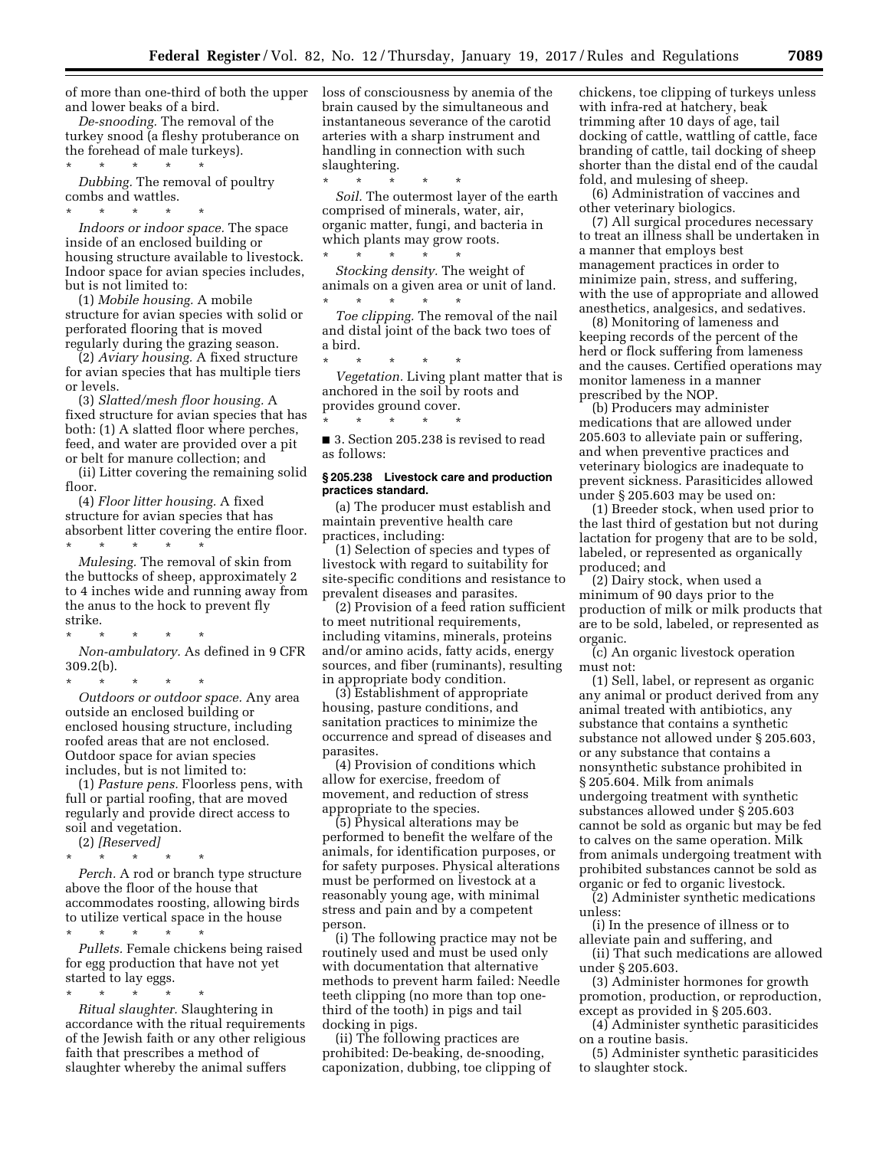of more than one-third of both the upper and lower beaks of a bird.

*De-snooding.* The removal of the turkey snood (a fleshy protuberance on the forehead of male turkeys).

\* \* \* \* \*

*Dubbing.* The removal of poultry combs and wattles.

\* \* \* \* \* *Indoors or indoor space.* The space inside of an enclosed building or housing structure available to livestock. Indoor space for avian species includes, but is not limited to:

(1) *Mobile housing.* A mobile structure for avian species with solid or perforated flooring that is moved regularly during the grazing season.

(2) *Aviary housing.* A fixed structure for avian species that has multiple tiers or levels.

(3) *Slatted/mesh floor housing.* A fixed structure for avian species that has both: (1) A slatted floor where perches, feed, and water are provided over a pit or belt for manure collection; and

(ii) Litter covering the remaining solid floor.

(4) *Floor litter housing.* A fixed structure for avian species that has absorbent litter covering the entire floor.

\* \* \* \* \* *Mulesing.* The removal of skin from the buttocks of sheep, approximately 2 to 4 inches wide and running away from the anus to the hock to prevent fly strike.

\* \* \* \* \* *Non-ambulatory.* As defined in 9 CFR 309.2(b).

\* \* \* \* \*

*Outdoors or outdoor space.* Any area outside an enclosed building or enclosed housing structure, including roofed areas that are not enclosed. Outdoor space for avian species includes, but is not limited to:

(1) *Pasture pens.* Floorless pens, with full or partial roofing, that are moved regularly and provide direct access to soil and vegetation.

(2) *[Reserved]* 

\* \* \* \* \* *Perch.* A rod or branch type structure above the floor of the house that accommodates roosting, allowing birds to utilize vertical space in the house

\* \* \* \* \*

*Pullets.* Female chickens being raised for egg production that have not yet started to lay eggs.

\* \* \* \* \* *Ritual slaughter.* Slaughtering in accordance with the ritual requirements of the Jewish faith or any other religious faith that prescribes a method of slaughter whereby the animal suffers

loss of consciousness by anemia of the brain caused by the simultaneous and instantaneous severance of the carotid arteries with a sharp instrument and handling in connection with such slaughtering.

\* \* \* \* \* *Soil.* The outermost layer of the earth comprised of minerals, water, air, organic matter, fungi, and bacteria in which plants may grow roots.  $\star$   $\qquad$   $\star$   $\qquad$   $\star$   $\qquad$   $\star$ 

*Stocking density.* The weight of animals on a given area or unit of land. \* \* \* \* \*

*Toe clipping.* The removal of the nail and distal joint of the back two toes of a bird.

\* \* \* \* \* *Vegetation.* Living plant matter that is anchored in the soil by roots and provides ground cover.

■ 3. Section 205.238 is revised to read as follows:

\* \* \* \* \*

#### **§ 205.238 Livestock care and production practices standard.**

(a) The producer must establish and maintain preventive health care practices, including:

(1) Selection of species and types of livestock with regard to suitability for site-specific conditions and resistance to prevalent diseases and parasites.

(2) Provision of a feed ration sufficient to meet nutritional requirements, including vitamins, minerals, proteins and/or amino acids, fatty acids, energy sources, and fiber (ruminants), resulting in appropriate body condition.

(3) Establishment of appropriate housing, pasture conditions, and sanitation practices to minimize the occurrence and spread of diseases and parasites.

(4) Provision of conditions which allow for exercise, freedom of movement, and reduction of stress appropriate to the species.

(5) Physical alterations may be performed to benefit the welfare of the animals, for identification purposes, or for safety purposes. Physical alterations must be performed on livestock at a reasonably young age, with minimal stress and pain and by a competent person.

(i) The following practice may not be routinely used and must be used only with documentation that alternative methods to prevent harm failed: Needle teeth clipping (no more than top onethird of the tooth) in pigs and tail docking in pigs.

(ii) The following practices are prohibited: De-beaking, de-snooding, caponization, dubbing, toe clipping of chickens, toe clipping of turkeys unless with infra-red at hatchery, beak trimming after 10 days of age, tail docking of cattle, wattling of cattle, face branding of cattle, tail docking of sheep shorter than the distal end of the caudal fold, and mulesing of sheep.

(6) Administration of vaccines and other veterinary biologics.

(7) All surgical procedures necessary to treat an illness shall be undertaken in a manner that employs best management practices in order to minimize pain, stress, and suffering, with the use of appropriate and allowed anesthetics, analgesics, and sedatives.

(8) Monitoring of lameness and keeping records of the percent of the herd or flock suffering from lameness and the causes. Certified operations may monitor lameness in a manner prescribed by the NOP.

(b) Producers may administer medications that are allowed under 205.603 to alleviate pain or suffering, and when preventive practices and veterinary biologics are inadequate to prevent sickness. Parasiticides allowed under § 205.603 may be used on:

(1) Breeder stock, when used prior to the last third of gestation but not during lactation for progeny that are to be sold, labeled, or represented as organically produced; and

(2) Dairy stock, when used a minimum of 90 days prior to the production of milk or milk products that are to be sold, labeled, or represented as organic.

(c) An organic livestock operation must not:

(1) Sell, label, or represent as organic any animal or product derived from any animal treated with antibiotics, any substance that contains a synthetic substance not allowed under § 205.603, or any substance that contains a nonsynthetic substance prohibited in § 205.604. Milk from animals undergoing treatment with synthetic substances allowed under § 205.603 cannot be sold as organic but may be fed to calves on the same operation. Milk from animals undergoing treatment with prohibited substances cannot be sold as organic or fed to organic livestock.

(2) Administer synthetic medications unless:

(i) In the presence of illness or to alleviate pain and suffering, and

(ii) That such medications are allowed under § 205.603.

(3) Administer hormones for growth promotion, production, or reproduction, except as provided in § 205.603.

(4) Administer synthetic parasiticides on a routine basis.

(5) Administer synthetic parasiticides to slaughter stock.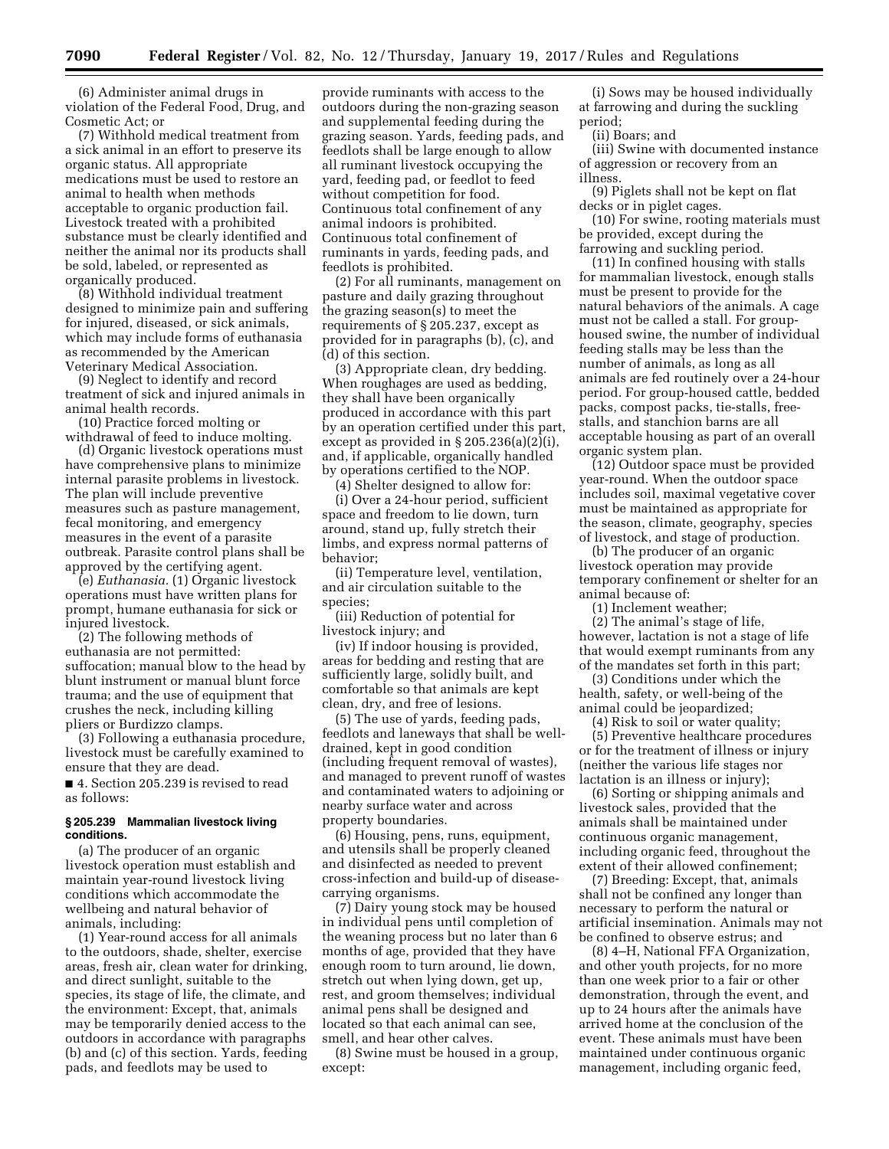(6) Administer animal drugs in violation of the Federal Food, Drug, and Cosmetic Act; or

(7) Withhold medical treatment from a sick animal in an effort to preserve its organic status. All appropriate medications must be used to restore an animal to health when methods acceptable to organic production fail. Livestock treated with a prohibited substance must be clearly identified and neither the animal nor its products shall be sold, labeled, or represented as organically produced.

(8) Withhold individual treatment designed to minimize pain and suffering for injured, diseased, or sick animals, which may include forms of euthanasia as recommended by the American Veterinary Medical Association.

(9) Neglect to identify and record treatment of sick and injured animals in animal health records.

(10) Practice forced molting or withdrawal of feed to induce molting.

(d) Organic livestock operations must have comprehensive plans to minimize internal parasite problems in livestock. The plan will include preventive measures such as pasture management, fecal monitoring, and emergency measures in the event of a parasite outbreak. Parasite control plans shall be approved by the certifying agent.

(e) *Euthanasia.* (1) Organic livestock operations must have written plans for prompt, humane euthanasia for sick or injured livestock.

(2) The following methods of euthanasia are not permitted: suffocation; manual blow to the head by blunt instrument or manual blunt force trauma; and the use of equipment that crushes the neck, including killing pliers or Burdizzo clamps.

(3) Following a euthanasia procedure, livestock must be carefully examined to ensure that they are dead.

■ 4. Section 205.239 is revised to read as follows:

#### **§ 205.239 Mammalian livestock living conditions.**

(a) The producer of an organic livestock operation must establish and maintain year-round livestock living conditions which accommodate the wellbeing and natural behavior of animals, including:

(1) Year-round access for all animals to the outdoors, shade, shelter, exercise areas, fresh air, clean water for drinking, and direct sunlight, suitable to the species, its stage of life, the climate, and the environment: Except, that, animals may be temporarily denied access to the outdoors in accordance with paragraphs (b) and (c) of this section. Yards, feeding pads, and feedlots may be used to

provide ruminants with access to the outdoors during the non-grazing season and supplemental feeding during the grazing season. Yards, feeding pads, and feedlots shall be large enough to allow all ruminant livestock occupying the yard, feeding pad, or feedlot to feed without competition for food. Continuous total confinement of any animal indoors is prohibited. Continuous total confinement of ruminants in yards, feeding pads, and feedlots is prohibited.

(2) For all ruminants, management on pasture and daily grazing throughout the grazing season(s) to meet the requirements of § 205.237, except as provided for in paragraphs (b), (c), and (d) of this section.

(3) Appropriate clean, dry bedding. When roughages are used as bedding, they shall have been organically produced in accordance with this part by an operation certified under this part, except as provided in § 205.236(a)(2)(i), and, if applicable, organically handled by operations certified to the NOP.

(4) Shelter designed to allow for:

(i) Over a 24-hour period, sufficient space and freedom to lie down, turn around, stand up, fully stretch their limbs, and express normal patterns of behavior;

(ii) Temperature level, ventilation, and air circulation suitable to the species;

(iii) Reduction of potential for livestock injury; and

(iv) If indoor housing is provided, areas for bedding and resting that are sufficiently large, solidly built, and comfortable so that animals are kept clean, dry, and free of lesions.

(5) The use of yards, feeding pads, feedlots and laneways that shall be welldrained, kept in good condition (including frequent removal of wastes), and managed to prevent runoff of wastes and contaminated waters to adjoining or nearby surface water and across property boundaries.

(6) Housing, pens, runs, equipment, and utensils shall be properly cleaned and disinfected as needed to prevent cross-infection and build-up of diseasecarrying organisms.

(7) Dairy young stock may be housed in individual pens until completion of the weaning process but no later than 6 months of age, provided that they have enough room to turn around, lie down, stretch out when lying down, get up, rest, and groom themselves; individual animal pens shall be designed and located so that each animal can see, smell, and hear other calves.

(8) Swine must be housed in a group, except:

(i) Sows may be housed individually at farrowing and during the suckling period;

(ii) Boars; and

(iii) Swine with documented instance of aggression or recovery from an illness.

(9) Piglets shall not be kept on flat decks or in piglet cages.

(10) For swine, rooting materials must be provided, except during the farrowing and suckling period.

(11) In confined housing with stalls for mammalian livestock, enough stalls must be present to provide for the natural behaviors of the animals. A cage must not be called a stall. For grouphoused swine, the number of individual feeding stalls may be less than the number of animals, as long as all animals are fed routinely over a 24-hour period. For group-housed cattle, bedded packs, compost packs, tie-stalls, freestalls, and stanchion barns are all acceptable housing as part of an overall organic system plan.

(12) Outdoor space must be provided year-round. When the outdoor space includes soil, maximal vegetative cover must be maintained as appropriate for the season, climate, geography, species of livestock, and stage of production.

(b) The producer of an organic livestock operation may provide temporary confinement or shelter for an animal because of:

(1) Inclement weather;

(2) The animal's stage of life, however, lactation is not a stage of life that would exempt ruminants from any of the mandates set forth in this part;

(3) Conditions under which the health, safety, or well-being of the animal could be jeopardized;

(4) Risk to soil or water quality;

(5) Preventive healthcare procedures or for the treatment of illness or injury (neither the various life stages nor lactation is an illness or injury);

(6) Sorting or shipping animals and livestock sales, provided that the animals shall be maintained under continuous organic management, including organic feed, throughout the extent of their allowed confinement;

(7) Breeding: Except, that, animals shall not be confined any longer than necessary to perform the natural or artificial insemination. Animals may not be confined to observe estrus; and

(8) 4–H, National FFA Organization, and other youth projects, for no more than one week prior to a fair or other demonstration, through the event, and up to 24 hours after the animals have arrived home at the conclusion of the event. These animals must have been maintained under continuous organic management, including organic feed,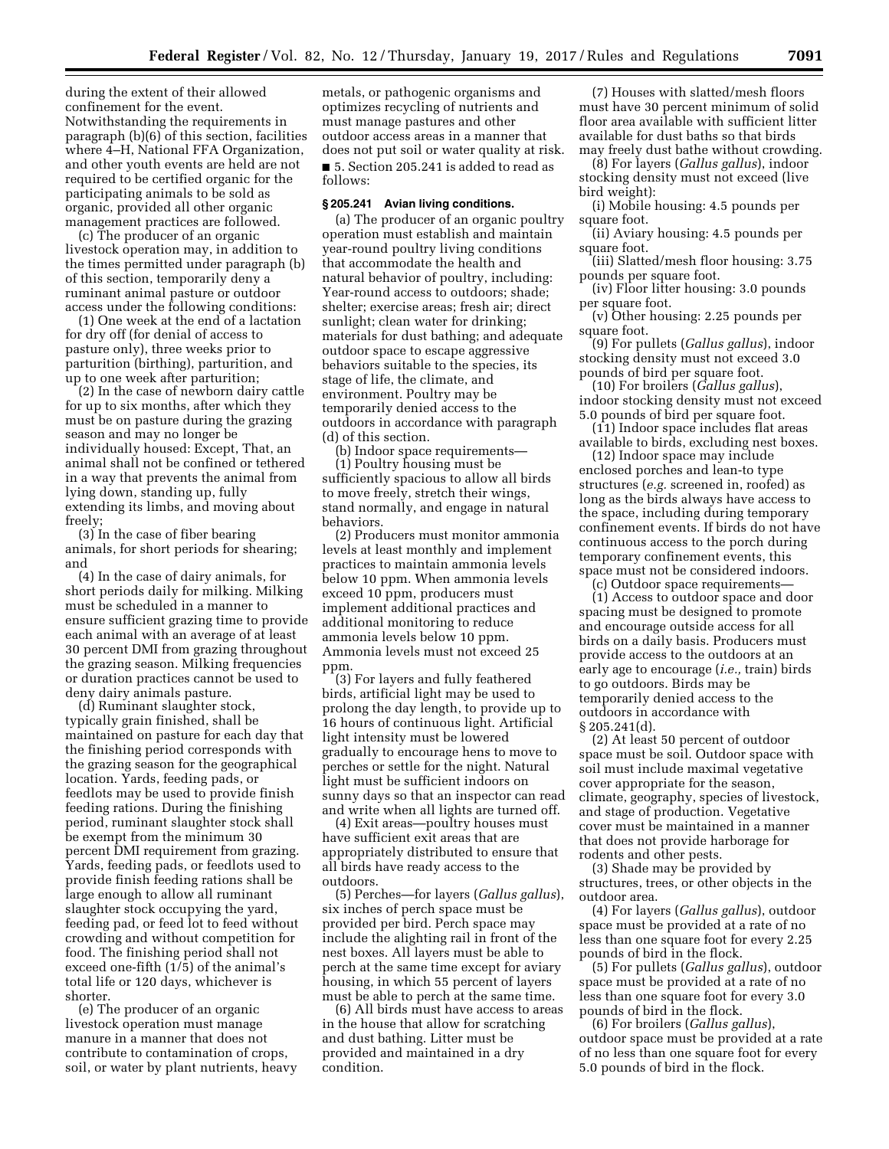during the extent of their allowed confinement for the event. Notwithstanding the requirements in paragraph (b)(6) of this section, facilities where 4–H, National FFA Organization, and other youth events are held are not required to be certified organic for the participating animals to be sold as organic, provided all other organic management practices are followed.

(c) The producer of an organic livestock operation may, in addition to the times permitted under paragraph (b) of this section, temporarily deny a ruminant animal pasture or outdoor access under the following conditions:

(1) One week at the end of a lactation for dry off (for denial of access to pasture only), three weeks prior to parturition (birthing), parturition, and up to one week after parturition;

(2) In the case of newborn dairy cattle for up to six months, after which they must be on pasture during the grazing season and may no longer be individually housed: Except, That, an animal shall not be confined or tethered in a way that prevents the animal from lying down, standing up, fully extending its limbs, and moving about freely;

(3) In the case of fiber bearing animals, for short periods for shearing; and

(4) In the case of dairy animals, for short periods daily for milking. Milking must be scheduled in a manner to ensure sufficient grazing time to provide each animal with an average of at least 30 percent DMI from grazing throughout the grazing season. Milking frequencies or duration practices cannot be used to deny dairy animals pasture.

(d) Ruminant slaughter stock, typically grain finished, shall be maintained on pasture for each day that the finishing period corresponds with the grazing season for the geographical location. Yards, feeding pads, or feedlots may be used to provide finish feeding rations. During the finishing period, ruminant slaughter stock shall be exempt from the minimum 30 percent DMI requirement from grazing. Yards, feeding pads, or feedlots used to provide finish feeding rations shall be large enough to allow all ruminant slaughter stock occupying the yard, feeding pad, or feed lot to feed without crowding and without competition for food. The finishing period shall not exceed one-fifth (1/5) of the animal's total life or 120 days, whichever is shorter.

(e) The producer of an organic livestock operation must manage manure in a manner that does not contribute to contamination of crops, soil, or water by plant nutrients, heavy

metals, or pathogenic organisms and optimizes recycling of nutrients and must manage pastures and other outdoor access areas in a manner that does not put soil or water quality at risk. ■ 5. Section 205.241 is added to read as follows:

#### **§ 205.241 Avian living conditions.**

(a) The producer of an organic poultry operation must establish and maintain year-round poultry living conditions that accommodate the health and natural behavior of poultry, including: Year-round access to outdoors; shade; shelter; exercise areas; fresh air; direct sunlight; clean water for drinking; materials for dust bathing; and adequate outdoor space to escape aggressive behaviors suitable to the species, its stage of life, the climate, and environment. Poultry may be temporarily denied access to the outdoors in accordance with paragraph (d) of this section.

(b) Indoor space requirements— (1) Poultry housing must be sufficiently spacious to allow all birds to move freely, stretch their wings, stand normally, and engage in natural behaviors.

(2) Producers must monitor ammonia levels at least monthly and implement practices to maintain ammonia levels below 10 ppm. When ammonia levels exceed 10 ppm, producers must implement additional practices and additional monitoring to reduce ammonia levels below 10 ppm. Ammonia levels must not exceed 25 ppm.

(3) For layers and fully feathered birds, artificial light may be used to prolong the day length, to provide up to 16 hours of continuous light. Artificial light intensity must be lowered gradually to encourage hens to move to perches or settle for the night. Natural light must be sufficient indoors on sunny days so that an inspector can read and write when all lights are turned off.

(4) Exit areas—poultry houses must have sufficient exit areas that are appropriately distributed to ensure that all birds have ready access to the outdoors.

(5) Perches—for layers (*Gallus gallus*), six inches of perch space must be provided per bird. Perch space may include the alighting rail in front of the nest boxes. All layers must be able to perch at the same time except for aviary housing, in which 55 percent of layers must be able to perch at the same time.

(6) All birds must have access to areas in the house that allow for scratching and dust bathing. Litter must be provided and maintained in a dry condition.

(7) Houses with slatted/mesh floors must have 30 percent minimum of solid floor area available with sufficient litter available for dust baths so that birds may freely dust bathe without crowding.

(8) For layers (*Gallus gallus*), indoor stocking density must not exceed (live bird weight):

(i) Mobile housing: 4.5 pounds per square foot.

(ii) Aviary housing: 4.5 pounds per square foot.

(iii) Slatted/mesh floor housing: 3.75 pounds per square foot.

(iv) Floor litter housing: 3.0 pounds per square foot.

(v) Other housing: 2.25 pounds per square foot.

(9) For pullets (*Gallus gallus*), indoor stocking density must not exceed 3.0 pounds of bird per square foot.

(10) For broilers (*Gallus gallus*), indoor stocking density must not exceed 5.0 pounds of bird per square foot.

(11) Indoor space includes flat areas available to birds, excluding nest boxes.

(12) Indoor space may include enclosed porches and lean-to type structures (*e.g.* screened in, roofed) as long as the birds always have access to the space, including during temporary confinement events. If birds do not have continuous access to the porch during temporary confinement events, this space must not be considered indoors.

(c) Outdoor space requirements— (1) Access to outdoor space and door spacing must be designed to promote and encourage outside access for all birds on a daily basis. Producers must provide access to the outdoors at an early age to encourage (*i.e.,* train) birds to go outdoors. Birds may be temporarily denied access to the outdoors in accordance with § 205.241(d).

(2) At least 50 percent of outdoor space must be soil. Outdoor space with soil must include maximal vegetative cover appropriate for the season, climate, geography, species of livestock, and stage of production. Vegetative cover must be maintained in a manner that does not provide harborage for rodents and other pests.

(3) Shade may be provided by structures, trees, or other objects in the outdoor area.

(4) For layers (*Gallus gallus*), outdoor space must be provided at a rate of no less than one square foot for every 2.25 pounds of bird in the flock.

(5) For pullets (*Gallus gallus*), outdoor space must be provided at a rate of no less than one square foot for every 3.0 pounds of bird in the flock.

(6) For broilers (*Gallus gallus*), outdoor space must be provided at a rate of no less than one square foot for every 5.0 pounds of bird in the flock.